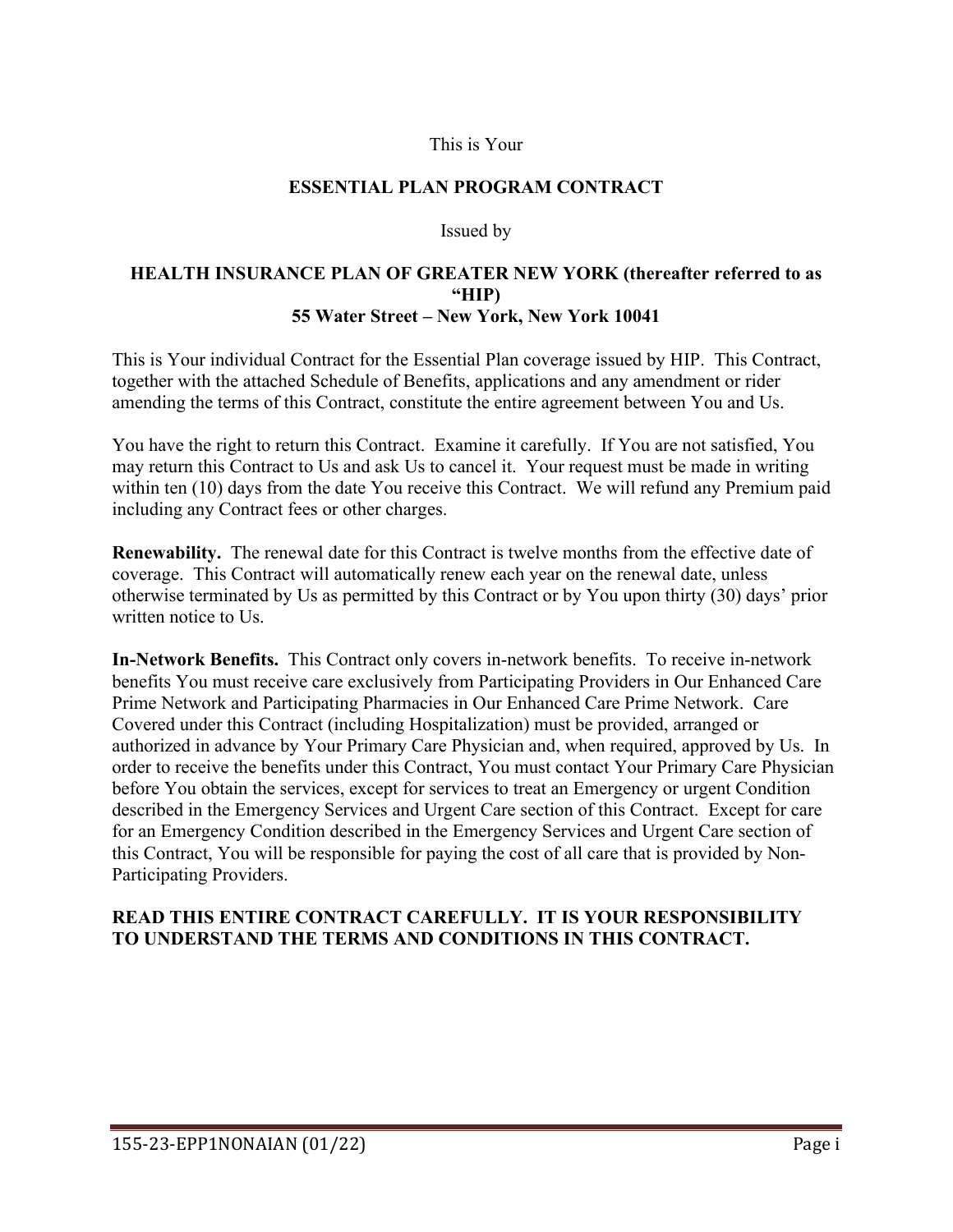### This is Your

### **ESSENTIAL PLAN PROGRAM CONTRACT**

#### Issued by

#### **HEALTH INSURANCE PLAN OF GREATER NEW YORK (thereafter referred to as "HIP) 55 Water Street – New York, New York 10041**

This is Your individual Contract for the Essential Plan coverage issued by HIP. This Contract, together with the attached Schedule of Benefits, applications and any amendment or rider amending the terms of this Contract, constitute the entire agreement between You and Us.

You have the right to return this Contract. Examine it carefully. If You are not satisfied, You may return this Contract to Us and ask Us to cancel it. Your request must be made in writing within ten (10) days from the date You receive this Contract. We will refund any Premium paid including any Contract fees or other charges.

**Renewability.** The renewal date for this Contract is twelve months from the effective date of coverage. This Contract will automatically renew each year on the renewal date, unless otherwise terminated by Us as permitted by this Contract or by You upon thirty (30) days' prior written notice to Us.

**In-Network Benefits.** This Contract only covers in-network benefits. To receive in-network benefits You must receive care exclusively from Participating Providers in Our Enhanced Care Prime Network and Participating Pharmacies in Our Enhanced Care Prime Network. Care Covered under this Contract (including Hospitalization) must be provided, arranged or authorized in advance by Your Primary Care Physician and, when required, approved by Us. In order to receive the benefits under this Contract, You must contact Your Primary Care Physician before You obtain the services, except for services to treat an Emergency or urgent Condition described in the Emergency Services and Urgent Care section of this Contract. Except for care for an Emergency Condition described in the Emergency Services and Urgent Care section of this Contract, You will be responsible for paying the cost of all care that is provided by Non-Participating Providers.

### **READ THIS ENTIRE CONTRACT CAREFULLY. IT IS YOUR RESPONSIBILITY TO UNDERSTAND THE TERMS AND CONDITIONS IN THIS CONTRACT.**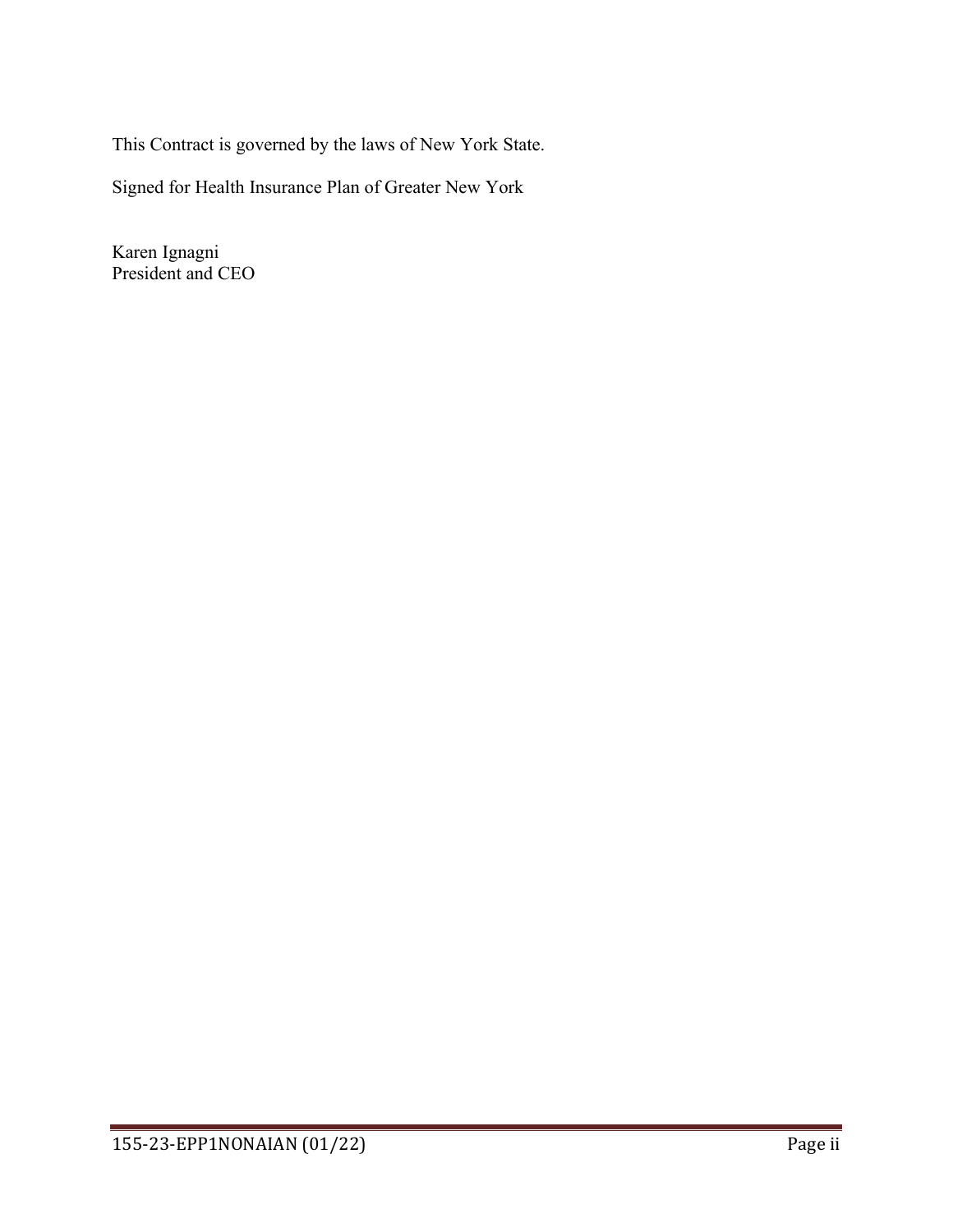This Contract is governed by the laws of New York State.

Signed for Health Insurance Plan of Greater New York

Karen Ignagni President and CEO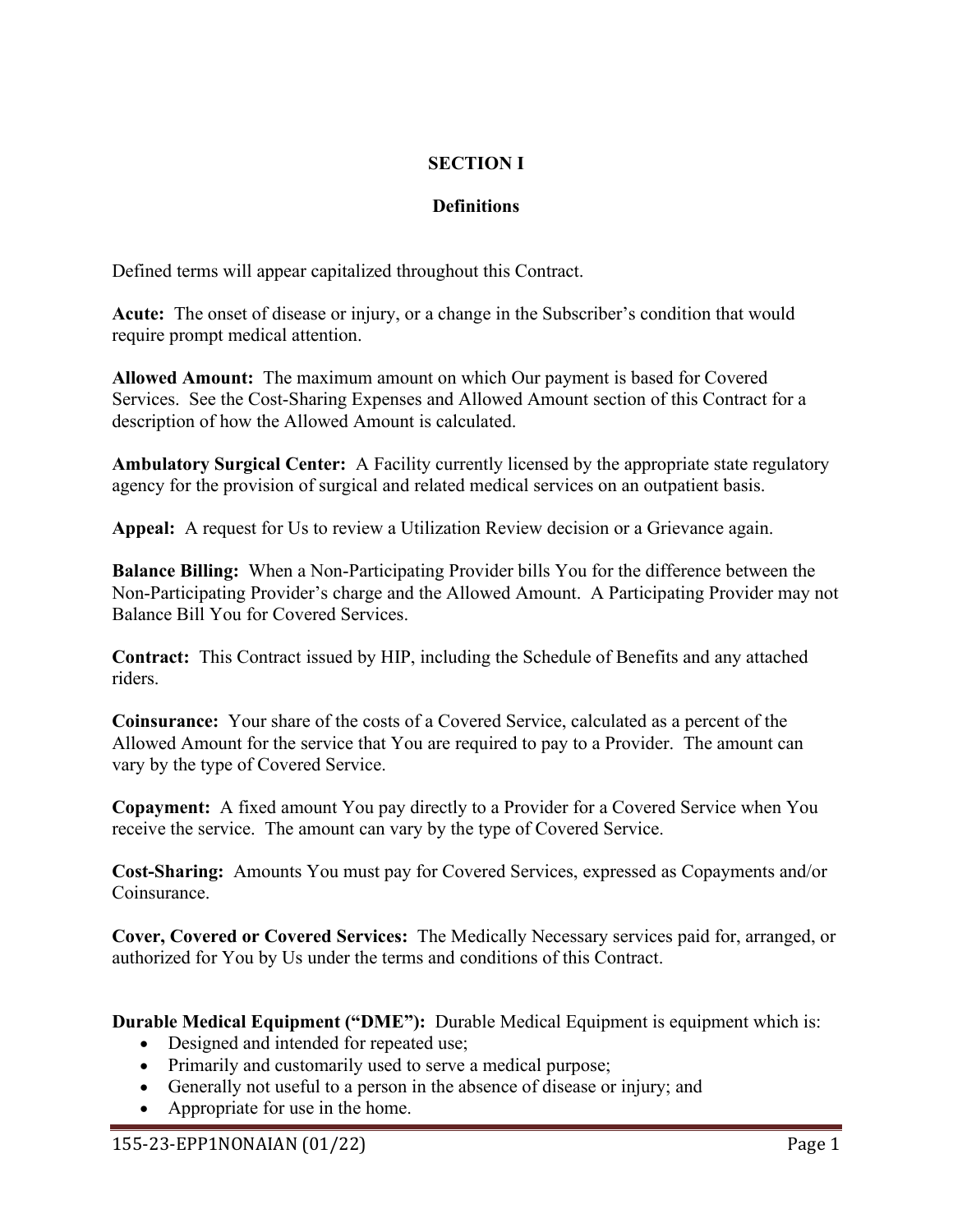# **SECTION I**

# **Definitions**

Defined terms will appear capitalized throughout this Contract.

**Acute:** The onset of disease or injury, or a change in the Subscriber's condition that would require prompt medical attention.

**Allowed Amount:** The maximum amount on which Our payment is based for Covered Services. See the Cost-Sharing Expenses and Allowed Amount section of this Contract for a description of how the Allowed Amount is calculated.

**Ambulatory Surgical Center:** A Facility currently licensed by the appropriate state regulatory agency for the provision of surgical and related medical services on an outpatient basis.

**Appeal:** A request for Us to review a Utilization Review decision or a Grievance again.

**Balance Billing:** When a Non-Participating Provider bills You for the difference between the Non-Participating Provider's charge and the Allowed Amount. A Participating Provider may not Balance Bill You for Covered Services.

**Contract:** This Contract issued by HIP, including the Schedule of Benefits and any attached riders.

**Coinsurance:** Your share of the costs of a Covered Service, calculated as a percent of the Allowed Amount for the service that You are required to pay to a Provider. The amount can vary by the type of Covered Service.

**Copayment:** A fixed amount You pay directly to a Provider for a Covered Service when You receive the service. The amount can vary by the type of Covered Service.

**Cost-Sharing:** Amounts You must pay for Covered Services, expressed as Copayments and/or Coinsurance.

**Cover, Covered or Covered Services:** The Medically Necessary services paid for, arranged, or authorized for You by Us under the terms and conditions of this Contract.

**Durable Medical Equipment ("DME"):** Durable Medical Equipment is equipment which is:

- Designed and intended for repeated use;
- Primarily and customarily used to serve a medical purpose;
- Generally not useful to a person in the absence of disease or injury; and
- Appropriate for use in the home.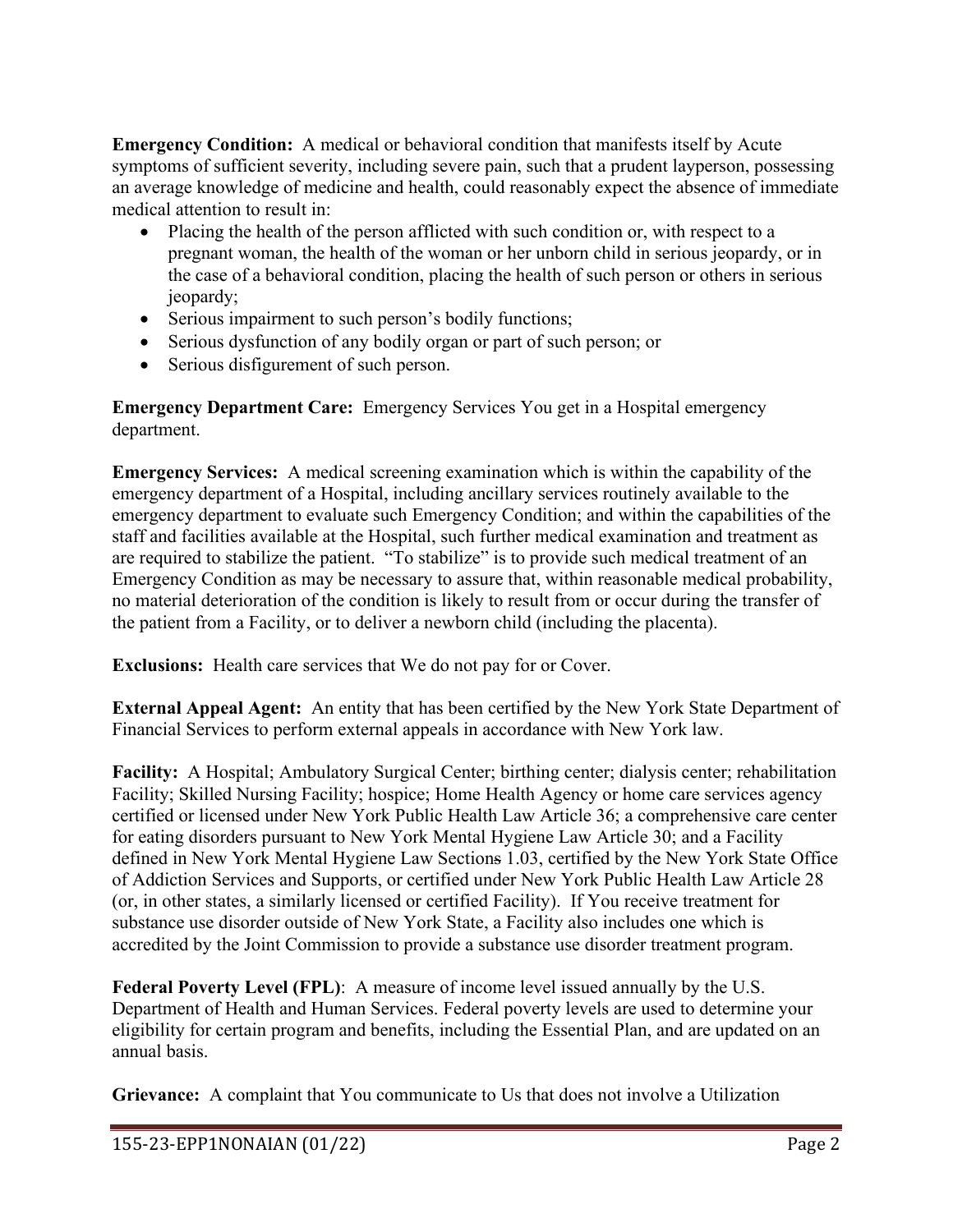**Emergency Condition:** A medical or behavioral condition that manifests itself by Acute symptoms of sufficient severity, including severe pain, such that a prudent layperson, possessing an average knowledge of medicine and health, could reasonably expect the absence of immediate medical attention to result in:

- Placing the health of the person afflicted with such condition or, with respect to a pregnant woman, the health of the woman or her unborn child in serious jeopardy, or in the case of a behavioral condition, placing the health of such person or others in serious jeopardy;
- Serious impairment to such person's bodily functions;
- Serious dysfunction of any bodily organ or part of such person; or
- Serious disfigurement of such person.

**Emergency Department Care:** Emergency Services You get in a Hospital emergency department.

**Emergency Services:** A medical screening examination which is within the capability of the emergency department of a Hospital, including ancillary services routinely available to the emergency department to evaluate such Emergency Condition; and within the capabilities of the staff and facilities available at the Hospital, such further medical examination and treatment as are required to stabilize the patient. "To stabilize" is to provide such medical treatment of an Emergency Condition as may be necessary to assure that, within reasonable medical probability, no material deterioration of the condition is likely to result from or occur during the transfer of the patient from a Facility, or to deliver a newborn child (including the placenta).

**Exclusions:** Health care services that We do not pay for or Cover.

**External Appeal Agent:** An entity that has been certified by the New York State Department of Financial Services to perform external appeals in accordance with New York law.

**Facility:** A Hospital; Ambulatory Surgical Center; birthing center; dialysis center; rehabilitation Facility; Skilled Nursing Facility; hospice; Home Health Agency or home care services agency certified or licensed under New York Public Health Law Article 36; a comprehensive care center for eating disorders pursuant to New York Mental Hygiene Law Article 30; and a Facility defined in New York Mental Hygiene Law Sections 1.03, certified by the New York State Office of Addiction Services and Supports, or certified under New York Public Health Law Article 28 (or, in other states, a similarly licensed or certified Facility). If You receive treatment for substance use disorder outside of New York State, a Facility also includes one which is accredited by the Joint Commission to provide a substance use disorder treatment program.

**Federal Poverty Level (FPL)**: A measure of income level issued annually by the U.S. Department of Health and Human Services. Federal poverty levels are used to determine your eligibility for certain program and benefits, including the Essential Plan, and are updated on an annual basis.

**Grievance:** A complaint that You communicate to Us that does not involve a Utilization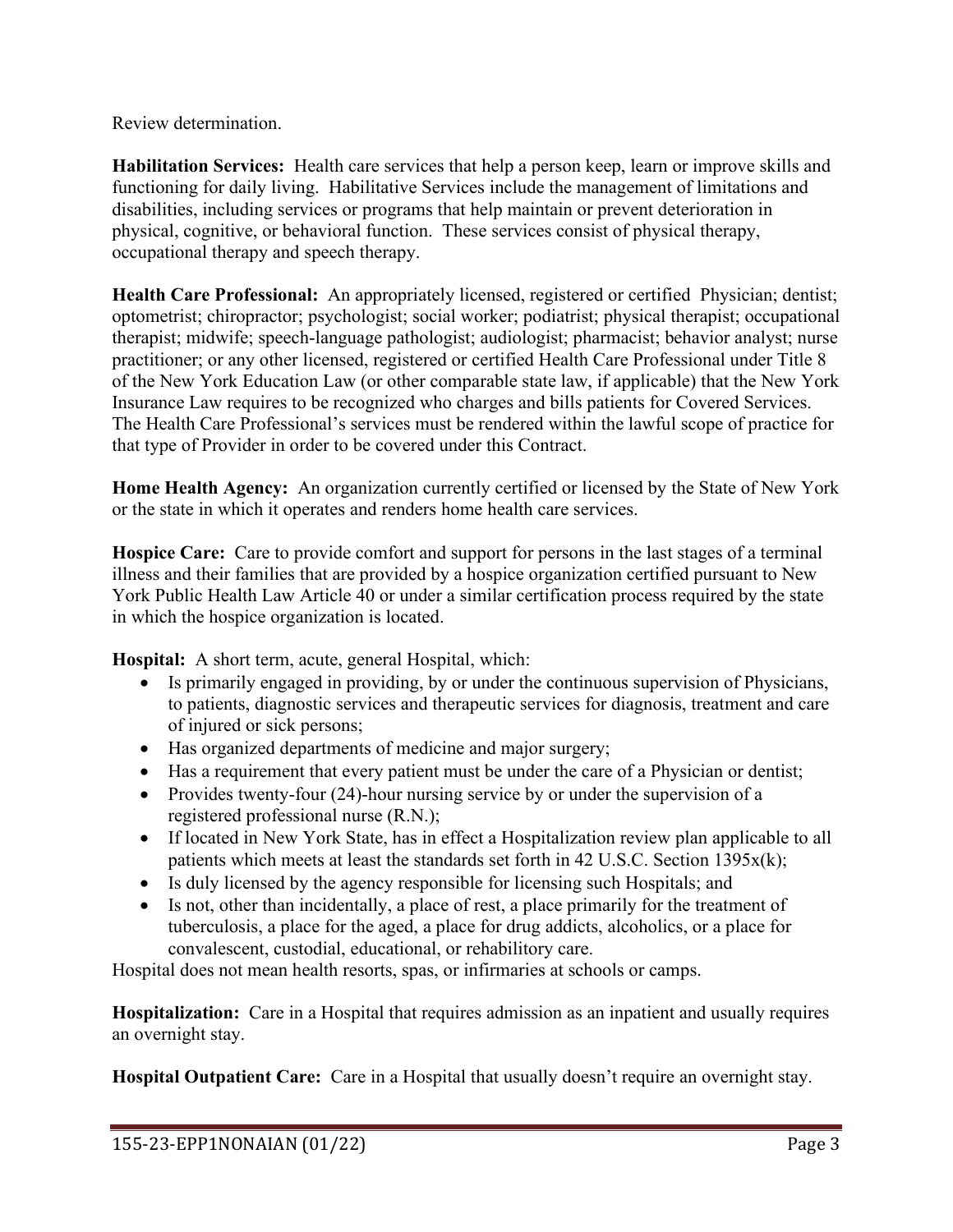Review determination.

**Habilitation Services:** Health care services that help a person keep, learn or improve skills and functioning for daily living. Habilitative Services include the management of limitations and disabilities, including services or programs that help maintain or prevent deterioration in physical, cognitive, or behavioral function. These services consist of physical therapy, occupational therapy and speech therapy.

**Health Care Professional:** An appropriately licensed, registered or certified Physician; dentist; optometrist; chiropractor; psychologist; social worker; podiatrist; physical therapist; occupational therapist; midwife; speech-language pathologist; audiologist; pharmacist; behavior analyst; nurse practitioner; or any other licensed, registered or certified Health Care Professional under Title 8 of the New York Education Law (or other comparable state law, if applicable) that the New York Insurance Law requires to be recognized who charges and bills patients for Covered Services. The Health Care Professional's services must be rendered within the lawful scope of practice for that type of Provider in order to be covered under this Contract.

**Home Health Agency:** An organization currently certified or licensed by the State of New York or the state in which it operates and renders home health care services.

**Hospice Care:** Care to provide comfort and support for persons in the last stages of a terminal illness and their families that are provided by a hospice organization certified pursuant to New York Public Health Law Article 40 or under a similar certification process required by the state in which the hospice organization is located.

**Hospital:** A short term, acute, general Hospital, which:

- Is primarily engaged in providing, by or under the continuous supervision of Physicians, to patients, diagnostic services and therapeutic services for diagnosis, treatment and care of injured or sick persons;
- Has organized departments of medicine and major surgery;
- Has a requirement that every patient must be under the care of a Physician or dentist;
- Provides twenty-four (24)-hour nursing service by or under the supervision of a registered professional nurse (R.N.);
- If located in New York State, has in effect a Hospitalization review plan applicable to all patients which meets at least the standards set forth in 42 U.S.C. Section 1395x(k);
- Is duly licensed by the agency responsible for licensing such Hospitals; and
- Is not, other than incidentally, a place of rest, a place primarily for the treatment of tuberculosis, a place for the aged, a place for drug addicts, alcoholics, or a place for convalescent, custodial, educational, or rehabilitory care.

Hospital does not mean health resorts, spas, or infirmaries at schools or camps.

**Hospitalization:** Care in a Hospital that requires admission as an inpatient and usually requires an overnight stay.

**Hospital Outpatient Care:** Care in a Hospital that usually doesn't require an overnight stay.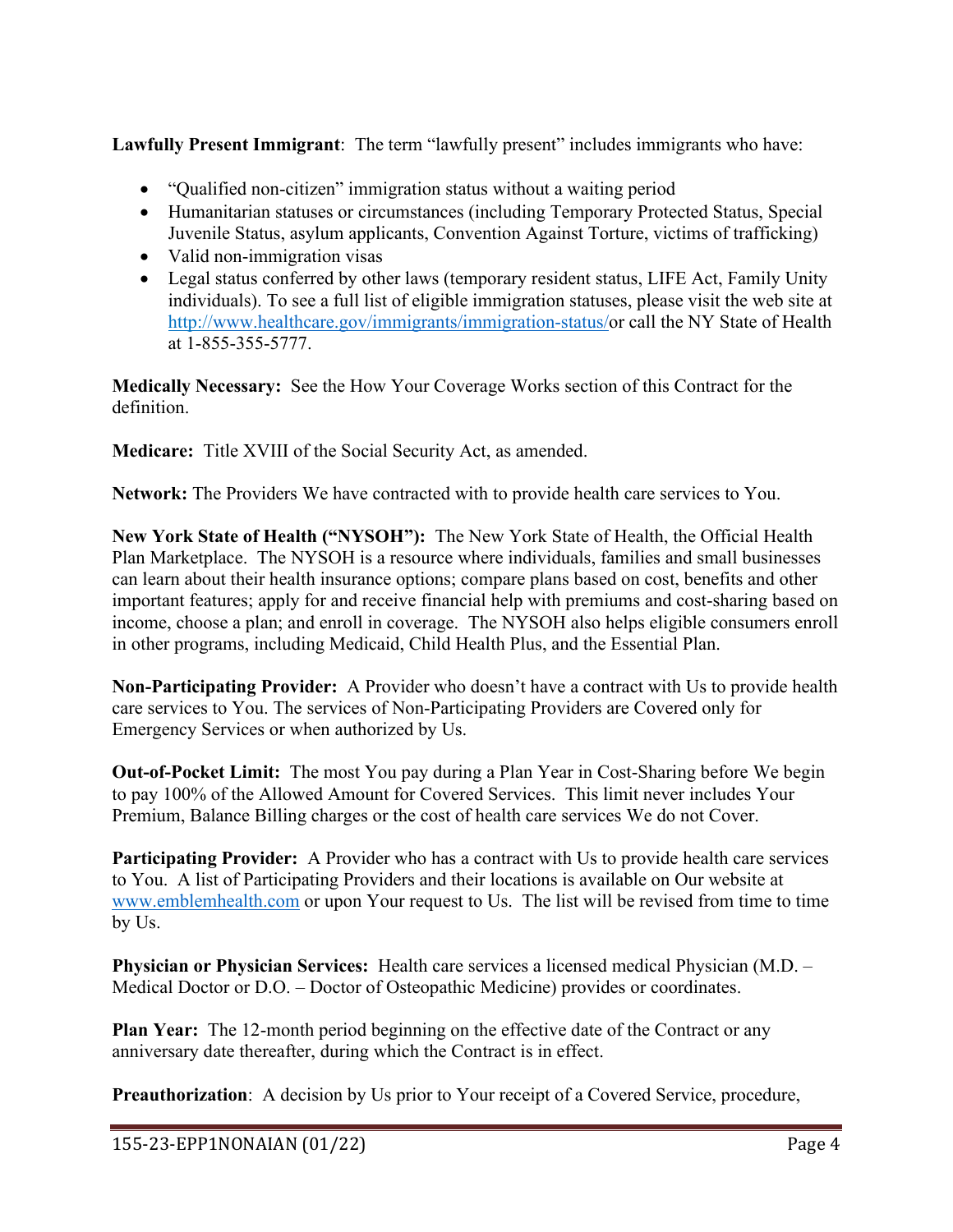**Lawfully Present Immigrant**: The term "lawfully present" includes immigrants who have:

- "Qualified non-citizen" immigration status without a waiting period
- Humanitarian statuses or circumstances (including Temporary Protected Status, Special Juvenile Status, asylum applicants, Convention Against Torture, victims of trafficking)
- Valid non-immigration visas
- Legal status conferred by other laws (temporary resident status, LIFE Act, Family Unity individuals). To see a full list of eligible immigration statuses, please visit the web site at http:/[/www.healthcare.gov/immigrants/immigration-status/o](http://www.healthcare.gov/immigrants/immigration-status/)r call the NY State of Health at 1-855-355-5777.

**Medically Necessary:** See the How Your Coverage Works section of this Contract for the definition.

**Medicare:** Title XVIII of the Social Security Act, as amended.

**Network:** The Providers We have contracted with to provide health care services to You.

**New York State of Health ("NYSOH"):** The New York State of Health, the Official Health Plan Marketplace. The NYSOH is a resource where individuals, families and small businesses can learn about their health insurance options; compare plans based on cost, benefits and other important features; apply for and receive financial help with premiums and cost-sharing based on income, choose a plan; and enroll in coverage. The NYSOH also helps eligible consumers enroll in other programs, including Medicaid, Child Health Plus, and the Essential Plan.

**Non-Participating Provider:** A Provider who doesn't have a contract with Us to provide health care services to You. The services of Non-Participating Providers are Covered only for Emergency Services or when authorized by Us.

**Out-of-Pocket Limit:** The most You pay during a Plan Year in Cost-Sharing before We begin to pay 100% of the Allowed Amount for Covered Services. This limit never includes Your Premium, Balance Billing charges or the cost of health care services We do not Cover.

**Participating Provider:** A Provider who has a contract with Us to provide health care services to You. A list of Participating Providers and their locations is available on Our website at [www.emblemhealth.com](http://www.emblemhealth.com/) or upon Your request to Us. The list will be revised from time to time by Us.

**Physician or Physician Services:** Health care services a licensed medical Physician (M.D. – Medical Doctor or D.O. – Doctor of Osteopathic Medicine) provides or coordinates.

**Plan Year:** The 12-month period beginning on the effective date of the Contract or any anniversary date thereafter, during which the Contract is in effect.

**Preauthorization**: A decision by Us prior to Your receipt of a Covered Service, procedure,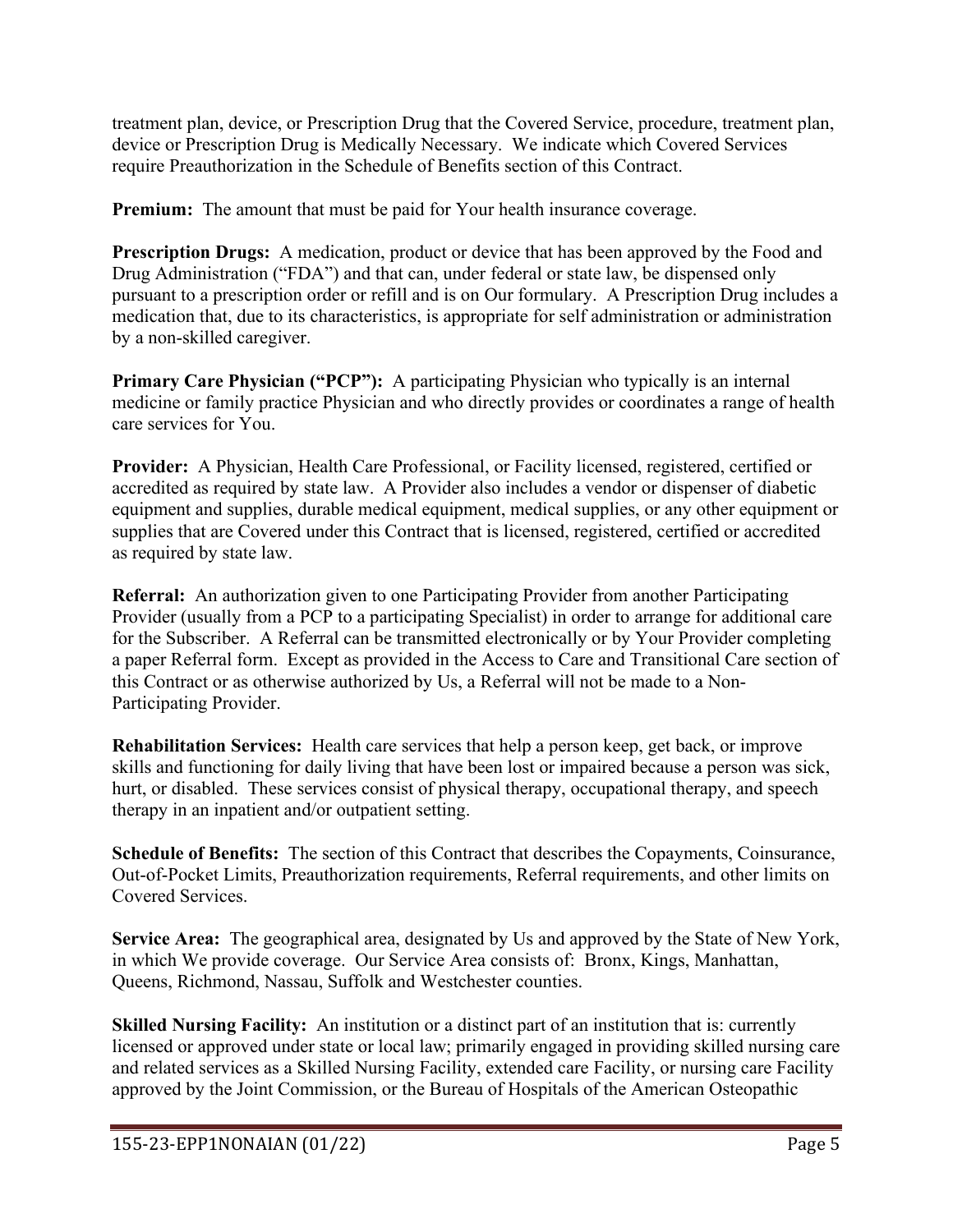treatment plan, device, or Prescription Drug that the Covered Service, procedure, treatment plan, device or Prescription Drug is Medically Necessary.We indicate which Covered Services require Preauthorization in the Schedule of Benefits section of this Contract.

**Premium:** The amount that must be paid for Your health insurance coverage.

**Prescription Drugs:** A medication, product or device that has been approved by the Food and Drug Administration ("FDA") and that can, under federal or state law, be dispensed only pursuant to a prescription order or refill and is on Our formulary. A Prescription Drug includes a medication that, due to its characteristics, is appropriate for self administration or administration by a non-skilled caregiver.

**Primary Care Physician ("PCP"):** A participating Physician who typically is an internal medicine or family practice Physician and who directly provides or coordinates a range of health care services for You.

**Provider:** A Physician, Health Care Professional, or Facility licensed, registered, certified or accredited as required by state law. A Provider also includes a vendor or dispenser of diabetic equipment and supplies, durable medical equipment, medical supplies, or any other equipment or supplies that are Covered under this Contract that is licensed, registered, certified or accredited as required by state law.

**Referral:** An authorization given to one Participating Provider from another Participating Provider (usually from a PCP to a participating Specialist) in order to arrange for additional care for the Subscriber. A Referral can be transmitted electronically or by Your Provider completing a paper Referral form. Except as provided in the Access to Care and Transitional Care section of this Contract or as otherwise authorized by Us, a Referral will not be made to a Non-Participating Provider.

**Rehabilitation Services:** Health care services that help a person keep, get back, or improve skills and functioning for daily living that have been lost or impaired because a person was sick, hurt, or disabled. These services consist of physical therapy, occupational therapy, and speech therapy in an inpatient and/or outpatient setting.

**Schedule of Benefits:** The section of this Contract that describes the Copayments, Coinsurance, Out-of-Pocket Limits, Preauthorization requirements, Referral requirements, and other limits on Covered Services.

**Service Area:** The geographical area, designated by Us and approved by the State of New York, in which We provide coverage. Our Service Area consists of: Bronx, Kings, Manhattan, Queens, Richmond, Nassau, Suffolk and Westchester counties.

**Skilled Nursing Facility:** An institution or a distinct part of an institution that is: currently licensed or approved under state or local law; primarily engaged in providing skilled nursing care and related services as a Skilled Nursing Facility, extended care Facility, or nursing care Facility approved by the Joint Commission, or the Bureau of Hospitals of the American Osteopathic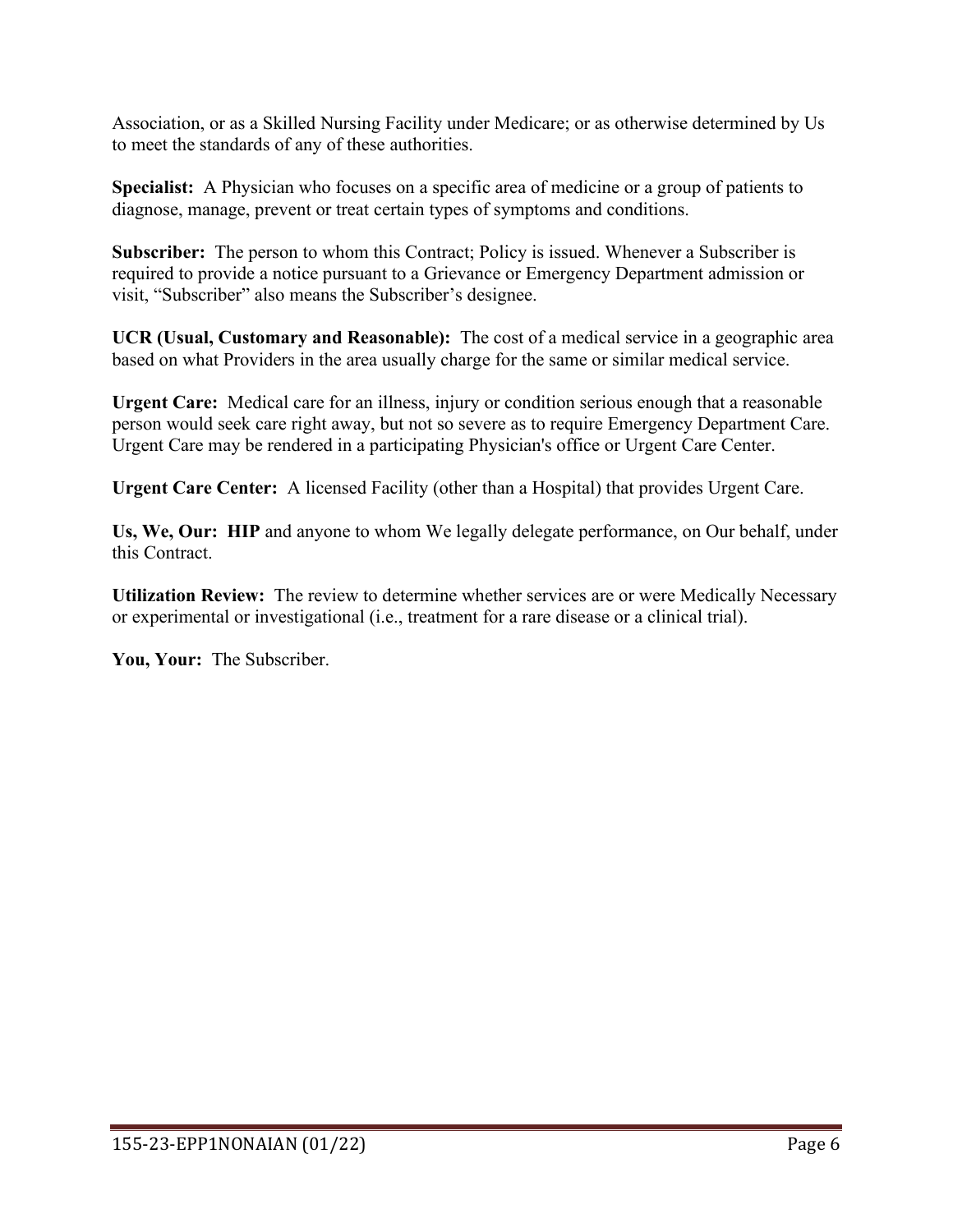Association, or as a Skilled Nursing Facility under Medicare; or as otherwise determined by Us to meet the standards of any of these authorities.

**Specialist:** A Physician who focuses on a specific area of medicine or a group of patients to diagnose, manage, prevent or treat certain types of symptoms and conditions.

**Subscriber:** The person to whom this Contract; Policy is issued. Whenever a Subscriber is required to provide a notice pursuant to a Grievance or Emergency Department admission or visit, "Subscriber" also means the Subscriber's designee.

**UCR (Usual, Customary and Reasonable):** The cost of a medical service in a geographic area based on what Providers in the area usually charge for the same or similar medical service.

**Urgent Care:** Medical care for an illness, injury or condition serious enough that a reasonable person would seek care right away, but not so severe as to require Emergency Department Care. Urgent Care may be rendered in a participating Physician's office or Urgent Care Center.

**Urgent Care Center:** A licensed Facility (other than a Hospital) that provides Urgent Care.

**Us, We, Our: HIP** and anyone to whom We legally delegate performance, on Our behalf, under this Contract.

**Utilization Review:** The review to determine whether services are or were Medically Necessary or experimental or investigational (i.e., treatment for a rare disease or a clinical trial).

**You, Your:** The Subscriber.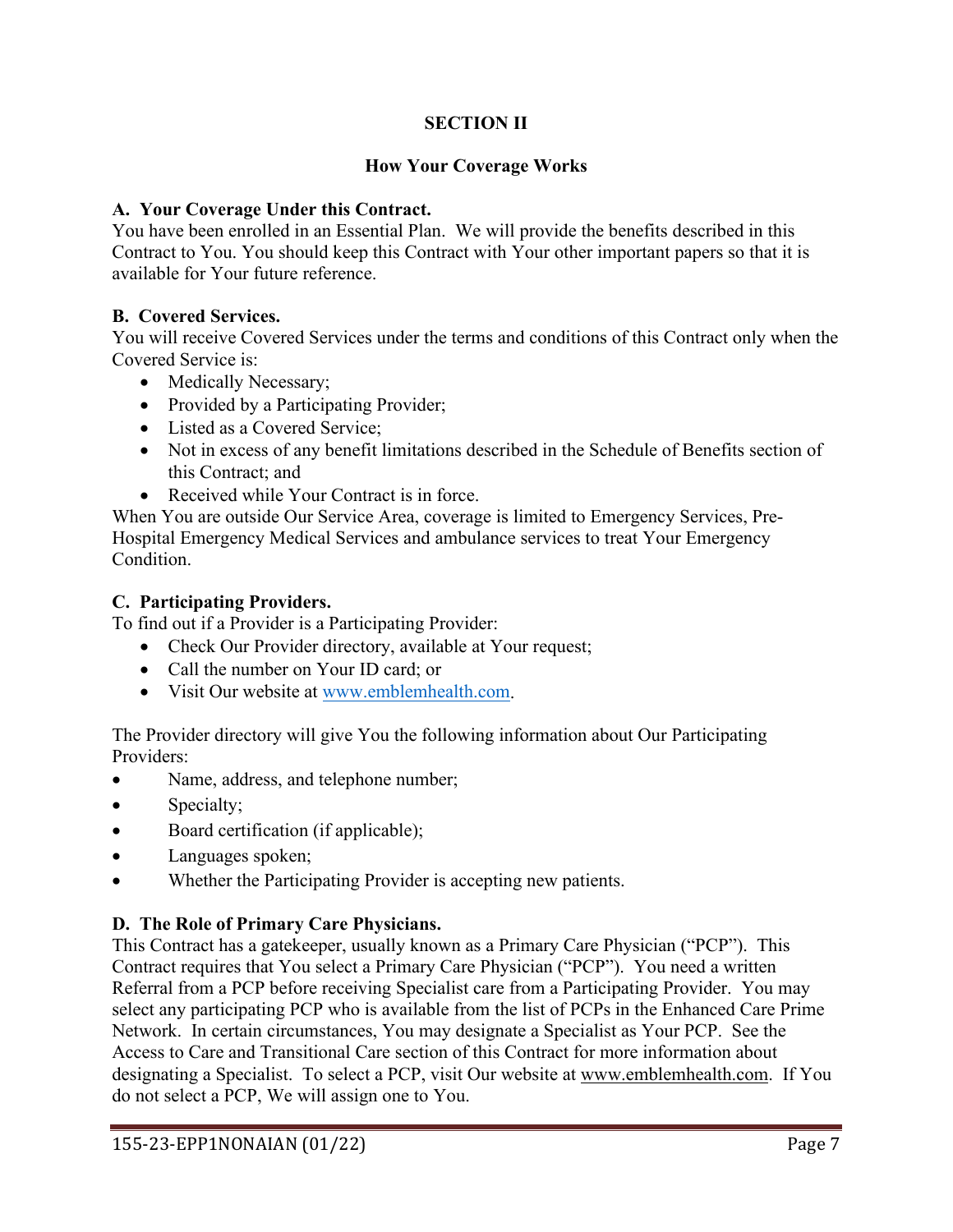# **SECTION II**

## **How Your Coverage Works**

### **A. Your Coverage Under this Contract.**

You have been enrolled in an Essential Plan. We will provide the benefits described in this Contract to You. You should keep this Contract with Your other important papers so that it is available for Your future reference.

## **B. Covered Services.**

You will receive Covered Services under the terms and conditions of this Contract only when the Covered Service is:

- Medically Necessary;
- Provided by a Participating Provider;
- Listed as a Covered Service;
- Not in excess of any benefit limitations described in the Schedule of Benefits section of this Contract; and
- Received while Your Contract is in force.

When You are outside Our Service Area, coverage is limited to Emergency Services, Pre-Hospital Emergency Medical Services and ambulance services to treat Your Emergency Condition.

### **C. Participating Providers.**

To find out if a Provider is a Participating Provider:

- Check Our Provider directory, available at Your request;
- Call the number on Your ID card; or
- Visit Our website at [www.emblemhealth.com.](http://www.emblemhealth.com/)

The Provider directory will give You the following information about Our Participating Providers:

- Name, address, and telephone number;
- Specialty;
- Board certification (if applicable);
- Languages spoken;
- Whether the Participating Provider is accepting new patients.

### **D. The Role of Primary Care Physicians.**

This Contract has a gatekeeper, usually known as a Primary Care Physician ("PCP"). This Contract requires that You select a Primary Care Physician ("PCP"). You need a written Referral from a PCP before receiving Specialist care from a Participating Provider. You may select any participating PCP who is available from the list of PCPs in the Enhanced Care Prime Network. In certain circumstances, You may designate a Specialist as Your PCP. See the Access to Care and Transitional Care section of this Contract for more information about designating a Specialist. To select a PCP, visit Our website at [www.emblemhealth.com.](http://www.emblemhealth.com/) If You do not select a PCP, We will assign one to You.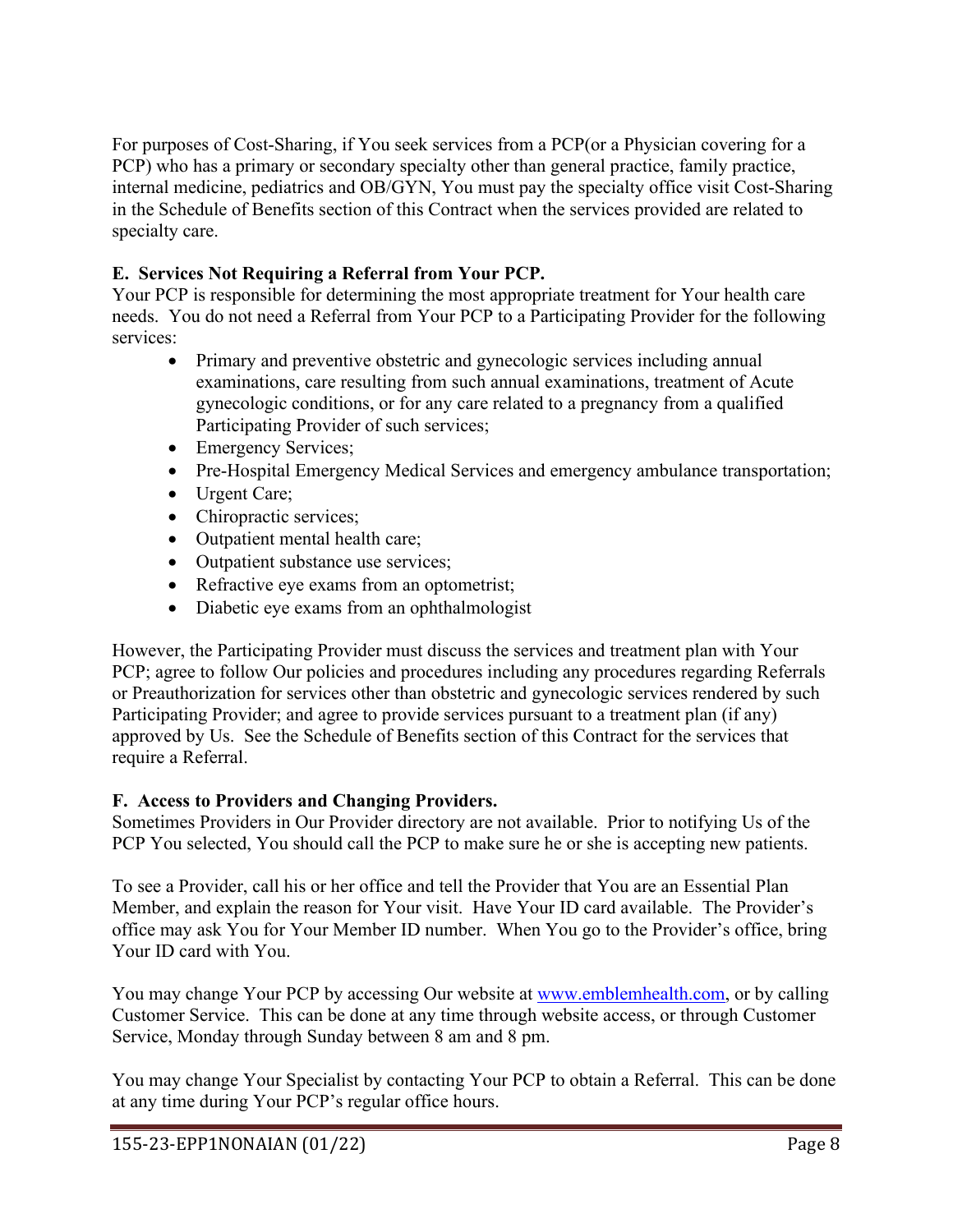For purposes of Cost-Sharing, if You seek services from a PCP(or a Physician covering for a PCP) who has a primary or secondary specialty other than general practice, family practice, internal medicine, pediatrics and OB/GYN, You must pay the specialty office visit Cost-Sharing in the Schedule of Benefits section of this Contract when the services provided are related to specialty care.

# **E. Services Not Requiring a Referral from Your PCP.**

Your PCP is responsible for determining the most appropriate treatment for Your health care needs. You do not need a Referral from Your PCP to a Participating Provider for the following services:

- Primary and preventive obstetric and gynecologic services including annual examinations, care resulting from such annual examinations, treatment of Acute gynecologic conditions, or for any care related to a pregnancy from a qualified Participating Provider of such services;
- Emergency Services;
- Pre-Hospital Emergency Medical Services and emergency ambulance transportation;
- Urgent Care;
- Chiropractic services;
- Outpatient mental health care;
- Outpatient substance use services;
- Refractive eye exams from an optometrist;
- Diabetic eye exams from an ophthalmologist

However, the Participating Provider must discuss the services and treatment plan with Your PCP; agree to follow Our policies and procedures including any procedures regarding Referrals or Preauthorization for services other than obstetric and gynecologic services rendered by such Participating Provider; and agree to provide services pursuant to a treatment plan (if any) approved by Us. See the Schedule of Benefits section of this Contract for the services that require a Referral.

# **F. Access to Providers and Changing Providers.**

Sometimes Providers in Our Provider directory are not available. Prior to notifying Us of the PCP You selected, You should call the PCP to make sure he or she is accepting new patients.

To see a Provider, call his or her office and tell the Provider that You are an Essential Plan Member, and explain the reason for Your visit. Have Your ID card available. The Provider's office may ask You for Your Member ID number. When You go to the Provider's office, bring Your ID card with You.

You may change Your PCP by accessing Our website at [www.emblemhealth.com,](http://www.emblemhealth.com/) or by calling Customer Service. This can be done at any time through website access, or through Customer Service, Monday through Sunday between 8 am and 8 pm.

You may change Your Specialist by contacting Your PCP to obtain a Referral. This can be done at any time during Your PCP's regular office hours.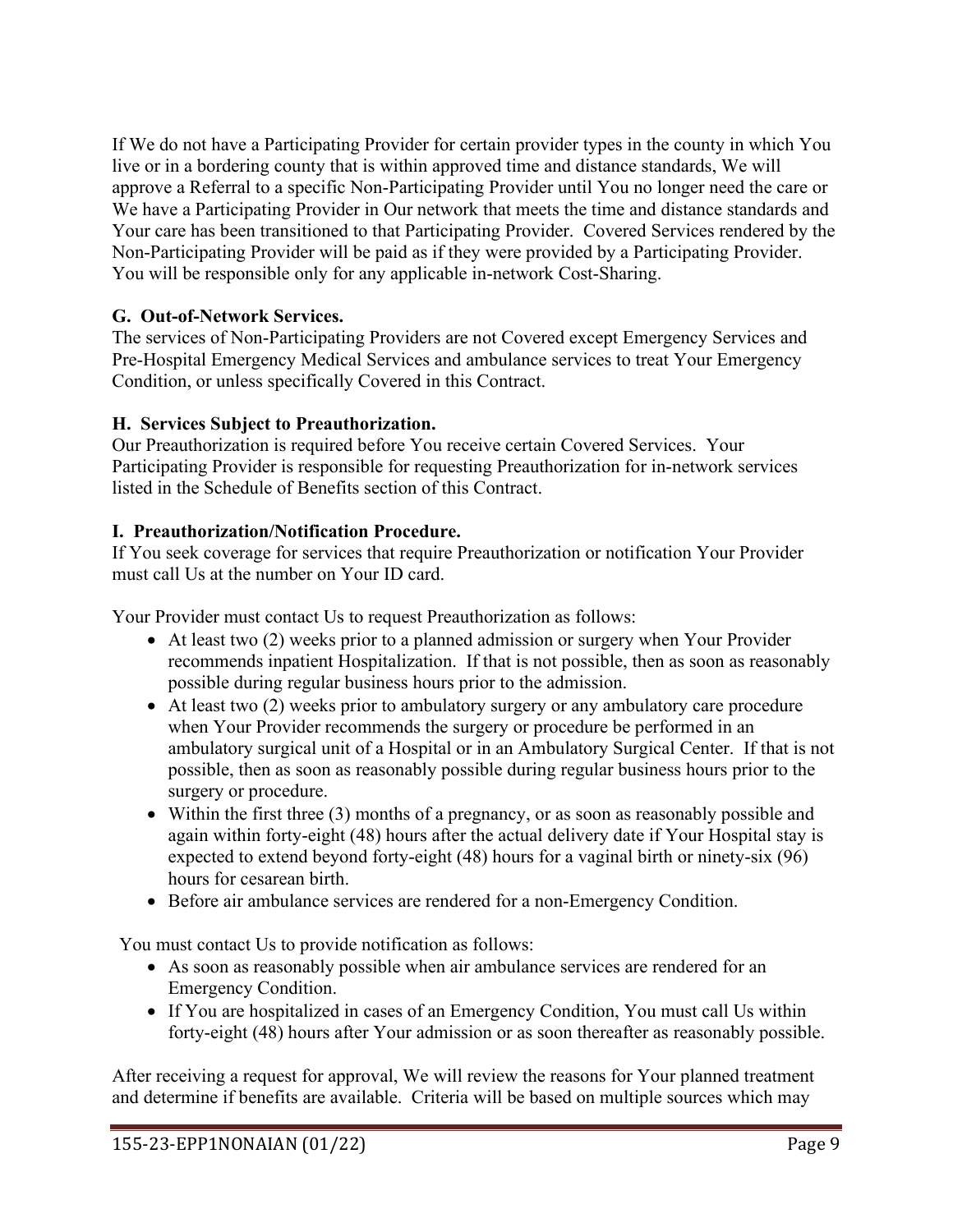If We do not have a Participating Provider for certain provider types in the county in which You live or in a bordering county that is within approved time and distance standards, We will approve a Referral to a specific Non-Participating Provider until You no longer need the care or We have a Participating Provider in Our network that meets the time and distance standards and Your care has been transitioned to that Participating Provider. Covered Services rendered by the Non-Participating Provider will be paid as if they were provided by a Participating Provider. You will be responsible only for any applicable in-network Cost-Sharing.

## **G. Out-of-Network Services.**

The services of Non-Participating Providers are not Covered except Emergency Services and Pre-Hospital Emergency Medical Services and ambulance services to treat Your Emergency Condition, or unless specifically Covered in this Contract.

## **H. Services Subject to Preauthorization.**

Our Preauthorization is required before You receive certain Covered Services. Your Participating Provider is responsible for requesting Preauthorization for in-network services listed in the Schedule of Benefits section of this Contract.

## **I. Preauthorization/Notification Procedure.**

If You seek coverage for services that require Preauthorization or notification Your Provider must call Us at the number on Your ID card.

Your Provider must contact Us to request Preauthorization as follows:

- At least two (2) weeks prior to a planned admission or surgery when Your Provider recommends inpatient Hospitalization. If that is not possible, then as soon as reasonably possible during regular business hours prior to the admission.
- At least two (2) weeks prior to ambulatory surgery or any ambulatory care procedure when Your Provider recommends the surgery or procedure be performed in an ambulatory surgical unit of a Hospital or in an Ambulatory Surgical Center. If that is not possible, then as soon as reasonably possible during regular business hours prior to the surgery or procedure.
- Within the first three (3) months of a pregnancy, or as soon as reasonably possible and again within forty-eight (48) hours after the actual delivery date if Your Hospital stay is expected to extend beyond forty-eight (48) hours for a vaginal birth or ninety-six (96) hours for cesarean birth.
- Before air ambulance services are rendered for a non-Emergency Condition.

You must contact Us to provide notification as follows:

- As soon as reasonably possible when air ambulance services are rendered for an Emergency Condition.
- If You are hospitalized in cases of an Emergency Condition, You must call Us within forty-eight (48) hours after Your admission or as soon thereafter as reasonably possible.

After receiving a request for approval, We will review the reasons for Your planned treatment and determine if benefits are available. Criteria will be based on multiple sources which may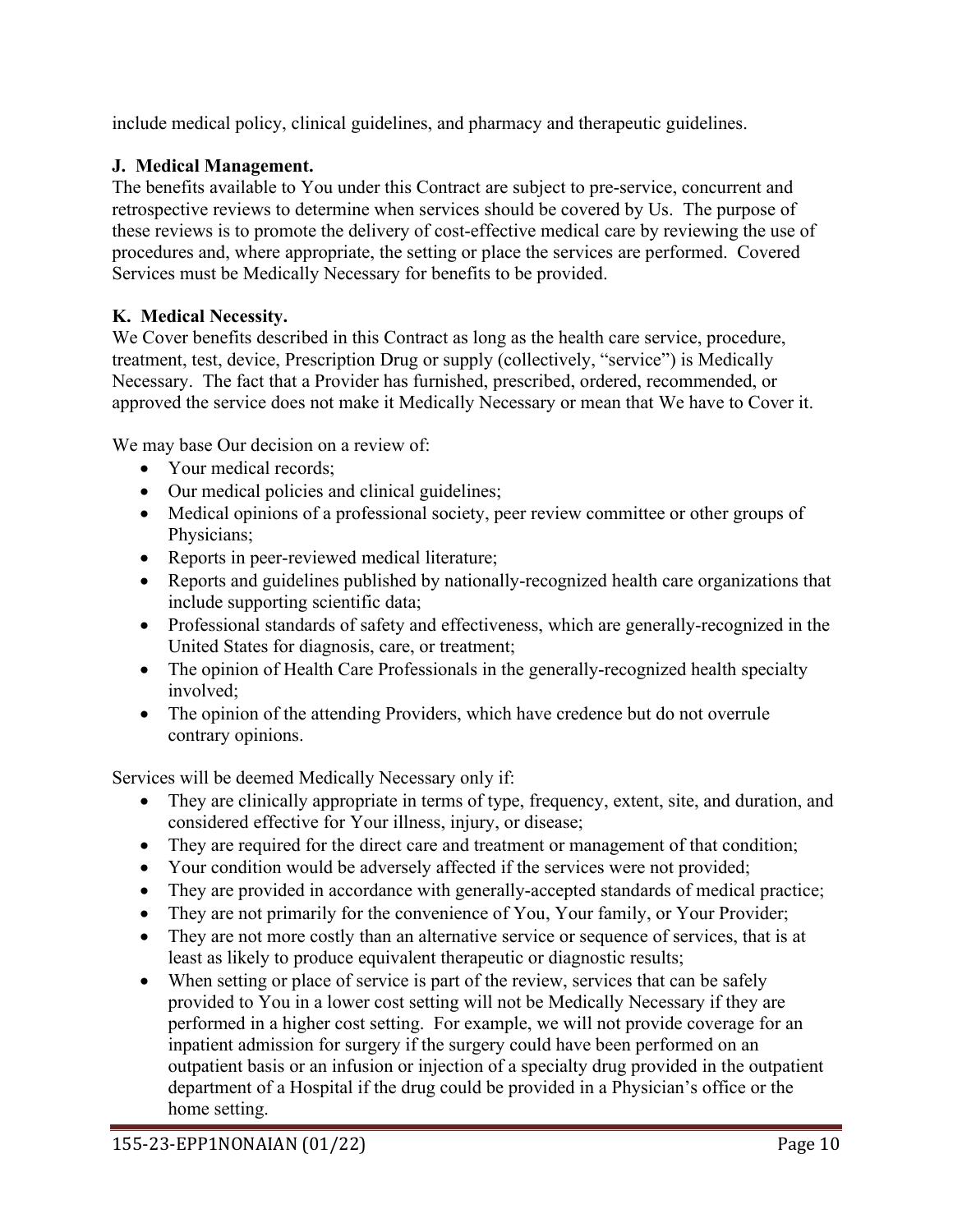include medical policy, clinical guidelines, and pharmacy and therapeutic guidelines.

# **J. Medical Management.**

The benefits available to You under this Contract are subject to pre-service, concurrent and retrospective reviews to determine when services should be covered by Us. The purpose of these reviews is to promote the delivery of cost-effective medical care by reviewing the use of procedures and, where appropriate, the setting or place the services are performed. Covered Services must be Medically Necessary for benefits to be provided.

# **K. Medical Necessity.**

We Cover benefits described in this Contract as long as the health care service, procedure, treatment, test, device, Prescription Drug or supply (collectively, "service") is Medically Necessary. The fact that a Provider has furnished, prescribed, ordered, recommended, or approved the service does not make it Medically Necessary or mean that We have to Cover it.

We may base Our decision on a review of:

- Your medical records:
- Our medical policies and clinical guidelines;
- Medical opinions of a professional society, peer review committee or other groups of Physicians;
- Reports in peer-reviewed medical literature;
- Reports and guidelines published by nationally-recognized health care organizations that include supporting scientific data;
- Professional standards of safety and effectiveness, which are generally-recognized in the United States for diagnosis, care, or treatment;
- The opinion of Health Care Professionals in the generally-recognized health specialty involved;
- The opinion of the attending Providers, which have credence but do not overrule contrary opinions.

Services will be deemed Medically Necessary only if:

- They are clinically appropriate in terms of type, frequency, extent, site, and duration, and considered effective for Your illness, injury, or disease;
- They are required for the direct care and treatment or management of that condition;
- Your condition would be adversely affected if the services were not provided;
- They are provided in accordance with generally-accepted standards of medical practice;
- They are not primarily for the convenience of You, Your family, or Your Provider;
- They are not more costly than an alternative service or sequence of services, that is at least as likely to produce equivalent therapeutic or diagnostic results;
- When setting or place of service is part of the review, services that can be safely provided to You in a lower cost setting will not be Medically Necessary if they are performed in a higher cost setting. For example, we will not provide coverage for an inpatient admission for surgery if the surgery could have been performed on an outpatient basis or an infusion or injection of a specialty drug provided in the outpatient department of a Hospital if the drug could be provided in a Physician's office or the home setting.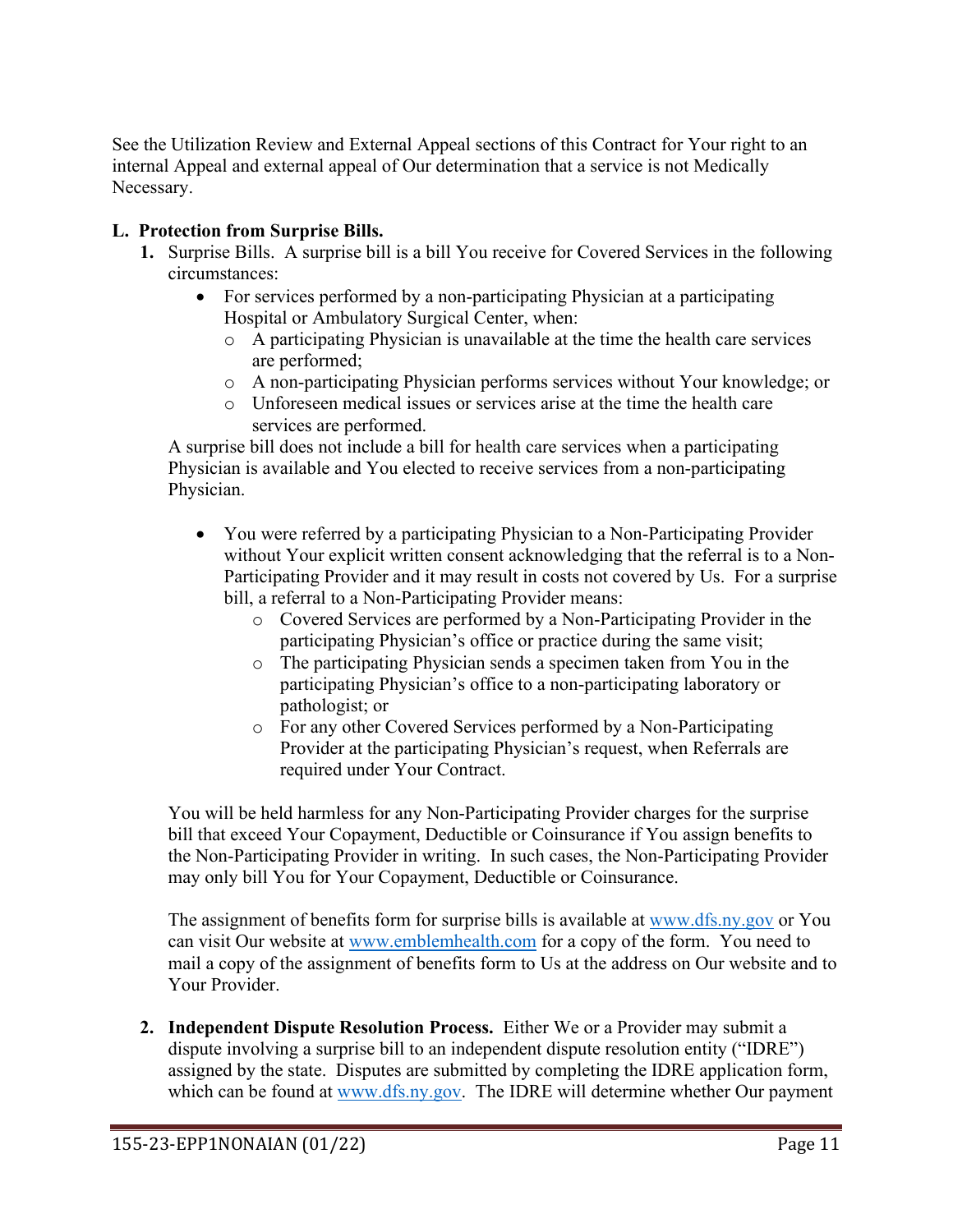See the Utilization Review and External Appeal sections of this Contract for Your right to an internal Appeal and external appeal of Our determination that a service is not Medically Necessary.

# **L. Protection from Surprise Bills.**

- **1.** Surprise Bills. A surprise bill is a bill You receive for Covered Services in the following circumstances:
	- For services performed by a non-participating Physician at a participating Hospital or Ambulatory Surgical Center, when:
		- o A participating Physician is unavailable at the time the health care services are performed;
		- o A non-participating Physician performs services without Your knowledge; or
		- o Unforeseen medical issues or services arise at the time the health care services are performed.

A surprise bill does not include a bill for health care services when a participating Physician is available and You elected to receive services from a non-participating Physician.

- You were referred by a participating Physician to a Non-Participating Provider without Your explicit written consent acknowledging that the referral is to a Non-Participating Provider and it may result in costs not covered by Us. For a surprise bill, a referral to a Non-Participating Provider means:
	- o Covered Services are performed by a Non-Participating Provider in the participating Physician's office or practice during the same visit;
	- o The participating Physician sends a specimen taken from You in the participating Physician's office to a non-participating laboratory or pathologist; or
	- o For any other Covered Services performed by a Non-Participating Provider at the participating Physician's request, when Referrals are required under Your Contract.

You will be held harmless for any Non-Participating Provider charges for the surprise bill that exceed Your Copayment, Deductible or Coinsurance if You assign benefits to the Non-Participating Provider in writing. In such cases, the Non-Participating Provider may only bill You for Your Copayment, Deductible or Coinsurance.

The assignment of benefits form for surprise bills is available at [www.dfs.ny.gov](http://www.dfs.ny.gov/) or You can visit Our website at [www.emblemhealth.com](http://www.emblemhealth.com/) for a copy of the form. You need to mail a copy of the assignment of benefits form to Us at the address on Our website and to Your Provider.

**2. Independent Dispute Resolution Process.** Either We or a Provider may submit a dispute involving a surprise bill to an independent dispute resolution entity ("IDRE") assigned by the state. Disputes are submitted by completing the IDRE application form, which can be found at [www.dfs.ny.gov.](http://www.dfs.ny.gov/) The IDRE will determine whether Our payment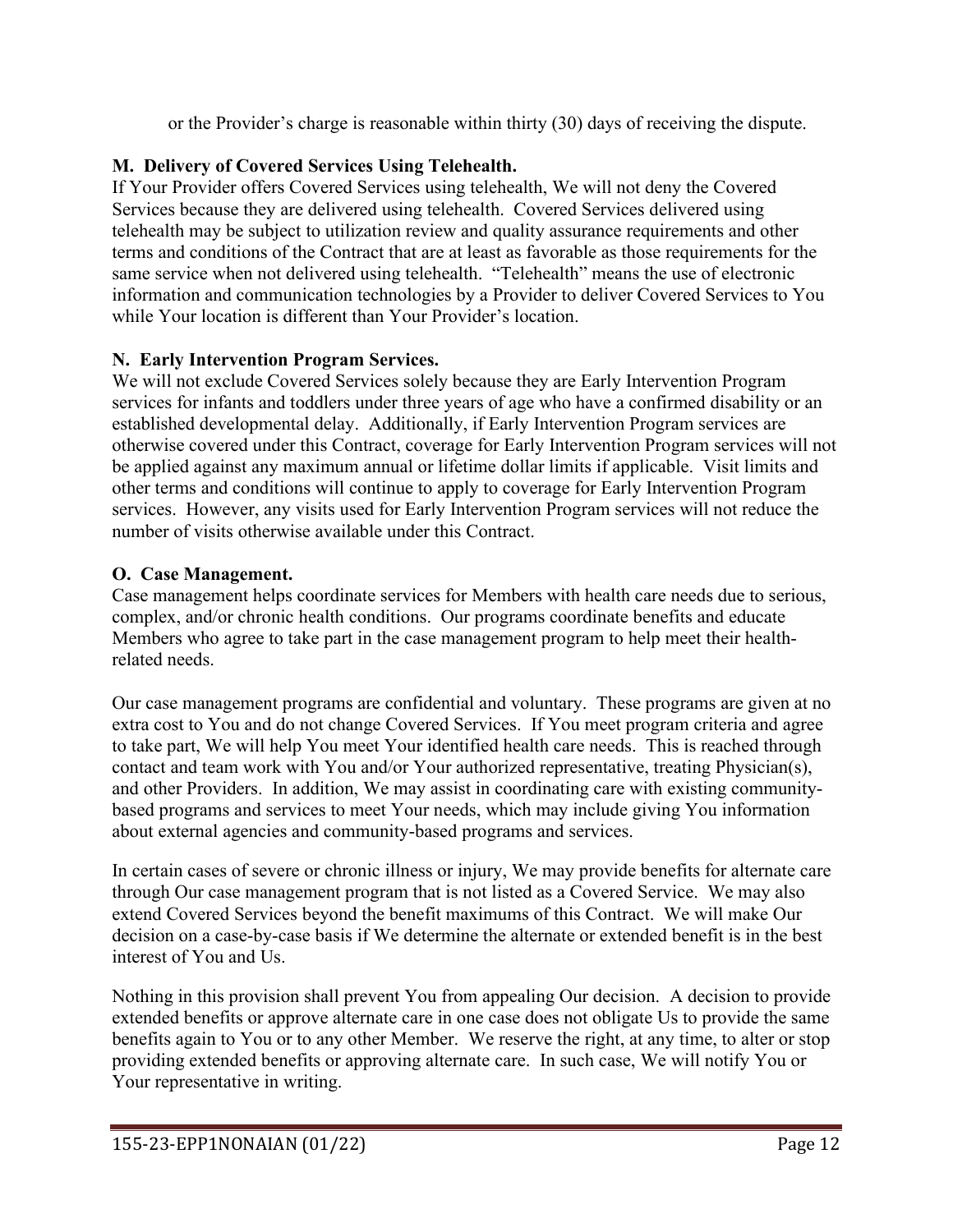or the Provider's charge is reasonable within thirty (30) days of receiving the dispute.

# **M. Delivery of Covered Services Using Telehealth.**

If Your Provider offers Covered Services using telehealth, We will not deny the Covered Services because they are delivered using telehealth. Covered Services delivered using telehealth may be subject to utilization review and quality assurance requirements and other terms and conditions of the Contract that are at least as favorable as those requirements for the same service when not delivered using telehealth. "Telehealth" means the use of electronic information and communication technologies by a Provider to deliver Covered Services to You while Your location is different than Your Provider's location.

# **N. Early Intervention Program Services.**

We will not exclude Covered Services solely because they are Early Intervention Program services for infants and toddlers under three years of age who have a confirmed disability or an established developmental delay. Additionally, if Early Intervention Program services are otherwise covered under this Contract, coverage for Early Intervention Program services will not be applied against any maximum annual or lifetime dollar limits if applicable. Visit limits and other terms and conditions will continue to apply to coverage for Early Intervention Program services. However, any visits used for Early Intervention Program services will not reduce the number of visits otherwise available under this Contract.

# **O. Case Management.**

Case management helps coordinate services for Members with health care needs due to serious, complex, and/or chronic health conditions. Our programs coordinate benefits and educate Members who agree to take part in the case management program to help meet their healthrelated needs.

Our case management programs are confidential and voluntary. These programs are given at no extra cost to You and do not change Covered Services. If You meet program criteria and agree to take part, We will help You meet Your identified health care needs. This is reached through contact and team work with You and/or Your authorized representative, treating Physician(s), and other Providers. In addition, We may assist in coordinating care with existing communitybased programs and services to meet Your needs, which may include giving You information about external agencies and community-based programs and services.

In certain cases of severe or chronic illness or injury, We may provide benefits for alternate care through Our case management program that is not listed as a Covered Service. We may also extend Covered Services beyond the benefit maximums of this Contract. We will make Our decision on a case-by-case basis if We determine the alternate or extended benefit is in the best interest of You and Us.

Nothing in this provision shall prevent You from appealing Our decision. A decision to provide extended benefits or approve alternate care in one case does not obligate Us to provide the same benefits again to You or to any other Member. We reserve the right, at any time, to alter or stop providing extended benefits or approving alternate care. In such case, We will notify You or Your representative in writing.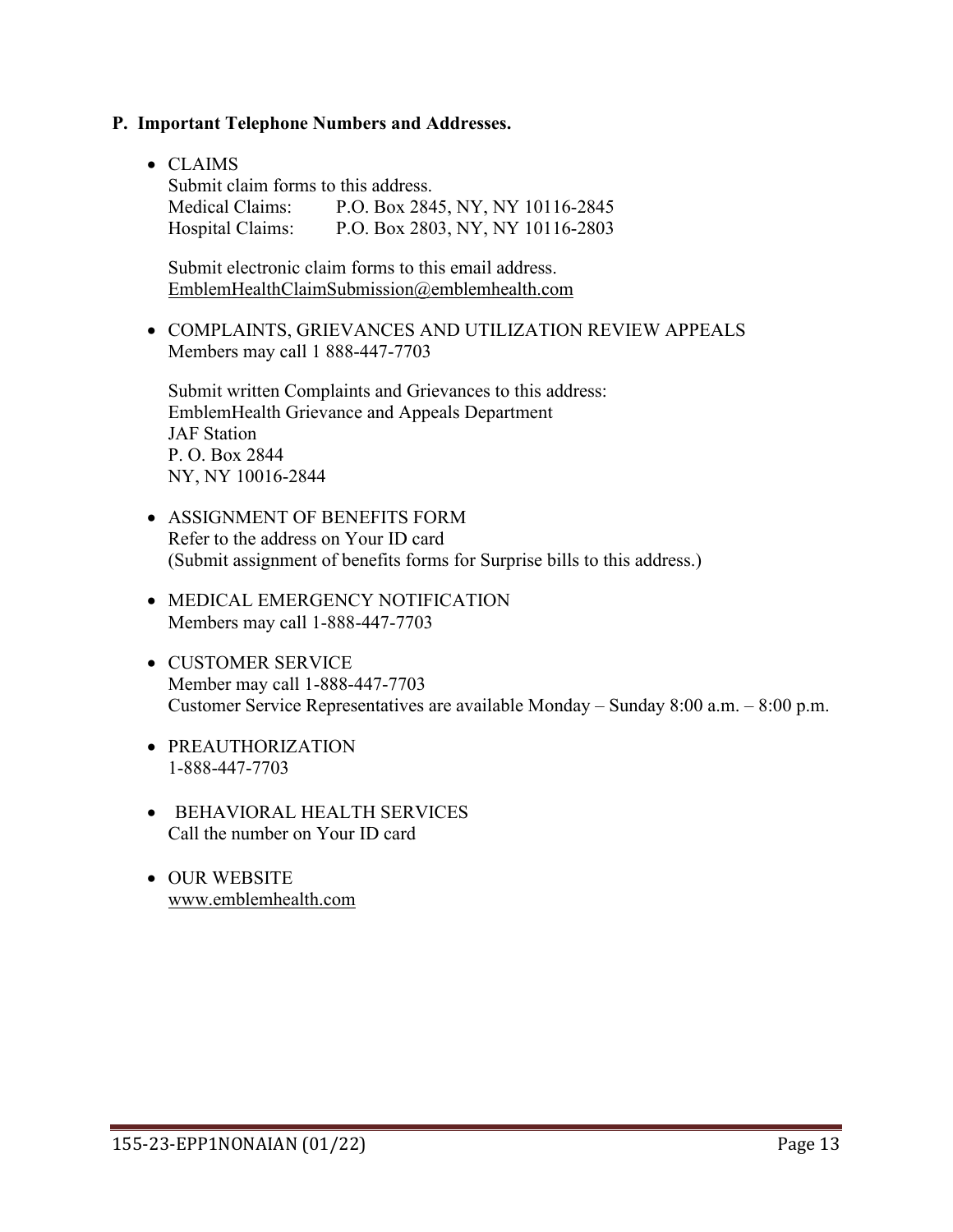#### **P. Important Telephone Numbers and Addresses.**

• CLAIMS

| Submit claim forms to this address. |                                  |
|-------------------------------------|----------------------------------|
| Medical Claims:                     | P.O. Box 2845, NY, NY 10116-2845 |
| Hospital Claims:                    | P.O. Box 2803, NY, NY 10116-2803 |

Submit electronic claim forms to this email address. [EmblemHealthClaimSubmission@emblemhealth.com](mailto:EmblemHealthClaimSubmission@emblemhealth.com)

• COMPLAINTS, GRIEVANCES AND UTILIZATION REVIEW APPEALS Members may call 1 888-447-7703

Submit written Complaints and Grievances to this address: EmblemHealth Grievance and Appeals Department JAF Station P. O. Box 2844 NY, NY 10016-2844

- ASSIGNMENT OF BENEFITS FORM Refer to the address on Your ID card (Submit assignment of benefits forms for Surprise bills to this address.)
- MEDICAL EMERGENCY NOTIFICATION Members may call 1-888-447-7703
- CUSTOMER SERVICE Member may call 1-888-447-7703 Customer Service Representatives are available Monday – Sunday 8:00 a.m. – 8:00 p.m.
- PREAUTHORIZATION 1-888-447-7703
- BEHAVIORAL HEALTH SERVICES Call the number on Your ID card
- OUR WEBSITE [www.emblemhealth.com](http://www.emblemhealth.com/)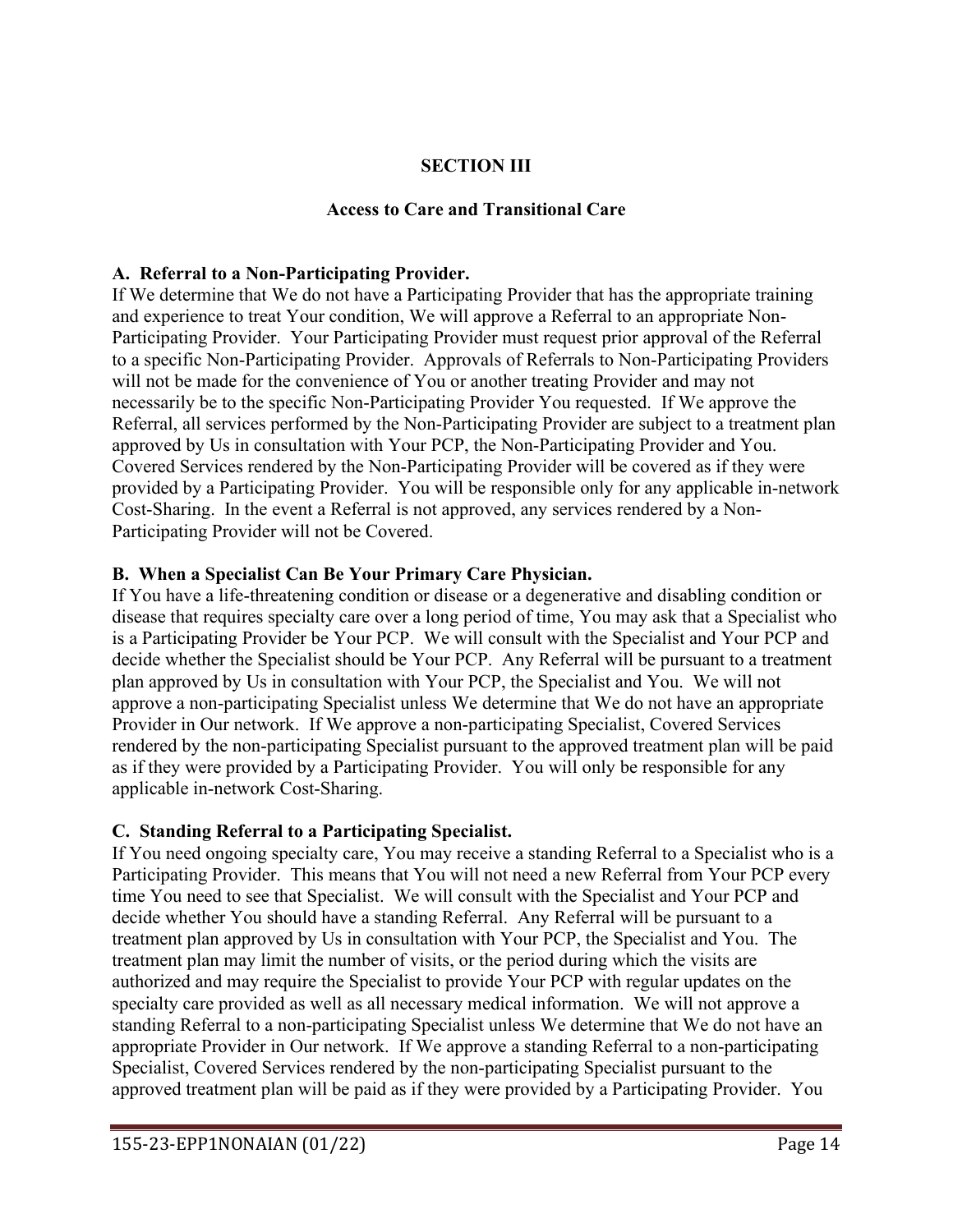## **SECTION III**

### **Access to Care and Transitional Care**

### **A. Referral to a Non-Participating Provider.**

If We determine that We do not have a Participating Provider that has the appropriate training and experience to treat Your condition, We will approve a Referral to an appropriate Non-Participating Provider. Your Participating Provider must request prior approval of the Referral to a specific Non-Participating Provider. Approvals of Referrals to Non-Participating Providers will not be made for the convenience of You or another treating Provider and may not necessarily be to the specific Non-Participating Provider You requested. If We approve the Referral, all services performed by the Non-Participating Provider are subject to a treatment plan approved by Us in consultation with Your PCP, the Non-Participating Provider and You. Covered Services rendered by the Non-Participating Provider will be covered as if they were provided by a Participating Provider. You will be responsible only for any applicable in-network Cost-Sharing. In the event a Referral is not approved, any services rendered by a Non-Participating Provider will not be Covered.

#### **B. When a Specialist Can Be Your Primary Care Physician.**

If You have a life-threatening condition or disease or a degenerative and disabling condition or disease that requires specialty care over a long period of time, You may ask that a Specialist who is a Participating Provider be Your PCP. We will consult with the Specialist and Your PCP and decide whether the Specialist should be Your PCP. Any Referral will be pursuant to a treatment plan approved by Us in consultation with Your PCP, the Specialist and You. We will not approve a non-participating Specialist unless We determine that We do not have an appropriate Provider in Our network. If We approve a non-participating Specialist, Covered Services rendered by the non-participating Specialist pursuant to the approved treatment plan will be paid as if they were provided by a Participating Provider. You will only be responsible for any applicable in-network Cost-Sharing.

### **C. Standing Referral to a Participating Specialist.**

If You need ongoing specialty care, You may receive a standing Referral to a Specialist who is a Participating Provider. This means that You will not need a new Referral from Your PCP every time You need to see that Specialist. We will consult with the Specialist and Your PCP and decide whether You should have a standing Referral. Any Referral will be pursuant to a treatment plan approved by Us in consultation with Your PCP, the Specialist and You. The treatment plan may limit the number of visits, or the period during which the visits are authorized and may require the Specialist to provide Your PCP with regular updates on the specialty care provided as well as all necessary medical information. We will not approve a standing Referral to a non-participating Specialist unless We determine that We do not have an appropriate Provider in Our network. If We approve a standing Referral to a non-participating Specialist, Covered Services rendered by the non-participating Specialist pursuant to the approved treatment plan will be paid as if they were provided by a Participating Provider. You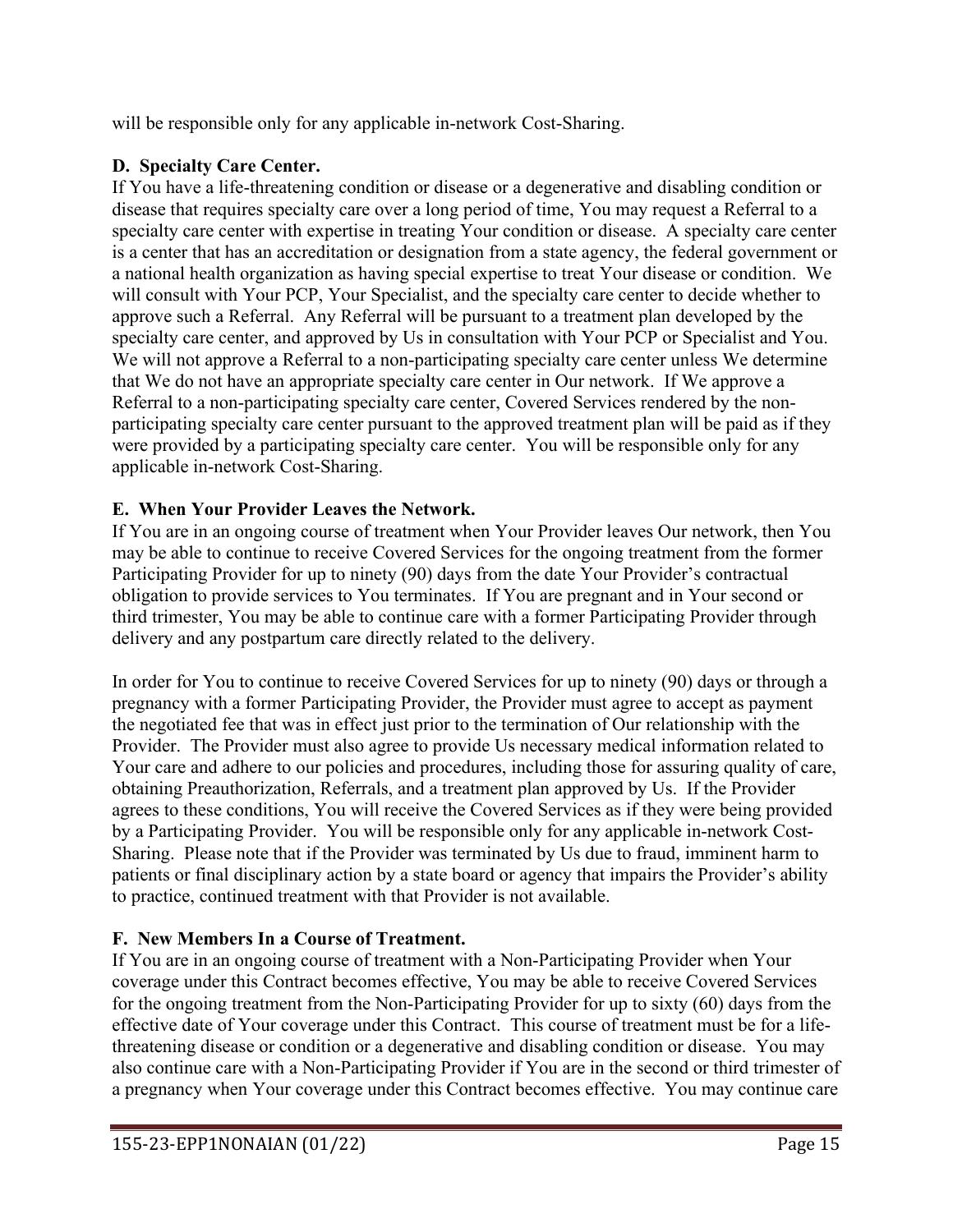will be responsible only for any applicable in-network Cost-Sharing.

# **D. Specialty Care Center.**

If You have a life-threatening condition or disease or a degenerative and disabling condition or disease that requires specialty care over a long period of time, You may request a Referral to a specialty care center with expertise in treating Your condition or disease. A specialty care center is a center that has an accreditation or designation from a state agency, the federal government or a national health organization as having special expertise to treat Your disease or condition. We will consult with Your PCP, Your Specialist, and the specialty care center to decide whether to approve such a Referral. Any Referral will be pursuant to a treatment plan developed by the specialty care center, and approved by Us in consultation with Your PCP or Specialist and You. We will not approve a Referral to a non-participating specialty care center unless We determine that We do not have an appropriate specialty care center in Our network. If We approve a Referral to a non-participating specialty care center, Covered Services rendered by the nonparticipating specialty care center pursuant to the approved treatment plan will be paid as if they were provided by a participating specialty care center. You will be responsible only for any applicable in-network Cost-Sharing.

# **E. When Your Provider Leaves the Network.**

If You are in an ongoing course of treatment when Your Provider leaves Our network, then You may be able to continue to receive Covered Services for the ongoing treatment from the former Participating Provider for up to ninety (90) days from the date Your Provider's contractual obligation to provide services to You terminates. If You are pregnant and in Your second or third trimester, You may be able to continue care with a former Participating Provider through delivery and any postpartum care directly related to the delivery.

In order for You to continue to receive Covered Services for up to ninety (90) days or through a pregnancy with a former Participating Provider, the Provider must agree to accept as payment the negotiated fee that was in effect just prior to the termination of Our relationship with the Provider. The Provider must also agree to provide Us necessary medical information related to Your care and adhere to our policies and procedures, including those for assuring quality of care, obtaining Preauthorization, Referrals, and a treatment plan approved by Us. If the Provider agrees to these conditions, You will receive the Covered Services as if they were being provided by a Participating Provider. You will be responsible only for any applicable in-network Cost-Sharing. Please note that if the Provider was terminated by Us due to fraud, imminent harm to patients or final disciplinary action by a state board or agency that impairs the Provider's ability to practice, continued treatment with that Provider is not available.

# **F. New Members In a Course of Treatment.**

If You are in an ongoing course of treatment with a Non-Participating Provider when Your coverage under this Contract becomes effective, You may be able to receive Covered Services for the ongoing treatment from the Non-Participating Provider for up to sixty (60) days from the effective date of Your coverage under this Contract. This course of treatment must be for a lifethreatening disease or condition or a degenerative and disabling condition or disease. You may also continue care with a Non-Participating Provider if You are in the second or third trimester of a pregnancy when Your coverage under this Contract becomes effective. You may continue care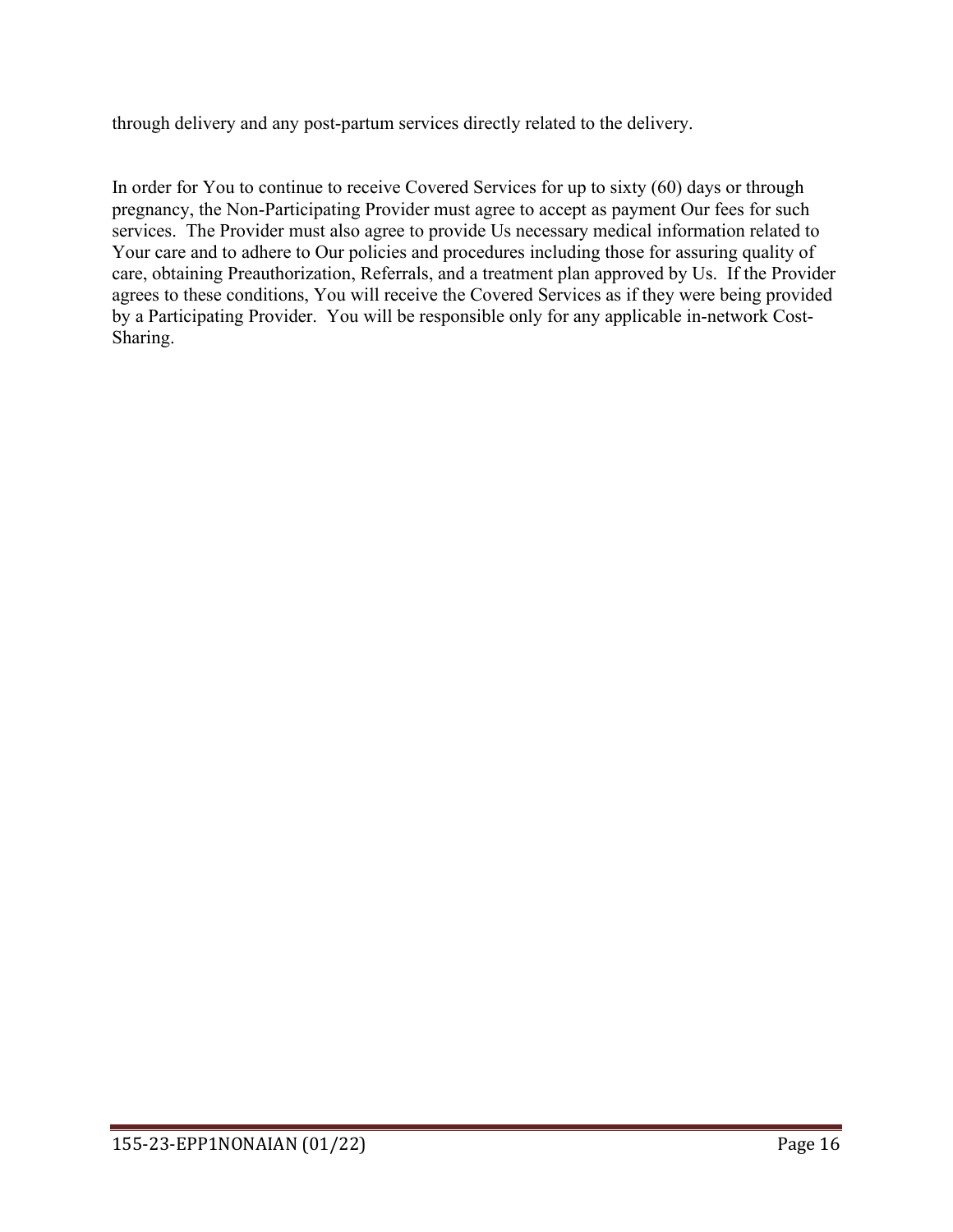through delivery and any post-partum services directly related to the delivery.

In order for You to continue to receive Covered Services for up to sixty (60) days or through pregnancy, the Non-Participating Provider must agree to accept as payment Our fees for such services. The Provider must also agree to provide Us necessary medical information related to Your care and to adhere to Our policies and procedures including those for assuring quality of care, obtaining Preauthorization, Referrals, and a treatment plan approved by Us. If the Provider agrees to these conditions, You will receive the Covered Services as if they were being provided by a Participating Provider. You will be responsible only for any applicable in-network Cost-Sharing.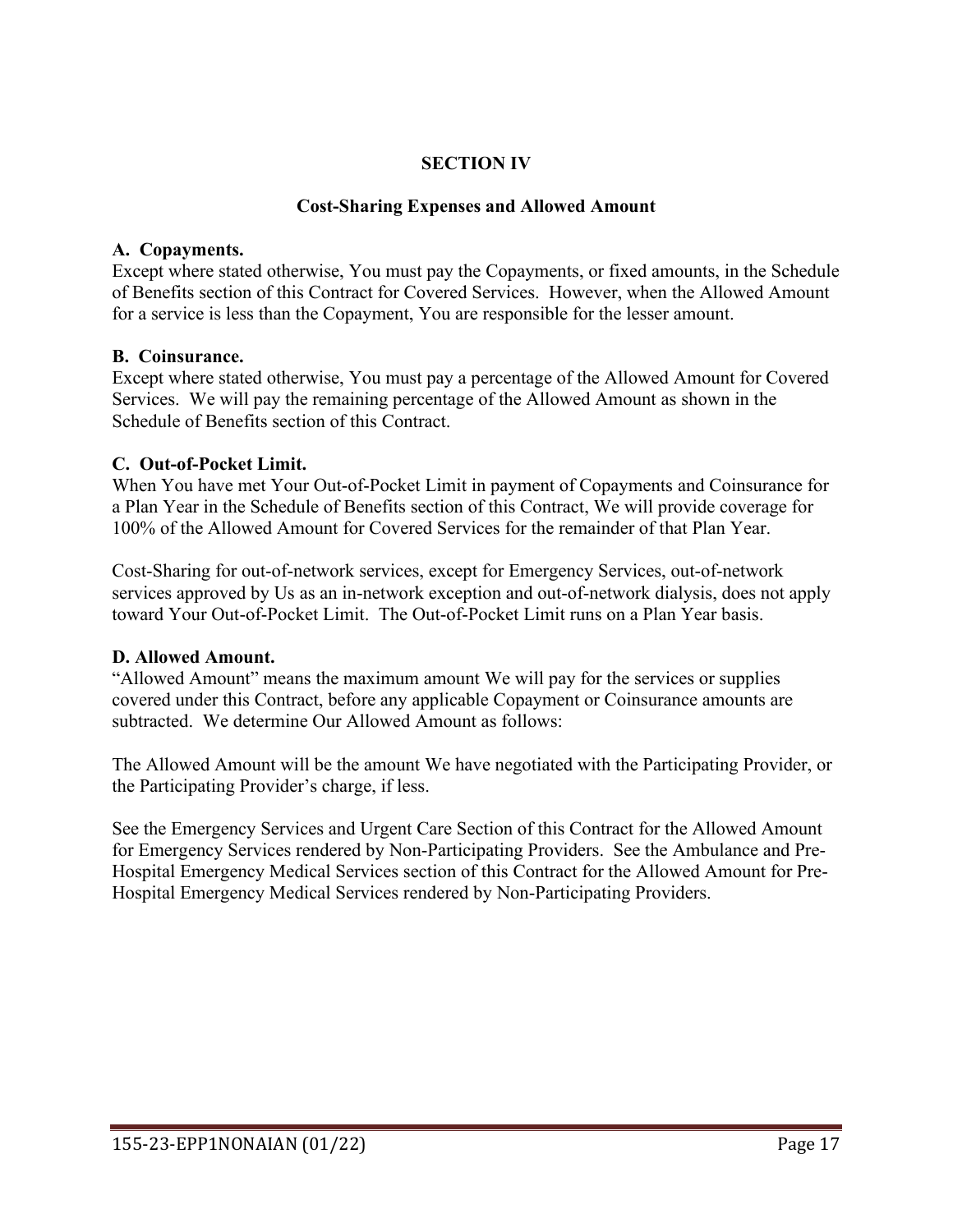## **SECTION IV**

### **Cost-Sharing Expenses and Allowed Amount**

### **A. Copayments.**

Except where stated otherwise, You must pay the Copayments, or fixed amounts, in the Schedule of Benefits section of this Contract for Covered Services. However, when the Allowed Amount for a service is less than the Copayment, You are responsible for the lesser amount.

### **B. Coinsurance.**

Except where stated otherwise, You must pay a percentage of the Allowed Amount for Covered Services. We will pay the remaining percentage of the Allowed Amount as shown in the Schedule of Benefits section of this Contract.

### **C. Out-of-Pocket Limit.**

When You have met Your Out-of-Pocket Limit in payment of Copayments and Coinsurance for a Plan Year in the Schedule of Benefits section of this Contract, We will provide coverage for 100% of the Allowed Amount for Covered Services for the remainder of that Plan Year.

Cost-Sharing for out-of-network services, except for Emergency Services, out-of-network services approved by Us as an in-network exception and out-of-network dialysis, does not apply toward Your Out-of-Pocket Limit. The Out-of-Pocket Limit runs on a Plan Year basis.

### **D. Allowed Amount.**

"Allowed Amount" means the maximum amount We will pay for the services or supplies covered under this Contract, before any applicable Copayment or Coinsurance amounts are subtracted. We determine Our Allowed Amount as follows:

The Allowed Amount will be the amount We have negotiated with the Participating Provider, or the Participating Provider's charge, if less.

See the Emergency Services and Urgent Care Section of this Contract for the Allowed Amount for Emergency Services rendered by Non-Participating Providers. See the Ambulance and Pre-Hospital Emergency Medical Services section of this Contract for the Allowed Amount for Pre-Hospital Emergency Medical Services rendered by Non-Participating Providers.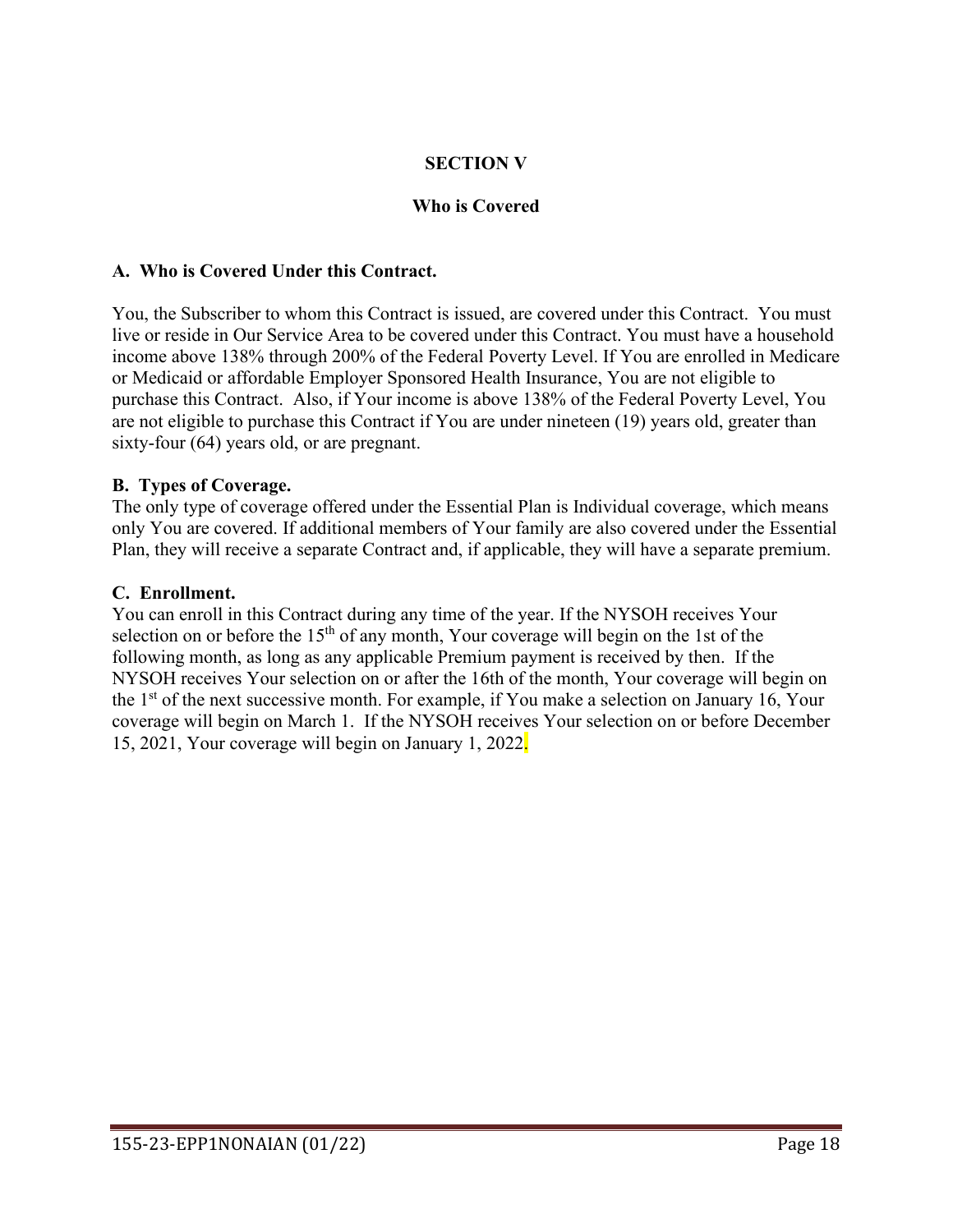# **SECTION V**

### **Who is Covered**

#### **A. Who is Covered Under this Contract.**

You, the Subscriber to whom this Contract is issued, are covered under this Contract. You must live or reside in Our Service Area to be covered under this Contract. You must have a household income above 138% through 200% of the Federal Poverty Level. If You are enrolled in Medicare or Medicaid or affordable Employer Sponsored Health Insurance, You are not eligible to purchase this Contract. Also, if Your income is above 138% of the Federal Poverty Level, You are not eligible to purchase this Contract if You are under nineteen (19) years old, greater than sixty-four (64) years old, or are pregnant.

#### **B. Types of Coverage.**

The only type of coverage offered under the Essential Plan is Individual coverage, which means only You are covered. If additional members of Your family are also covered under the Essential Plan, they will receive a separate Contract and, if applicable, they will have a separate premium.

#### **C. Enrollment.**

You can enroll in this Contract during any time of the year. If the NYSOH receives Your selection on or before the  $15<sup>th</sup>$  of any month, Your coverage will begin on the 1st of the following month, as long as any applicable Premium payment is received by then. If the NYSOH receives Your selection on or after the 16th of the month, Your coverage will begin on the  $1<sup>st</sup>$  of the next successive month. For example, if You make a selection on January 16, Your coverage will begin on March 1. If the NYSOH receives Your selection on or before December 15, 2021, Your coverage will begin on January 1, 2022.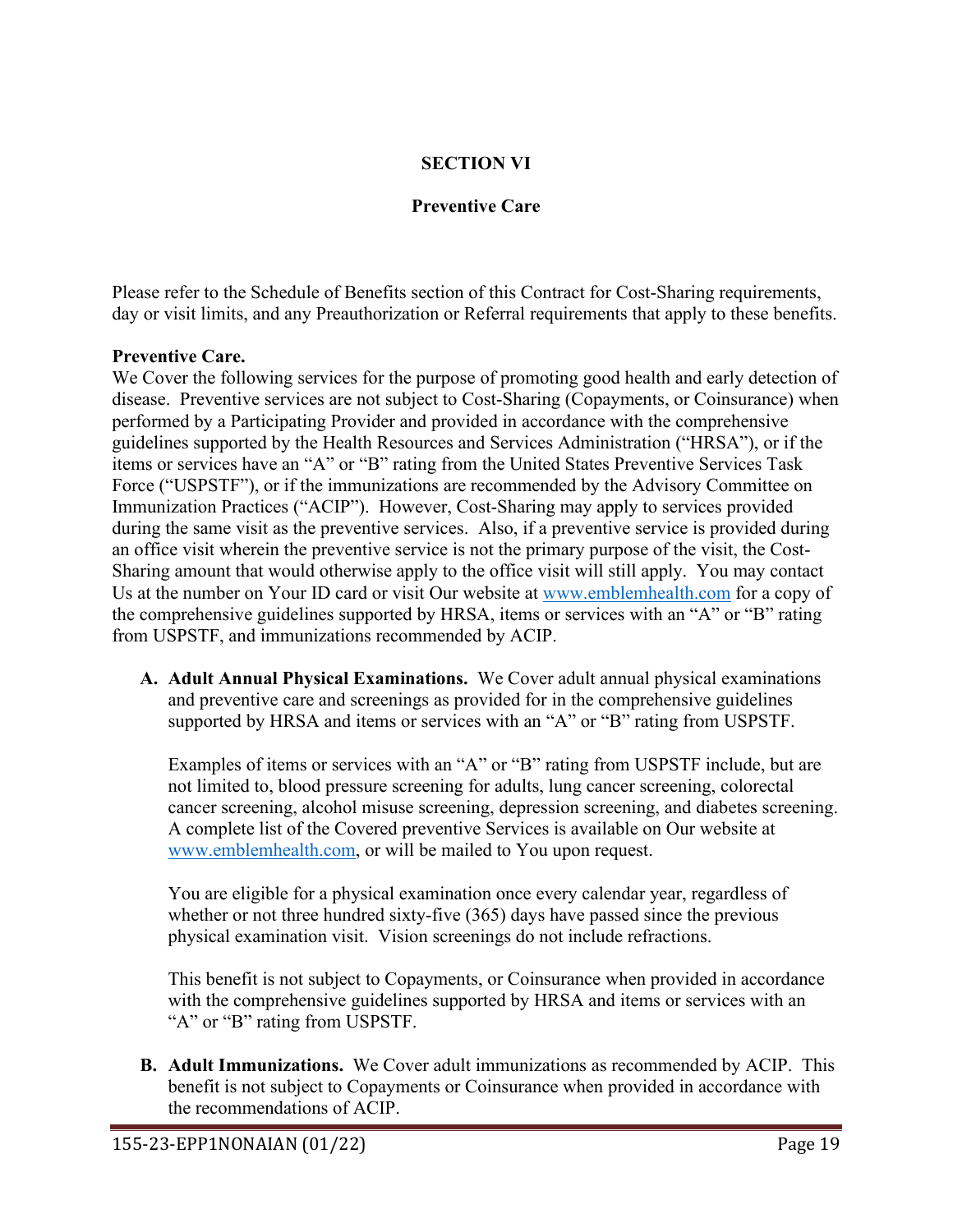# **SECTION VI**

# **Preventive Care**

Please refer to the Schedule of Benefits section of this Contract for Cost-Sharing requirements, day or visit limits, and any Preauthorization or Referral requirements that apply to these benefits.

## **Preventive Care.**

We Cover the following services for the purpose of promoting good health and early detection of disease. Preventive services are not subject to Cost-Sharing (Copayments, or Coinsurance) when performed by a Participating Provider and provided in accordance with the comprehensive guidelines supported by the Health Resources and Services Administration ("HRSA"), or if the items or services have an "A" or "B" rating from the United States Preventive Services Task Force ("USPSTF"), or if the immunizations are recommended by the Advisory Committee on Immunization Practices ("ACIP"). However, Cost-Sharing may apply to services provided during the same visit as the preventive services. Also, if a preventive service is provided during an office visit wherein the preventive service is not the primary purpose of the visit, the Cost-Sharing amount that would otherwise apply to the office visit will still apply. You may contact Us at the number on Your ID card or visit Our website at [www.emblemhealth.com](http://www.emblemhealth.com/) for a copy of the comprehensive guidelines supported by HRSA, items or services with an "A" or "B" rating from USPSTF, and immunizations recommended by ACIP.

**A. Adult Annual Physical Examinations.** We Cover adult annual physical examinations and preventive care and screenings as provided for in the comprehensive guidelines supported by HRSA and items or services with an "A" or "B" rating from USPSTF.

Examples of items or services with an "A" or "B" rating from USPSTF include, but are not limited to, blood pressure screening for adults, lung cancer screening, colorectal cancer screening, alcohol misuse screening, depression screening, and diabetes screening. A complete list of the Covered preventive Services is available on Our website at [www.emblemhealth.com,](http://www.emblemhealth.com/) or will be mailed to You upon request.

You are eligible for a physical examination once every calendar year, regardless of whether or not three hundred sixty-five (365) days have passed since the previous physical examination visit. Vision screenings do not include refractions.

This benefit is not subject to Copayments, or Coinsurance when provided in accordance with the comprehensive guidelines supported by HRSA and items or services with an "A" or "B" rating from USPSTF.

**B. Adult Immunizations.** We Cover adult immunizations as recommended by ACIP. This benefit is not subject to Copayments or Coinsurance when provided in accordance with the recommendations of ACIP.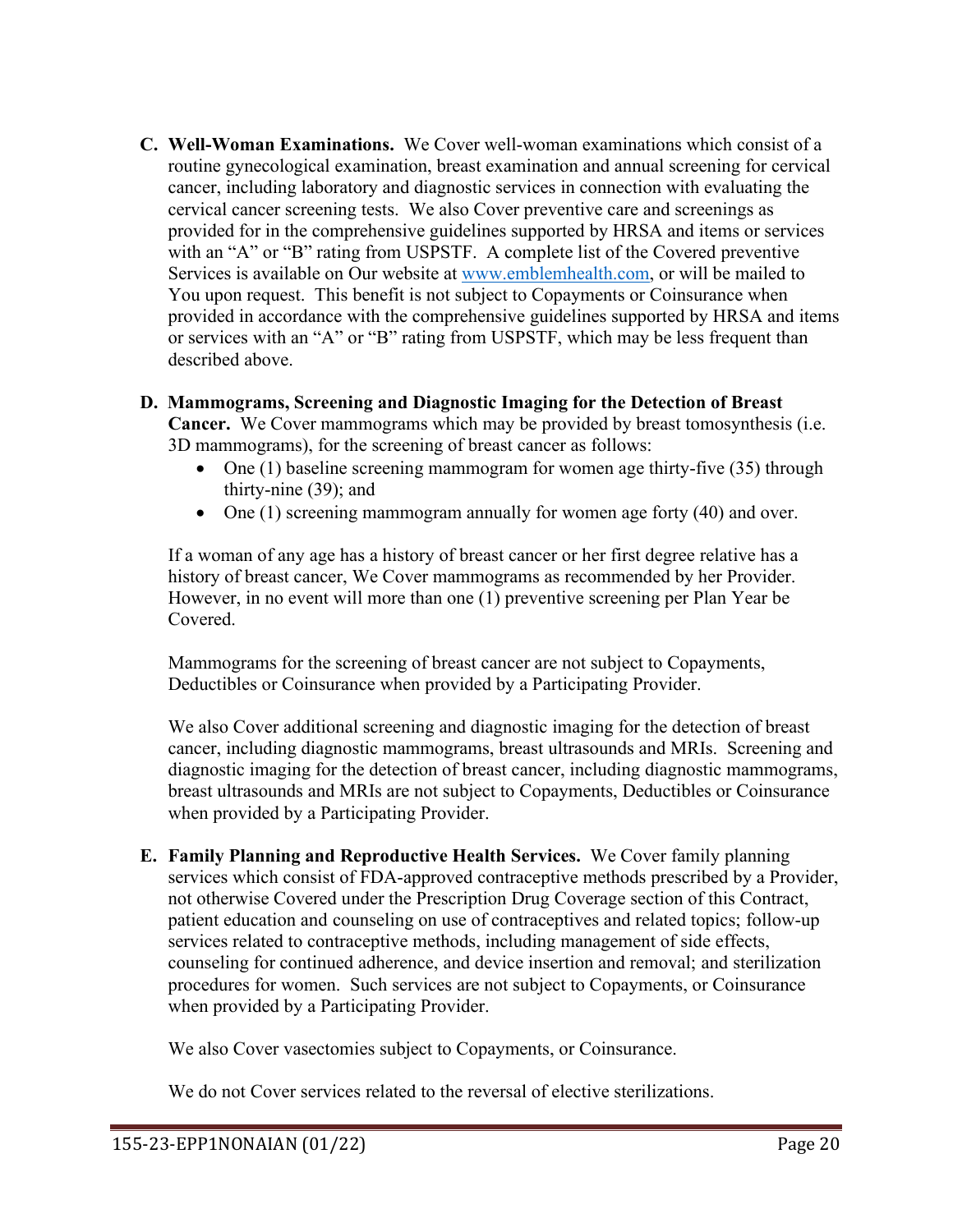**C. Well-Woman Examinations.** We Cover well-woman examinations which consist of a routine gynecological examination, breast examination and annual screening for cervical cancer, including laboratory and diagnostic services in connection with evaluating the cervical cancer screening tests. We also Cover preventive care and screenings as provided for in the comprehensive guidelines supported by HRSA and items or services with an "A" or "B" rating from USPSTF. A complete list of the Covered preventive Services is available on Our website at [www.emblemhealth.com,](http://www.emblemhealth.com/) or will be mailed to You upon request. This benefit is not subject to Copayments or Coinsurance when provided in accordance with the comprehensive guidelines supported by HRSA and items or services with an "A" or "B" rating from USPSTF, which may be less frequent than described above.

## **D. Mammograms, Screening and Diagnostic Imaging for the Detection of Breast**

**Cancer.** We Cover mammograms which may be provided by breast tomosynthesis (i.e. 3D mammograms), for the screening of breast cancer as follows:

- One  $(1)$  baseline screening mammogram for women age thirty-five  $(35)$  through thirty-nine (39); and
- One (1) screening mammogram annually for women age forty (40) and over.

If a woman of any age has a history of breast cancer or her first degree relative has a history of breast cancer, We Cover mammograms as recommended by her Provider. However, in no event will more than one (1) preventive screening per Plan Year be Covered.

Mammograms for the screening of breast cancer are not subject to Copayments, Deductibles or Coinsurance when provided by a Participating Provider.

We also Cover additional screening and diagnostic imaging for the detection of breast cancer, including diagnostic mammograms, breast ultrasounds and MRIs. Screening and diagnostic imaging for the detection of breast cancer, including diagnostic mammograms, breast ultrasounds and MRIs are not subject to Copayments, Deductibles or Coinsurance when provided by a Participating Provider.

**E. Family Planning and Reproductive Health Services.** We Cover family planning services which consist of FDA-approved contraceptive methods prescribed by a Provider, not otherwise Covered under the Prescription Drug Coverage section of this Contract, patient education and counseling on use of contraceptives and related topics; follow-up services related to contraceptive methods, including management of side effects, counseling for continued adherence, and device insertion and removal; and sterilization procedures for women. Such services are not subject to Copayments, or Coinsurance when provided by a Participating Provider.

We also Cover vasectomies subject to Copayments, or Coinsurance.

We do not Cover services related to the reversal of elective sterilizations.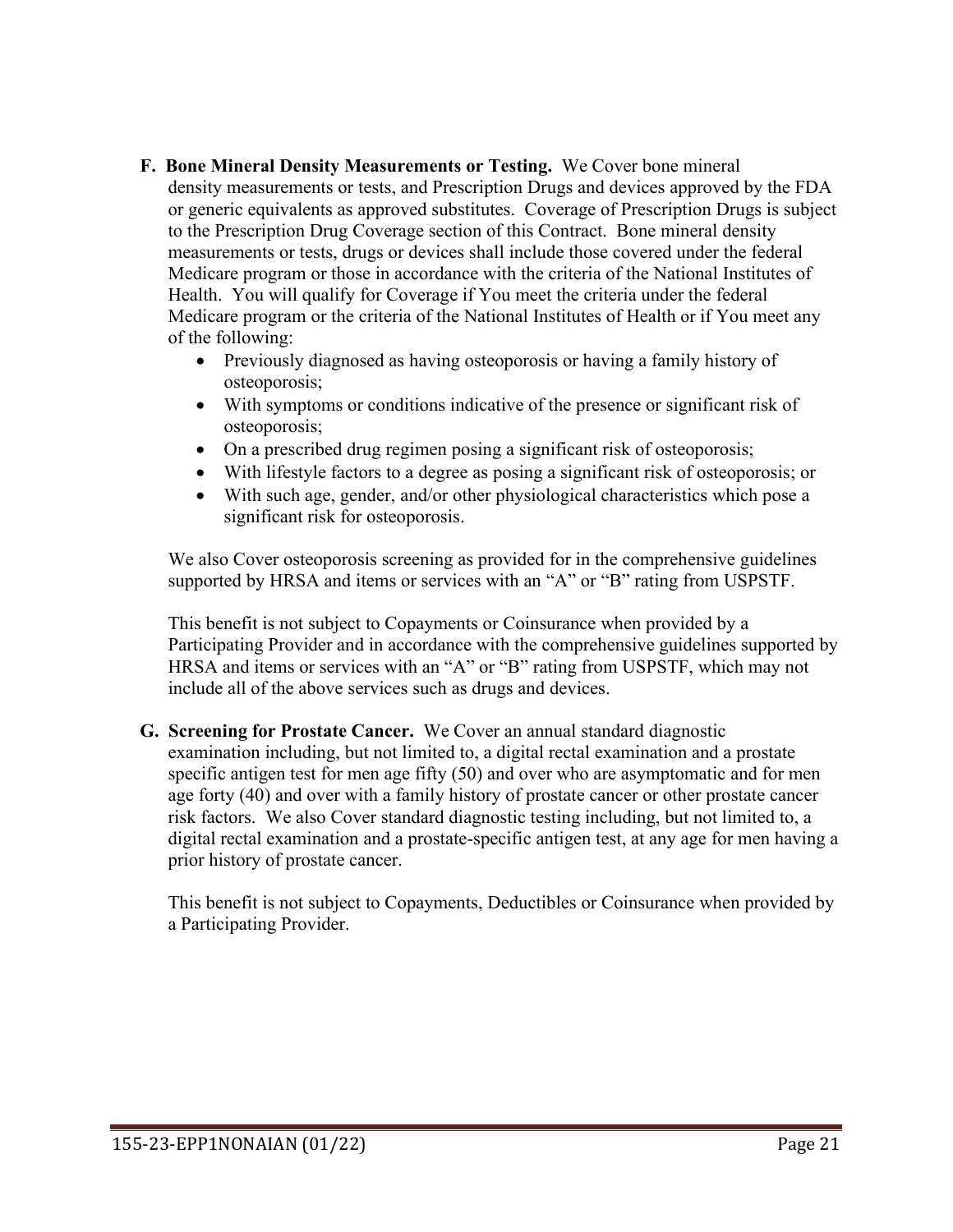- **F. Bone Mineral Density Measurements or Testing.** We Cover bone mineral density measurements or tests, and Prescription Drugs and devices approved by the FDA or generic equivalents as approved substitutes. Coverage of Prescription Drugs is subject to the Prescription Drug Coverage section of this Contract. Bone mineral density measurements or tests, drugs or devices shall include those covered under the federal Medicare program or those in accordance with the criteria of the National Institutes of Health. You will qualify for Coverage if You meet the criteria under the federal Medicare program or the criteria of the National Institutes of Health or if You meet any of the following:
	- Previously diagnosed as having osteoporosis or having a family history of osteoporosis;
	- With symptoms or conditions indicative of the presence or significant risk of osteoporosis;
	- On a prescribed drug regimen posing a significant risk of osteoporosis;
	- With lifestyle factors to a degree as posing a significant risk of osteoporosis; or
	- With such age, gender, and/or other physiological characteristics which pose a significant risk for osteoporosis.

We also Cover osteoporosis screening as provided for in the comprehensive guidelines supported by HRSA and items or services with an "A" or "B" rating from USPSTF.

This benefit is not subject to Copayments or Coinsurance when provided by a Participating Provider and in accordance with the comprehensive guidelines supported by HRSA and items or services with an "A" or "B" rating from USPSTF, which may not include all of the above services such as drugs and devices.

**G. Screening for Prostate Cancer.** We Cover an annual standard diagnostic examination including, but not limited to, a digital rectal examination and a prostate specific antigen test for men age fifty (50) and over who are asymptomatic and for men age forty (40) and over with a family history of prostate cancer or other prostate cancer risk factors. We also Cover standard diagnostic testing including, but not limited to, a digital rectal examination and a prostate-specific antigen test, at any age for men having a prior history of prostate cancer.

This benefit is not subject to Copayments, Deductibles or Coinsurance when provided by a Participating Provider.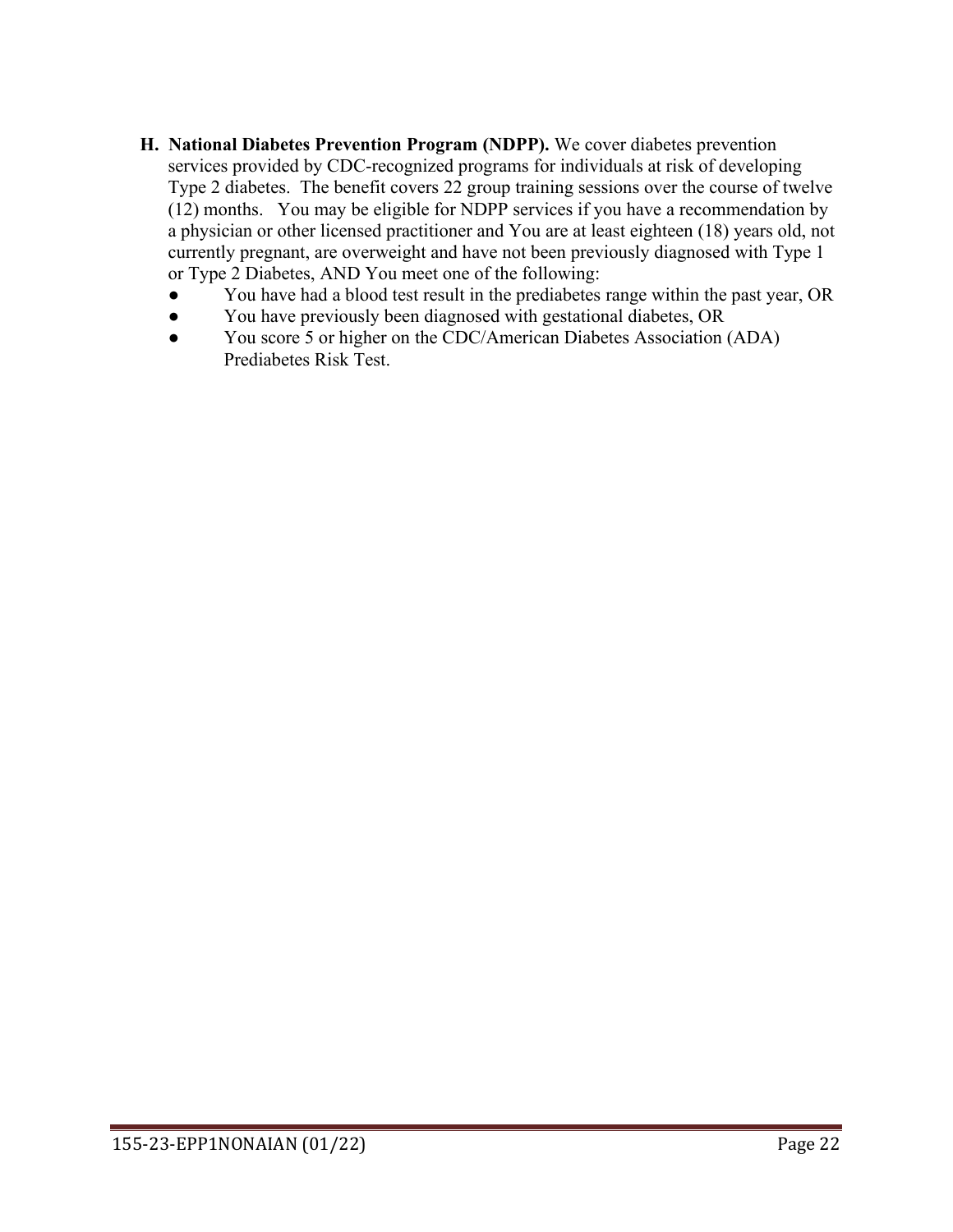- **H. National Diabetes Prevention Program (NDPP).** We cover diabetes prevention services provided by CDC-recognized programs for individuals at risk of developing Type 2 diabetes. The benefit covers 22 group training sessions over the course of twelve (12) months. You may be eligible for NDPP services if you have a recommendation by a physician or other licensed practitioner and You are at least eighteen (18) years old, not currently pregnant, are overweight and have not been previously diagnosed with Type 1 or Type 2 Diabetes, AND You meet one of the following:
	- You have had a blood test result in the prediabetes range within the past year, OR
	- You have previously been diagnosed with gestational diabetes, OR
	- You score 5 or higher on the CDC/American Diabetes Association (ADA) Prediabetes Risk Test.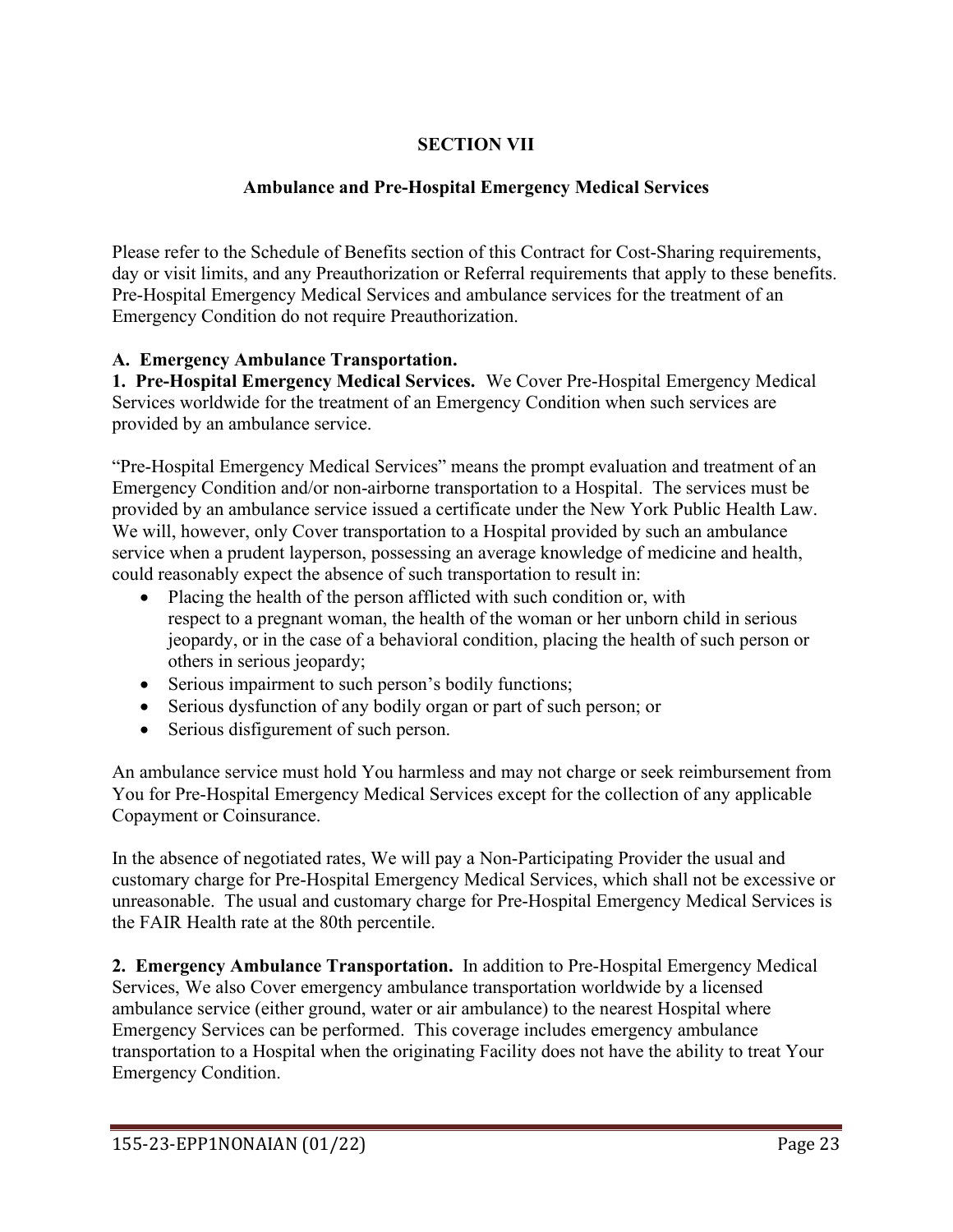# **SECTION VII**

## **Ambulance and Pre-Hospital Emergency Medical Services**

Please refer to the Schedule of Benefits section of this Contract for Cost-Sharing requirements, day or visit limits, and any Preauthorization or Referral requirements that apply to these benefits. Pre-Hospital Emergency Medical Services and ambulance services for the treatment of an Emergency Condition do not require Preauthorization.

## **A. Emergency Ambulance Transportation.**

**1. Pre-Hospital Emergency Medical Services.** We Cover Pre-Hospital Emergency Medical Services worldwide for the treatment of an Emergency Condition when such services are provided by an ambulance service.

"Pre-Hospital Emergency Medical Services" means the prompt evaluation and treatment of an Emergency Condition and/or non-airborne transportation to a Hospital. The services must be provided by an ambulance service issued a certificate under the New York Public Health Law. We will, however, only Cover transportation to a Hospital provided by such an ambulance service when a prudent layperson, possessing an average knowledge of medicine and health, could reasonably expect the absence of such transportation to result in:

- Placing the health of the person afflicted with such condition or, with respect to a pregnant woman, the health of the woman or her unborn child in serious jeopardy, or in the case of a behavioral condition, placing the health of such person or others in serious jeopardy;
- Serious impairment to such person's bodily functions;
- Serious dysfunction of any bodily organ or part of such person; or
- Serious disfigurement of such person.

An ambulance service must hold You harmless and may not charge or seek reimbursement from You for Pre-Hospital Emergency Medical Services except for the collection of any applicable Copayment or Coinsurance.

In the absence of negotiated rates, We will pay a Non-Participating Provider the usual and customary charge for Pre-Hospital Emergency Medical Services, which shall not be excessive or unreasonable. The usual and customary charge for Pre-Hospital Emergency Medical Services is the FAIR Health rate at the 80th percentile.

**2. Emergency Ambulance Transportation.** In addition to Pre-Hospital Emergency Medical Services, We also Cover emergency ambulance transportation worldwide by a licensed ambulance service (either ground, water or air ambulance) to the nearest Hospital where Emergency Services can be performed. This coverage includes emergency ambulance transportation to a Hospital when the originating Facility does not have the ability to treat Your Emergency Condition.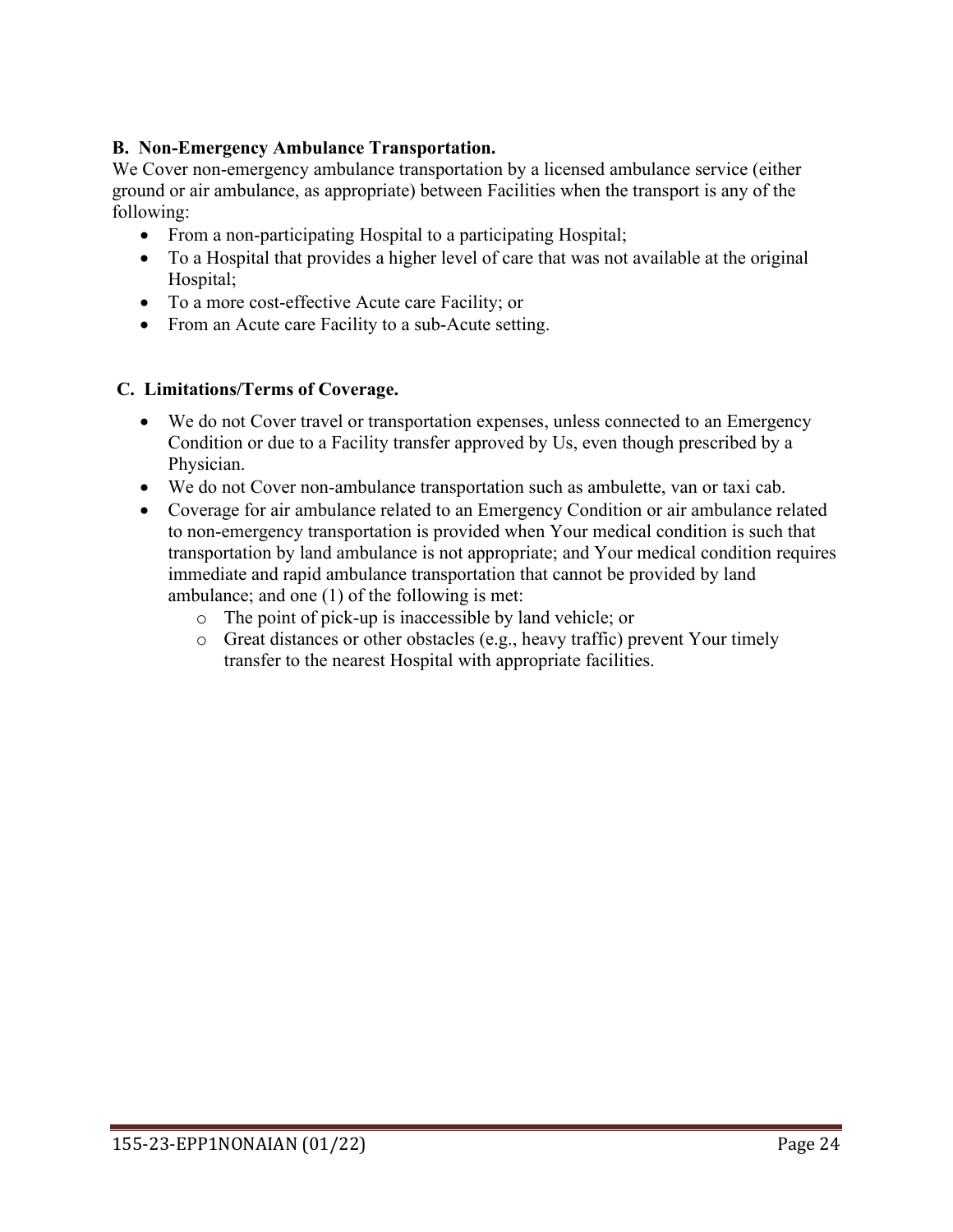## **B. Non-Emergency Ambulance Transportation.**

We Cover non-emergency ambulance transportation by a licensed ambulance service (either ground or air ambulance, as appropriate) between Facilities when the transport is any of the following:

- From a non-participating Hospital to a participating Hospital;
- To a Hospital that provides a higher level of care that was not available at the original Hospital;
- To a more cost-effective Acute care Facility; or
- From an Acute care Facility to a sub-Acute setting.

### **C. Limitations/Terms of Coverage.**

- We do not Cover travel or transportation expenses, unless connected to an Emergency Condition or due to a Facility transfer approved by Us, even though prescribed by a Physician.
- We do not Cover non-ambulance transportation such as ambulette, van or taxi cab.
- Coverage for air ambulance related to an Emergency Condition or air ambulance related to non-emergency transportation is provided when Your medical condition is such that transportation by land ambulance is not appropriate; and Your medical condition requires immediate and rapid ambulance transportation that cannot be provided by land ambulance; and one (1) of the following is met:
	- o The point of pick-up is inaccessible by land vehicle; or
	- $\circ$  Great distances or other obstacles (e.g., heavy traffic) prevent Your timely transfer to the nearest Hospital with appropriate facilities.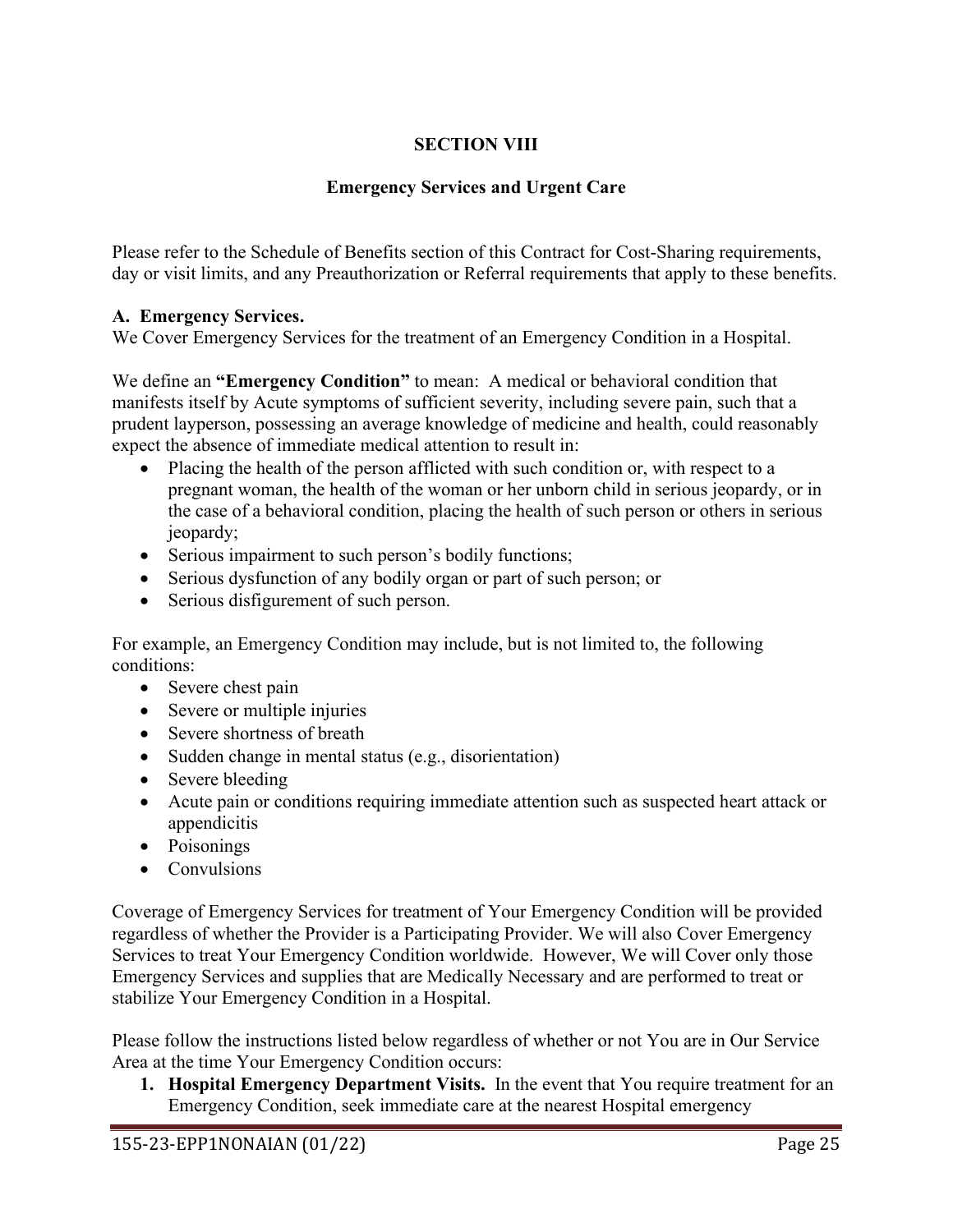# **SECTION VIII**

# **Emergency Services and Urgent Care**

Please refer to the Schedule of Benefits section of this Contract for Cost-Sharing requirements, day or visit limits, and any Preauthorization or Referral requirements that apply to these benefits.

## **A. Emergency Services.**

We Cover Emergency Services for the treatment of an Emergency Condition in a Hospital.

We define an **"Emergency Condition"** to mean: A medical or behavioral condition that manifests itself by Acute symptoms of sufficient severity, including severe pain, such that a prudent layperson, possessing an average knowledge of medicine and health, could reasonably expect the absence of immediate medical attention to result in:

- Placing the health of the person afflicted with such condition or, with respect to a pregnant woman, the health of the woman or her unborn child in serious jeopardy, or in the case of a behavioral condition, placing the health of such person or others in serious jeopardy;
- Serious impairment to such person's bodily functions;
- Serious dysfunction of any bodily organ or part of such person; or
- Serious disfigurement of such person.

For example, an Emergency Condition may include, but is not limited to, the following conditions:

- Severe chest pain
- Severe or multiple injuries
- Severe shortness of breath
- Sudden change in mental status (e.g., disorientation)
- Severe bleeding
- Acute pain or conditions requiring immediate attention such as suspected heart attack or appendicitis
- Poisonings
- Convulsions

Coverage of Emergency Services for treatment of Your Emergency Condition will be provided regardless of whether the Provider is a Participating Provider. We will also Cover Emergency Services to treat Your Emergency Condition worldwide. However, We will Cover only those Emergency Services and supplies that are Medically Necessary and are performed to treat or stabilize Your Emergency Condition in a Hospital.

Please follow the instructions listed below regardless of whether or not You are in Our Service Area at the time Your Emergency Condition occurs:

**1. Hospital Emergency Department Visits.** In the event that You require treatment for an Emergency Condition, seek immediate care at the nearest Hospital emergency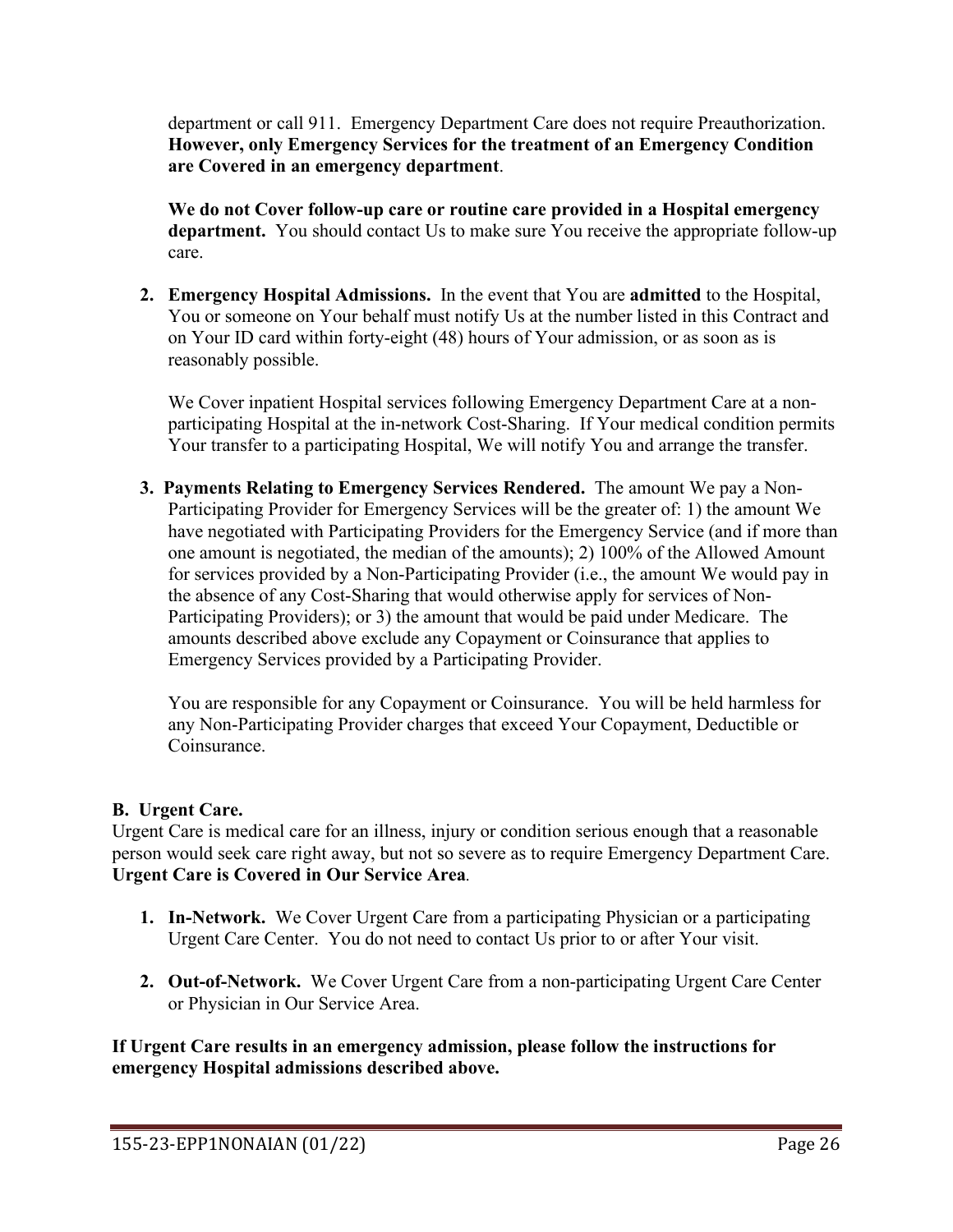department or call 911. Emergency Department Care does not require Preauthorization. **However, only Emergency Services for the treatment of an Emergency Condition are Covered in an emergency department**.

**We do not Cover follow-up care or routine care provided in a Hospital emergency department.** You should contact Us to make sure You receive the appropriate follow-up care.

**2. Emergency Hospital Admissions.** In the event that You are **admitted** to the Hospital, You or someone on Your behalf must notify Us at the number listed in this Contract and on Your ID card within forty-eight (48) hours of Your admission, or as soon as is reasonably possible.

We Cover inpatient Hospital services following Emergency Department Care at a nonparticipating Hospital at the in-network Cost-Sharing. If Your medical condition permits Your transfer to a participating Hospital, We will notify You and arrange the transfer.

**3. Payments Relating to Emergency Services Rendered.** The amount We pay a Non-Participating Provider for Emergency Services will be the greater of: 1) the amount We have negotiated with Participating Providers for the Emergency Service (and if more than one amount is negotiated, the median of the amounts); 2) 100% of the Allowed Amount for services provided by a Non-Participating Provider (i.e., the amount We would pay in the absence of any Cost-Sharing that would otherwise apply for services of Non-Participating Providers); or 3) the amount that would be paid under Medicare. The amounts described above exclude any Copayment or Coinsurance that applies to Emergency Services provided by a Participating Provider.

You are responsible for any Copayment or Coinsurance. You will be held harmless for any Non-Participating Provider charges that exceed Your Copayment, Deductible or Coinsurance.

# **B. Urgent Care.**

Urgent Care is medical care for an illness, injury or condition serious enough that a reasonable person would seek care right away, but not so severe as to require Emergency Department Care. **Urgent Care is Covered in Our Service Area***.* 

- **1. In-Network.** We Cover Urgent Care from a participating Physician or a participating Urgent Care Center. You do not need to contact Us prior to or after Your visit.
- **2. Out-of-Network.** We Cover Urgent Care from a non-participating Urgent Care Center or Physician in Our Service Area.

**If Urgent Care results in an emergency admission, please follow the instructions for emergency Hospital admissions described above.**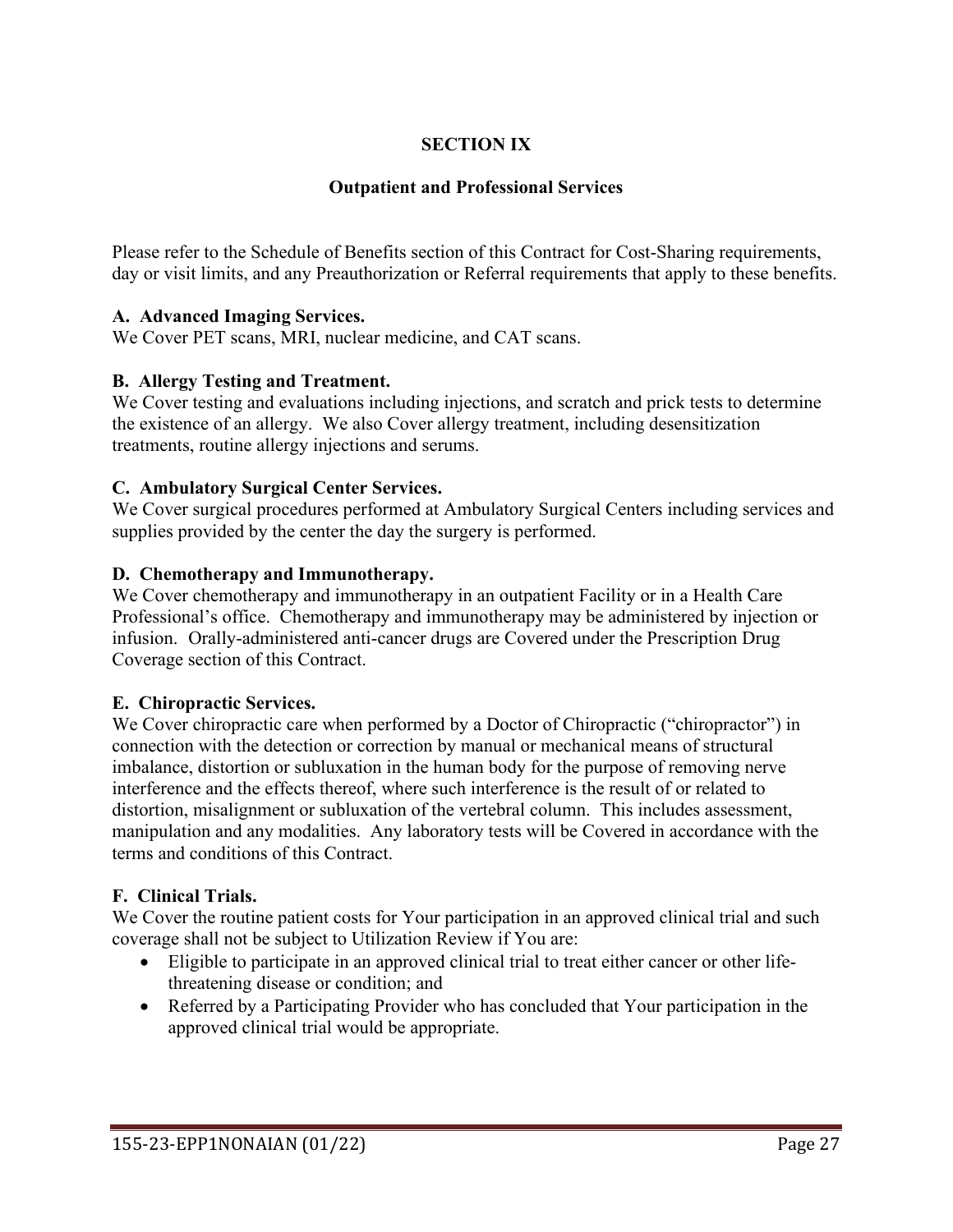# **SECTION IX**

## **Outpatient and Professional Services**

Please refer to the Schedule of Benefits section of this Contract for Cost-Sharing requirements, day or visit limits, and any Preauthorization or Referral requirements that apply to these benefits.

## **A. Advanced Imaging Services.**

We Cover PET scans, MRI, nuclear medicine, and CAT scans.

## **B. Allergy Testing and Treatment.**

We Cover testing and evaluations including injections, and scratch and prick tests to determine the existence of an allergy. We also Cover allergy treatment, including desensitization treatments, routine allergy injections and serums.

### **C. Ambulatory Surgical Center Services.**

We Cover surgical procedures performed at Ambulatory Surgical Centers including services and supplies provided by the center the day the surgery is performed.

## **D. Chemotherapy and Immunotherapy.**

We Cover chemotherapy and immunotherapy in an outpatient Facility or in a Health Care Professional's office. Chemotherapy and immunotherapy may be administered by injection or infusion. Orally-administered anti-cancer drugs are Covered under the Prescription Drug Coverage section of this Contract.

### **E. Chiropractic Services.**

We Cover chiropractic care when performed by a Doctor of Chiropractic ("chiropractor") in connection with the detection or correction by manual or mechanical means of structural imbalance, distortion or subluxation in the human body for the purpose of removing nerve interference and the effects thereof, where such interference is the result of or related to distortion, misalignment or subluxation of the vertebral column. This includes assessment, manipulation and any modalities. Any laboratory tests will be Covered in accordance with the terms and conditions of this Contract.

# **F. Clinical Trials.**

We Cover the routine patient costs for Your participation in an approved clinical trial and such coverage shall not be subject to Utilization Review if You are:

- Eligible to participate in an approved clinical trial to treat either cancer or other lifethreatening disease or condition; and
- Referred by a Participating Provider who has concluded that Your participation in the approved clinical trial would be appropriate.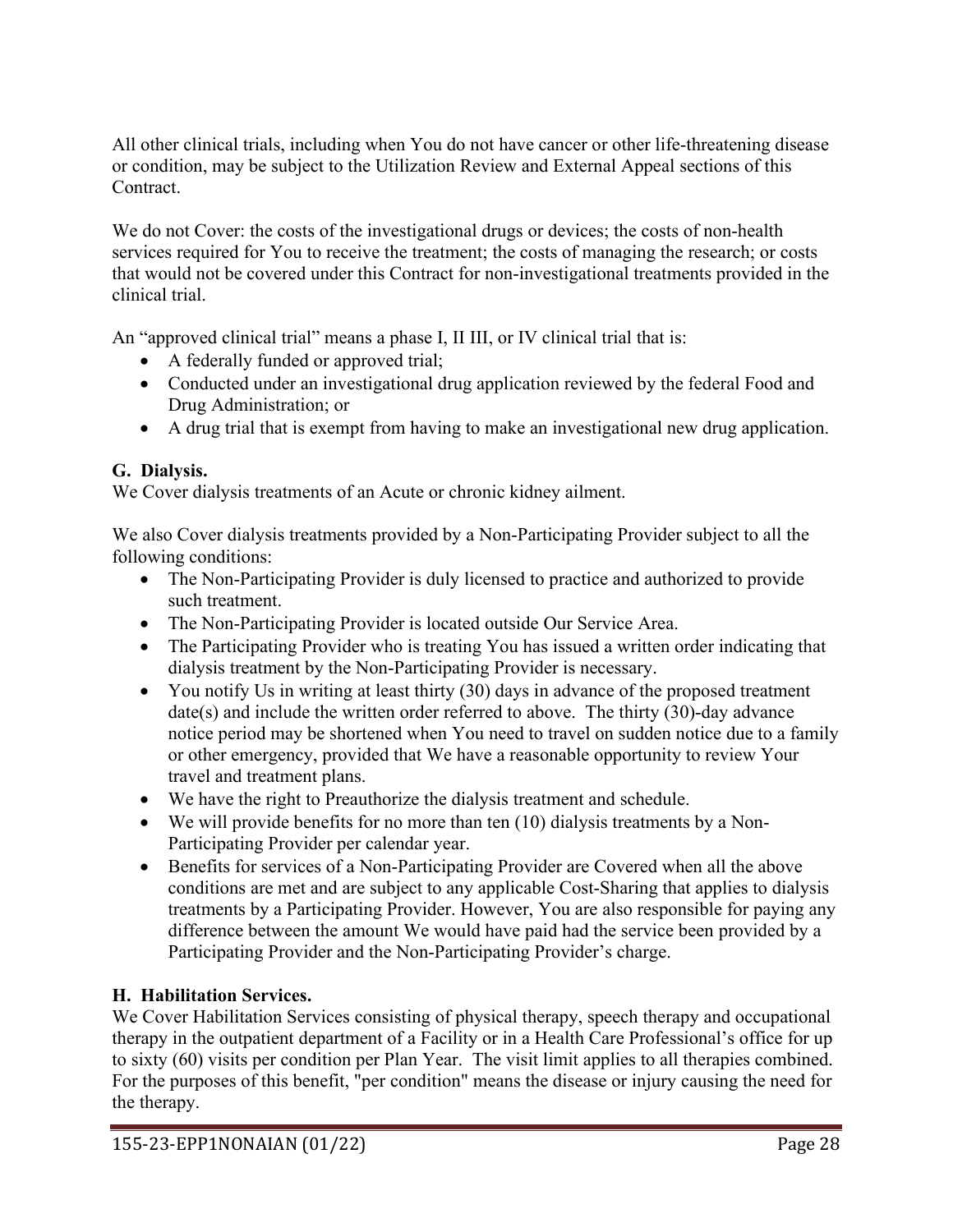All other clinical trials, including when You do not have cancer or other life-threatening disease or condition, may be subject to the Utilization Review and External Appeal sections of this Contract.

We do not Cover: the costs of the investigational drugs or devices; the costs of non-health services required for You to receive the treatment; the costs of managing the research; or costs that would not be covered under this Contract for non-investigational treatments provided in the clinical trial.

An "approved clinical trial" means a phase I, II III, or IV clinical trial that is:

- A federally funded or approved trial;
- Conducted under an investigational drug application reviewed by the federal Food and Drug Administration; or
- A drug trial that is exempt from having to make an investigational new drug application.

# **G. Dialysis.**

We Cover dialysis treatments of an Acute or chronic kidney ailment.

We also Cover dialysis treatments provided by a Non-Participating Provider subject to all the following conditions:

- The Non-Participating Provider is duly licensed to practice and authorized to provide such treatment.
- The Non-Participating Provider is located outside Our Service Area.
- The Participating Provider who is treating You has issued a written order indicating that dialysis treatment by the Non-Participating Provider is necessary.
- You notify Us in writing at least thirty (30) days in advance of the proposed treatment date(s) and include the written order referred to above. The thirty (30)-day advance notice period may be shortened when You need to travel on sudden notice due to a family or other emergency, provided that We have a reasonable opportunity to review Your travel and treatment plans.
- We have the right to Preauthorize the dialysis treatment and schedule.
- We will provide benefits for no more than ten (10) dialysis treatments by a Non-Participating Provider per calendar year.
- Benefits for services of a Non-Participating Provider are Covered when all the above conditions are met and are subject to any applicable Cost-Sharing that applies to dialysis treatments by a Participating Provider. However, You are also responsible for paying any difference between the amount We would have paid had the service been provided by a Participating Provider and the Non-Participating Provider's charge.

# **H. Habilitation Services.**

We Cover Habilitation Services consisting of physical therapy, speech therapy and occupational therapy in the outpatient department of a Facility or in a Health Care Professional's office for up to sixty (60) visits per condition per Plan Year. The visit limit applies to all therapies combined. For the purposes of this benefit, "per condition" means the disease or injury causing the need for the therapy.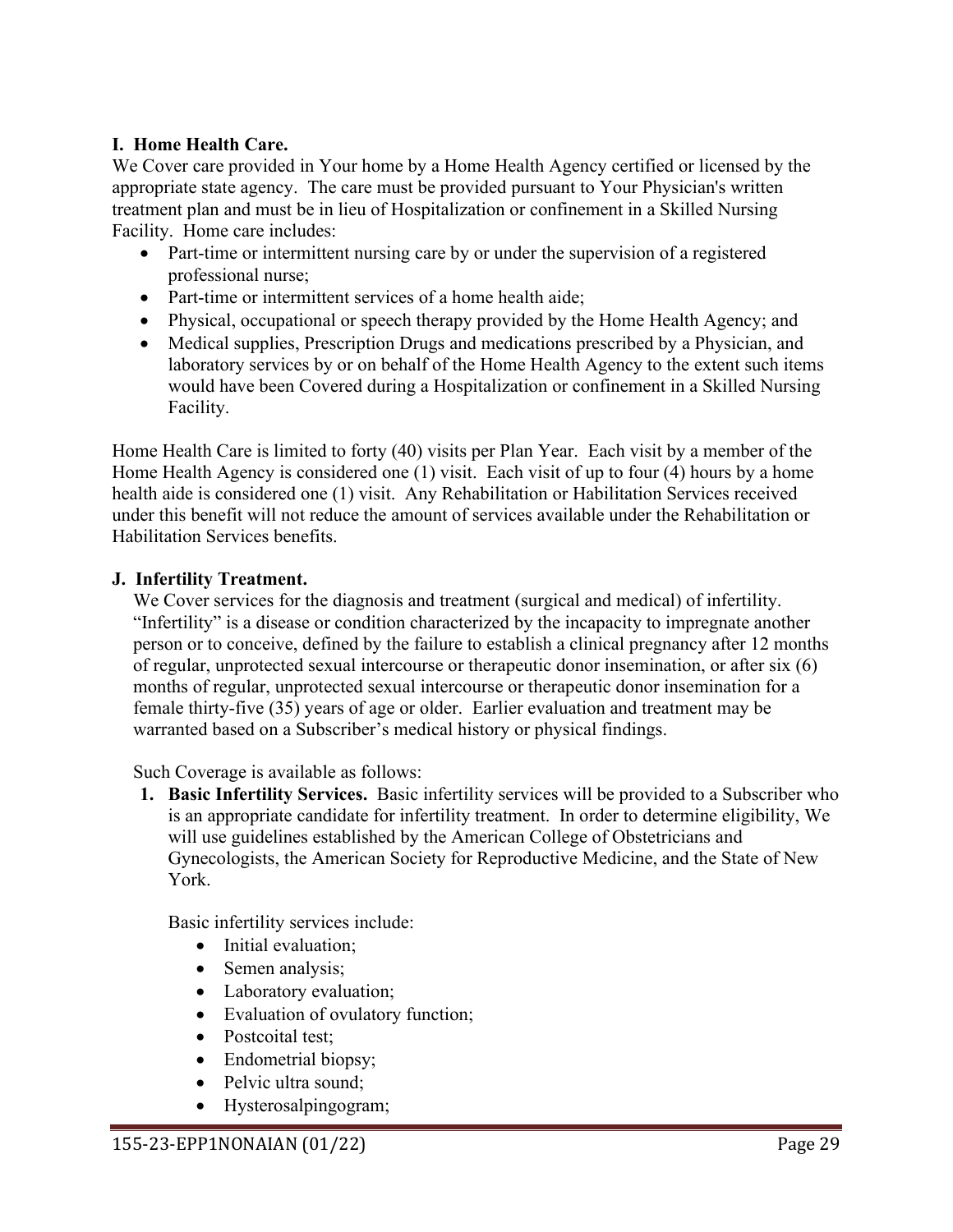### **I. Home Health Care.**

We Cover care provided in Your home by a Home Health Agency certified or licensed by the appropriate state agency. The care must be provided pursuant to Your Physician's written treatment plan and must be in lieu of Hospitalization or confinement in a Skilled Nursing Facility. Home care includes:

- Part-time or intermittent nursing care by or under the supervision of a registered professional nurse;
- Part-time or intermittent services of a home health aide;
- Physical, occupational or speech therapy provided by the Home Health Agency; and
- Medical supplies, Prescription Drugs and medications prescribed by a Physician, and laboratory services by or on behalf of the Home Health Agency to the extent such items would have been Covered during a Hospitalization or confinement in a Skilled Nursing Facility.

Home Health Care is limited to forty (40) visits per Plan Year. Each visit by a member of the Home Health Agency is considered one (1) visit. Each visit of up to four (4) hours by a home health aide is considered one (1) visit. Any Rehabilitation or Habilitation Services received under this benefit will not reduce the amount of services available under the Rehabilitation or Habilitation Services benefits.

### **J. Infertility Treatment.**

We Cover services for the diagnosis and treatment (surgical and medical) of infertility. "Infertility" is a disease or condition characterized by the incapacity to impregnate another person or to conceive, defined by the failure to establish a clinical pregnancy after 12 months of regular, unprotected sexual intercourse or therapeutic donor insemination, or after six (6) months of regular, unprotected sexual intercourse or therapeutic donor insemination for a female thirty-five (35) years of age or older. Earlier evaluation and treatment may be warranted based on a Subscriber's medical history or physical findings.

Such Coverage is available as follows:

**1. Basic Infertility Services.** Basic infertility services will be provided to a Subscriber who is an appropriate candidate for infertility treatment. In order to determine eligibility, We will use guidelines established by the American College of Obstetricians and Gynecologists, the American Society for Reproductive Medicine, and the State of New York.

Basic infertility services include:

- Initial evaluation;
- Semen analysis;
- Laboratory evaluation;
- Evaluation of ovulatory function;
- Postcoital test:
- Endometrial biopsy;
- Pelvic ultra sound:
- Hysterosalpingogram;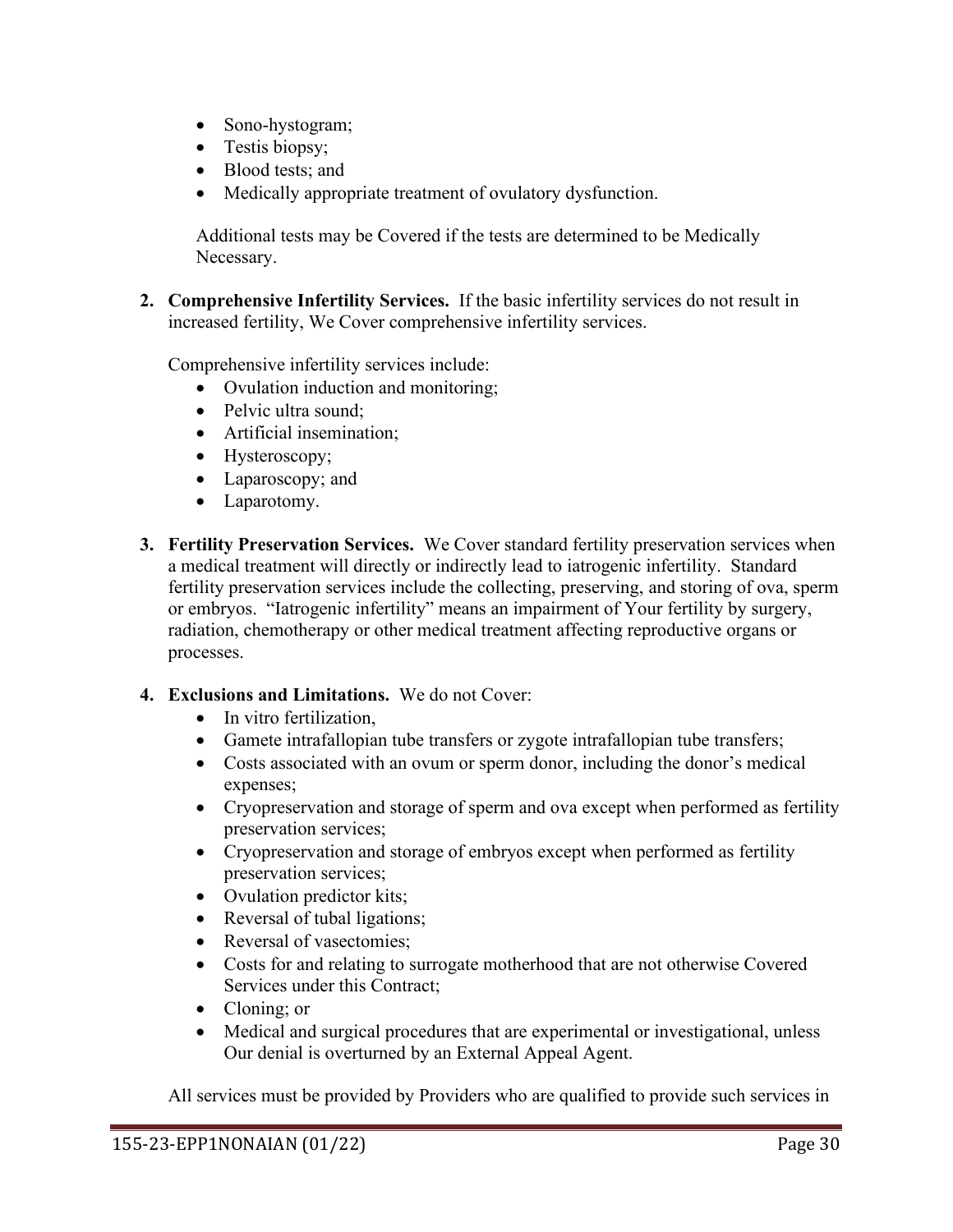- Sono-hystogram;
- Testis biopsy;
- Blood tests; and
- Medically appropriate treatment of ovulatory dysfunction.

Additional tests may be Covered if the tests are determined to be Medically Necessary.

**2. Comprehensive Infertility Services.** If the basic infertility services do not result in increased fertility, We Cover comprehensive infertility services.

Comprehensive infertility services include:

- Ovulation induction and monitoring;
- Pelvic ultra sound;
- Artificial insemination;
- Hysteroscopy;
- Laparoscopy; and
- Laparotomy.
- **3. Fertility Preservation Services.** We Cover standard fertility preservation services when a medical treatment will directly or indirectly lead to iatrogenic infertility. Standard fertility preservation services include the collecting, preserving, and storing of ova, sperm or embryos. "Iatrogenic infertility" means an impairment of Your fertility by surgery, radiation, chemotherapy or other medical treatment affecting reproductive organs or processes.

### **4. Exclusions and Limitations.** We do not Cover:

- In vitro fertilization,
- Gamete intrafallopian tube transfers or zygote intrafallopian tube transfers;
- Costs associated with an ovum or sperm donor, including the donor's medical expenses;
- Cryopreservation and storage of sperm and ova except when performed as fertility preservation services;
- Cryopreservation and storage of embryos except when performed as fertility preservation services;
- Ovulation predictor kits;
- Reversal of tubal ligations;
- Reversal of vasectomies;
- Costs for and relating to surrogate motherhood that are not otherwise Covered Services under this Contract;
- Cloning; or
- Medical and surgical procedures that are experimental or investigational, unless Our denial is overturned by an External Appeal Agent.

All services must be provided by Providers who are qualified to provide such services in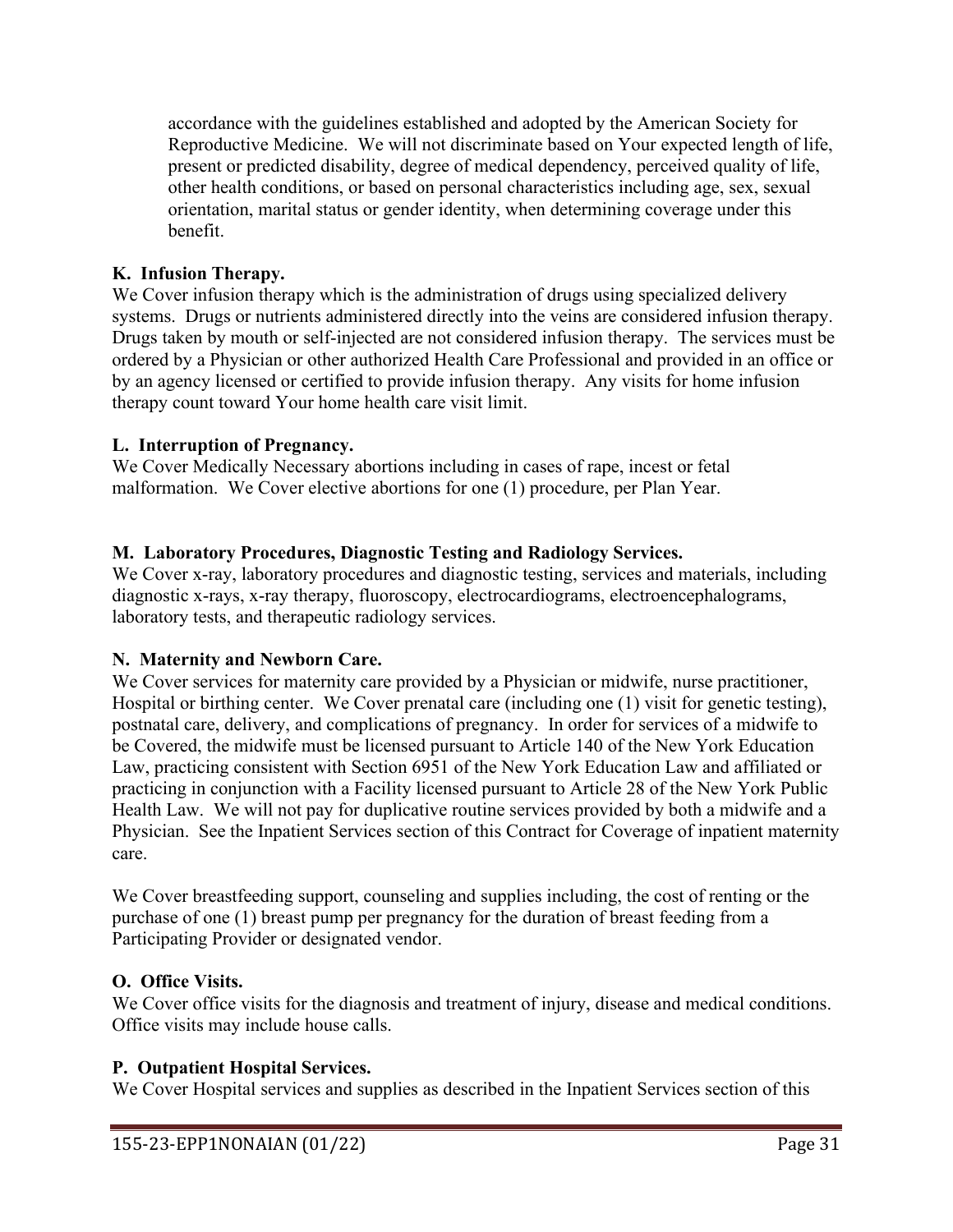accordance with the guidelines established and adopted by the American Society for Reproductive Medicine. We will not discriminate based on Your expected length of life, present or predicted disability, degree of medical dependency, perceived quality of life, other health conditions, or based on personal characteristics including age, sex, sexual orientation, marital status or gender identity, when determining coverage under this benefit.

## **K. Infusion Therapy.**

We Cover infusion therapy which is the administration of drugs using specialized delivery systems. Drugs or nutrients administered directly into the veins are considered infusion therapy. Drugs taken by mouth or self-injected are not considered infusion therapy. The services must be ordered by a Physician or other authorized Health Care Professional and provided in an office or by an agency licensed or certified to provide infusion therapy. Any visits for home infusion therapy count toward Your home health care visit limit.

### **L. Interruption of Pregnancy.**

We Cover Medically Necessary abortions including in cases of rape, incest or fetal malformation. We Cover elective abortions for one (1) procedure, per Plan Year.

## **M. Laboratory Procedures, Diagnostic Testing and Radiology Services.**

We Cover x-ray, laboratory procedures and diagnostic testing, services and materials, including diagnostic x-rays, x-ray therapy, fluoroscopy, electrocardiograms, electroencephalograms, laboratory tests, and therapeutic radiology services.

### **N. Maternity and Newborn Care.**

We Cover services for maternity care provided by a Physician or midwife, nurse practitioner, Hospital or birthing center. We Cover prenatal care (including one (1) visit for genetic testing), postnatal care, delivery, and complications of pregnancy. In order for services of a midwife to be Covered, the midwife must be licensed pursuant to Article 140 of the New York Education Law, practicing consistent with Section 6951 of the New York Education Law and affiliated or practicing in conjunction with a Facility licensed pursuant to Article 28 of the New York Public Health Law. We will not pay for duplicative routine services provided by both a midwife and a Physician. See the Inpatient Services section of this Contract for Coverage of inpatient maternity care.

We Cover breastfeeding support, counseling and supplies including, the cost of renting or the purchase of one (1) breast pump per pregnancy for the duration of breast feeding from a Participating Provider or designated vendor.

### **O. Office Visits.**

We Cover office visits for the diagnosis and treatment of injury, disease and medical conditions. Office visits may include house calls.

### **P. Outpatient Hospital Services.**

We Cover Hospital services and supplies as described in the Inpatient Services section of this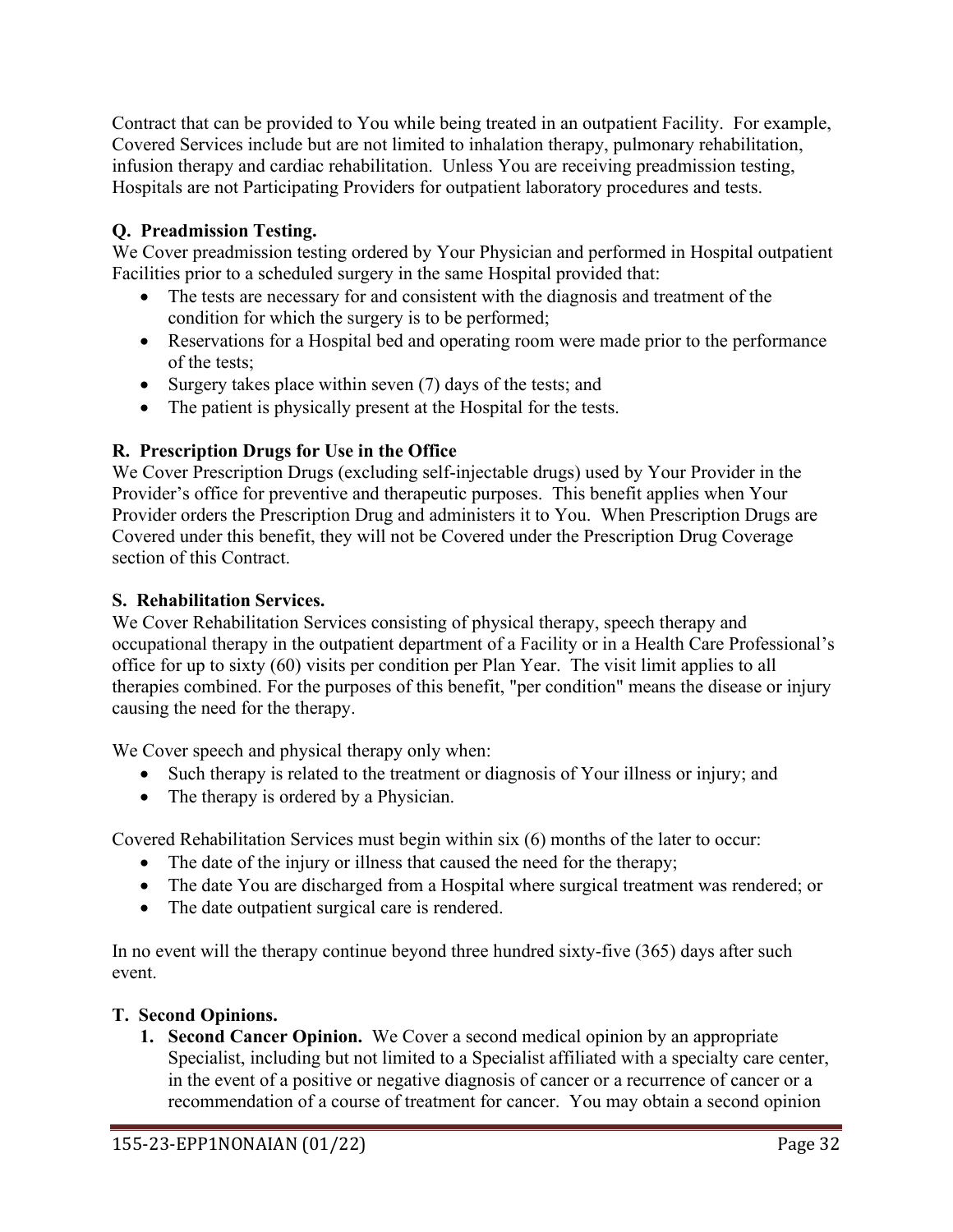Contract that can be provided to You while being treated in an outpatient Facility. For example, Covered Services include but are not limited to inhalation therapy, pulmonary rehabilitation, infusion therapy and cardiac rehabilitation. Unless You are receiving preadmission testing, Hospitals are not Participating Providers for outpatient laboratory procedures and tests.

# **Q. Preadmission Testing.**

We Cover preadmission testing ordered by Your Physician and performed in Hospital outpatient Facilities prior to a scheduled surgery in the same Hospital provided that:

- The tests are necessary for and consistent with the diagnosis and treatment of the condition for which the surgery is to be performed;
- Reservations for a Hospital bed and operating room were made prior to the performance of the tests;
- Surgery takes place within seven (7) days of the tests; and
- The patient is physically present at the Hospital for the tests.

# **R. Prescription Drugs for Use in the Office**

We Cover Prescription Drugs (excluding self-injectable drugs) used by Your Provider in the Provider's office for preventive and therapeutic purposes. This benefit applies when Your Provider orders the Prescription Drug and administers it to You. When Prescription Drugs are Covered under this benefit, they will not be Covered under the Prescription Drug Coverage section of this Contract.

# **S. Rehabilitation Services.**

We Cover Rehabilitation Services consisting of physical therapy, speech therapy and occupational therapy in the outpatient department of a Facility or in a Health Care Professional's office for up to sixty (60) visits per condition per Plan Year. The visit limit applies to all therapies combined. For the purposes of this benefit, "per condition" means the disease or injury causing the need for the therapy.

We Cover speech and physical therapy only when:

- Such therapy is related to the treatment or diagnosis of Your illness or injury; and
- The therapy is ordered by a Physician.

Covered Rehabilitation Services must begin within six (6) months of the later to occur:

- The date of the injury or illness that caused the need for the therapy;
- The date You are discharged from a Hospital where surgical treatment was rendered; or
- The date outpatient surgical care is rendered.

In no event will the therapy continue beyond three hundred sixty-five (365) days after such event.

# **T. Second Opinions.**

**1. Second Cancer Opinion.** We Cover a second medical opinion by an appropriate Specialist, including but not limited to a Specialist affiliated with a specialty care center, in the event of a positive or negative diagnosis of cancer or a recurrence of cancer or a recommendation of a course of treatment for cancer. You may obtain a second opinion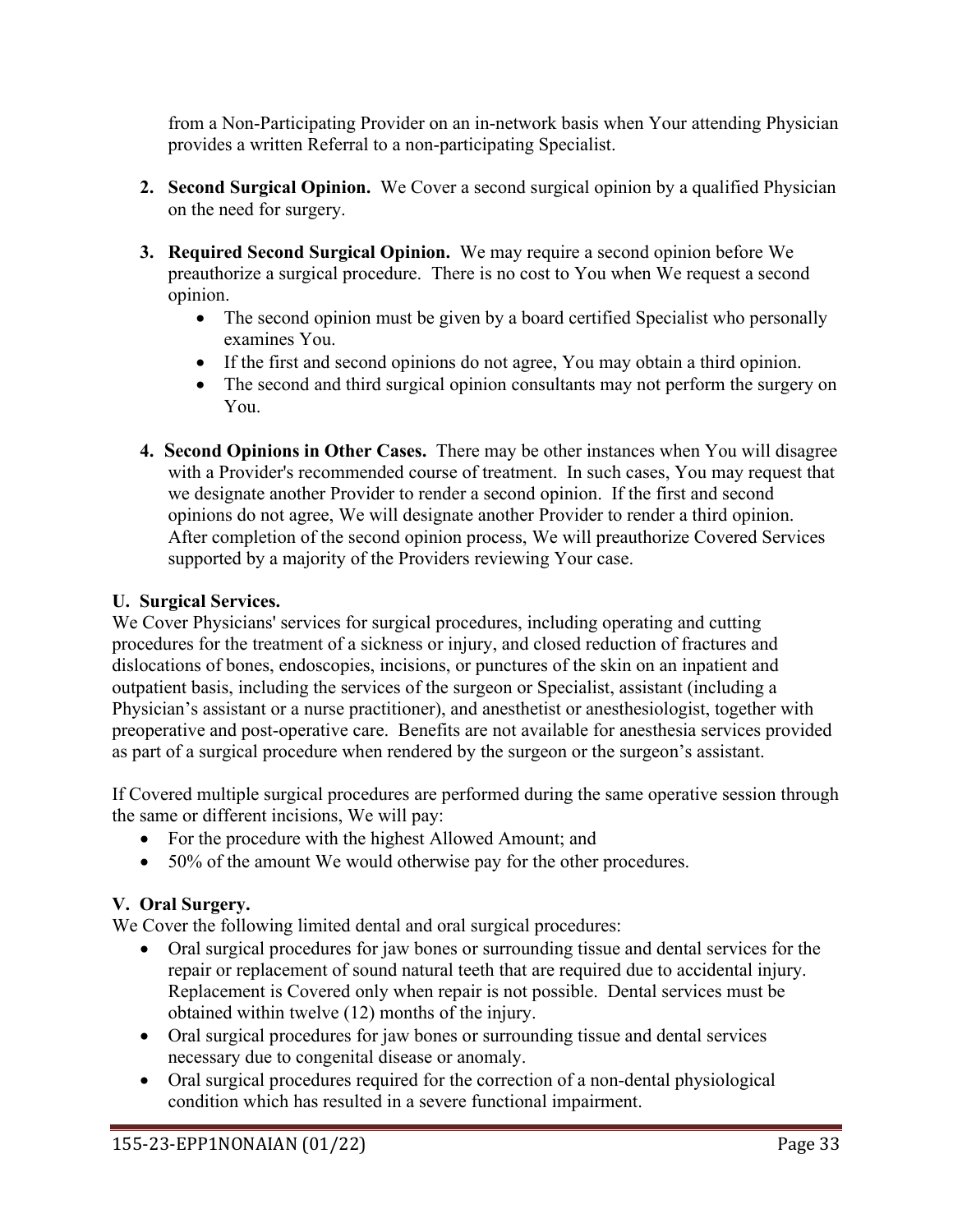from a Non-Participating Provider on an in-network basis when Your attending Physician provides a written Referral to a non-participating Specialist.

- **2. Second Surgical Opinion.** We Cover a second surgical opinion by a qualified Physician on the need for surgery.
- **3. Required Second Surgical Opinion.** We may require a second opinion before We preauthorize a surgical procedure. There is no cost to You when We request a second opinion.
	- The second opinion must be given by a board certified Specialist who personally examines You.
	- If the first and second opinions do not agree, You may obtain a third opinion.
	- The second and third surgical opinion consultants may not perform the surgery on You.
- **4. Second Opinions in Other Cases.** There may be other instances when You will disagree with a Provider's recommended course of treatment. In such cases, You may request that we designate another Provider to render a second opinion. If the first and second opinions do not agree, We will designate another Provider to render a third opinion. After completion of the second opinion process, We will preauthorize Covered Services supported by a majority of the Providers reviewing Your case.

# **U. Surgical Services.**

We Cover Physicians' services for surgical procedures, including operating and cutting procedures for the treatment of a sickness or injury, and closed reduction of fractures and dislocations of bones, endoscopies, incisions, or punctures of the skin on an inpatient and outpatient basis, including the services of the surgeon or Specialist, assistant (including a Physician's assistant or a nurse practitioner), and anesthetist or anesthesiologist, together with preoperative and post-operative care. Benefits are not available for anesthesia services provided as part of a surgical procedure when rendered by the surgeon or the surgeon's assistant.

If Covered multiple surgical procedures are performed during the same operative session through the same or different incisions, We will pay:

- For the procedure with the highest Allowed Amount; and
- 50% of the amount We would otherwise pay for the other procedures.

# **V. Oral Surgery.**

We Cover the following limited dental and oral surgical procedures:

- Oral surgical procedures for jaw bones or surrounding tissue and dental services for the repair or replacement of sound natural teeth that are required due to accidental injury. Replacement is Covered only when repair is not possible. Dental services must be obtained within twelve (12) months of the injury.
- Oral surgical procedures for jaw bones or surrounding tissue and dental services necessary due to congenital disease or anomaly.
- Oral surgical procedures required for the correction of a non-dental physiological condition which has resulted in a severe functional impairment.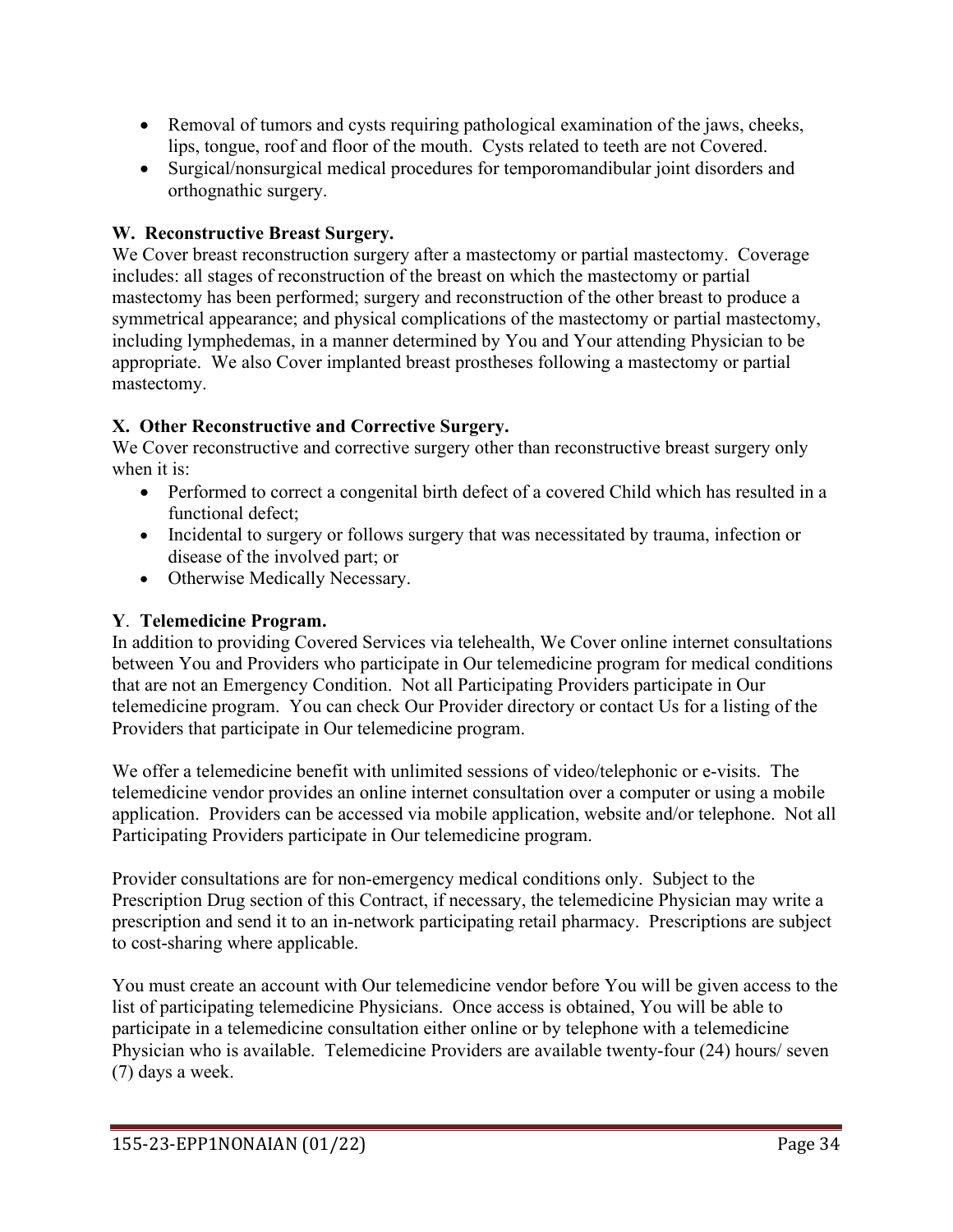- Removal of tumors and cysts requiring pathological examination of the jaws, cheeks, lips, tongue, roof and floor of the mouth. Cysts related to teeth are not Covered.
- Surgical/nonsurgical medical procedures for temporomandibular joint disorders and orthognathic surgery.

# **W. Reconstructive Breast Surgery.**

We Cover breast reconstruction surgery after a mastectomy or partial mastectomy. Coverage includes: all stages of reconstruction of the breast on which the mastectomy or partial mastectomy has been performed; surgery and reconstruction of the other breast to produce a symmetrical appearance; and physical complications of the mastectomy or partial mastectomy, including lymphedemas, in a manner determined by You and Your attending Physician to be appropriate. We also Cover implanted breast prostheses following a mastectomy or partial mastectomy.

# **X. Other Reconstructive and Corrective Surgery.**

We Cover reconstructive and corrective surgery other than reconstructive breast surgery only when it is:

- Performed to correct a congenital birth defect of a covered Child which has resulted in a functional defect;
- Incidental to surgery or follows surgery that was necessitated by trauma, infection or disease of the involved part; or
- Otherwise Medically Necessary.

# **Y**. **Telemedicine Program.**

In addition to providing Covered Services via telehealth, We Cover online internet consultations between You and Providers who participate in Our telemedicine program for medical conditions that are not an Emergency Condition. Not all Participating Providers participate in Our telemedicine program. You can check Our Provider directory or contact Us for a listing of the Providers that participate in Our telemedicine program.

We offer a telemedicine benefit with unlimited sessions of video/telephonic or e-visits. The telemedicine vendor provides an online internet consultation over a computer or using a mobile application. Providers can be accessed via mobile application, website and/or telephone. Not all Participating Providers participate in Our telemedicine program.

Provider consultations are for non-emergency medical conditions only. Subject to the Prescription Drug section of this Contract, if necessary, the telemedicine Physician may write a prescription and send it to an in-network participating retail pharmacy. Prescriptions are subject to cost-sharing where applicable.

You must create an account with Our telemedicine vendor before You will be given access to the list of participating telemedicine Physicians. Once access is obtained, You will be able to participate in a telemedicine consultation either online or by telephone with a telemedicine Physician who is available. Telemedicine Providers are available twenty-four (24) hours/ seven (7) days a week.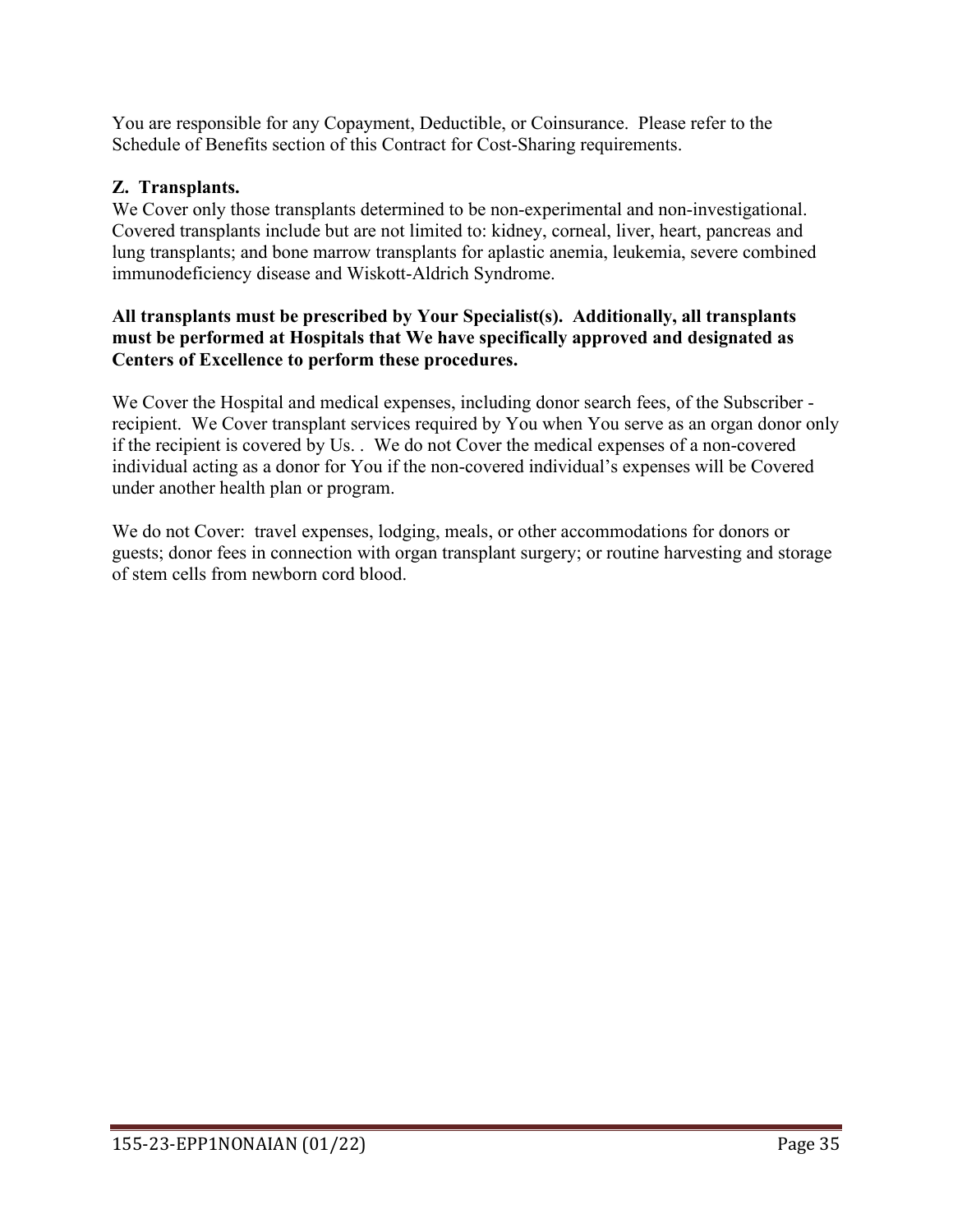You are responsible for any Copayment, Deductible, or Coinsurance. Please refer to the Schedule of Benefits section of this Contract for Cost-Sharing requirements.

# **Z. Transplants.**

We Cover only those transplants determined to be non-experimental and non-investigational. Covered transplants include but are not limited to: kidney, corneal, liver, heart, pancreas and lung transplants; and bone marrow transplants for aplastic anemia, leukemia, severe combined immunodeficiency disease and Wiskott-Aldrich Syndrome.

### **All transplants must be prescribed by Your Specialist(s). Additionally, all transplants must be performed at Hospitals that We have specifically approved and designated as Centers of Excellence to perform these procedures.**

We Cover the Hospital and medical expenses, including donor search fees, of the Subscriber recipient. We Cover transplant services required by You when You serve as an organ donor only if the recipient is covered by Us. . We do not Cover the medical expenses of a non-covered individual acting as a donor for You if the non-covered individual's expenses will be Covered under another health plan or program.

We do not Cover: travel expenses, lodging, meals, or other accommodations for donors or guests; donor fees in connection with organ transplant surgery; or routine harvesting and storage of stem cells from newborn cord blood.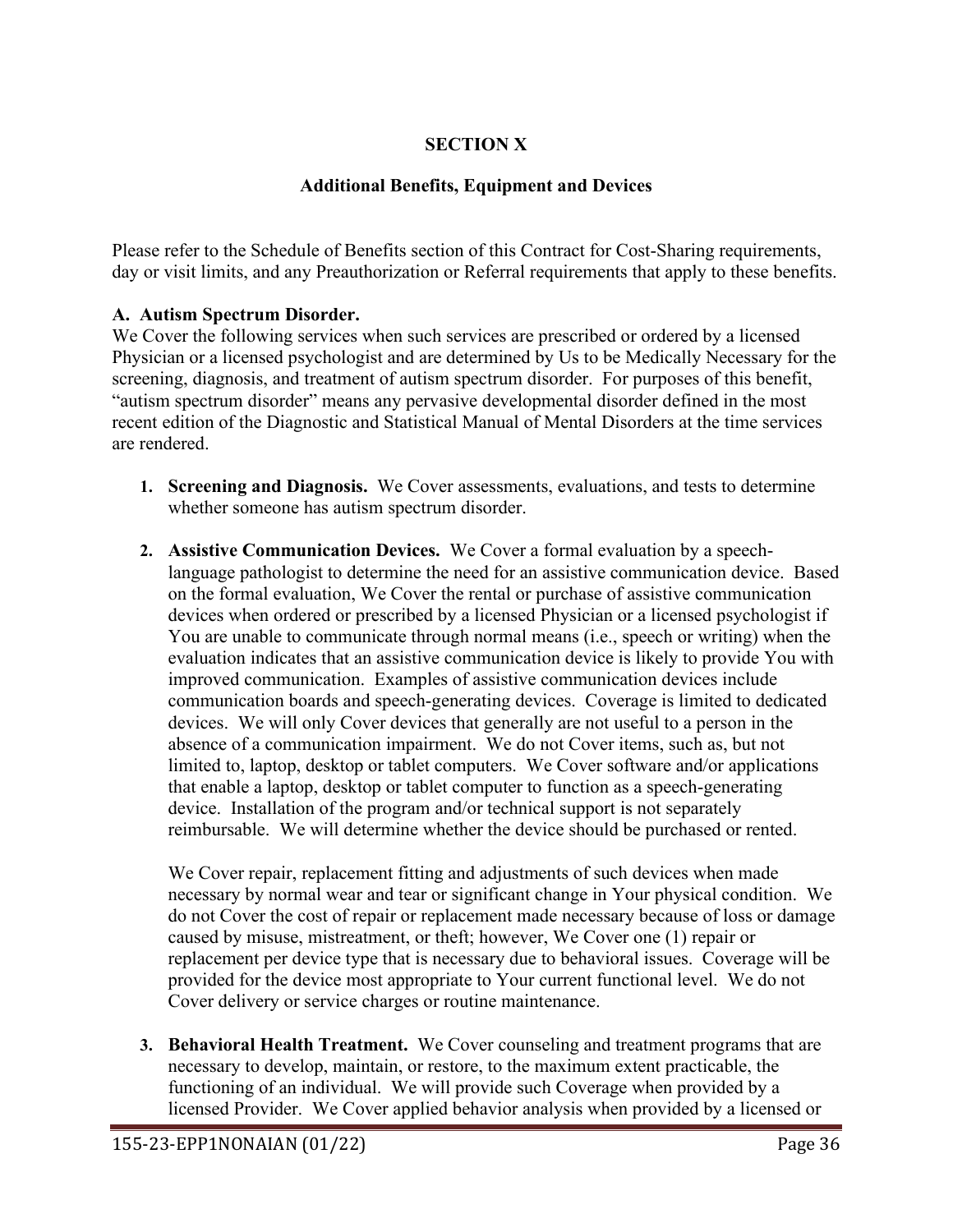# **SECTION X**

## **Additional Benefits, Equipment and Devices**

Please refer to the Schedule of Benefits section of this Contract for Cost-Sharing requirements, day or visit limits, and any Preauthorization or Referral requirements that apply to these benefits.

### **A. Autism Spectrum Disorder.**

We Cover the following services when such services are prescribed or ordered by a licensed Physician or a licensed psychologist and are determined by Us to be Medically Necessary for the screening, diagnosis, and treatment of autism spectrum disorder. For purposes of this benefit, "autism spectrum disorder" means any pervasive developmental disorder defined in the most recent edition of the Diagnostic and Statistical Manual of Mental Disorders at the time services are rendered.

- **1. Screening and Diagnosis.** We Cover assessments, evaluations, and tests to determine whether someone has autism spectrum disorder.
- **2. Assistive Communication Devices.** We Cover a formal evaluation by a speechlanguage pathologist to determine the need for an assistive communication device. Based on the formal evaluation, We Cover the rental or purchase of assistive communication devices when ordered or prescribed by a licensed Physician or a licensed psychologist if You are unable to communicate through normal means (i.e., speech or writing) when the evaluation indicates that an assistive communication device is likely to provide You with improved communication. Examples of assistive communication devices include communication boards and speech-generating devices. Coverage is limited to dedicated devices. We will only Cover devices that generally are not useful to a person in the absence of a communication impairment. We do not Cover items, such as, but not limited to, laptop, desktop or tablet computers. We Cover software and/or applications that enable a laptop, desktop or tablet computer to function as a speech-generating device. Installation of the program and/or technical support is not separately reimbursable. We will determine whether the device should be purchased or rented.

We Cover repair, replacement fitting and adjustments of such devices when made necessary by normal wear and tear or significant change in Your physical condition. We do not Cover the cost of repair or replacement made necessary because of loss or damage caused by misuse, mistreatment, or theft; however, We Cover one (1) repair or replacement per device type that is necessary due to behavioral issues. Coverage will be provided for the device most appropriate to Your current functional level. We do not Cover delivery or service charges or routine maintenance.

**3. Behavioral Health Treatment.** We Cover counseling and treatment programs that are necessary to develop, maintain, or restore, to the maximum extent practicable, the functioning of an individual. We will provide such Coverage when provided by a licensed Provider. We Cover applied behavior analysis when provided by a licensed or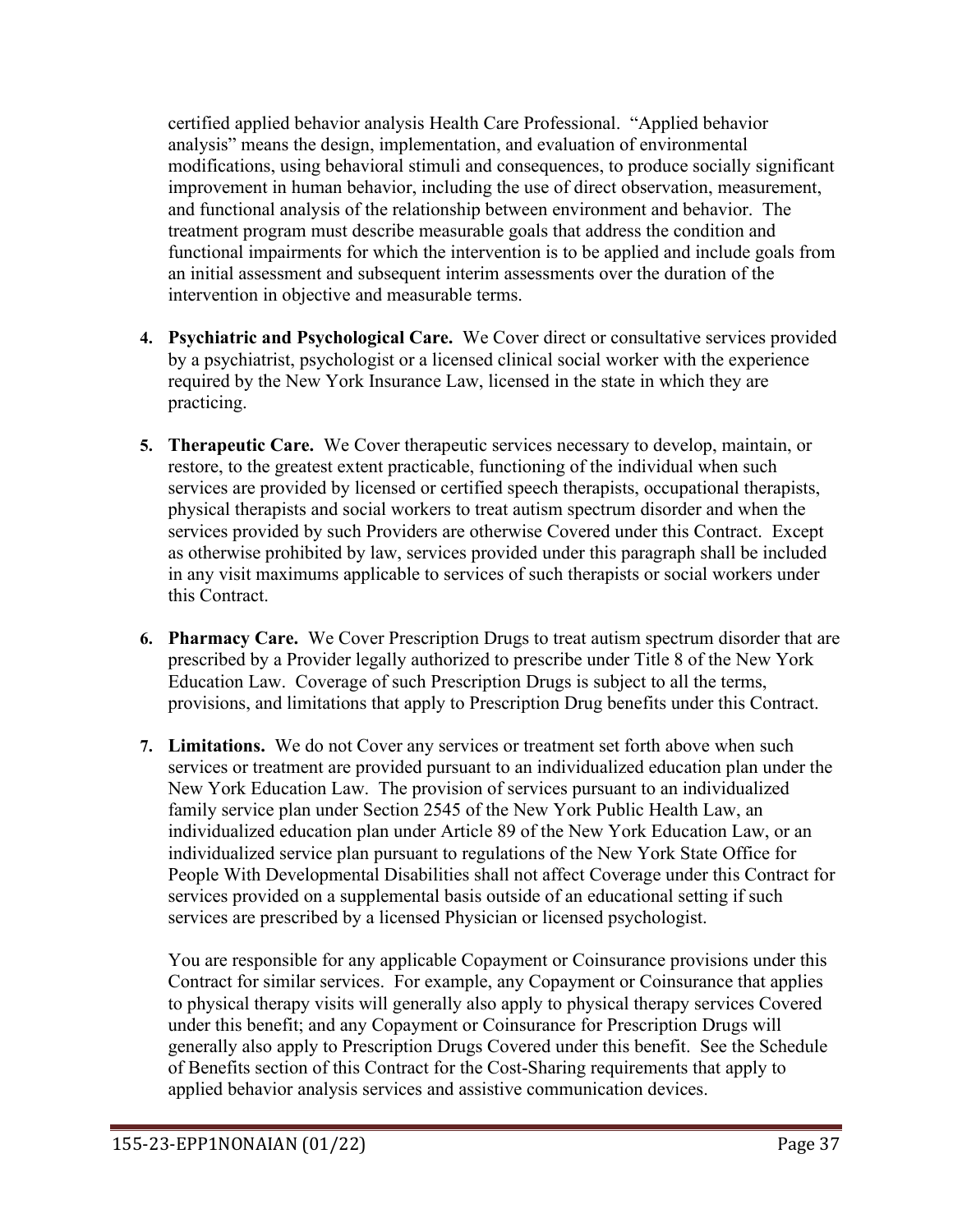certified applied behavior analysis Health Care Professional. "Applied behavior analysis" means the design, implementation, and evaluation of environmental modifications, using behavioral stimuli and consequences, to produce socially significant improvement in human behavior, including the use of direct observation, measurement, and functional analysis of the relationship between environment and behavior. The treatment program must describe measurable goals that address the condition and functional impairments for which the intervention is to be applied and include goals from an initial assessment and subsequent interim assessments over the duration of the intervention in objective and measurable terms.

- **4. Psychiatric and Psychological Care.** We Cover direct or consultative services provided by a psychiatrist, psychologist or a licensed clinical social worker with the experience required by the New York Insurance Law, licensed in the state in which they are practicing.
- **5. Therapeutic Care.** We Cover therapeutic services necessary to develop, maintain, or restore, to the greatest extent practicable, functioning of the individual when such services are provided by licensed or certified speech therapists, occupational therapists, physical therapists and social workers to treat autism spectrum disorder and when the services provided by such Providers are otherwise Covered under this Contract. Except as otherwise prohibited by law, services provided under this paragraph shall be included in any visit maximums applicable to services of such therapists or social workers under this Contract.
- **6. Pharmacy Care.** We Cover Prescription Drugs to treat autism spectrum disorder that are prescribed by a Provider legally authorized to prescribe under Title 8 of the New York Education Law. Coverage of such Prescription Drugs is subject to all the terms, provisions, and limitations that apply to Prescription Drug benefits under this Contract.
- **7. Limitations.** We do not Cover any services or treatment set forth above when such services or treatment are provided pursuant to an individualized education plan under the New York Education Law. The provision of services pursuant to an individualized family service plan under Section 2545 of the New York Public Health Law, an individualized education plan under Article 89 of the New York Education Law, or an individualized service plan pursuant to regulations of the New York State Office for People With Developmental Disabilities shall not affect Coverage under this Contract for services provided on a supplemental basis outside of an educational setting if such services are prescribed by a licensed Physician or licensed psychologist.

You are responsible for any applicable Copayment or Coinsurance provisions under this Contract for similar services. For example, any Copayment or Coinsurance that applies to physical therapy visits will generally also apply to physical therapy services Covered under this benefit; and any Copayment or Coinsurance for Prescription Drugs will generally also apply to Prescription Drugs Covered under this benefit. See the Schedule of Benefits section of this Contract for the Cost-Sharing requirements that apply to applied behavior analysis services and assistive communication devices.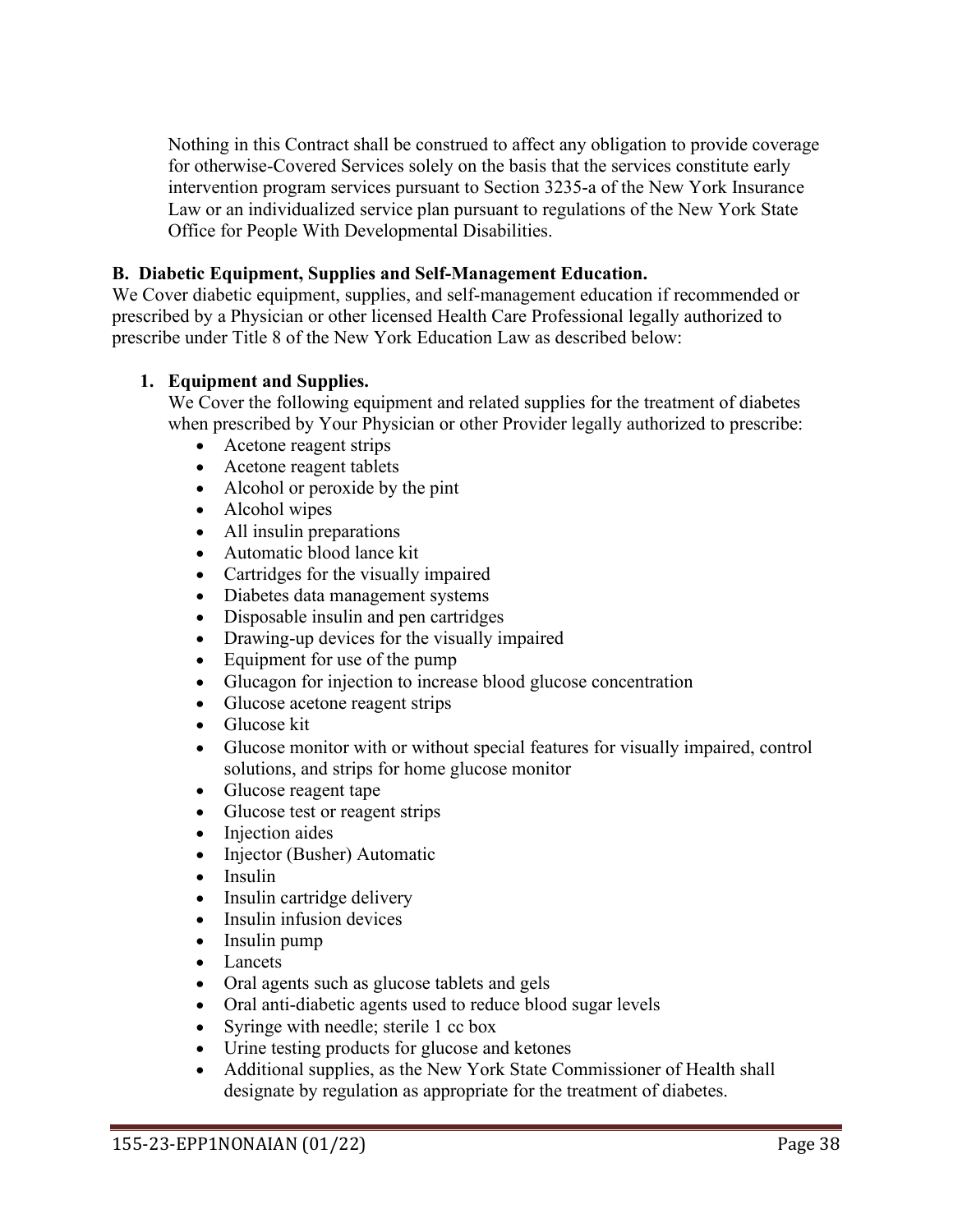Nothing in this Contract shall be construed to affect any obligation to provide coverage for otherwise-Covered Services solely on the basis that the services constitute early intervention program services pursuant to Section 3235-a of the New York Insurance Law or an individualized service plan pursuant to regulations of the New York State Office for People With Developmental Disabilities.

### **B. Diabetic Equipment, Supplies and Self-Management Education.**

We Cover diabetic equipment, supplies, and self-management education if recommended or prescribed by a Physician or other licensed Health Care Professional legally authorized to prescribe under Title 8 of the New York Education Law as described below:

### **1. Equipment and Supplies.**

We Cover the following equipment and related supplies for the treatment of diabetes when prescribed by Your Physician or other Provider legally authorized to prescribe:

- Acetone reagent strips
- Acetone reagent tablets
- Alcohol or peroxide by the pint
- Alcohol wipes
- All insulin preparations
- Automatic blood lance kit
- Cartridges for the visually impaired
- Diabetes data management systems
- Disposable insulin and pen cartridges
- Drawing-up devices for the visually impaired
- Equipment for use of the pump
- Glucagon for injection to increase blood glucose concentration
- Glucose acetone reagent strips
- Glucose kit
- Glucose monitor with or without special features for visually impaired, control solutions, and strips for home glucose monitor
- Glucose reagent tape
- Glucose test or reagent strips
- Injection aides
- Injector (Busher) Automatic
- Insulin
- Insulin cartridge delivery
- Insulin infusion devices
- Insulin pump
- Lancets
- Oral agents such as glucose tablets and gels
- Oral anti-diabetic agents used to reduce blood sugar levels
- Syringe with needle; sterile 1 cc box
- Urine testing products for glucose and ketones
- Additional supplies, as the New York State Commissioner of Health shall designate by regulation as appropriate for the treatment of diabetes.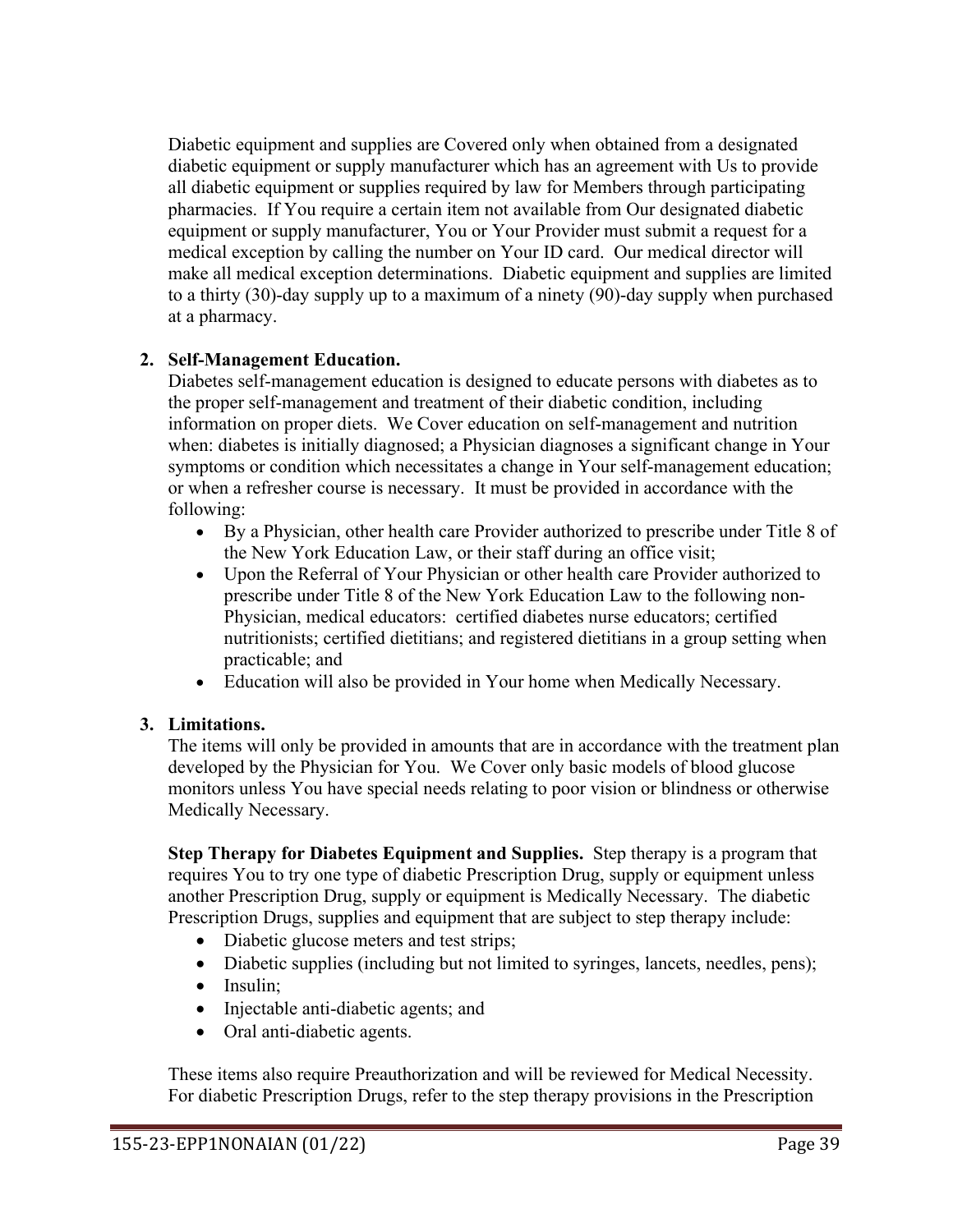Diabetic equipment and supplies are Covered only when obtained from a designated diabetic equipment or supply manufacturer which has an agreement with Us to provide all diabetic equipment or supplies required by law for Members through participating pharmacies. If You require a certain item not available from Our designated diabetic equipment or supply manufacturer, You or Your Provider must submit a request for a medical exception by calling the number on Your ID card. Our medical director will make all medical exception determinations. Diabetic equipment and supplies are limited to a thirty (30)-day supply up to a maximum of a ninety (90)-day supply when purchased at a pharmacy.

### **2. Self-Management Education.**

Diabetes self-management education is designed to educate persons with diabetes as to the proper self-management and treatment of their diabetic condition, including information on proper diets. We Cover education on self-management and nutrition when: diabetes is initially diagnosed; a Physician diagnoses a significant change in Your symptoms or condition which necessitates a change in Your self-management education; or when a refresher course is necessary. It must be provided in accordance with the following:

- By a Physician, other health care Provider authorized to prescribe under Title 8 of the New York Education Law, or their staff during an office visit;
- Upon the Referral of Your Physician or other health care Provider authorized to prescribe under Title 8 of the New York Education Law to the following non-Physician, medical educators: certified diabetes nurse educators; certified nutritionists; certified dietitians; and registered dietitians in a group setting when practicable; and
- Education will also be provided in Your home when Medically Necessary.

### **3. Limitations.**

The items will only be provided in amounts that are in accordance with the treatment plan developed by the Physician for You. We Cover only basic models of blood glucose monitors unless You have special needs relating to poor vision or blindness or otherwise Medically Necessary.

**Step Therapy for Diabetes Equipment and Supplies.** Step therapy is a program that requires You to try one type of diabetic Prescription Drug, supply or equipment unless another Prescription Drug, supply or equipment is Medically Necessary. The diabetic Prescription Drugs, supplies and equipment that are subject to step therapy include:

- Diabetic glucose meters and test strips;
- Diabetic supplies (including but not limited to syringes, lancets, needles, pens);
- Insulin:
- Injectable anti-diabetic agents; and
- Oral anti-diabetic agents.

These items also require Preauthorization and will be reviewed for Medical Necessity. For diabetic Prescription Drugs, refer to the step therapy provisions in the Prescription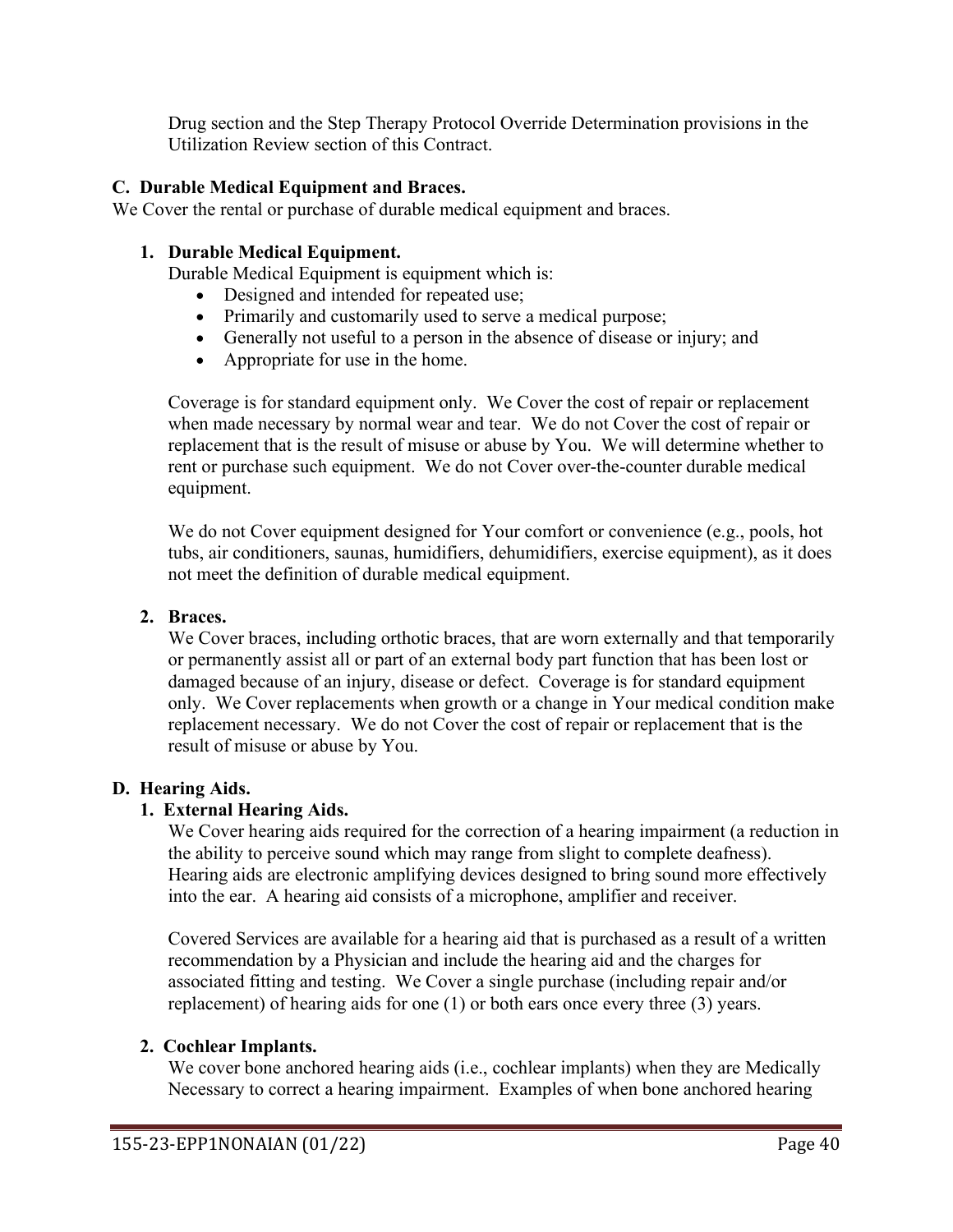Drug section and the Step Therapy Protocol Override Determination provisions in the Utilization Review section of this Contract.

### **C. Durable Medical Equipment and Braces.**

We Cover the rental or purchase of durable medical equipment and braces.

### **1. Durable Medical Equipment.**

Durable Medical Equipment is equipment which is:

- Designed and intended for repeated use;
- Primarily and customarily used to serve a medical purpose;
- Generally not useful to a person in the absence of disease or injury; and
- Appropriate for use in the home.

Coverage is for standard equipment only. We Cover the cost of repair or replacement when made necessary by normal wear and tear. We do not Cover the cost of repair or replacement that is the result of misuse or abuse by You. We will determine whether to rent or purchase such equipment. We do not Cover over-the-counter durable medical equipment.

We do not Cover equipment designed for Your comfort or convenience (e.g., pools, hot tubs, air conditioners, saunas, humidifiers, dehumidifiers, exercise equipment), as it does not meet the definition of durable medical equipment.

### **2. Braces.**

We Cover braces, including orthotic braces, that are worn externally and that temporarily or permanently assist all or part of an external body part function that has been lost or damaged because of an injury, disease or defect. Coverage is for standard equipment only. We Cover replacements when growth or a change in Your medical condition make replacement necessary. We do not Cover the cost of repair or replacement that is the result of misuse or abuse by You.

### **D. Hearing Aids.**

### **1. External Hearing Aids.**

We Cover hearing aids required for the correction of a hearing impairment (a reduction in the ability to perceive sound which may range from slight to complete deafness). Hearing aids are electronic amplifying devices designed to bring sound more effectively into the ear. A hearing aid consists of a microphone, amplifier and receiver.

Covered Services are available for a hearing aid that is purchased as a result of a written recommendation by a Physician and include the hearing aid and the charges for associated fitting and testing. We Cover a single purchase (including repair and/or replacement) of hearing aids for one (1) or both ears once every three (3) years.

### **2. Cochlear Implants.**

We cover bone anchored hearing aids (i.e., cochlear implants) when they are Medically Necessary to correct a hearing impairment. Examples of when bone anchored hearing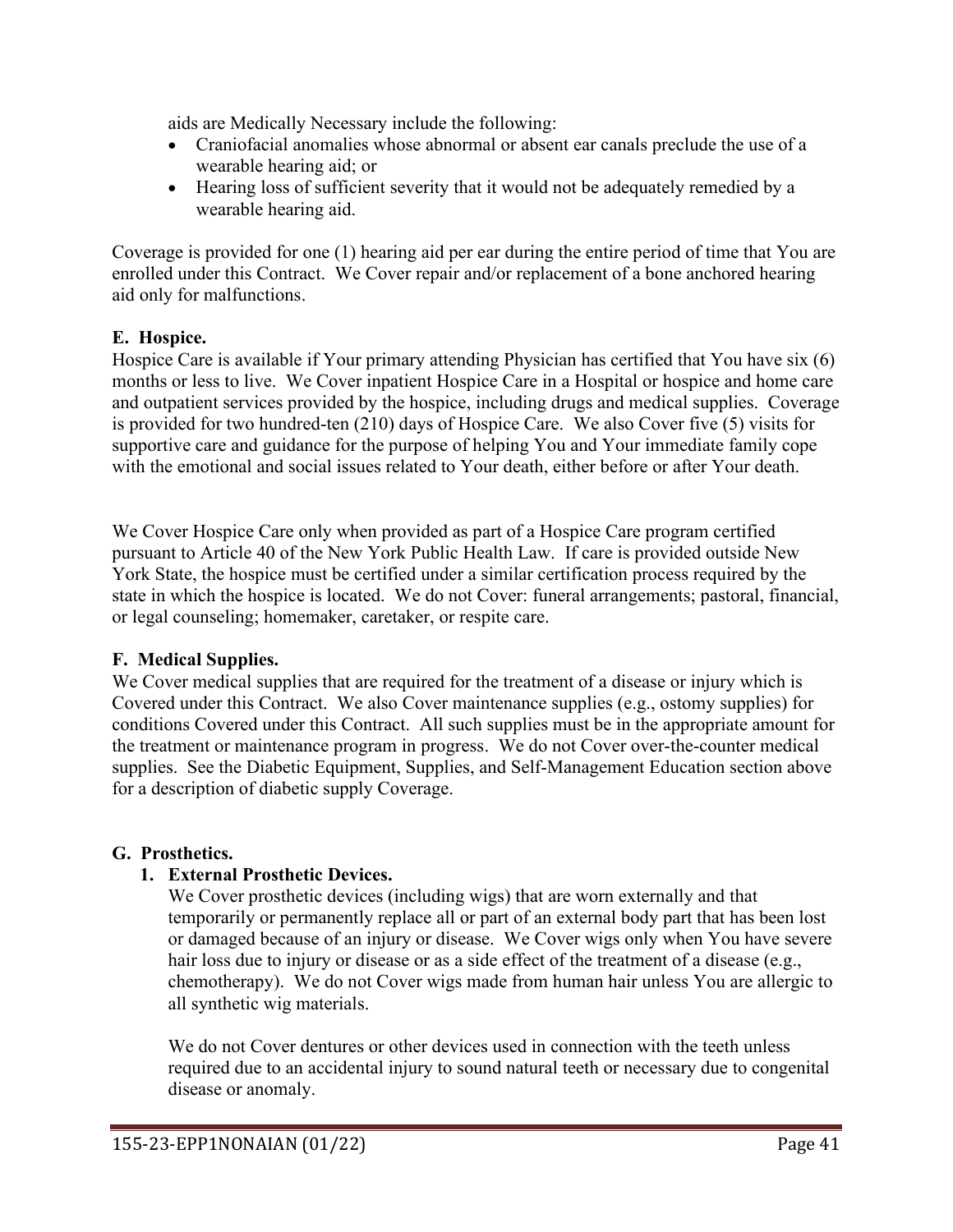aids are Medically Necessary include the following:

- Craniofacial anomalies whose abnormal or absent ear canals preclude the use of a wearable hearing aid; or
- Hearing loss of sufficient severity that it would not be adequately remedied by a wearable hearing aid.

Coverage is provided for one (1) hearing aid per ear during the entire period of time that You are enrolled under this Contract. We Cover repair and/or replacement of a bone anchored hearing aid only for malfunctions.

### **E. Hospice.**

Hospice Care is available if Your primary attending Physician has certified that You have six (6) months or less to live. We Cover inpatient Hospice Care in a Hospital or hospice and home care and outpatient services provided by the hospice, including drugs and medical supplies. Coverage is provided for two hundred-ten (210) days of Hospice Care. We also Cover five (5) visits for supportive care and guidance for the purpose of helping You and Your immediate family cope with the emotional and social issues related to Your death, either before or after Your death.

We Cover Hospice Care only when provided as part of a Hospice Care program certified pursuant to Article 40 of the New York Public Health Law. If care is provided outside New York State, the hospice must be certified under a similar certification process required by the state in which the hospice is located. We do not Cover: funeral arrangements; pastoral, financial, or legal counseling; homemaker, caretaker, or respite care.

# **F. Medical Supplies.**

We Cover medical supplies that are required for the treatment of a disease or injury which is Covered under this Contract. We also Cover maintenance supplies (e.g., ostomy supplies) for conditions Covered under this Contract. All such supplies must be in the appropriate amount for the treatment or maintenance program in progress. We do not Cover over-the-counter medical supplies. See the Diabetic Equipment, Supplies, and Self-Management Education section above for a description of diabetic supply Coverage.

# **G. Prosthetics.**

# **1. External Prosthetic Devices.**

We Cover prosthetic devices (including wigs) that are worn externally and that temporarily or permanently replace all or part of an external body part that has been lost or damaged because of an injury or disease. We Cover wigs only when You have severe hair loss due to injury or disease or as a side effect of the treatment of a disease (e.g., chemotherapy). We do not Cover wigs made from human hair unless You are allergic to all synthetic wig materials.

We do not Cover dentures or other devices used in connection with the teeth unless required due to an accidental injury to sound natural teeth or necessary due to congenital disease or anomaly.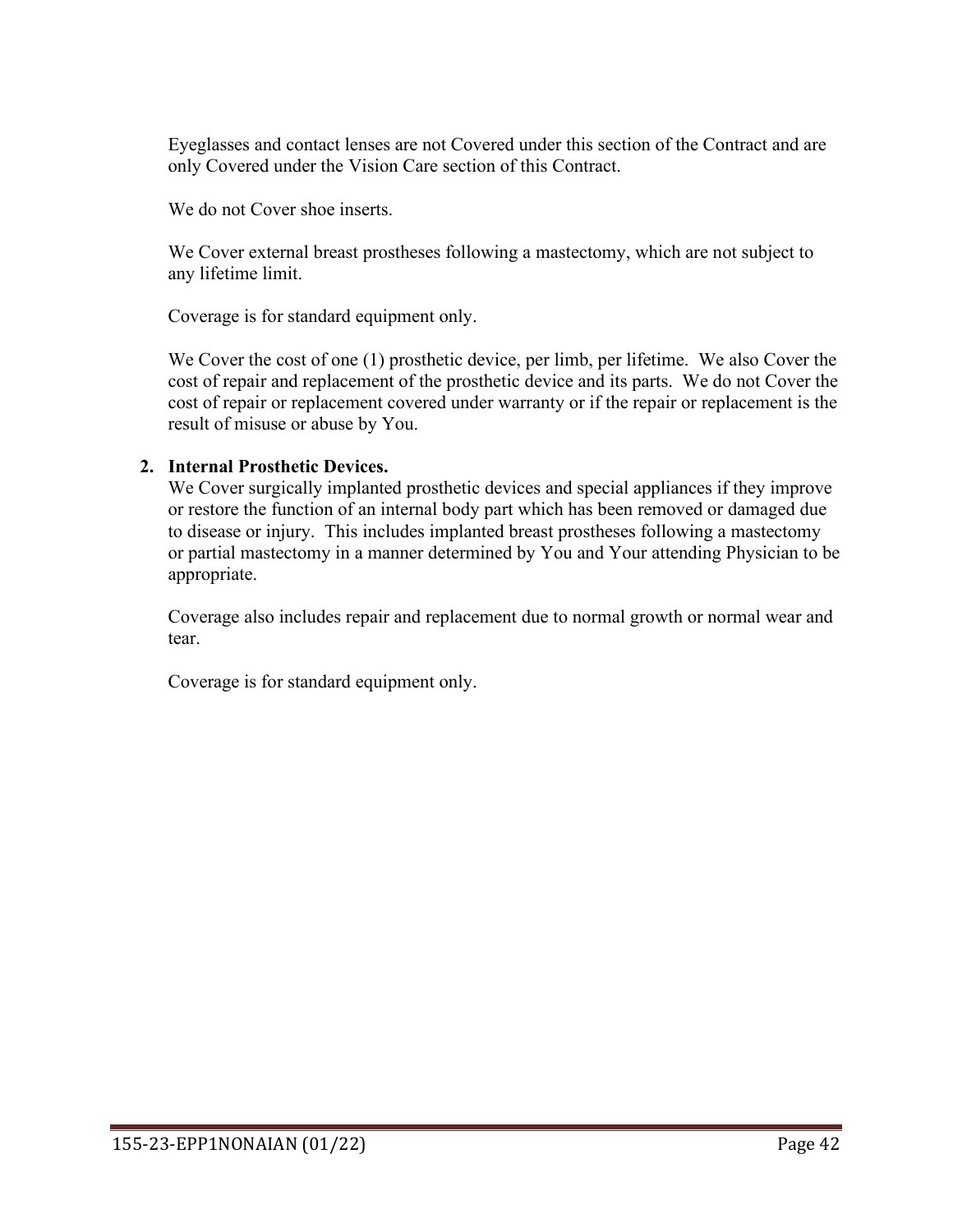Eyeglasses and contact lenses are not Covered under this section of the Contract and are only Covered under the Vision Care section of this Contract.

We do not Cover shoe inserts.

We Cover external breast prostheses following a mastectomy, which are not subject to any lifetime limit.

Coverage is for standard equipment only.

We Cover the cost of one (1) prosthetic device, per limb, per lifetime. We also Cover the cost of repair and replacement of the prosthetic device and its parts. We do not Cover the cost of repair or replacement covered under warranty or if the repair or replacement is the result of misuse or abuse by You.

# **2. Internal Prosthetic Devices.**

We Cover surgically implanted prosthetic devices and special appliances if they improve or restore the function of an internal body part which has been removed or damaged due to disease or injury. This includes implanted breast prostheses following a mastectomy or partial mastectomy in a manner determined by You and Your attending Physician to be appropriate.

Coverage also includes repair and replacement due to normal growth or normal wear and tear.

Coverage is for standard equipment only.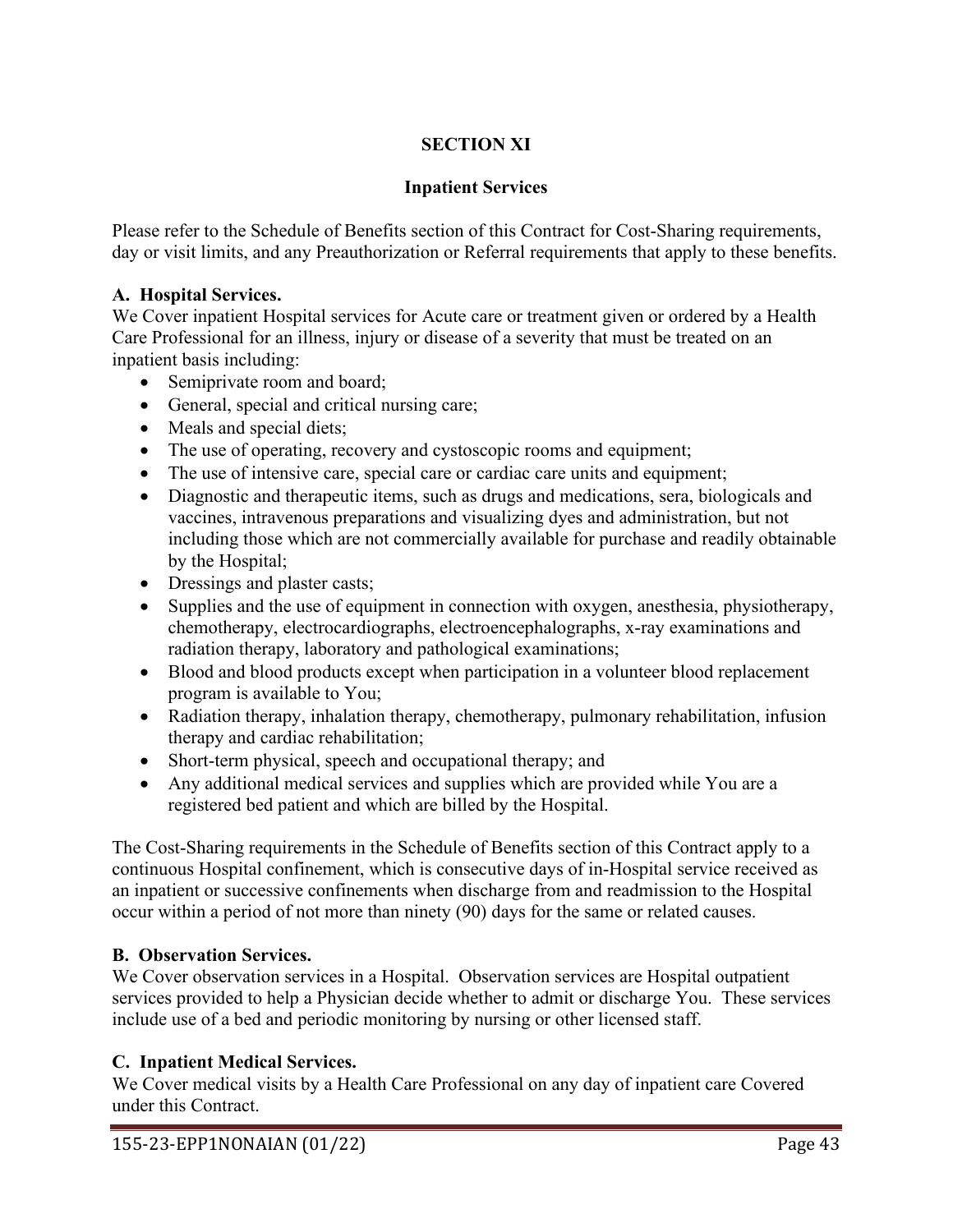# **SECTION XI**

# **Inpatient Services**

Please refer to the Schedule of Benefits section of this Contract for Cost-Sharing requirements, day or visit limits, and any Preauthorization or Referral requirements that apply to these benefits.

## **A. Hospital Services.**

We Cover inpatient Hospital services for Acute care or treatment given or ordered by a Health Care Professional for an illness, injury or disease of a severity that must be treated on an inpatient basis including:

- Semiprivate room and board;
- General, special and critical nursing care;
- Meals and special diets;
- The use of operating, recovery and cystoscopic rooms and equipment;
- The use of intensive care, special care or cardiac care units and equipment;
- Diagnostic and therapeutic items, such as drugs and medications, sera, biologicals and vaccines, intravenous preparations and visualizing dyes and administration, but not including those which are not commercially available for purchase and readily obtainable by the Hospital;
- Dressings and plaster casts;
- Supplies and the use of equipment in connection with oxygen, anesthesia, physiotherapy, chemotherapy, electrocardiographs, electroencephalographs, x-ray examinations and radiation therapy, laboratory and pathological examinations;
- Blood and blood products except when participation in a volunteer blood replacement program is available to You;
- Radiation therapy, inhalation therapy, chemotherapy, pulmonary rehabilitation, infusion therapy and cardiac rehabilitation;
- Short-term physical, speech and occupational therapy; and
- Any additional medical services and supplies which are provided while You are a registered bed patient and which are billed by the Hospital.

The Cost-Sharing requirements in the Schedule of Benefits section of this Contract apply to a continuous Hospital confinement, which is consecutive days of in-Hospital service received as an inpatient or successive confinements when discharge from and readmission to the Hospital occur within a period of not more than ninety (90) days for the same or related causes.

# **B. Observation Services.**

We Cover observation services in a Hospital. Observation services are Hospital outpatient services provided to help a Physician decide whether to admit or discharge You. These services include use of a bed and periodic monitoring by nursing or other licensed staff.

# **C. Inpatient Medical Services.**

We Cover medical visits by a Health Care Professional on any day of inpatient care Covered under this Contract.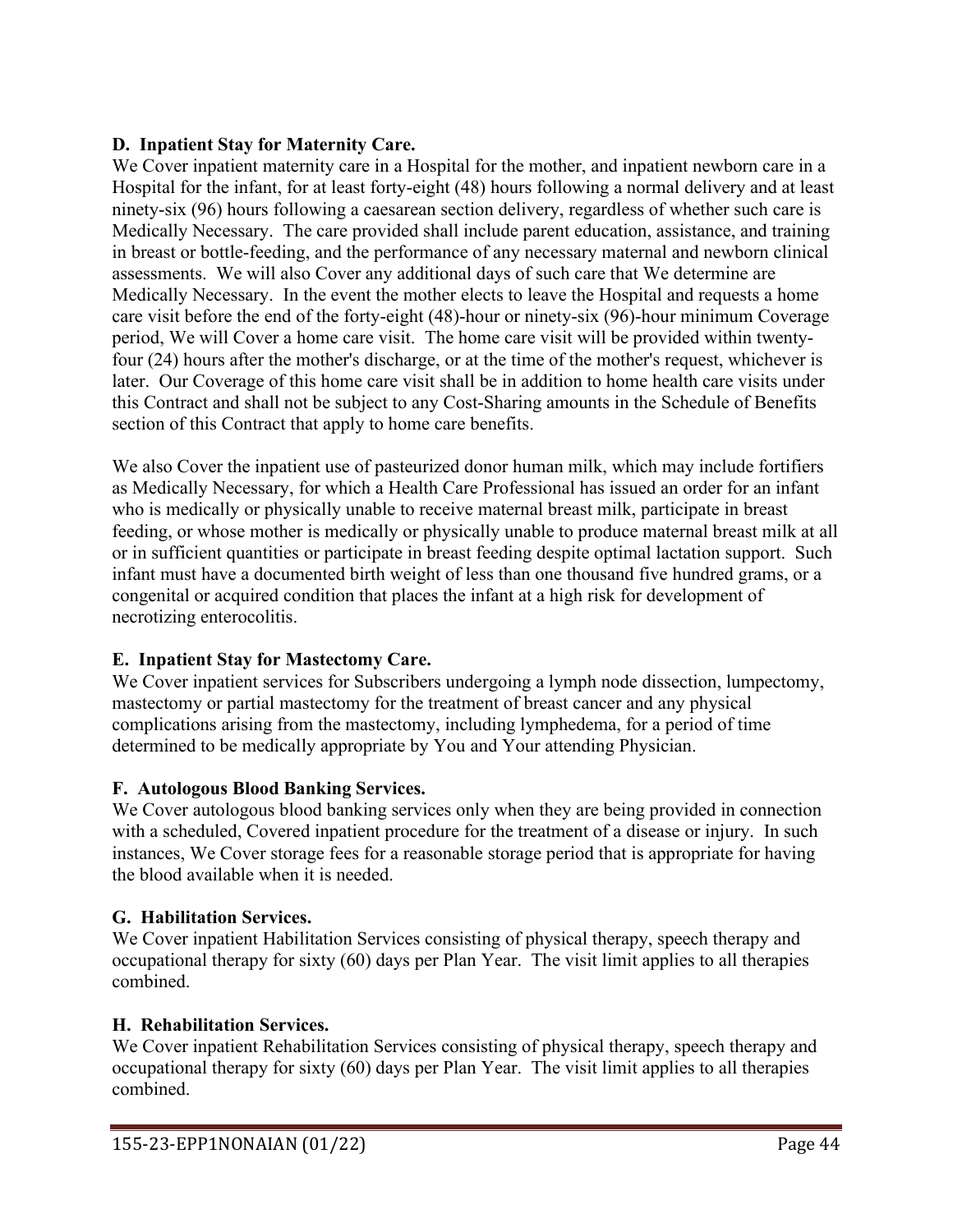## **D. Inpatient Stay for Maternity Care.**

We Cover inpatient maternity care in a Hospital for the mother, and inpatient newborn care in a Hospital for the infant, for at least forty-eight (48) hours following a normal delivery and at least ninety-six (96) hours following a caesarean section delivery, regardless of whether such care is Medically Necessary. The care provided shall include parent education, assistance, and training in breast or bottle-feeding, and the performance of any necessary maternal and newborn clinical assessments. We will also Cover any additional days of such care that We determine are Medically Necessary. In the event the mother elects to leave the Hospital and requests a home care visit before the end of the forty-eight (48)-hour or ninety-six (96)-hour minimum Coverage period, We will Cover a home care visit. The home care visit will be provided within twentyfour (24) hours after the mother's discharge, or at the time of the mother's request, whichever is later. Our Coverage of this home care visit shall be in addition to home health care visits under this Contract and shall not be subject to any Cost-Sharing amounts in the Schedule of Benefits section of this Contract that apply to home care benefits.

We also Cover the inpatient use of pasteurized donor human milk, which may include fortifiers as Medically Necessary, for which a Health Care Professional has issued an order for an infant who is medically or physically unable to receive maternal breast milk, participate in breast feeding, or whose mother is medically or physically unable to produce maternal breast milk at all or in sufficient quantities or participate in breast feeding despite optimal lactation support. Such infant must have a documented birth weight of less than one thousand five hundred grams, or a congenital or acquired condition that places the infant at a high risk for development of necrotizing enterocolitis.

# **E. Inpatient Stay for Mastectomy Care.**

We Cover inpatient services for Subscribers undergoing a lymph node dissection, lumpectomy, mastectomy or partial mastectomy for the treatment of breast cancer and any physical complications arising from the mastectomy, including lymphedema, for a period of time determined to be medically appropriate by You and Your attending Physician.

### **F. Autologous Blood Banking Services.**

We Cover autologous blood banking services only when they are being provided in connection with a scheduled, Covered inpatient procedure for the treatment of a disease or injury. In such instances, We Cover storage fees for a reasonable storage period that is appropriate for having the blood available when it is needed.

### **G. Habilitation Services.**

We Cover inpatient Habilitation Services consisting of physical therapy, speech therapy and occupational therapy for sixty (60) days per Plan Year. The visit limit applies to all therapies combined.

### **H. Rehabilitation Services.**

We Cover inpatient Rehabilitation Services consisting of physical therapy, speech therapy and occupational therapy for sixty (60) days per Plan Year. The visit limit applies to all therapies combined.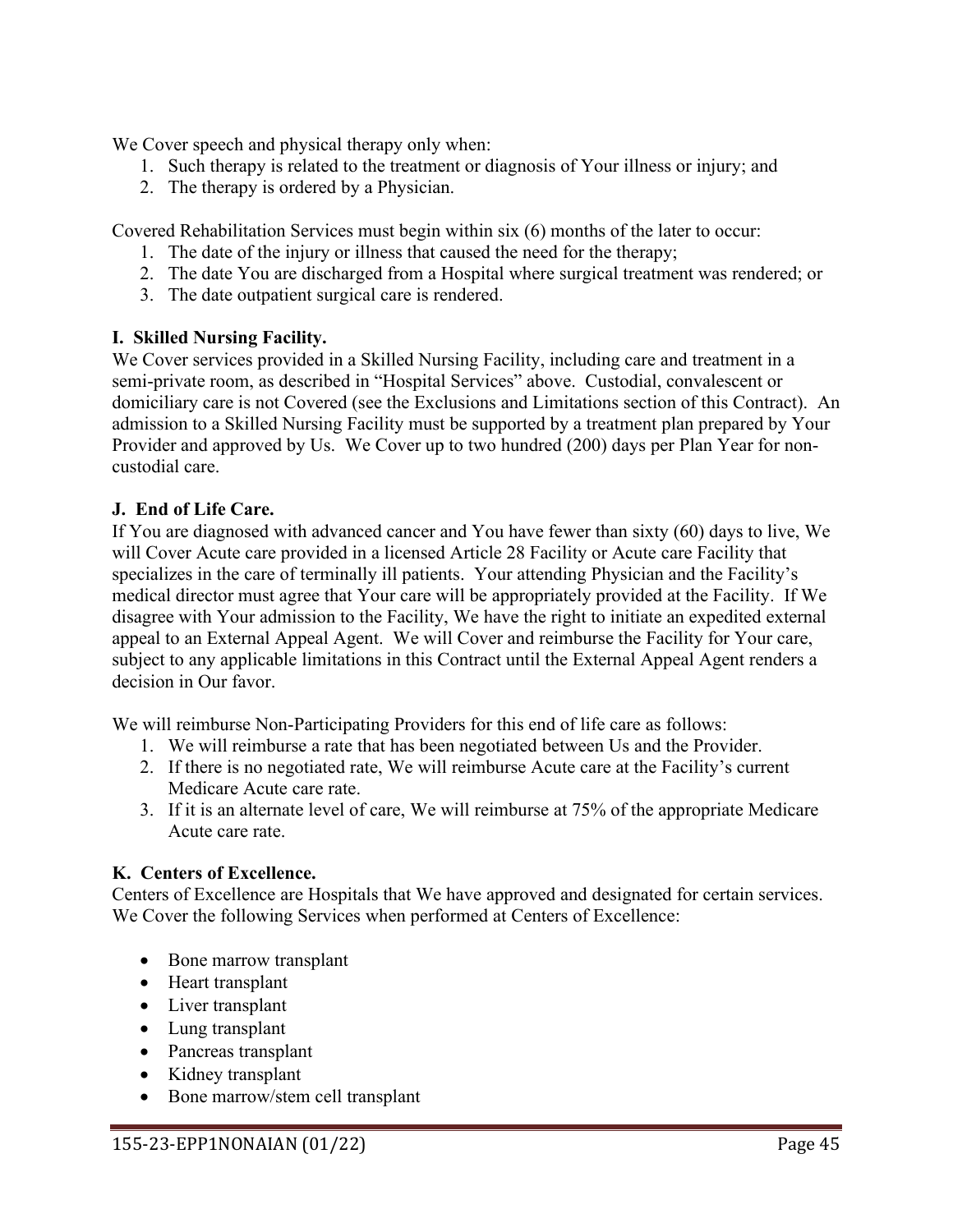We Cover speech and physical therapy only when:

- 1. Such therapy is related to the treatment or diagnosis of Your illness or injury; and
- 2. The therapy is ordered by a Physician.

Covered Rehabilitation Services must begin within six (6) months of the later to occur:

- 1. The date of the injury or illness that caused the need for the therapy;
- 2. The date You are discharged from a Hospital where surgical treatment was rendered; or
- 3. The date outpatient surgical care is rendered.

### **I. Skilled Nursing Facility.**

We Cover services provided in a Skilled Nursing Facility, including care and treatment in a semi-private room, as described in "Hospital Services" above. Custodial, convalescent or domiciliary care is not Covered (see the Exclusions and Limitations section of this Contract). An admission to a Skilled Nursing Facility must be supported by a treatment plan prepared by Your Provider and approved by Us. We Cover up to two hundred (200) days per Plan Year for noncustodial care.

### **J. End of Life Care.**

If You are diagnosed with advanced cancer and You have fewer than sixty (60) days to live, We will Cover Acute care provided in a licensed Article 28 Facility or Acute care Facility that specializes in the care of terminally ill patients. Your attending Physician and the Facility's medical director must agree that Your care will be appropriately provided at the Facility. If We disagree with Your admission to the Facility, We have the right to initiate an expedited external appeal to an External Appeal Agent. We will Cover and reimburse the Facility for Your care, subject to any applicable limitations in this Contract until the External Appeal Agent renders a decision in Our favor.

We will reimburse Non-Participating Providers for this end of life care as follows:

- 1. We will reimburse a rate that has been negotiated between Us and the Provider.
- 2. If there is no negotiated rate, We will reimburse Acute care at the Facility's current Medicare Acute care rate.
- 3. If it is an alternate level of care, We will reimburse at 75% of the appropriate Medicare Acute care rate.

### **K. Centers of Excellence.**

Centers of Excellence are Hospitals that We have approved and designated for certain services. We Cover the following Services when performed at Centers of Excellence:

- Bone marrow transplant
- Heart transplant
- Liver transplant
- Lung transplant
- Pancreas transplant
- Kidney transplant
- Bone marrow/stem cell transplant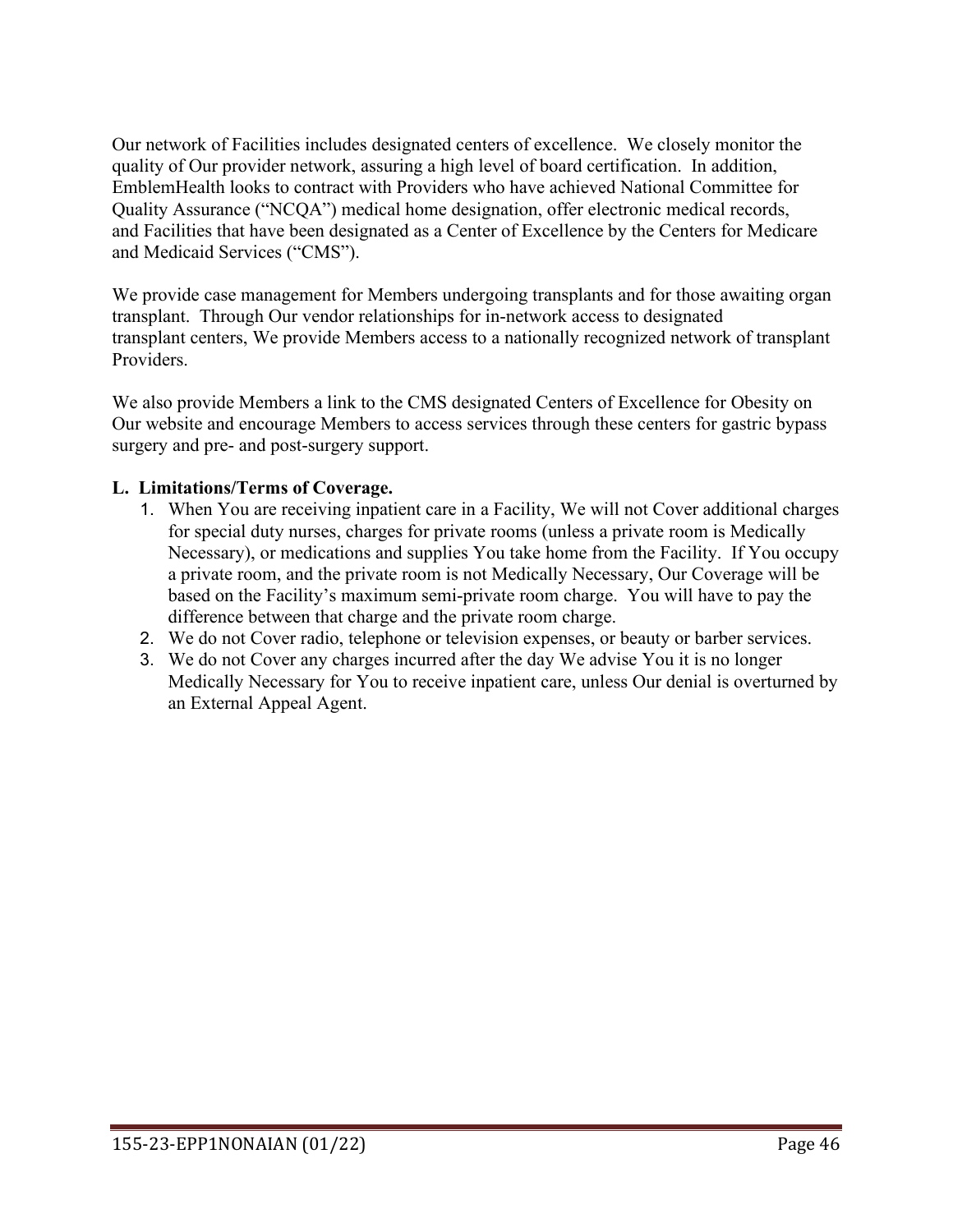Our network of Facilities includes designated centers of excellence. We closely monitor the quality of Our provider network, assuring a high level of board certification. In addition, EmblemHealth looks to contract with Providers who have achieved National Committee for Quality Assurance ("NCQA") medical home designation, offer electronic medical records, and Facilities that have been designated as a Center of Excellence by the Centers for Medicare and Medicaid Services ("CMS").

We provide case management for Members undergoing transplants and for those awaiting organ transplant. Through Our vendor relationships for in-network access to designated transplant centers, We provide Members access to a nationally recognized network of transplant Providers.

We also provide Members a link to the CMS designated Centers of Excellence for Obesity on Our website and encourage Members to access services through these centers for gastric bypass surgery and pre- and post-surgery support.

### **L. Limitations/Terms of Coverage.**

- 1. When You are receiving inpatient care in a Facility, We will not Cover additional charges for special duty nurses, charges for private rooms (unless a private room is Medically Necessary), or medications and supplies You take home from the Facility. If You occupy a private room, and the private room is not Medically Necessary, Our Coverage will be based on the Facility's maximum semi-private room charge. You will have to pay the difference between that charge and the private room charge.
- 2. We do not Cover radio, telephone or television expenses, or beauty or barber services.
- 3. We do not Cover any charges incurred after the day We advise You it is no longer Medically Necessary for You to receive inpatient care, unless Our denial is overturned by an External Appeal Agent.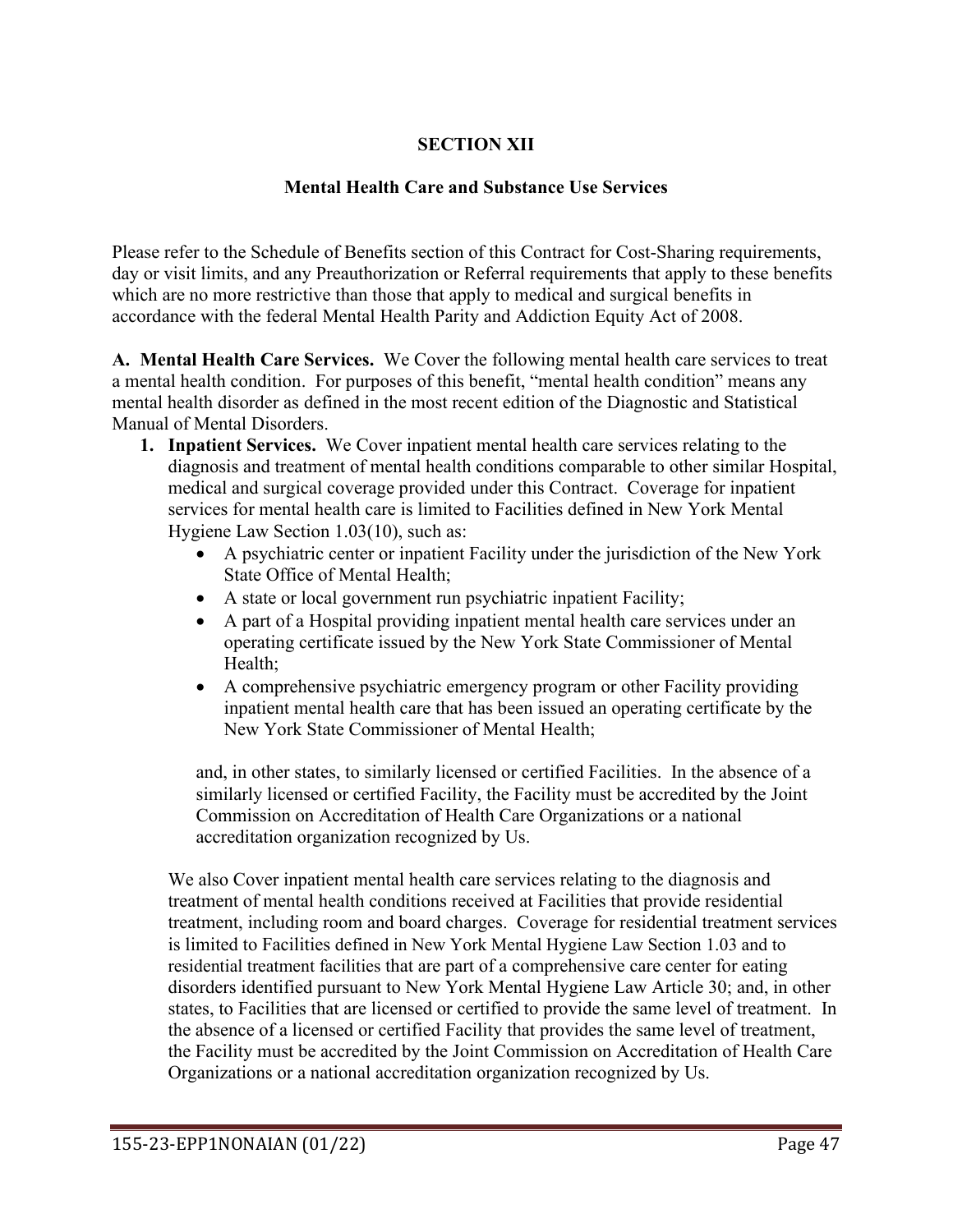# **SECTION XII**

#### **Mental Health Care and Substance Use Services**

Please refer to the Schedule of Benefits section of this Contract for Cost-Sharing requirements, day or visit limits, and any Preauthorization or Referral requirements that apply to these benefits which are no more restrictive than those that apply to medical and surgical benefits in accordance with the federal Mental Health Parity and Addiction Equity Act of 2008.

**A. Mental Health Care Services.** We Cover the following mental health care services to treat a mental health condition. For purposes of this benefit, "mental health condition" means any mental health disorder as defined in the most recent edition of the Diagnostic and Statistical Manual of Mental Disorders.

- **1. Inpatient Services.** We Cover inpatient mental health care services relating to the diagnosis and treatment of mental health conditions comparable to other similar Hospital, medical and surgical coverage provided under this Contract. Coverage for inpatient services for mental health care is limited to Facilities defined in New York Mental Hygiene Law Section 1.03(10), such as:
	- A psychiatric center or inpatient Facility under the jurisdiction of the New York State Office of Mental Health;
	- A state or local government run psychiatric inpatient Facility;
	- A part of a Hospital providing inpatient mental health care services under an operating certificate issued by the New York State Commissioner of Mental Health;
	- A comprehensive psychiatric emergency program or other Facility providing inpatient mental health care that has been issued an operating certificate by the New York State Commissioner of Mental Health;

and, in other states, to similarly licensed or certified Facilities. In the absence of a similarly licensed or certified Facility, the Facility must be accredited by the Joint Commission on Accreditation of Health Care Organizations or a national accreditation organization recognized by Us.

We also Cover inpatient mental health care services relating to the diagnosis and treatment of mental health conditions received at Facilities that provide residential treatment, including room and board charges. Coverage for residential treatment services is limited to Facilities defined in New York Mental Hygiene Law Section 1.03 and to residential treatment facilities that are part of a comprehensive care center for eating disorders identified pursuant to New York Mental Hygiene Law Article 30; and, in other states, to Facilities that are licensed or certified to provide the same level of treatment. In the absence of a licensed or certified Facility that provides the same level of treatment, the Facility must be accredited by the Joint Commission on Accreditation of Health Care Organizations or a national accreditation organization recognized by Us.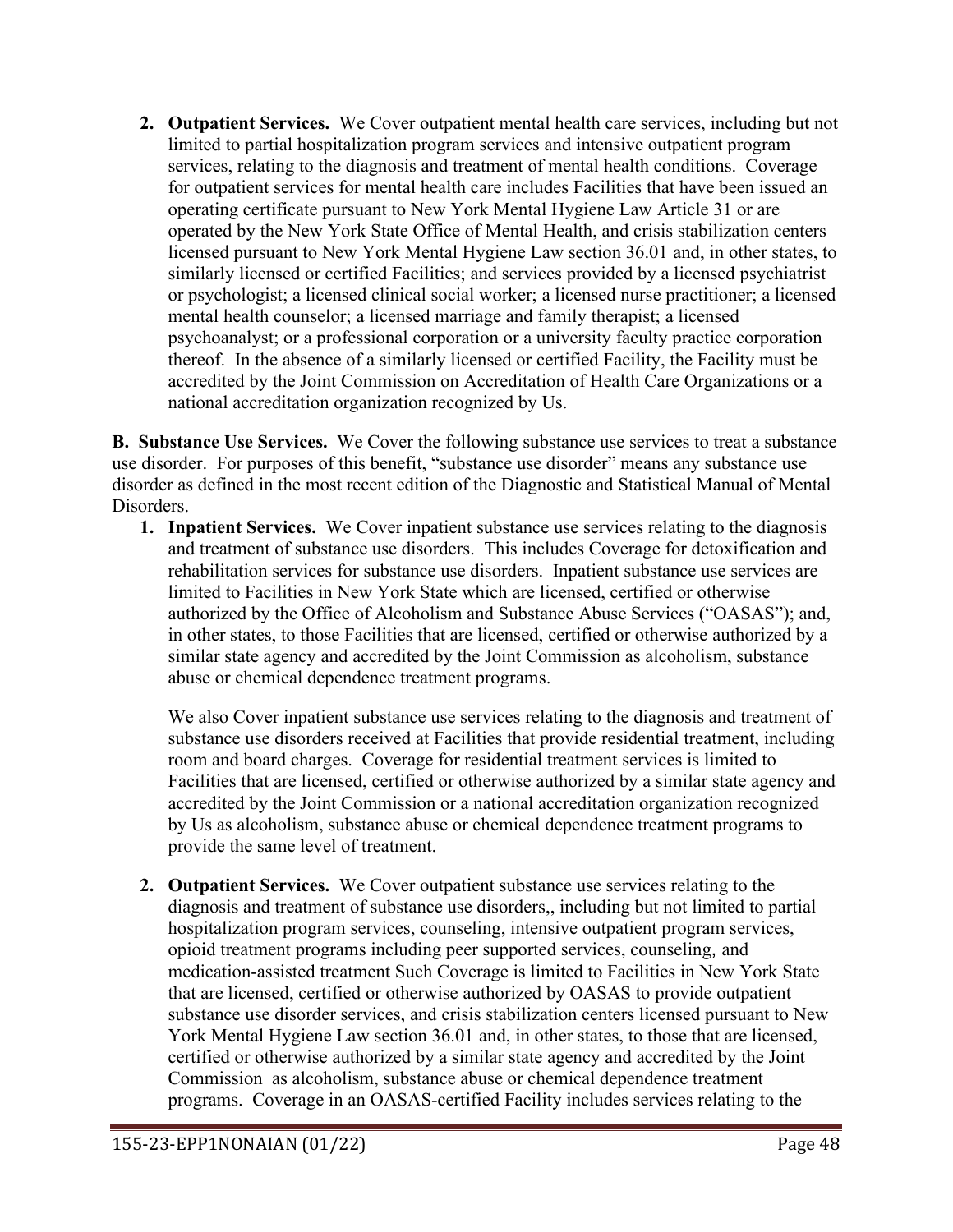**2. Outpatient Services.** We Cover outpatient mental health care services, including but not limited to partial hospitalization program services and intensive outpatient program services, relating to the diagnosis and treatment of mental health conditions. Coverage for outpatient services for mental health care includes Facilities that have been issued an operating certificate pursuant to New York Mental Hygiene Law Article 31 or are operated by the New York State Office of Mental Health, and crisis stabilization centers licensed pursuant to New York Mental Hygiene Law section 36.01 and, in other states, to similarly licensed or certified Facilities; and services provided by a licensed psychiatrist or psychologist; a licensed clinical social worker; a licensed nurse practitioner; a licensed mental health counselor; a licensed marriage and family therapist; a licensed psychoanalyst; or a professional corporation or a university faculty practice corporation thereof. In the absence of a similarly licensed or certified Facility, the Facility must be accredited by the Joint Commission on Accreditation of Health Care Organizations or a national accreditation organization recognized by Us.

**B. Substance Use Services.** We Cover the following substance use services to treat a substance use disorder. For purposes of this benefit, "substance use disorder" means any substance use disorder as defined in the most recent edition of the Diagnostic and Statistical Manual of Mental Disorders.

**1. Inpatient Services.** We Cover inpatient substance use services relating to the diagnosis and treatment of substance use disorders. This includes Coverage for detoxification and rehabilitation services for substance use disorders. Inpatient substance use services are limited to Facilities in New York State which are licensed, certified or otherwise authorized by the Office of Alcoholism and Substance Abuse Services ("OASAS"); and, in other states, to those Facilities that are licensed, certified or otherwise authorized by a similar state agency and accredited by the Joint Commission as alcoholism, substance abuse or chemical dependence treatment programs.

We also Cover inpatient substance use services relating to the diagnosis and treatment of substance use disorders received at Facilities that provide residential treatment, including room and board charges. Coverage for residential treatment services is limited to Facilities that are licensed, certified or otherwise authorized by a similar state agency and accredited by the Joint Commission or a national accreditation organization recognized by Us as alcoholism, substance abuse or chemical dependence treatment programs to provide the same level of treatment.

**2. Outpatient Services.** We Cover outpatient substance use services relating to the diagnosis and treatment of substance use disorders,, including but not limited to partial hospitalization program services, counseling, intensive outpatient program services, opioid treatment programs including peer supported services, counseling, and medication-assisted treatment Such Coverage is limited to Facilities in New York State that are licensed, certified or otherwise authorized by OASAS to provide outpatient substance use disorder services, and crisis stabilization centers licensed pursuant to New York Mental Hygiene Law section 36.01 and, in other states, to those that are licensed, certified or otherwise authorized by a similar state agency and accredited by the Joint Commission as alcoholism, substance abuse or chemical dependence treatment programs. Coverage in an OASAS-certified Facility includes services relating to the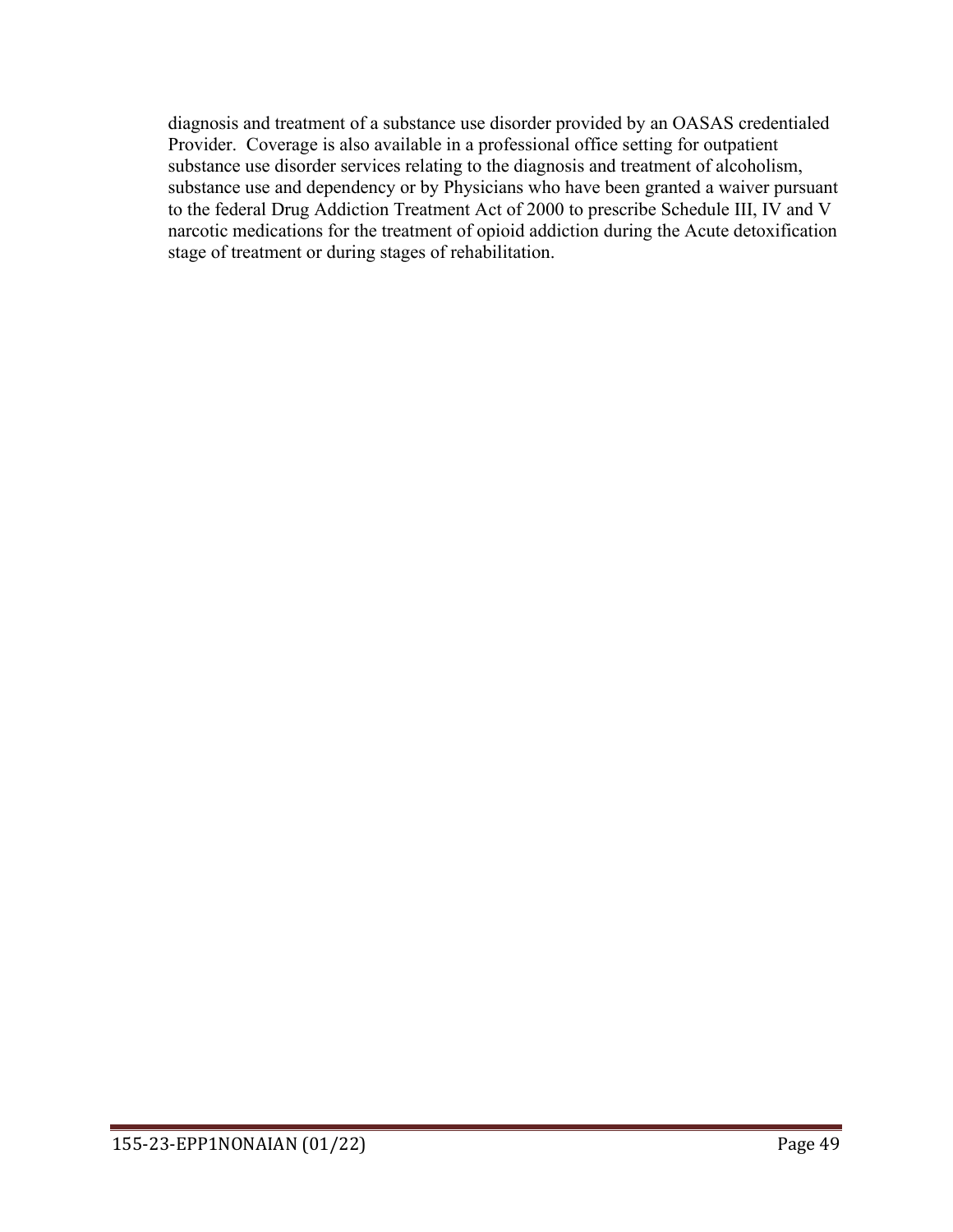diagnosis and treatment of a substance use disorder provided by an OASAS credentialed Provider. Coverage is also available in a professional office setting for outpatient substance use disorder services relating to the diagnosis and treatment of alcoholism, substance use and dependency or by Physicians who have been granted a waiver pursuant to the federal Drug Addiction Treatment Act of 2000 to prescribe Schedule III, IV and V narcotic medications for the treatment of opioid addiction during the Acute detoxification stage of treatment or during stages of rehabilitation.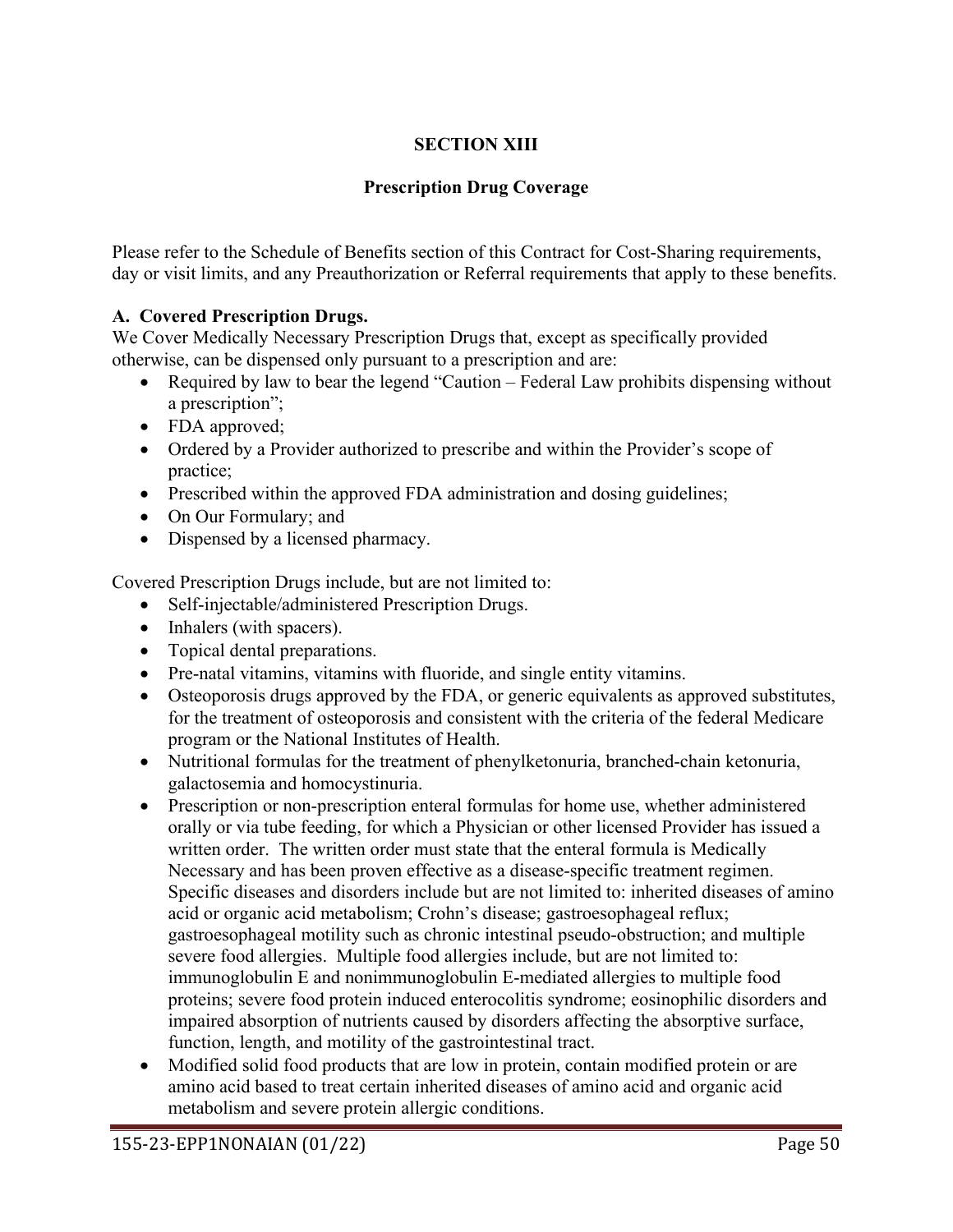# **SECTION XIII**

# **Prescription Drug Coverage**

Please refer to the Schedule of Benefits section of this Contract for Cost-Sharing requirements, day or visit limits, and any Preauthorization or Referral requirements that apply to these benefits.

# **A. Covered Prescription Drugs.**

We Cover Medically Necessary Prescription Drugs that, except as specifically provided otherwise, can be dispensed only pursuant to a prescription and are:

- Required by law to bear the legend "Caution Federal Law prohibits dispensing without a prescription";
- FDA approved;
- Ordered by a Provider authorized to prescribe and within the Provider's scope of practice;
- Prescribed within the approved FDA administration and dosing guidelines;
- On Our Formulary; and
- Dispensed by a licensed pharmacy.

Covered Prescription Drugs include, but are not limited to:

- Self-injectable/administered Prescription Drugs.
- Inhalers (with spacers).
- Topical dental preparations.
- Pre-natal vitamins, vitamins with fluoride, and single entity vitamins.
- Osteoporosis drugs approved by the FDA, or generic equivalents as approved substitutes, for the treatment of osteoporosis and consistent with the criteria of the federal Medicare program or the National Institutes of Health.
- Nutritional formulas for the treatment of phenylketonuria, branched-chain ketonuria, galactosemia and homocystinuria.
- Prescription or non-prescription enteral formulas for home use, whether administered orally or via tube feeding, for which a Physician or other licensed Provider has issued a written order. The written order must state that the enteral formula is Medically Necessary and has been proven effective as a disease-specific treatment regimen. Specific diseases and disorders include but are not limited to: inherited diseases of amino acid or organic acid metabolism; Crohn's disease; gastroesophageal reflux; gastroesophageal motility such as chronic intestinal pseudo-obstruction; and multiple severe food allergies. Multiple food allergies include, but are not limited to: immunoglobulin E and nonimmunoglobulin E-mediated allergies to multiple food proteins; severe food protein induced enterocolitis syndrome; eosinophilic disorders and impaired absorption of nutrients caused by disorders affecting the absorptive surface, function, length, and motility of the gastrointestinal tract.
- Modified solid food products that are low in protein, contain modified protein or are amino acid based to treat certain inherited diseases of amino acid and organic acid metabolism and severe protein allergic conditions.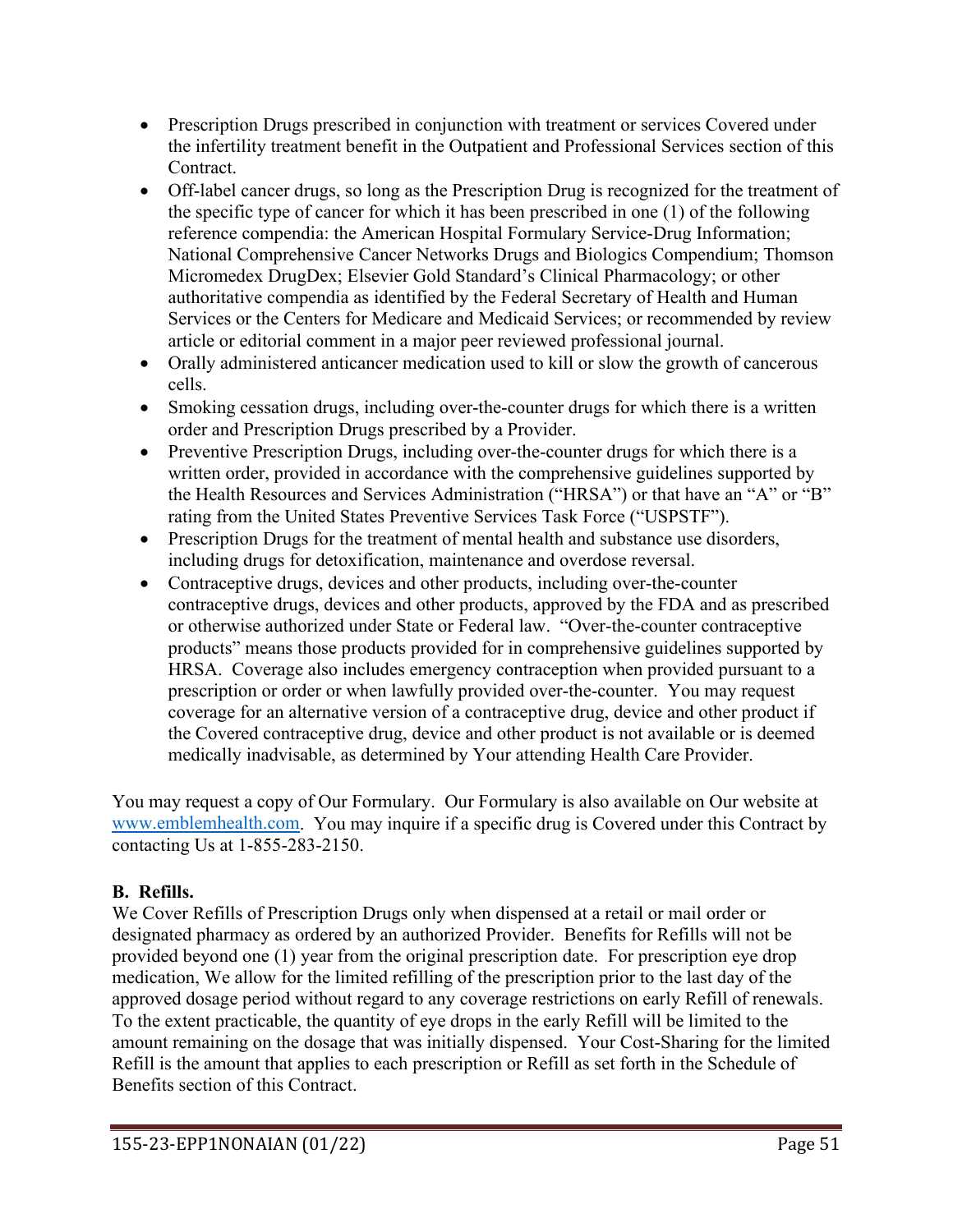- Prescription Drugs prescribed in conjunction with treatment or services Covered under the infertility treatment benefit in the Outpatient and Professional Services section of this Contract.
- Off-label cancer drugs, so long as the Prescription Drug is recognized for the treatment of the specific type of cancer for which it has been prescribed in one (1) of the following reference compendia: the American Hospital Formulary Service-Drug Information; National Comprehensive Cancer Networks Drugs and Biologics Compendium; Thomson Micromedex DrugDex; Elsevier Gold Standard's Clinical Pharmacology; or other authoritative compendia as identified by the Federal Secretary of Health and Human Services or the Centers for Medicare and Medicaid Services; or recommended by review article or editorial comment in a major peer reviewed professional journal.
- Orally administered anticancer medication used to kill or slow the growth of cancerous cells.
- Smoking cessation drugs, including over-the-counter drugs for which there is a written order and Prescription Drugs prescribed by a Provider.
- Preventive Prescription Drugs, including over-the-counter drugs for which there is a written order, provided in accordance with the comprehensive guidelines supported by the Health Resources and Services Administration ("HRSA") or that have an "A" or "B" rating from the United States Preventive Services Task Force ("USPSTF").
- Prescription Drugs for the treatment of mental health and substance use disorders, including drugs for detoxification, maintenance and overdose reversal.
- Contraceptive drugs, devices and other products, including over-the-counter contraceptive drugs, devices and other products, approved by the FDA and as prescribed or otherwise authorized under State or Federal law. "Over-the-counter contraceptive products" means those products provided for in comprehensive guidelines supported by HRSA. Coverage also includes emergency contraception when provided pursuant to a prescription or order or when lawfully provided over-the-counter. You may request coverage for an alternative version of a contraceptive drug, device and other product if the Covered contraceptive drug, device and other product is not available or is deemed medically inadvisable, as determined by Your attending Health Care Provider.

You may request a copy of Our Formulary. Our Formulary is also available on Our website at [www.emblemhealth.com.](http://www.emblemhealth.com/) You may inquire if a specific drug is Covered under this Contract by contacting Us at 1-855-283-2150.

# **B. Refills.**

We Cover Refills of Prescription Drugs only when dispensed at a retail or mail order or designated pharmacy as ordered by an authorized Provider. Benefits for Refills will not be provided beyond one (1) year from the original prescription date. For prescription eye drop medication, We allow for the limited refilling of the prescription prior to the last day of the approved dosage period without regard to any coverage restrictions on early Refill of renewals. To the extent practicable, the quantity of eye drops in the early Refill will be limited to the amount remaining on the dosage that was initially dispensed. Your Cost-Sharing for the limited Refill is the amount that applies to each prescription or Refill as set forth in the Schedule of Benefits section of this Contract.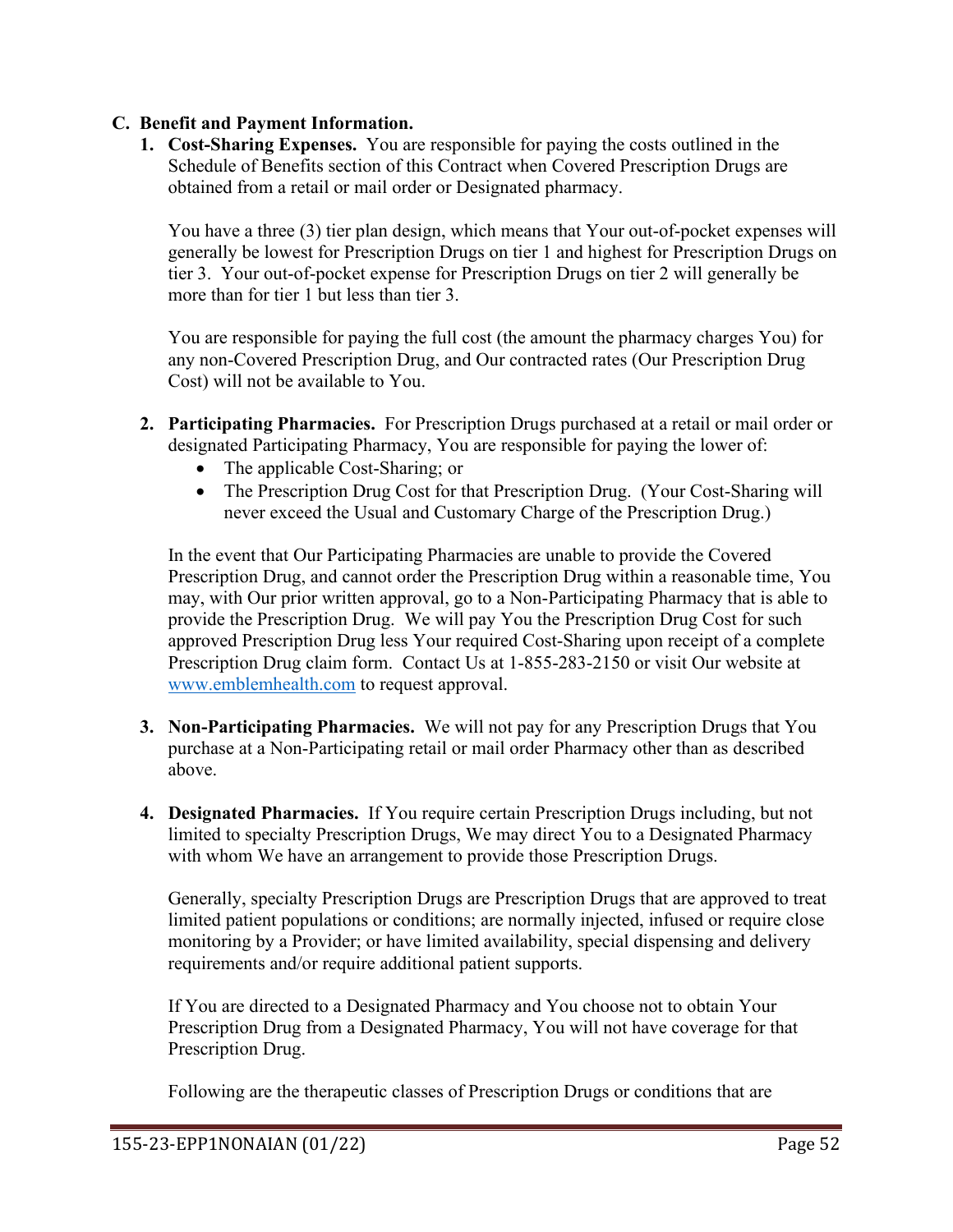### **C. Benefit and Payment Information.**

**1. Cost-Sharing Expenses.** You are responsible for paying the costs outlined in the Schedule of Benefits section of this Contract when Covered Prescription Drugs are obtained from a retail or mail order or Designated pharmacy.

You have a three (3) tier plan design, which means that Your out-of-pocket expenses will generally be lowest for Prescription Drugs on tier 1 and highest for Prescription Drugs on tier 3. Your out-of-pocket expense for Prescription Drugs on tier 2 will generally be more than for tier 1 but less than tier 3.

You are responsible for paying the full cost (the amount the pharmacy charges You) for any non-Covered Prescription Drug, and Our contracted rates (Our Prescription Drug Cost) will not be available to You.

- **2. Participating Pharmacies.** For Prescription Drugs purchased at a retail or mail order or designated Participating Pharmacy, You are responsible for paying the lower of:
	- The applicable Cost-Sharing; or
	- The Prescription Drug Cost for that Prescription Drug. (Your Cost-Sharing will never exceed the Usual and Customary Charge of the Prescription Drug.)

In the event that Our Participating Pharmacies are unable to provide the Covered Prescription Drug, and cannot order the Prescription Drug within a reasonable time, You may, with Our prior written approval, go to a Non-Participating Pharmacy that is able to provide the Prescription Drug. We will pay You the Prescription Drug Cost for such approved Prescription Drug less Your required Cost-Sharing upon receipt of a complete Prescription Drug claim form. Contact Us at 1-855-283-2150 or visit Our website at [www.emblemhealth.com](http://www.emblemhealth.com/) to request approval.

- **3. Non-Participating Pharmacies.** We will not pay for any Prescription Drugs that You purchase at a Non-Participating retail or mail order Pharmacy other than as described above.
- **4. Designated Pharmacies.** If You require certain Prescription Drugs including, but not limited to specialty Prescription Drugs, We may direct You to a Designated Pharmacy with whom We have an arrangement to provide those Prescription Drugs.

Generally, specialty Prescription Drugs are Prescription Drugs that are approved to treat limited patient populations or conditions; are normally injected, infused or require close monitoring by a Provider; or have limited availability, special dispensing and delivery requirements and/or require additional patient supports.

If You are directed to a Designated Pharmacy and You choose not to obtain Your Prescription Drug from a Designated Pharmacy, You will not have coverage for that Prescription Drug.

Following are the therapeutic classes of Prescription Drugs or conditions that are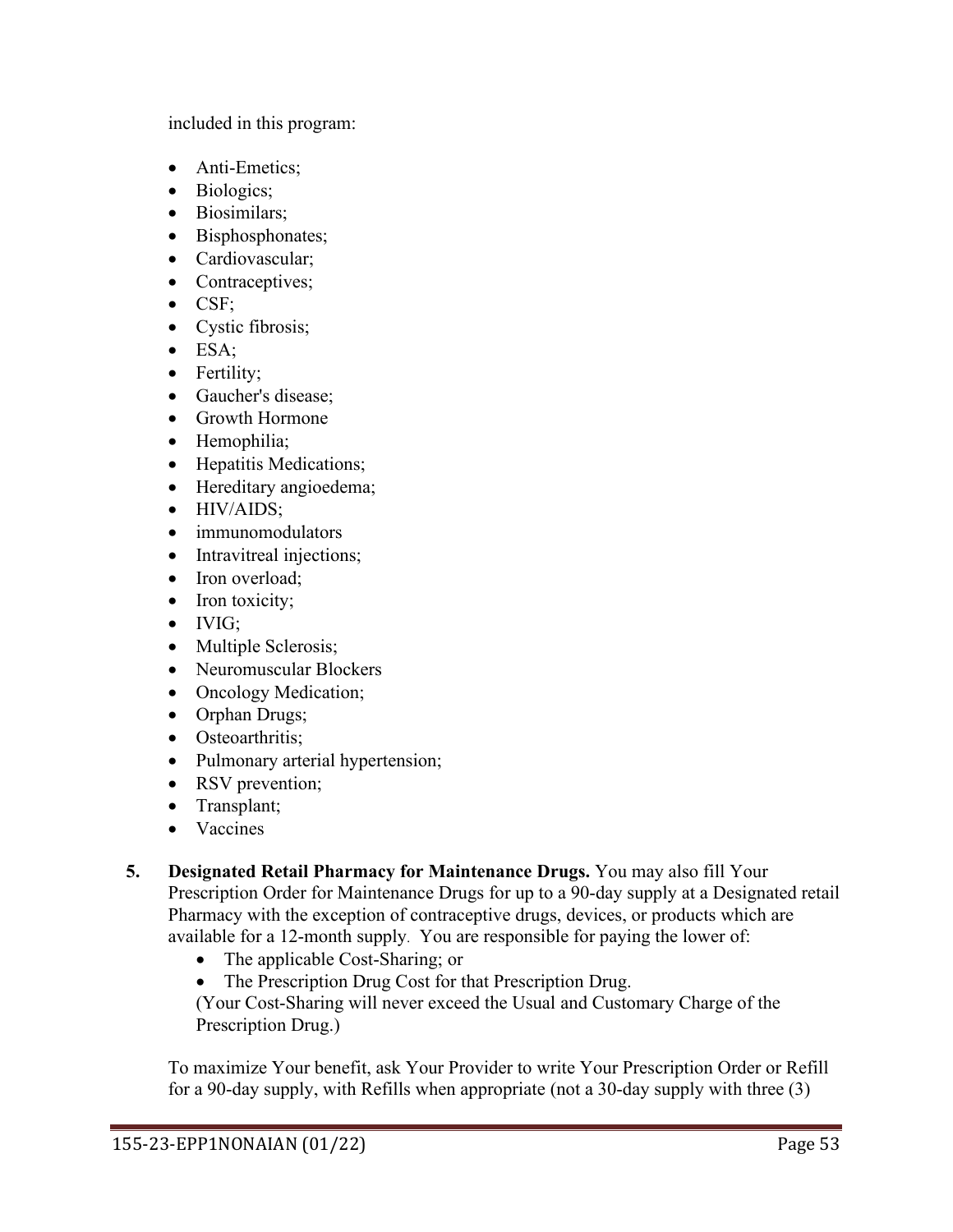included in this program:

- Anti-Emetics;
- Biologics;
- Biosimilars;
- Bisphosphonates;
- Cardiovascular:
- Contraceptives;
- CSF;
- Cystic fibrosis;
- ESA;
- Fertility;
- Gaucher's disease;
- Growth Hormone
- Hemophilia;
- Hepatitis Medications;
- Hereditary angioedema;
- HIV/AIDS:
- immunomodulators
- Intravitreal injections;
- Iron overload;
- Iron toxicity;
- IVIG;
- Multiple Sclerosis;
- Neuromuscular Blockers
- Oncology Medication;
- Orphan Drugs;
- Osteoarthritis;
- Pulmonary arterial hypertension;
- RSV prevention;
- Transplant;
- Vaccines
- **5. Designated Retail Pharmacy for Maintenance Drugs.** You may also fill Your Prescription Order for Maintenance Drugs for up to a 90-day supply at a Designated retail Pharmacy with the exception of contraceptive drugs, devices, or products which are available for a 12-month supply. You are responsible for paying the lower of:
	- The applicable Cost-Sharing; or
	- The Prescription Drug Cost for that Prescription Drug.

(Your Cost-Sharing will never exceed the Usual and Customary Charge of the Prescription Drug.)

To maximize Your benefit, ask Your Provider to write Your Prescription Order or Refill for a 90-day supply, with Refills when appropriate (not a 30-day supply with three (3)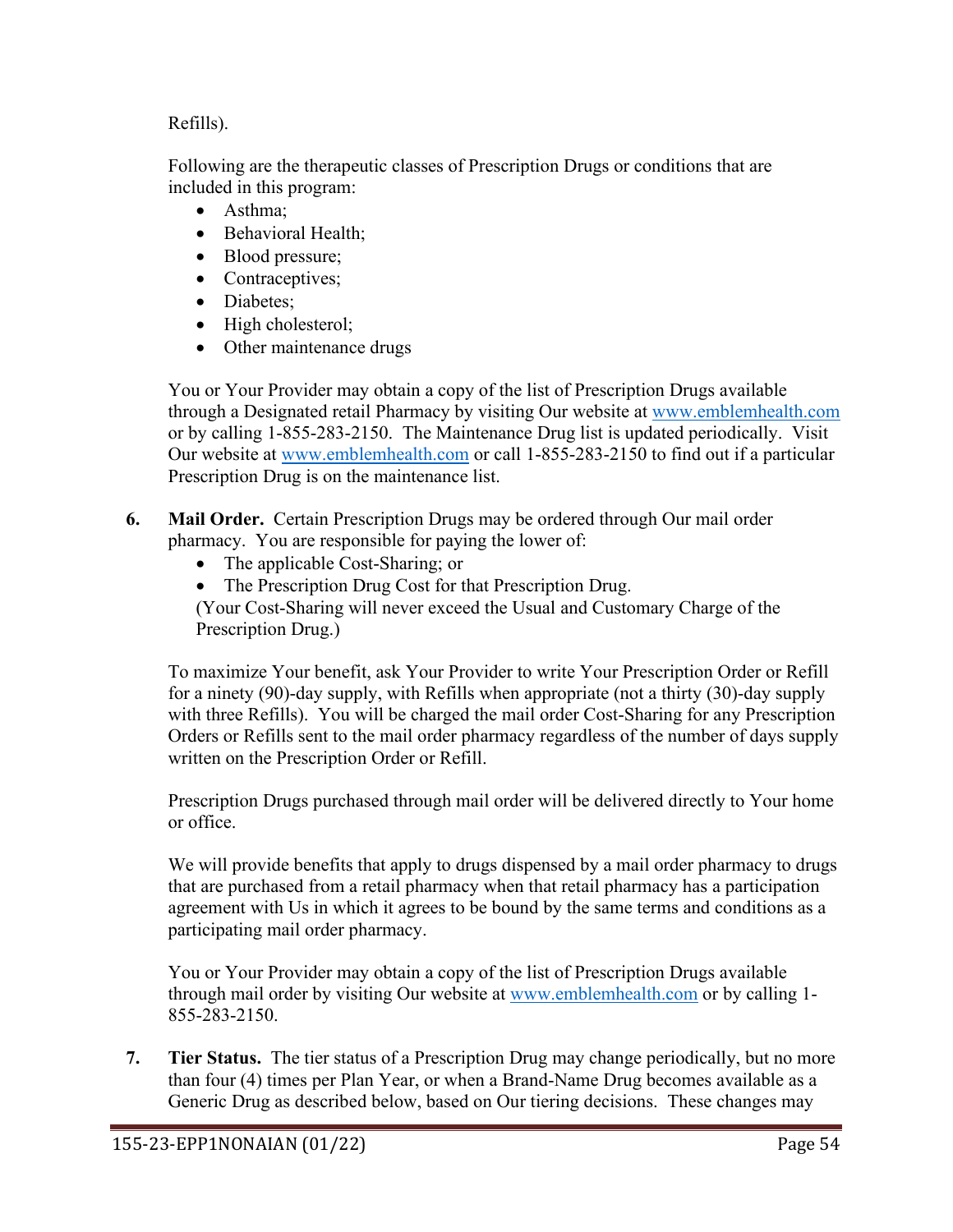### Refills).

Following are the therapeutic classes of Prescription Drugs or conditions that are included in this program:

- Asthma;
- Behavioral Health;
- Blood pressure;
- Contraceptives;
- Diabetes:
- High cholesterol;
- Other maintenance drugs

You or Your Provider may obtain a copy of the list of Prescription Drugs available through a Designated retail Pharmacy by visiting Our website at www.emblemhealth.com or by calling 1-855-283-2150. The Maintenance Drug list is updated periodically. Visit Our website at [www.emblemhealth.com](http://www.emblemhealth.com/) or call 1-855-283-2150 to find out if a particular Prescription Drug is on the maintenance list.

- **6. Mail Order.** Certain Prescription Drugs may be ordered through Our mail order pharmacy. You are responsible for paying the lower of:
	- The applicable Cost-Sharing; or
	- The Prescription Drug Cost for that Prescription Drug.

(Your Cost-Sharing will never exceed the Usual and Customary Charge of the Prescription Drug.)

To maximize Your benefit, ask Your Provider to write Your Prescription Order or Refill for a ninety (90)-day supply, with Refills when appropriate (not a thirty (30)-day supply with three Refills). You will be charged the mail order Cost-Sharing for any Prescription Orders or Refills sent to the mail order pharmacy regardless of the number of days supply written on the Prescription Order or Refill.

Prescription Drugs purchased through mail order will be delivered directly to Your home or office.

We will provide benefits that apply to drugs dispensed by a mail order pharmacy to drugs that are purchased from a retail pharmacy when that retail pharmacy has a participation agreement with Us in which it agrees to be bound by the same terms and conditions as a participating mail order pharmacy.

You or Your Provider may obtain a copy of the list of Prescription Drugs available through mail order by visiting Our website at [www.emblemhealth.com](http://www.emblemhealth.com/) or by calling 1- 855-283-2150.

**7. Tier Status.** The tier status of a Prescription Drug may change periodically, but no more than four (4) times per Plan Year, or when a Brand-Name Drug becomes available as a Generic Drug as described below, based on Our tiering decisions. These changes may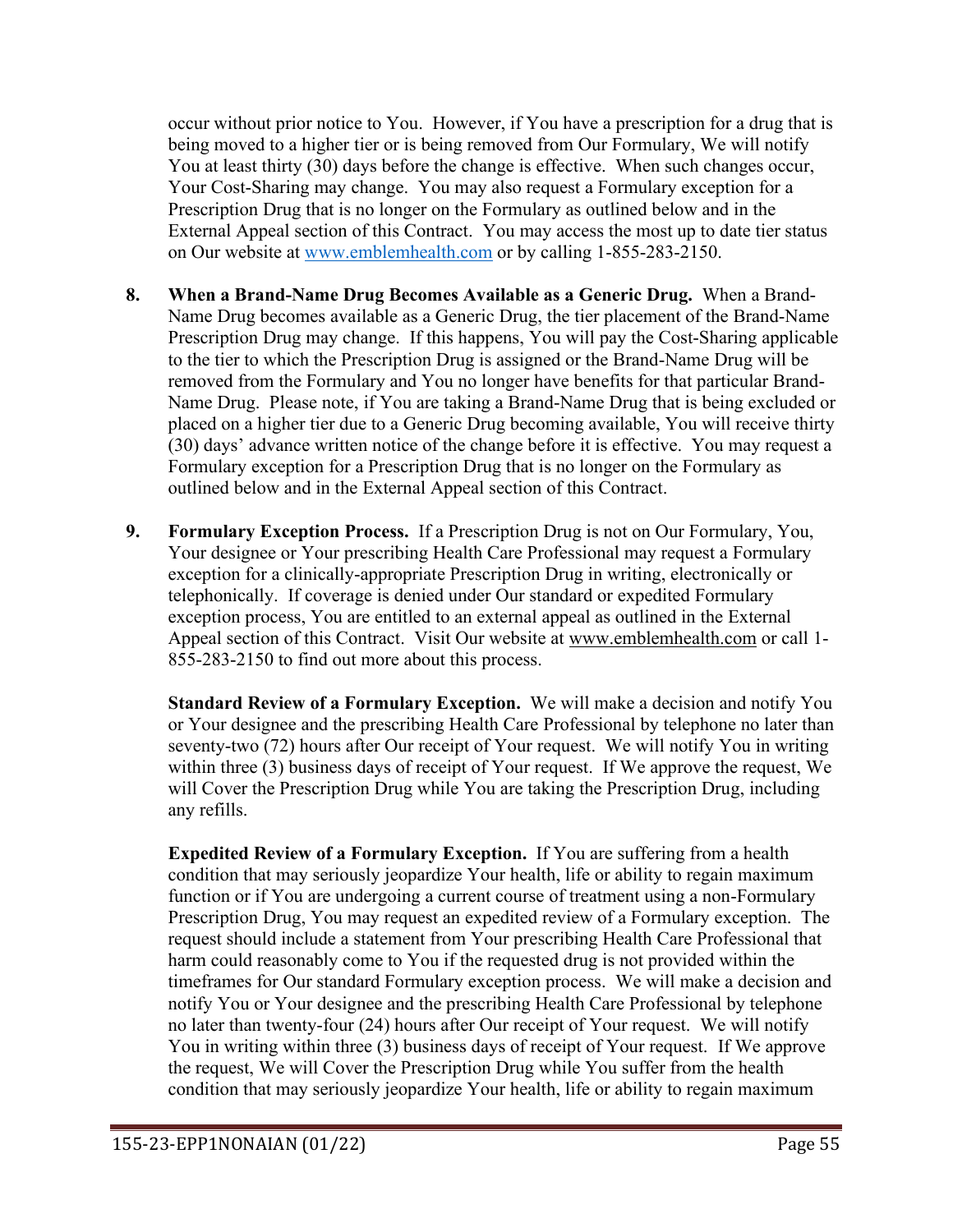occur without prior notice to You. However, if You have a prescription for a drug that is being moved to a higher tier or is being removed from Our Formulary, We will notify You at least thirty (30) days before the change is effective. When such changes occur, Your Cost-Sharing may change. You may also request a Formulary exception for a Prescription Drug that is no longer on the Formulary as outlined below and in the External Appeal section of this Contract. You may access the most up to date tier status on Our website at [www.emblemhealth.com](http://www.emblemhealth.com/) or by calling 1-855-283-2150.

- **8. When a Brand-Name Drug Becomes Available as a Generic Drug.** When a Brand-Name Drug becomes available as a Generic Drug, the tier placement of the Brand-Name Prescription Drug may change. If this happens, You will pay the Cost-Sharing applicable to the tier to which the Prescription Drug is assigned or the Brand-Name Drug will be removed from the Formulary and You no longer have benefits for that particular Brand-Name Drug. Please note, if You are taking a Brand-Name Drug that is being excluded or placed on a higher tier due to a Generic Drug becoming available, You will receive thirty (30) days' advance written notice of the change before it is effective. You may request a Formulary exception for a Prescription Drug that is no longer on the Formulary as outlined below and in the External Appeal section of this Contract.
- **9. Formulary Exception Process.** If a Prescription Drug is not on Our Formulary, You, Your designee or Your prescribing Health Care Professional may request a Formulary exception for a clinically-appropriate Prescription Drug in writing, electronically or telephonically. If coverage is denied under Our standard or expedited Formulary exception process, You are entitled to an external appeal as outlined in the External Appeal section of this Contract. Visit Our website at [www.emblemhealth.com](http://www.emblemhealth.com/) or call 1- 855-283-2150 to find out more about this process.

**Standard Review of a Formulary Exception.** We will make a decision and notify You or Your designee and the prescribing Health Care Professional by telephone no later than seventy-two (72) hours after Our receipt of Your request. We will notify You in writing within three (3) business days of receipt of Your request. If We approve the request, We will Cover the Prescription Drug while You are taking the Prescription Drug, including any refills.

**Expedited Review of a Formulary Exception.** If You are suffering from a health condition that may seriously jeopardize Your health, life or ability to regain maximum function or if You are undergoing a current course of treatment using a non-Formulary Prescription Drug, You may request an expedited review of a Formulary exception. The request should include a statement from Your prescribing Health Care Professional that harm could reasonably come to You if the requested drug is not provided within the timeframes for Our standard Formulary exception process. We will make a decision and notify You or Your designee and the prescribing Health Care Professional by telephone no later than twenty-four (24) hours after Our receipt of Your request. We will notify You in writing within three (3) business days of receipt of Your request. If We approve the request, We will Cover the Prescription Drug while You suffer from the health condition that may seriously jeopardize Your health, life or ability to regain maximum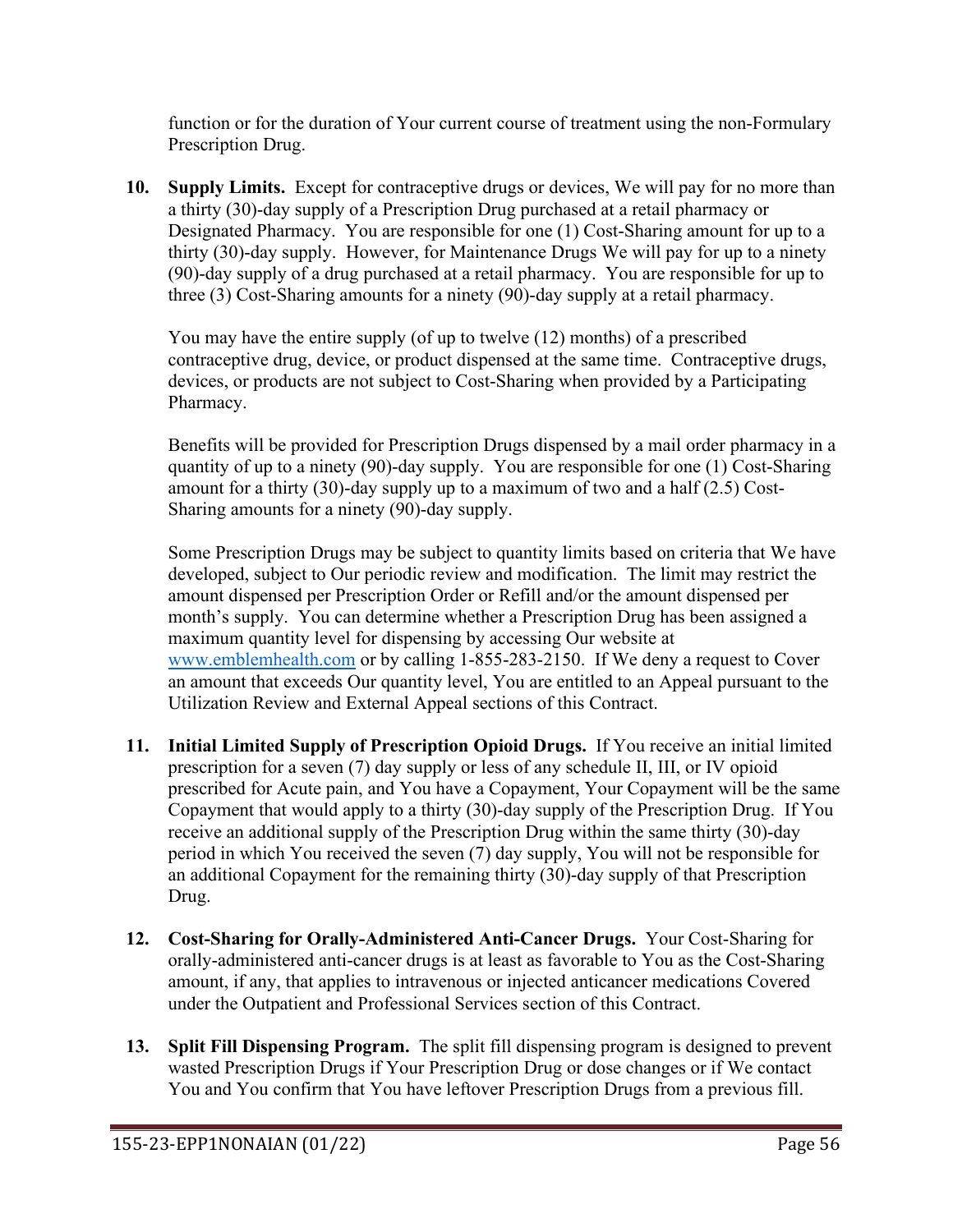function or for the duration of Your current course of treatment using the non-Formulary Prescription Drug.

**10. Supply Limits.** Except for contraceptive drugs or devices, We will pay for no more than a thirty (30)-day supply of a Prescription Drug purchased at a retail pharmacy or Designated Pharmacy. You are responsible for one (1) Cost-Sharing amount for up to a thirty (30)-day supply. However, for Maintenance Drugs We will pay for up to a ninety (90)-day supply of a drug purchased at a retail pharmacy. You are responsible for up to three (3) Cost-Sharing amounts for a ninety (90)-day supply at a retail pharmacy.

You may have the entire supply (of up to twelve (12) months) of a prescribed contraceptive drug, device, or product dispensed at the same time. Contraceptive drugs, devices, or products are not subject to Cost-Sharing when provided by a Participating Pharmacy.

Benefits will be provided for Prescription Drugs dispensed by a mail order pharmacy in a quantity of up to a ninety (90)-day supply. You are responsible for one (1) Cost-Sharing amount for a thirty (30)-day supply up to a maximum of two and a half (2.5) Cost-Sharing amounts for a ninety (90)-day supply.

Some Prescription Drugs may be subject to quantity limits based on criteria that We have developed, subject to Our periodic review and modification. The limit may restrict the amount dispensed per Prescription Order or Refill and/or the amount dispensed per month's supply. You can determine whether a Prescription Drug has been assigned a maximum quantity level for dispensing by accessing Our website at [www.emblemhealth.com](http://www.emblemhealth.com/) or by calling 1-855-283-2150. If We deny a request to Cover an amount that exceeds Our quantity level, You are entitled to an Appeal pursuant to the Utilization Review and External Appeal sections of this Contract.

- **11. Initial Limited Supply of Prescription Opioid Drugs.** If You receive an initial limited prescription for a seven (7) day supply or less of any schedule II, III, or IV opioid prescribed for Acute pain, and You have a Copayment, Your Copayment will be the same Copayment that would apply to a thirty (30)-day supply of the Prescription Drug. If You receive an additional supply of the Prescription Drug within the same thirty (30)-day period in which You received the seven (7) day supply, You will not be responsible for an additional Copayment for the remaining thirty (30)-day supply of that Prescription Drug.
- **12. Cost-Sharing for Orally-Administered Anti-Cancer Drugs.** Your Cost-Sharing for orally-administered anti-cancer drugs is at least as favorable to You as the Cost-Sharing amount, if any, that applies to intravenous or injected anticancer medications Covered under the Outpatient and Professional Services section of this Contract.
- **13. Split Fill Dispensing Program.** The split fill dispensing program is designed to prevent wasted Prescription Drugs if Your Prescription Drug or dose changes or if We contact You and You confirm that You have leftover Prescription Drugs from a previous fill.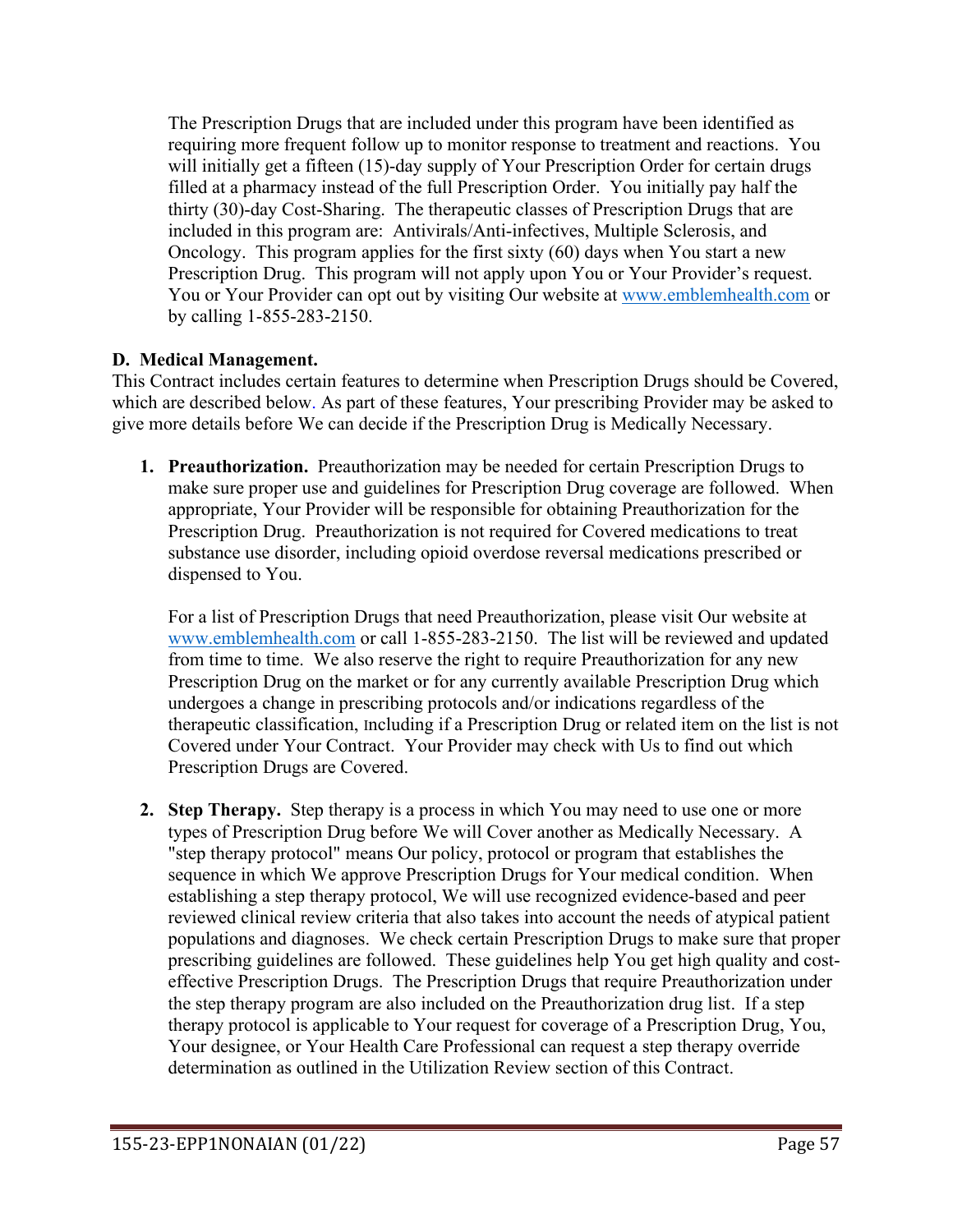The Prescription Drugs that are included under this program have been identified as requiring more frequent follow up to monitor response to treatment and reactions. You will initially get a fifteen (15)-day supply of Your Prescription Order for certain drugs filled at a pharmacy instead of the full Prescription Order. You initially pay half the thirty (30)-day Cost-Sharing. The therapeutic classes of Prescription Drugs that are included in this program are: Antivirals/Anti-infectives, Multiple Sclerosis, and Oncology. This program applies for the first sixty (60) days when You start a new Prescription Drug. This program will not apply upon You or Your Provider's request. You or Your Provider can opt out by visiting Our website at [www.emblemhealth.com](http://www.emblemhealth.com/) or by calling 1-855-283-2150.

# **D. Medical Management.**

This Contract includes certain features to determine when Prescription Drugs should be Covered, which are described below. As part of these features, Your prescribing Provider may be asked to give more details before We can decide if the Prescription Drug is Medically Necessary.

**1. Preauthorization.** Preauthorization may be needed for certain Prescription Drugs to make sure proper use and guidelines for Prescription Drug coverage are followed. When appropriate, Your Provider will be responsible for obtaining Preauthorization for the Prescription Drug. Preauthorization is not required for Covered medications to treat substance use disorder, including opioid overdose reversal medications prescribed or dispensed to You.

For a list of Prescription Drugs that need Preauthorization, please visit Our website at [www.emblemhealth.com](http://www.emblemhealth.com/) or call 1-855-283-2150. The list will be reviewed and updated from time to time. We also reserve the right to require Preauthorization for any new Prescription Drug on the market or for any currently available Prescription Drug which undergoes a change in prescribing protocols and/or indications regardless of the therapeutic classification, Including if a Prescription Drug or related item on the list is not Covered under Your Contract. Your Provider may check with Us to find out which Prescription Drugs are Covered.

**2. Step Therapy.** Step therapy is a process in which You may need to use one or more types of Prescription Drug before We will Cover another as Medically Necessary. A "step therapy protocol" means Our policy, protocol or program that establishes the sequence in which We approve Prescription Drugs for Your medical condition. When establishing a step therapy protocol, We will use recognized evidence-based and peer reviewed clinical review criteria that also takes into account the needs of atypical patient populations and diagnoses. We check certain Prescription Drugs to make sure that proper prescribing guidelines are followed. These guidelines help You get high quality and costeffective Prescription Drugs. The Prescription Drugs that require Preauthorization under the step therapy program are also included on the Preauthorization drug list. If a step therapy protocol is applicable to Your request for coverage of a Prescription Drug, You, Your designee, or Your Health Care Professional can request a step therapy override determination as outlined in the Utilization Review section of this Contract.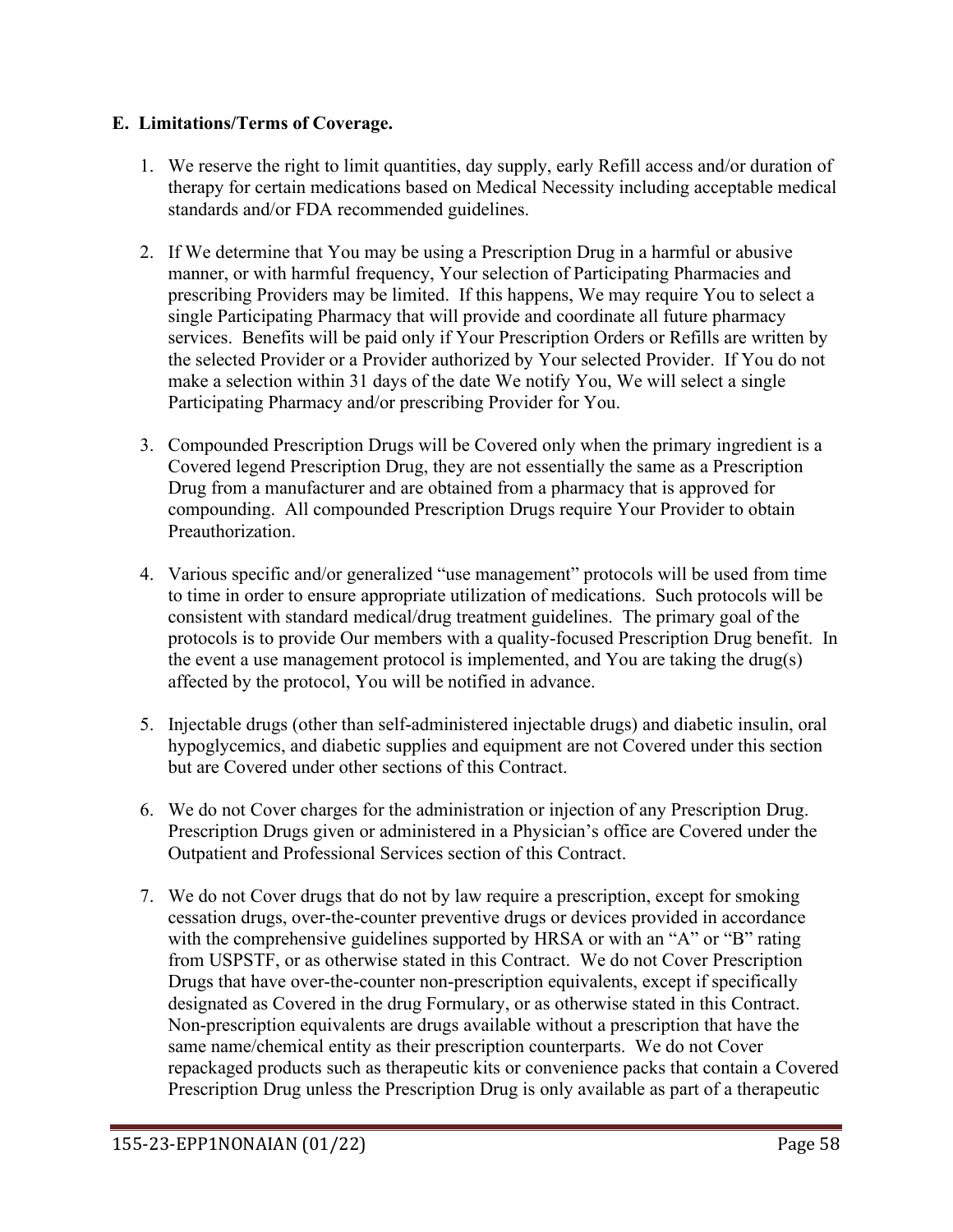## **E. Limitations/Terms of Coverage.**

- 1. We reserve the right to limit quantities, day supply, early Refill access and/or duration of therapy for certain medications based on Medical Necessity including acceptable medical standards and/or FDA recommended guidelines.
- 2. If We determine that You may be using a Prescription Drug in a harmful or abusive manner, or with harmful frequency, Your selection of Participating Pharmacies and prescribing Providers may be limited. If this happens, We may require You to select a single Participating Pharmacy that will provide and coordinate all future pharmacy services. Benefits will be paid only if Your Prescription Orders or Refills are written by the selected Provider or a Provider authorized by Your selected Provider. If You do not make a selection within 31 days of the date We notify You, We will select a single Participating Pharmacy and/or prescribing Provider for You.
- 3. Compounded Prescription Drugs will be Covered only when the primary ingredient is a Covered legend Prescription Drug, they are not essentially the same as a Prescription Drug from a manufacturer and are obtained from a pharmacy that is approved for compounding. All compounded Prescription Drugs require Your Provider to obtain Preauthorization.
- 4. Various specific and/or generalized "use management" protocols will be used from time to time in order to ensure appropriate utilization of medications. Such protocols will be consistent with standard medical/drug treatment guidelines. The primary goal of the protocols is to provide Our members with a quality-focused Prescription Drug benefit. In the event a use management protocol is implemented, and You are taking the drug(s) affected by the protocol, You will be notified in advance.
- 5. Injectable drugs (other than self-administered injectable drugs) and diabetic insulin, oral hypoglycemics, and diabetic supplies and equipment are not Covered under this section but are Covered under other sections of this Contract.
- 6. We do not Cover charges for the administration or injection of any Prescription Drug. Prescription Drugs given or administered in a Physician's office are Covered under the Outpatient and Professional Services section of this Contract.
- 7. We do not Cover drugs that do not by law require a prescription, except for smoking cessation drugs, over-the-counter preventive drugs or devices provided in accordance with the comprehensive guidelines supported by HRSA or with an "A" or "B" rating from USPSTF, or as otherwise stated in this Contract. We do not Cover Prescription Drugs that have over-the-counter non-prescription equivalents, except if specifically designated as Covered in the drug Formulary, or as otherwise stated in this Contract. Non-prescription equivalents are drugs available without a prescription that have the same name/chemical entity as their prescription counterparts. We do not Cover repackaged products such as therapeutic kits or convenience packs that contain a Covered Prescription Drug unless the Prescription Drug is only available as part of a therapeutic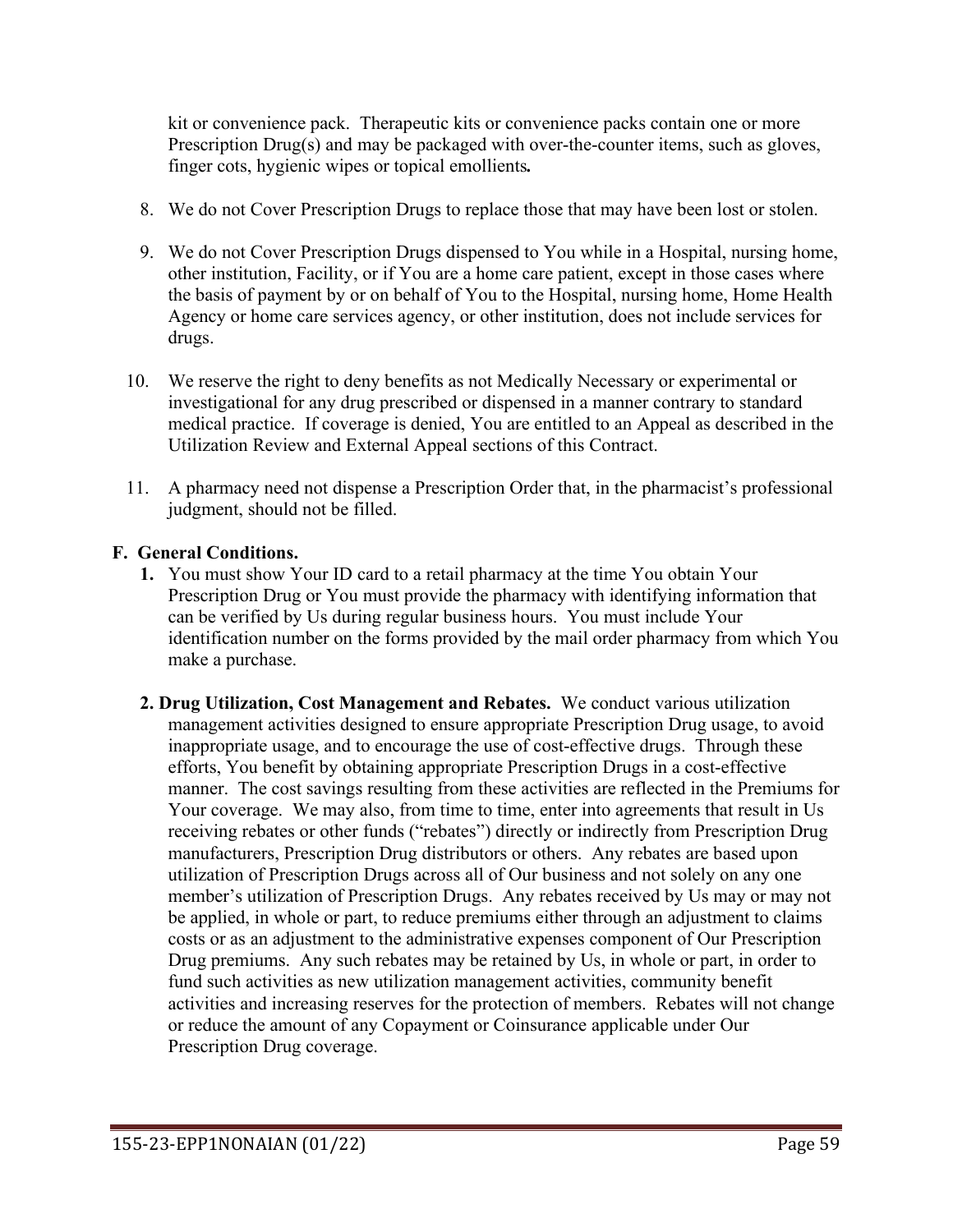kit or convenience pack. Therapeutic kits or convenience packs contain one or more Prescription Drug(s) and may be packaged with over-the-counter items, such as gloves, finger cots, hygienic wipes or topical emollients*.*

- 8. We do not Cover Prescription Drugs to replace those that may have been lost or stolen.
- 9. We do not Cover Prescription Drugs dispensed to You while in a Hospital, nursing home, other institution, Facility, or if You are a home care patient, except in those cases where the basis of payment by or on behalf of You to the Hospital, nursing home, Home Health Agency or home care services agency, or other institution, does not include services for drugs.
- 10. We reserve the right to deny benefits as not Medically Necessary or experimental or investigational for any drug prescribed or dispensed in a manner contrary to standard medical practice. If coverage is denied, You are entitled to an Appeal as described in the Utilization Review and External Appeal sections of this Contract.
- 11. A pharmacy need not dispense a Prescription Order that, in the pharmacist's professional judgment, should not be filled.

### **F. General Conditions.**

- **1.** You must show Your ID card to a retail pharmacy at the time You obtain Your Prescription Drug or You must provide the pharmacy with identifying information that can be verified by Us during regular business hours. You must include Your identification number on the forms provided by the mail order pharmacy from which You make a purchase.
- **2. Drug Utilization, Cost Management and Rebates.** We conduct various utilization management activities designed to ensure appropriate Prescription Drug usage, to avoid inappropriate usage, and to encourage the use of cost-effective drugs. Through these efforts, You benefit by obtaining appropriate Prescription Drugs in a cost-effective manner. The cost savings resulting from these activities are reflected in the Premiums for Your coverage. We may also, from time to time, enter into agreements that result in Us receiving rebates or other funds ("rebates") directly or indirectly from Prescription Drug manufacturers, Prescription Drug distributors or others. Any rebates are based upon utilization of Prescription Drugs across all of Our business and not solely on any one member's utilization of Prescription Drugs. Any rebates received by Us may or may not be applied, in whole or part, to reduce premiums either through an adjustment to claims costs or as an adjustment to the administrative expenses component of Our Prescription Drug premiums. Any such rebates may be retained by Us, in whole or part, in order to fund such activities as new utilization management activities, community benefit activities and increasing reserves for the protection of members. Rebates will not change or reduce the amount of any Copayment or Coinsurance applicable under Our Prescription Drug coverage.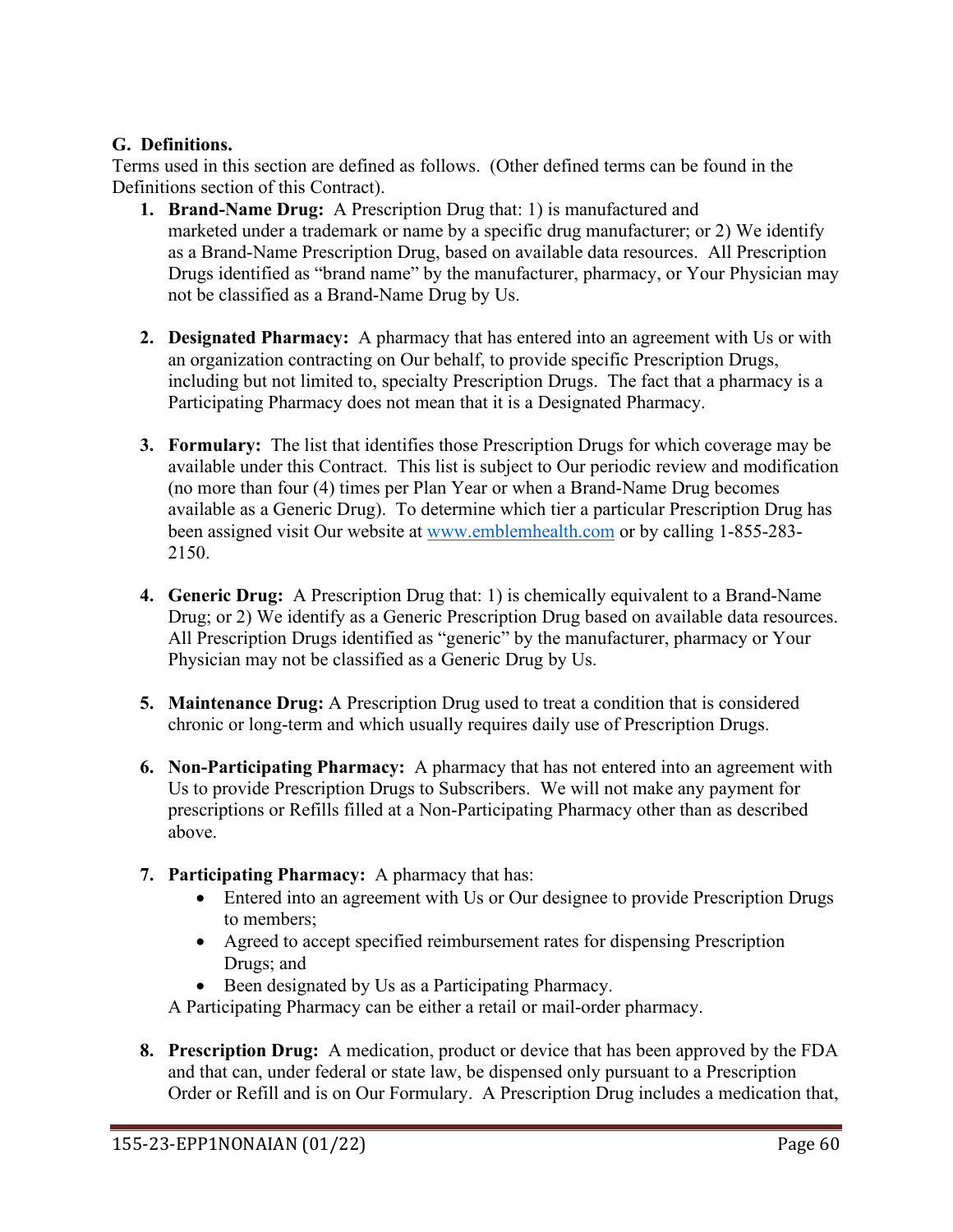### **G. Definitions.**

Terms used in this section are defined as follows. (Other defined terms can be found in the Definitions section of this Contract).

- **1. Brand-Name Drug:** A Prescription Drug that: 1) is manufactured and marketed under a trademark or name by a specific drug manufacturer; or 2) We identify as a Brand-Name Prescription Drug, based on available data resources. All Prescription Drugs identified as "brand name" by the manufacturer, pharmacy, or Your Physician may not be classified as a Brand-Name Drug by Us.
- **2. Designated Pharmacy:** A pharmacy that has entered into an agreement with Us or with an organization contracting on Our behalf, to provide specific Prescription Drugs, including but not limited to, specialty Prescription Drugs. The fact that a pharmacy is a Participating Pharmacy does not mean that it is a Designated Pharmacy.
- **3. Formulary:** The list that identifies those Prescription Drugs for which coverage may be available under this Contract. This list is subject to Our periodic review and modification (no more than four (4) times per Plan Year or when a Brand-Name Drug becomes available as a Generic Drug). To determine which tier a particular Prescription Drug has been assigned visit Our website at [www.emblemhealth.com](http://www.emblemhealth.com/) or by calling 1-855-283- 2150.
- **4. Generic Drug:** A Prescription Drug that: 1) is chemically equivalent to a Brand-Name Drug; or 2) We identify as a Generic Prescription Drug based on available data resources. All Prescription Drugs identified as "generic" by the manufacturer, pharmacy or Your Physician may not be classified as a Generic Drug by Us.
- **5. Maintenance Drug:** A Prescription Drug used to treat a condition that is considered chronic or long-term and which usually requires daily use of Prescription Drugs.
- **6. Non-Participating Pharmacy:** A pharmacy that has not entered into an agreement with Us to provide Prescription Drugs to Subscribers. We will not make any payment for prescriptions or Refills filled at a Non-Participating Pharmacy other than as described above.
- **7. Participating Pharmacy:** A pharmacy that has:
	- Entered into an agreement with Us or Our designee to provide Prescription Drugs to members;
	- Agreed to accept specified reimbursement rates for dispensing Prescription Drugs; and
	- Been designated by Us as a Participating Pharmacy.

A Participating Pharmacy can be either a retail or mail-order pharmacy.

**8. Prescription Drug:** A medication, product or device that has been approved by the FDA and that can, under federal or state law, be dispensed only pursuant to a Prescription Order or Refill and is on Our Formulary. A Prescription Drug includes a medication that,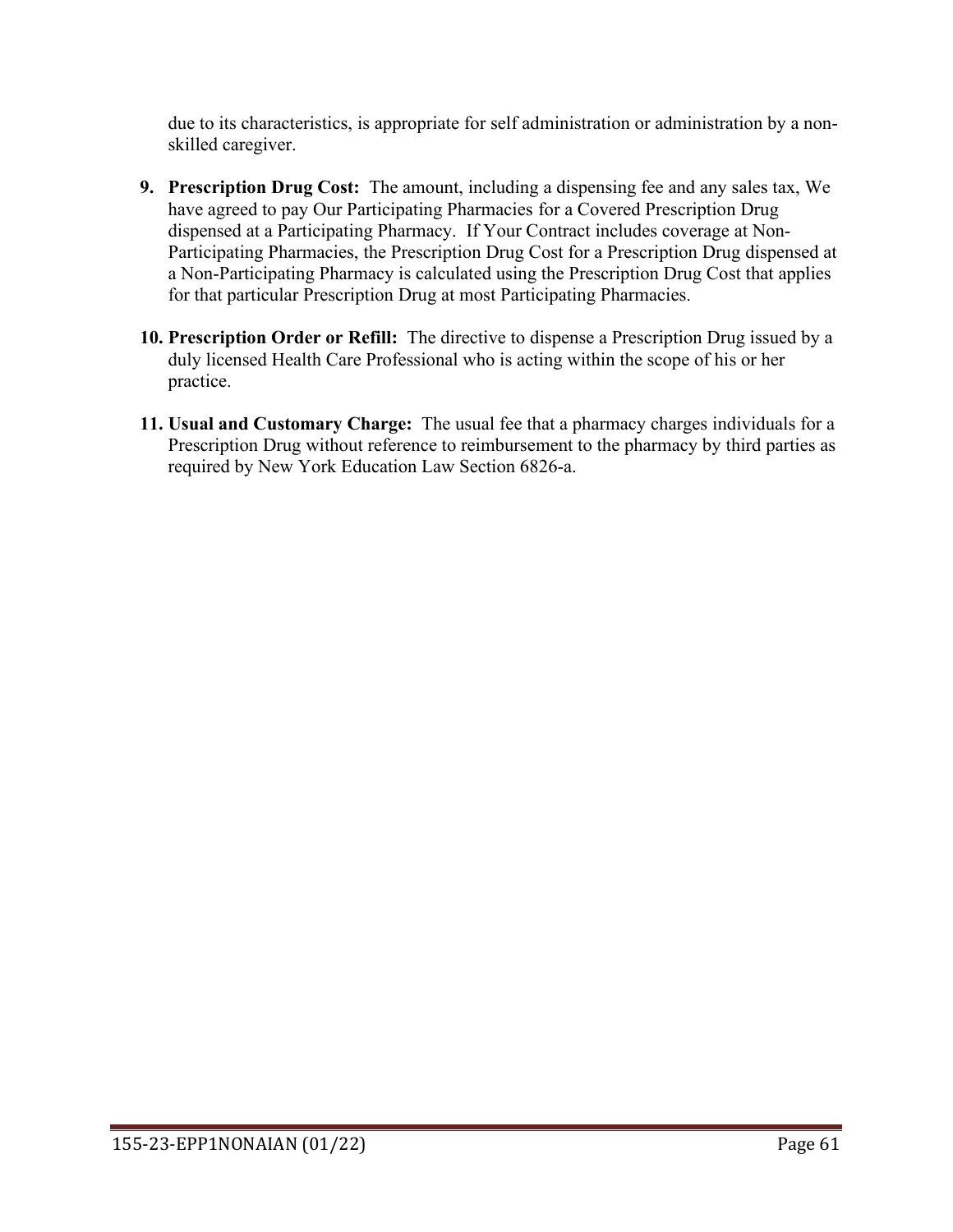due to its characteristics, is appropriate for self administration or administration by a nonskilled caregiver.

- **9. Prescription Drug Cost:** The amount, including a dispensing fee and any sales tax, We have agreed to pay Our Participating Pharmacies for a Covered Prescription Drug dispensed at a Participating Pharmacy. If Your Contract includes coverage at Non-Participating Pharmacies, the Prescription Drug Cost for a Prescription Drug dispensed at a Non-Participating Pharmacy is calculated using the Prescription Drug Cost that applies for that particular Prescription Drug at most Participating Pharmacies.
- **10. Prescription Order or Refill:** The directive to dispense a Prescription Drug issued by a duly licensed Health Care Professional who is acting within the scope of his or her practice.
- **11. Usual and Customary Charge:** The usual fee that a pharmacy charges individuals for a Prescription Drug without reference to reimbursement to the pharmacy by third parties as required by New York Education Law Section 6826-a.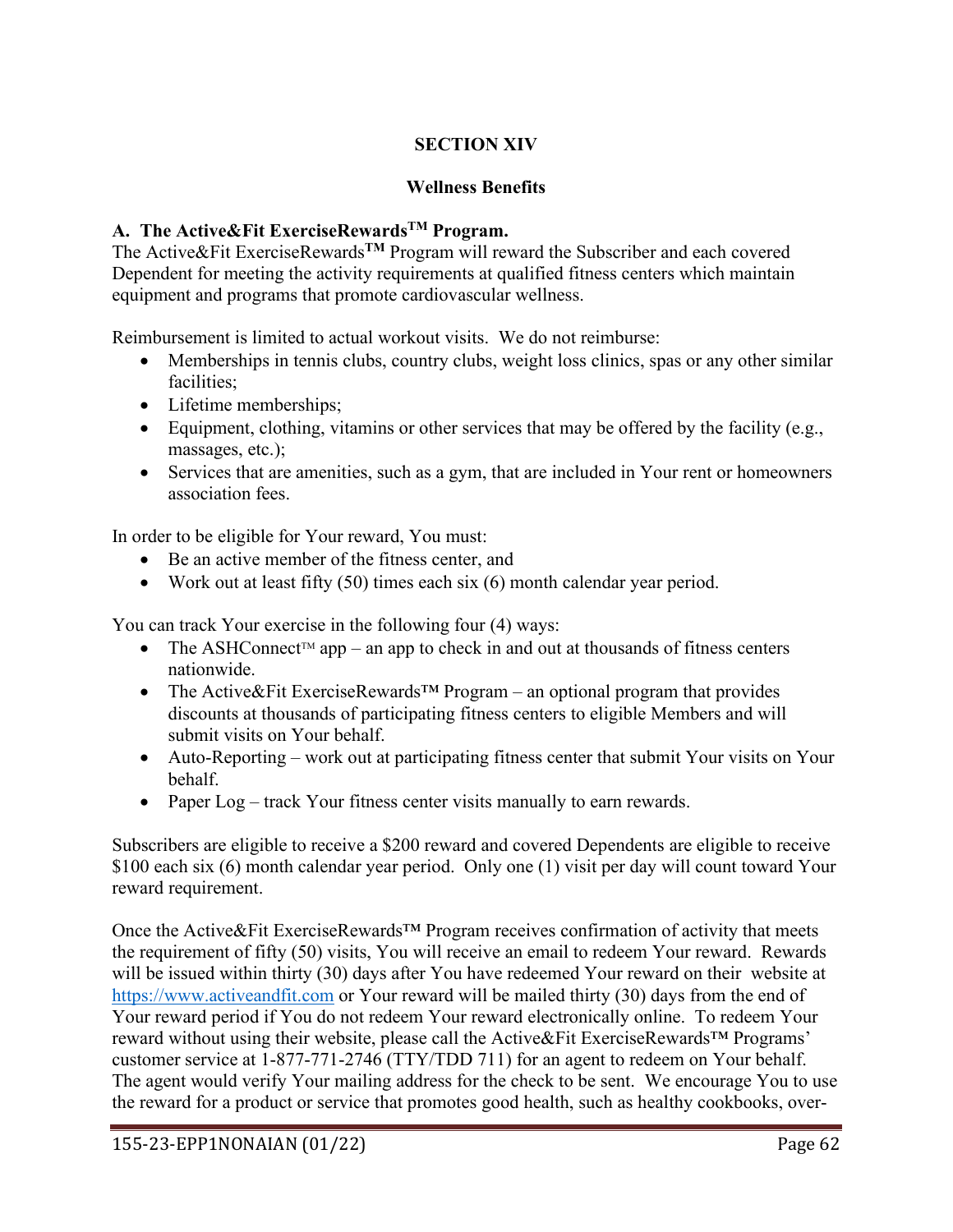# **SECTION XIV**

## **Wellness Benefits**

# **A. The Active&Fit ExerciseRewardsTM Program.**

The Active&Fit ExerciseRewards**TM** Program will reward the Subscriber and each covered Dependent for meeting the activity requirements at qualified fitness centers which maintain equipment and programs that promote cardiovascular wellness.

Reimbursement is limited to actual workout visits. We do not reimburse:

- Memberships in tennis clubs, country clubs, weight loss clinics, spas or any other similar facilities;
- Lifetime memberships;
- Equipment, clothing, vitamins or other services that may be offered by the facility (e.g., massages, etc.);
- Services that are amenities, such as a gym, that are included in Your rent or homeowners association fees.

In order to be eligible for Your reward, You must:

- Be an active member of the fitness center, and
- Work out at least fifty  $(50)$  times each six  $(6)$  month calendar year period.

You can track Your exercise in the following four (4) ways:

- The ASHConnect<sup>TM</sup> app an app to check in and out at thousands of fitness centers nationwide.
- The Active&Fit ExerciseRewards<sup>™</sup> Program an optional program that provides discounts at thousands of participating fitness centers to eligible Members and will submit visits on Your behalf.
- Auto-Reporting work out at participating fitness center that submit Your visits on Your behalf.
- Paper Log track Your fitness center visits manually to earn rewards.

Subscribers are eligible to receive a \$200 reward and covered Dependents are eligible to receive \$100 each six (6) month calendar year period. Only one (1) visit per day will count toward Your reward requirement.

Once the Active&Fit ExerciseRewards™ Program receives confirmation of activity that meets the requirement of fifty (50) visits, You will receive an email to redeem Your reward. Rewards will be issued within thirty (30) days after You have redeemed Your reward on their website at [https://www.activeandfit.com](https://www.exerciserewards.com/) or Your reward will be mailed thirty (30) days from the end of Your reward period if You do not redeem Your reward electronically online. To redeem Your reward without using their website, please call the Active&Fit ExerciseRewards™ Programs' customer service at 1-877-771-2746 (TTY/TDD 711) for an agent to redeem on Your behalf. The agent would verify Your mailing address for the check to be sent. We encourage You to use the reward for a product or service that promotes good health, such as healthy cookbooks, over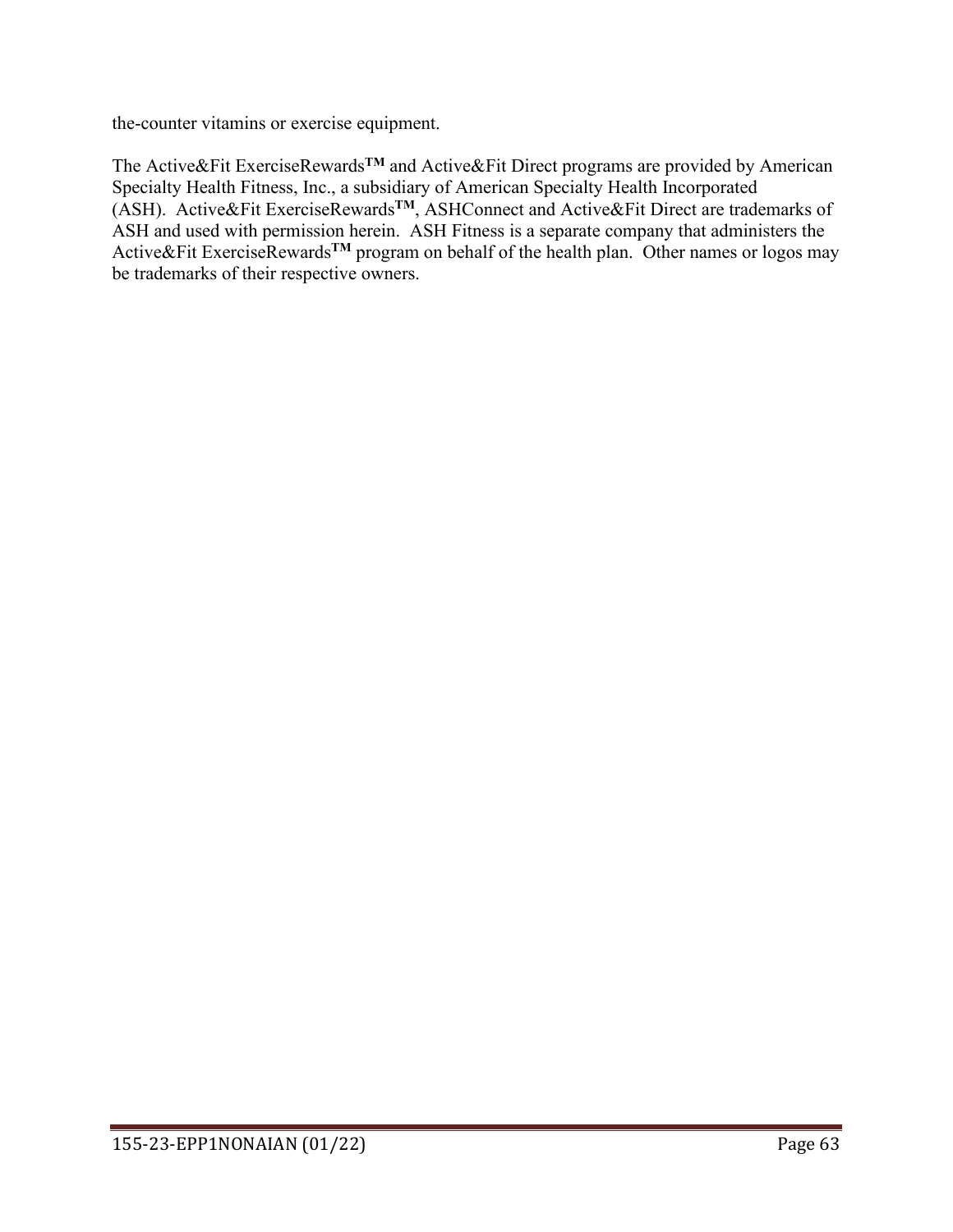the-counter vitamins or exercise equipment.

The Active&Fit ExerciseRewards**TM** and Active&Fit Direct programs are provided by American Specialty Health Fitness, Inc., a subsidiary of American Specialty Health Incorporated (ASH). Active&Fit ExerciseRewards**TM**, ASHConnect and Active&Fit Direct are trademarks of ASH and used with permission herein. ASH Fitness is a separate company that administers the Active&Fit ExerciseRewards**TM** program on behalf of the health plan. Other names or logos may be trademarks of their respective owners.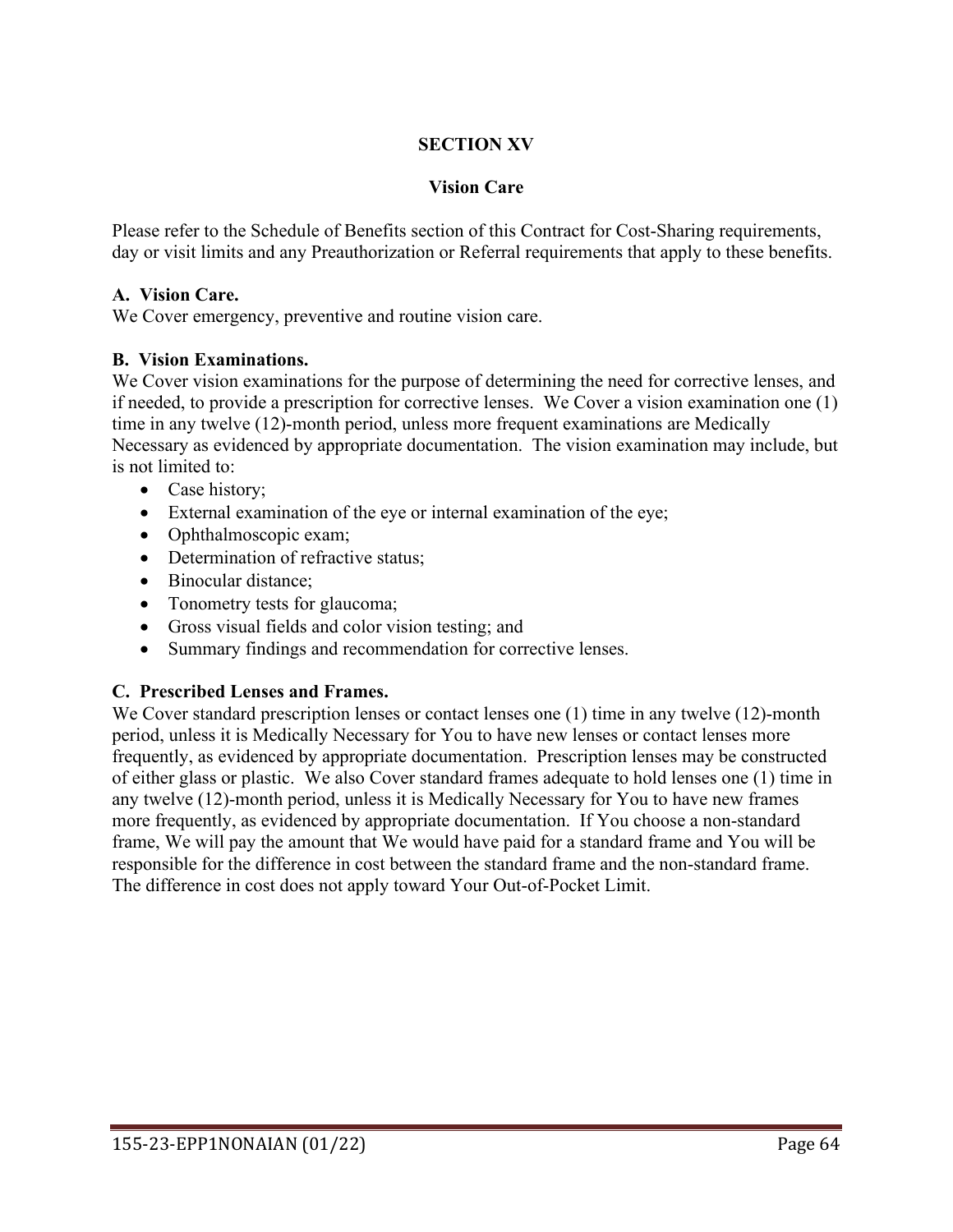## **SECTION XV**

#### **Vision Care**

Please refer to the Schedule of Benefits section of this Contract for Cost-Sharing requirements, day or visit limits and any Preauthorization or Referral requirements that apply to these benefits.

#### **A. Vision Care.**

We Cover emergency, preventive and routine vision care.

#### **B. Vision Examinations.**

We Cover vision examinations for the purpose of determining the need for corrective lenses, and if needed, to provide a prescription for corrective lenses. We Cover a vision examination one (1) time in any twelve (12)-month period, unless more frequent examinations are Medically Necessary as evidenced by appropriate documentation. The vision examination may include, but is not limited to:

- Case history;
- External examination of the eye or internal examination of the eye;
- Ophthalmoscopic exam;
- Determination of refractive status:
- Binocular distance;
- Tonometry tests for glaucoma;
- Gross visual fields and color vision testing; and
- Summary findings and recommendation for corrective lenses.

#### **C. Prescribed Lenses and Frames.**

We Cover standard prescription lenses or contact lenses one (1) time in any twelve (12)-month period, unless it is Medically Necessary for You to have new lenses or contact lenses more frequently, as evidenced by appropriate documentation. Prescription lenses may be constructed of either glass or plastic. We also Cover standard frames adequate to hold lenses one (1) time in any twelve (12)-month period, unless it is Medically Necessary for You to have new frames more frequently, as evidenced by appropriate documentation. If You choose a non-standard frame, We will pay the amount that We would have paid for a standard frame and You will be responsible for the difference in cost between the standard frame and the non-standard frame. The difference in cost does not apply toward Your Out-of-Pocket Limit.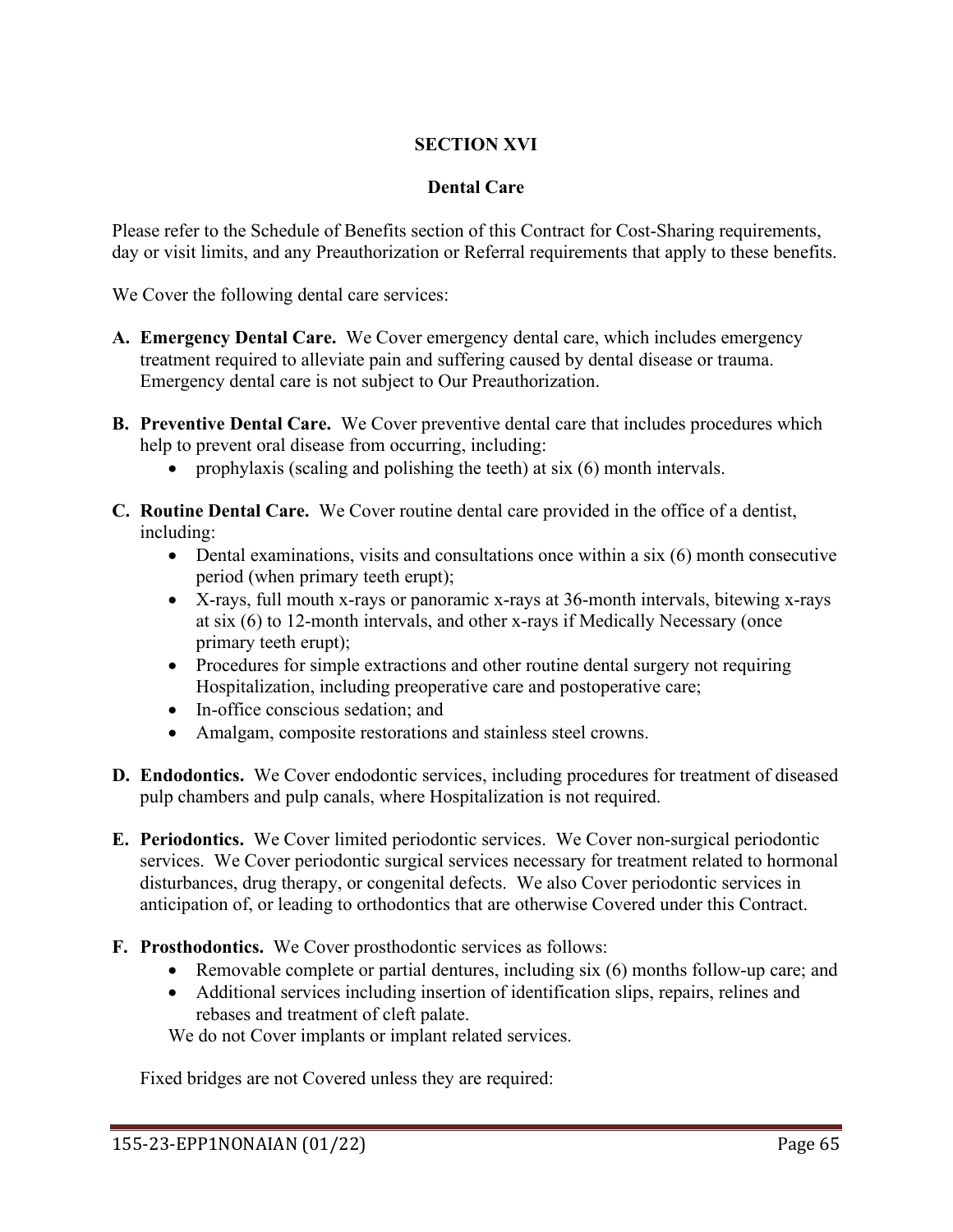# **SECTION XVI**

### **Dental Care**

Please refer to the Schedule of Benefits section of this Contract for Cost-Sharing requirements, day or visit limits, and any Preauthorization or Referral requirements that apply to these benefits.

We Cover the following dental care services:

- **A. Emergency Dental Care.** We Cover emergency dental care, which includes emergency treatment required to alleviate pain and suffering caused by dental disease or trauma. Emergency dental care is not subject to Our Preauthorization.
- **B. Preventive Dental Care.** We Cover preventive dental care that includes procedures which help to prevent oral disease from occurring, including:
	- prophylaxis (scaling and polishing the teeth) at six (6) month intervals.
- **C. Routine Dental Care.** We Cover routine dental care provided in the office of a dentist, including:
	- Dental examinations, visits and consultations once within a six (6) month consecutive period (when primary teeth erupt);
	- X-rays, full mouth x-rays or panoramic x-rays at 36-month intervals, bitewing x-rays at six (6) to 12-month intervals, and other x-rays if Medically Necessary (once primary teeth erupt);
	- Procedures for simple extractions and other routine dental surgery not requiring Hospitalization, including preoperative care and postoperative care;
	- In-office conscious sedation; and
	- Amalgam, composite restorations and stainless steel crowns.
- **D. Endodontics.** We Cover endodontic services, including procedures for treatment of diseased pulp chambers and pulp canals, where Hospitalization is not required.
- **E. Periodontics.** We Cover limited periodontic services. We Cover non-surgical periodontic services. We Cover periodontic surgical services necessary for treatment related to hormonal disturbances, drug therapy, or congenital defects. We also Cover periodontic services in anticipation of, or leading to orthodontics that are otherwise Covered under this Contract.
- **F. Prosthodontics.** We Cover prosthodontic services as follows:
	- Removable complete or partial dentures, including six (6) months follow-up care; and
	- Additional services including insertion of identification slips, repairs, relines and rebases and treatment of cleft palate.

We do not Cover implants or implant related services.

Fixed bridges are not Covered unless they are required: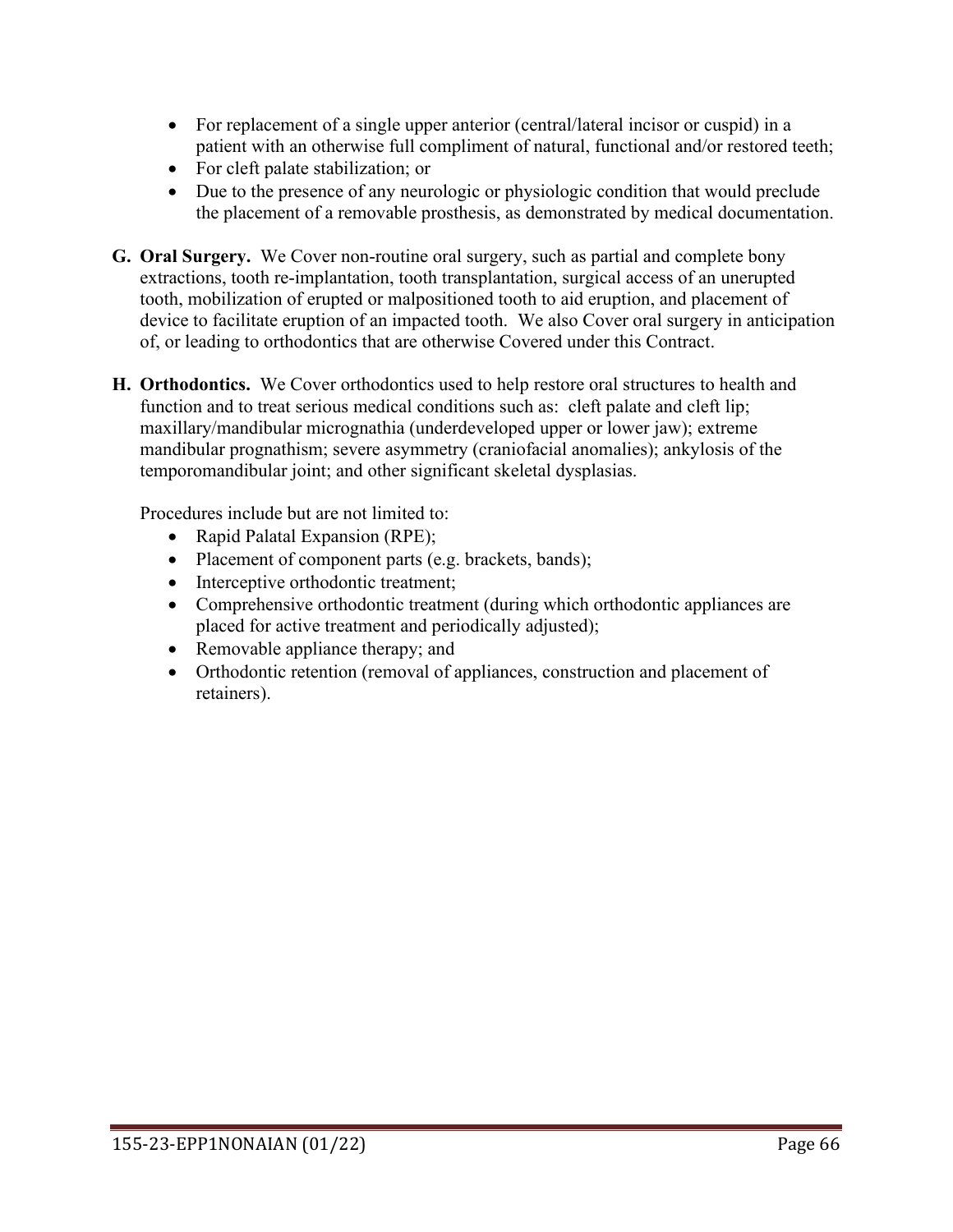- For replacement of a single upper anterior (central/lateral incisor or cuspid) in a patient with an otherwise full compliment of natural, functional and/or restored teeth;
- For cleft palate stabilization; or
- Due to the presence of any neurologic or physiologic condition that would preclude the placement of a removable prosthesis, as demonstrated by medical documentation.
- **G. Oral Surgery.** We Cover non-routine oral surgery, such as partial and complete bony extractions, tooth re-implantation, tooth transplantation, surgical access of an unerupted tooth, mobilization of erupted or malpositioned tooth to aid eruption, and placement of device to facilitate eruption of an impacted tooth. We also Cover oral surgery in anticipation of, or leading to orthodontics that are otherwise Covered under this Contract.
- **H. Orthodontics.** We Cover orthodontics used to help restore oral structures to health and function and to treat serious medical conditions such as: cleft palate and cleft lip; maxillary/mandibular micrognathia (underdeveloped upper or lower jaw); extreme mandibular prognathism; severe asymmetry (craniofacial anomalies); ankylosis of the temporomandibular joint; and other significant skeletal dysplasias.

Procedures include but are not limited to:

- Rapid Palatal Expansion (RPE);
- Placement of component parts (e.g. brackets, bands);
- Interceptive orthodontic treatment;
- Comprehensive orthodontic treatment (during which orthodontic appliances are placed for active treatment and periodically adjusted);
- Removable appliance therapy; and
- Orthodontic retention (removal of appliances, construction and placement of retainers).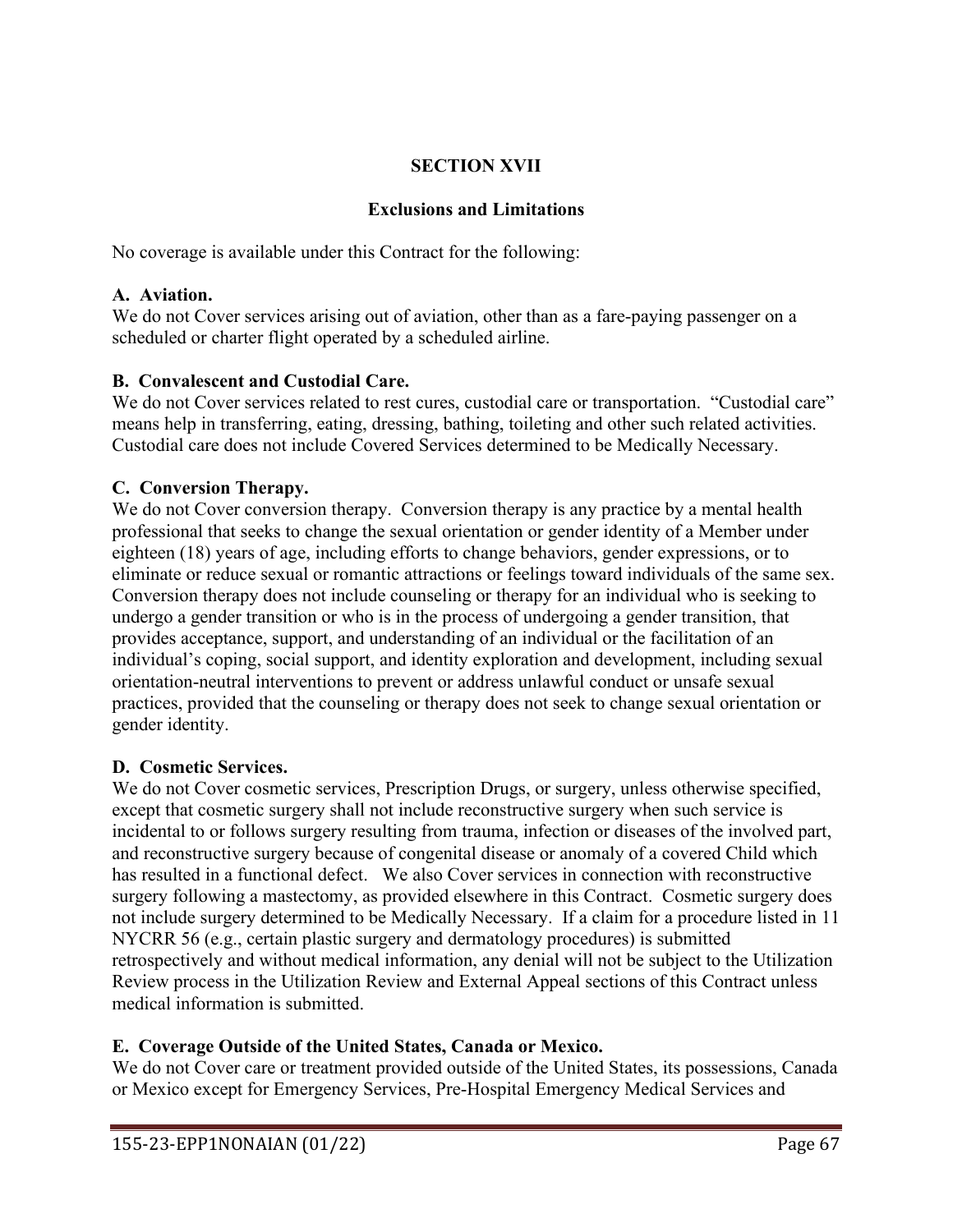# **SECTION XVII**

### **Exclusions and Limitations**

No coverage is available under this Contract for the following:

### **A. Aviation.**

We do not Cover services arising out of aviation, other than as a fare-paying passenger on a scheduled or charter flight operated by a scheduled airline.

### **B. Convalescent and Custodial Care.**

We do not Cover services related to rest cures, custodial care or transportation. "Custodial care" means help in transferring, eating, dressing, bathing, toileting and other such related activities. Custodial care does not include Covered Services determined to be Medically Necessary.

# **C. Conversion Therapy.**

We do not Cover conversion therapy. Conversion therapy is any practice by a mental health professional that seeks to change the sexual orientation or gender identity of a Member under eighteen (18) years of age, including efforts to change behaviors, gender expressions, or to eliminate or reduce sexual or romantic attractions or feelings toward individuals of the same sex. Conversion therapy does not include counseling or therapy for an individual who is seeking to undergo a gender transition or who is in the process of undergoing a gender transition, that provides acceptance, support, and understanding of an individual or the facilitation of an individual's coping, social support, and identity exploration and development, including sexual orientation-neutral interventions to prevent or address unlawful conduct or unsafe sexual practices, provided that the counseling or therapy does not seek to change sexual orientation or gender identity.

### **D. Cosmetic Services.**

We do not Cover cosmetic services, Prescription Drugs, or surgery, unless otherwise specified, except that cosmetic surgery shall not include reconstructive surgery when such service is incidental to or follows surgery resulting from trauma, infection or diseases of the involved part, and reconstructive surgery because of congenital disease or anomaly of a covered Child which has resulted in a functional defect. We also Cover services in connection with reconstructive surgery following a mastectomy, as provided elsewhere in this Contract. Cosmetic surgery does not include surgery determined to be Medically Necessary. If a claim for a procedure listed in 11 NYCRR 56 (e.g., certain plastic surgery and dermatology procedures) is submitted retrospectively and without medical information, any denial will not be subject to the Utilization Review process in the Utilization Review and External Appeal sections of this Contract unless medical information is submitted.

# **E. Coverage Outside of the United States, Canada or Mexico.**

We do not Cover care or treatment provided outside of the United States, its possessions, Canada or Mexico except for Emergency Services, Pre-Hospital Emergency Medical Services and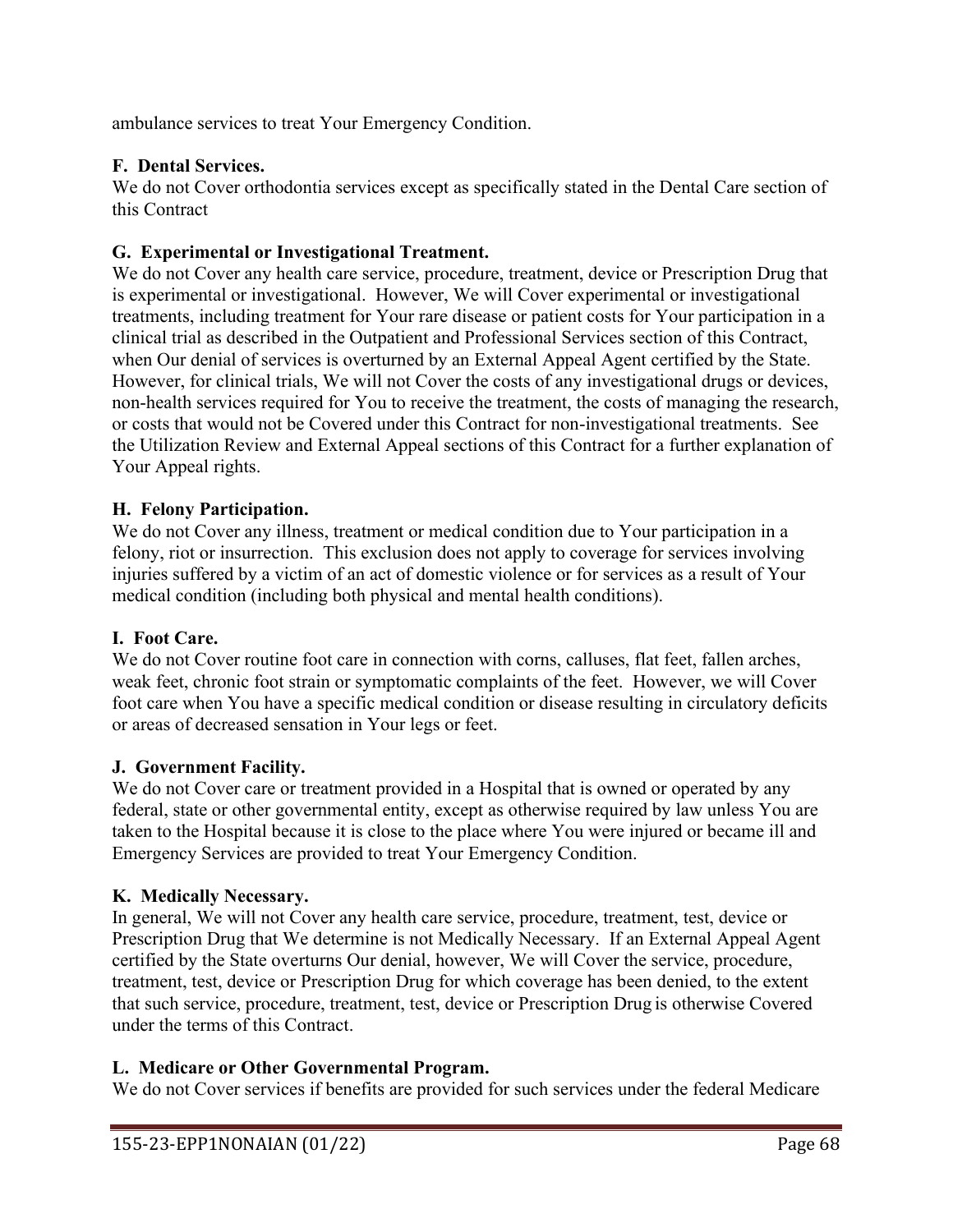ambulance services to treat Your Emergency Condition.

# **F. Dental Services.**

We do not Cover orthodontia services except as specifically stated in the Dental Care section of this Contract

### **G. Experimental or Investigational Treatment.**

We do not Cover any health care service, procedure, treatment, device or Prescription Drug that is experimental or investigational. However, We will Cover experimental or investigational treatments, including treatment for Your rare disease or patient costs for Your participation in a clinical trial as described in the Outpatient and Professional Services section of this Contract, when Our denial of services is overturned by an External Appeal Agent certified by the State. However, for clinical trials, We will not Cover the costs of any investigational drugs or devices, non-health services required for You to receive the treatment, the costs of managing the research, or costs that would not be Covered under this Contract for non-investigational treatments. See the Utilization Review and External Appeal sections of this Contract for a further explanation of Your Appeal rights.

### **H. Felony Participation.**

We do not Cover any illness, treatment or medical condition due to Your participation in a felony, riot or insurrection. This exclusion does not apply to coverage for services involving injuries suffered by a victim of an act of domestic violence or for services as a result of Your medical condition (including both physical and mental health conditions).

### **I. Foot Care.**

We do not Cover routine foot care in connection with corns, calluses, flat feet, fallen arches, weak feet, chronic foot strain or symptomatic complaints of the feet. However, we will Cover foot care when You have a specific medical condition or disease resulting in circulatory deficits or areas of decreased sensation in Your legs or feet.

### **J. Government Facility.**

We do not Cover care or treatment provided in a Hospital that is owned or operated by any federal, state or other governmental entity, except as otherwise required by law unless You are taken to the Hospital because it is close to the place where You were injured or became ill and Emergency Services are provided to treat Your Emergency Condition.

### **K. Medically Necessary.**

In general, We will not Cover any health care service, procedure, treatment, test, device or Prescription Drug that We determine is not Medically Necessary. If an External Appeal Agent certified by the State overturns Our denial, however, We will Cover the service, procedure, treatment, test, device or Prescription Drug for which coverage has been denied, to the extent that such service, procedure, treatment, test, device or Prescription Drug is otherwise Covered under the terms of this Contract.

### **L. Medicare or Other Governmental Program.**

We do not Cover services if benefits are provided for such services under the federal Medicare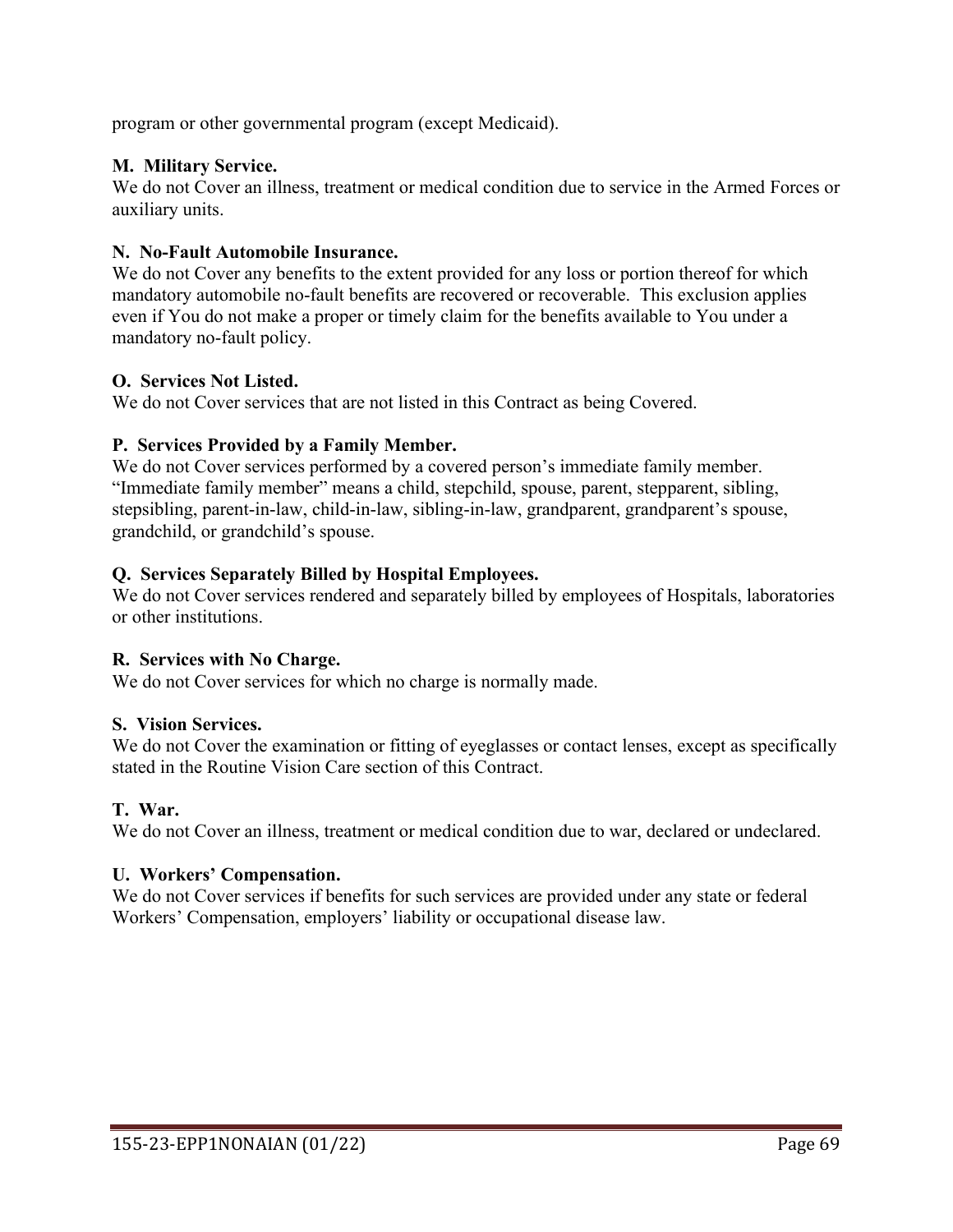program or other governmental program (except Medicaid).

## **M. Military Service.**

We do not Cover an illness, treatment or medical condition due to service in the Armed Forces or auxiliary units.

### **N. No-Fault Automobile Insurance.**

We do not Cover any benefits to the extent provided for any loss or portion thereof for which mandatory automobile no-fault benefits are recovered or recoverable. This exclusion applies even if You do not make a proper or timely claim for the benefits available to You under a mandatory no-fault policy.

## **O. Services Not Listed.**

We do not Cover services that are not listed in this Contract as being Covered.

## **P. Services Provided by a Family Member.**

We do not Cover services performed by a covered person's immediate family member. "Immediate family member" means a child, stepchild, spouse, parent, stepparent, sibling, stepsibling, parent-in-law, child-in-law, sibling-in-law, grandparent, grandparent's spouse, grandchild, or grandchild's spouse.

## **Q. Services Separately Billed by Hospital Employees.**

We do not Cover services rendered and separately billed by employees of Hospitals, laboratories or other institutions.

### **R. Services with No Charge.**

We do not Cover services for which no charge is normally made.

### **S. Vision Services.**

We do not Cover the examination or fitting of eyeglasses or contact lenses, except as specifically stated in the Routine Vision Care section of this Contract.

### **T. War.**

We do not Cover an illness, treatment or medical condition due to war, declared or undeclared.

### **U. Workers' Compensation.**

We do not Cover services if benefits for such services are provided under any state or federal Workers' Compensation, employers' liability or occupational disease law.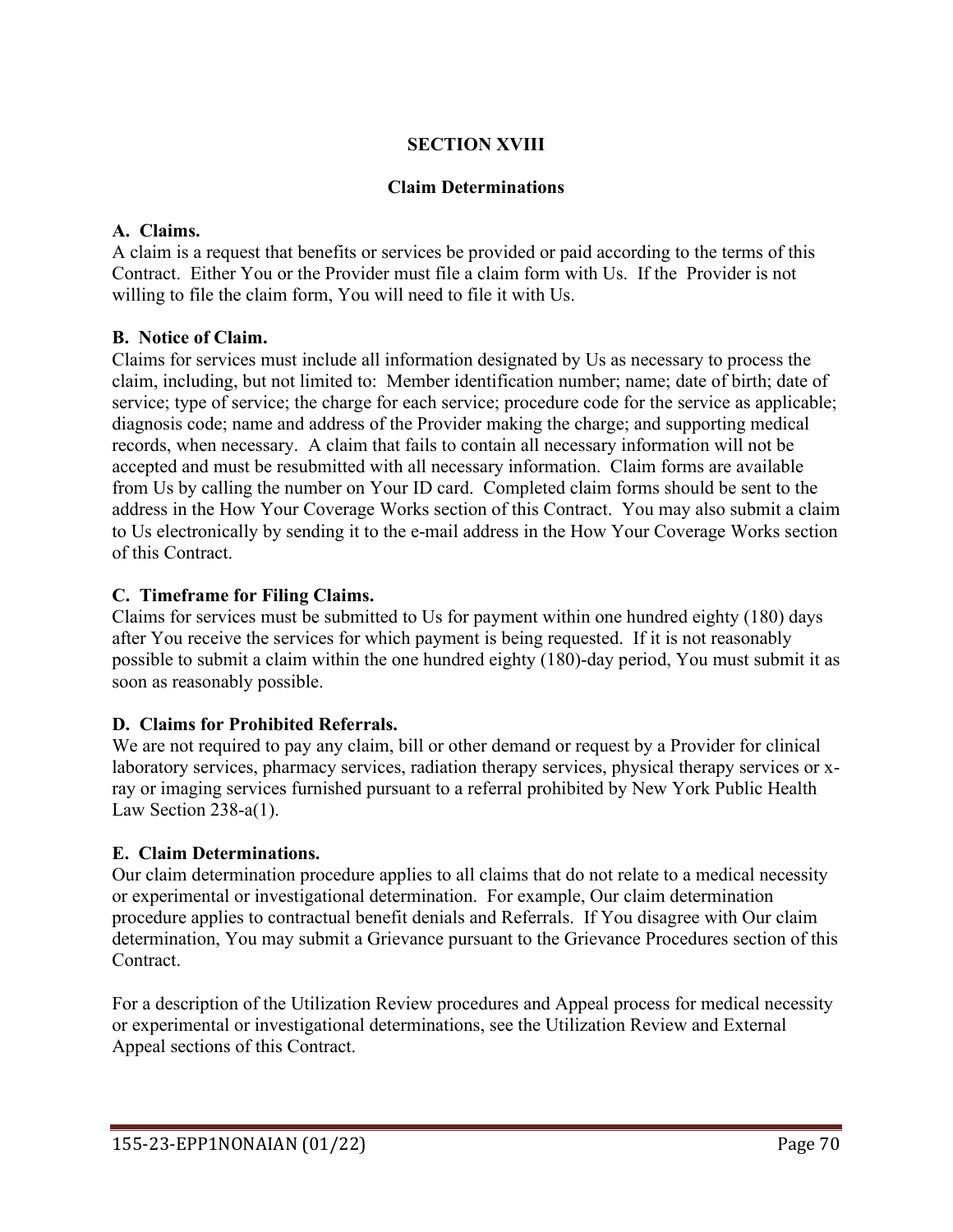# **SECTION XVIII**

### **Claim Determinations**

### **A. Claims.**

A claim is a request that benefits or services be provided or paid according to the terms of this Contract. Either You or the Provider must file a claim form with Us. If the Provider is not willing to file the claim form, You will need to file it with Us.

### **B. Notice of Claim.**

Claims for services must include all information designated by Us as necessary to process the claim, including, but not limited to: Member identification number; name; date of birth; date of service; type of service; the charge for each service; procedure code for the service as applicable; diagnosis code; name and address of the Provider making the charge; and supporting medical records, when necessary. A claim that fails to contain all necessary information will not be accepted and must be resubmitted with all necessary information. Claim forms are available from Us by calling the number on Your ID card. Completed claim forms should be sent to the address in the How Your Coverage Works section of this Contract. You may also submit a claim to Us electronically by sending it to the e-mail address in the How Your Coverage Works section of this Contract.

### **C. Timeframe for Filing Claims.**

Claims for services must be submitted to Us for payment within one hundred eighty (180) days after You receive the services for which payment is being requested. If it is not reasonably possible to submit a claim within the one hundred eighty (180)-day period, You must submit it as soon as reasonably possible.

# **D. Claims for Prohibited Referrals.**

We are not required to pay any claim, bill or other demand or request by a Provider for clinical laboratory services, pharmacy services, radiation therapy services, physical therapy services or xray or imaging services furnished pursuant to a referral prohibited by New York Public Health Law Section 238-a(1).

### **E. Claim Determinations.**

Our claim determination procedure applies to all claims that do not relate to a medical necessity or experimental or investigational determination. For example, Our claim determination procedure applies to contractual benefit denials and Referrals. If You disagree with Our claim determination, You may submit a Grievance pursuant to the Grievance Procedures section of this Contract.

For a description of the Utilization Review procedures and Appeal process for medical necessity or experimental or investigational determinations, see the Utilization Review and External Appeal sections of this Contract.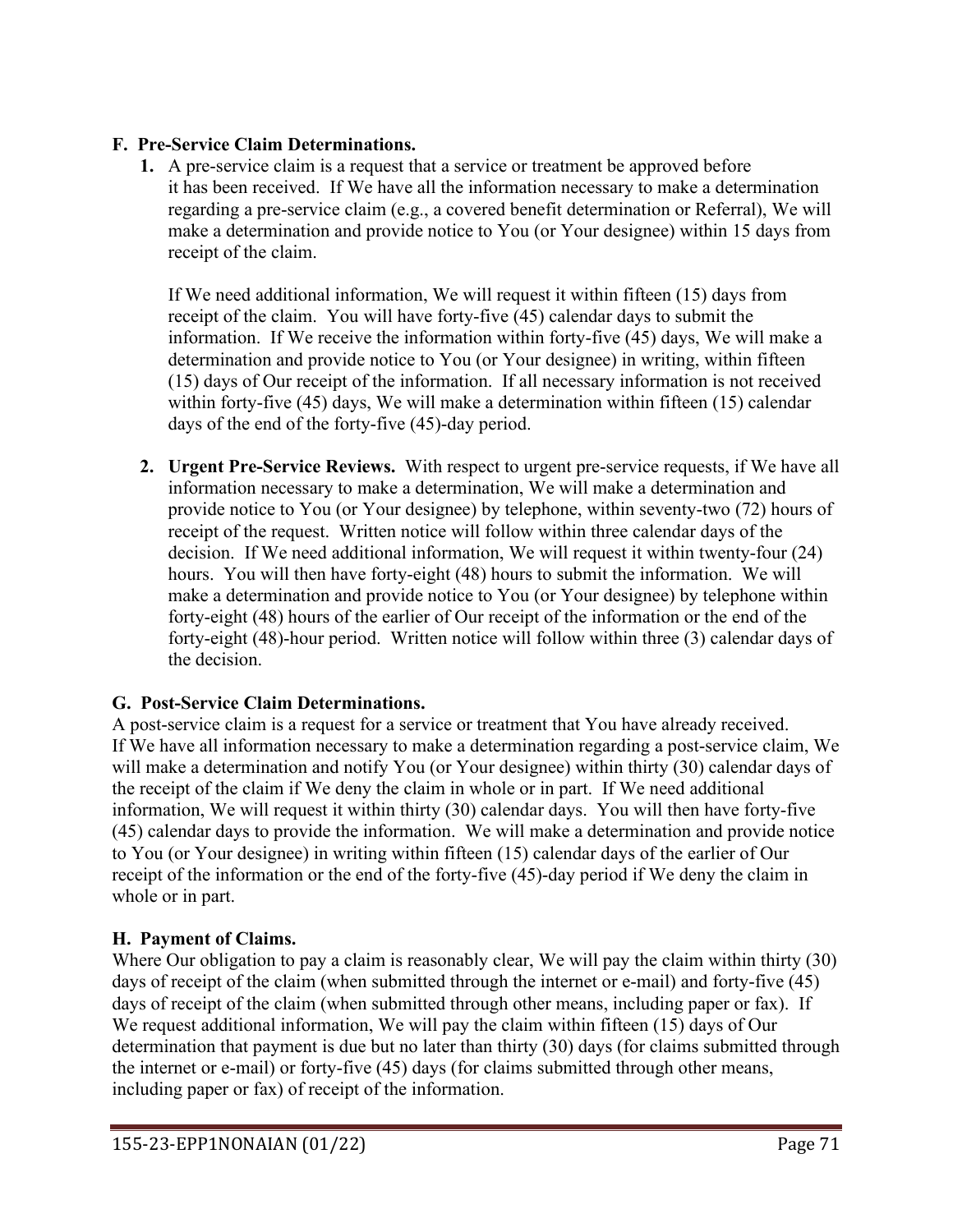## **F. Pre-Service Claim Determinations.**

**1.** A pre-service claim is a request that a service or treatment be approved before it has been received. If We have all the information necessary to make a determination regarding a pre-service claim (e.g., a covered benefit determination or Referral), We will make a determination and provide notice to You (or Your designee) within 15 days from receipt of the claim.

If We need additional information, We will request it within fifteen (15) days from receipt of the claim. You will have forty-five (45) calendar days to submit the information. If We receive the information within forty-five (45) days, We will make a determination and provide notice to You (or Your designee) in writing, within fifteen (15) days of Our receipt of the information. If all necessary information is not received within forty-five (45) days, We will make a determination within fifteen (15) calendar days of the end of the forty-five (45)-day period.

**2. Urgent Pre-Service Reviews.** With respect to urgent pre-service requests, if We have all information necessary to make a determination, We will make a determination and provide notice to You (or Your designee) by telephone, within seventy-two (72) hours of receipt of the request. Written notice will follow within three calendar days of the decision. If We need additional information, We will request it within twenty-four (24) hours. You will then have forty-eight (48) hours to submit the information. We will make a determination and provide notice to You (or Your designee) by telephone within forty-eight (48) hours of the earlier of Our receipt of the information or the end of the forty-eight (48)-hour period. Written notice will follow within three (3) calendar days of the decision.

# **G. Post-Service Claim Determinations.**

A post-service claim is a request for a service or treatment that You have already received. If We have all information necessary to make a determination regarding a post-service claim, We will make a determination and notify You (or Your designee) within thirty (30) calendar days of the receipt of the claim if We deny the claim in whole or in part. If We need additional information, We will request it within thirty (30) calendar days. You will then have forty-five (45) calendar days to provide the information. We will make a determination and provide notice to You (or Your designee) in writing within fifteen (15) calendar days of the earlier of Our receipt of the information or the end of the forty-five (45)-day period if We deny the claim in whole or in part.

# **H. Payment of Claims.**

Where Our obligation to pay a claim is reasonably clear, We will pay the claim within thirty (30) days of receipt of the claim (when submitted through the internet or e-mail) and forty-five (45) days of receipt of the claim (when submitted through other means, including paper or fax). If We request additional information, We will pay the claim within fifteen (15) days of Our determination that payment is due but no later than thirty (30) days (for claims submitted through the internet or e-mail) or forty-five (45) days (for claims submitted through other means, including paper or fax) of receipt of the information.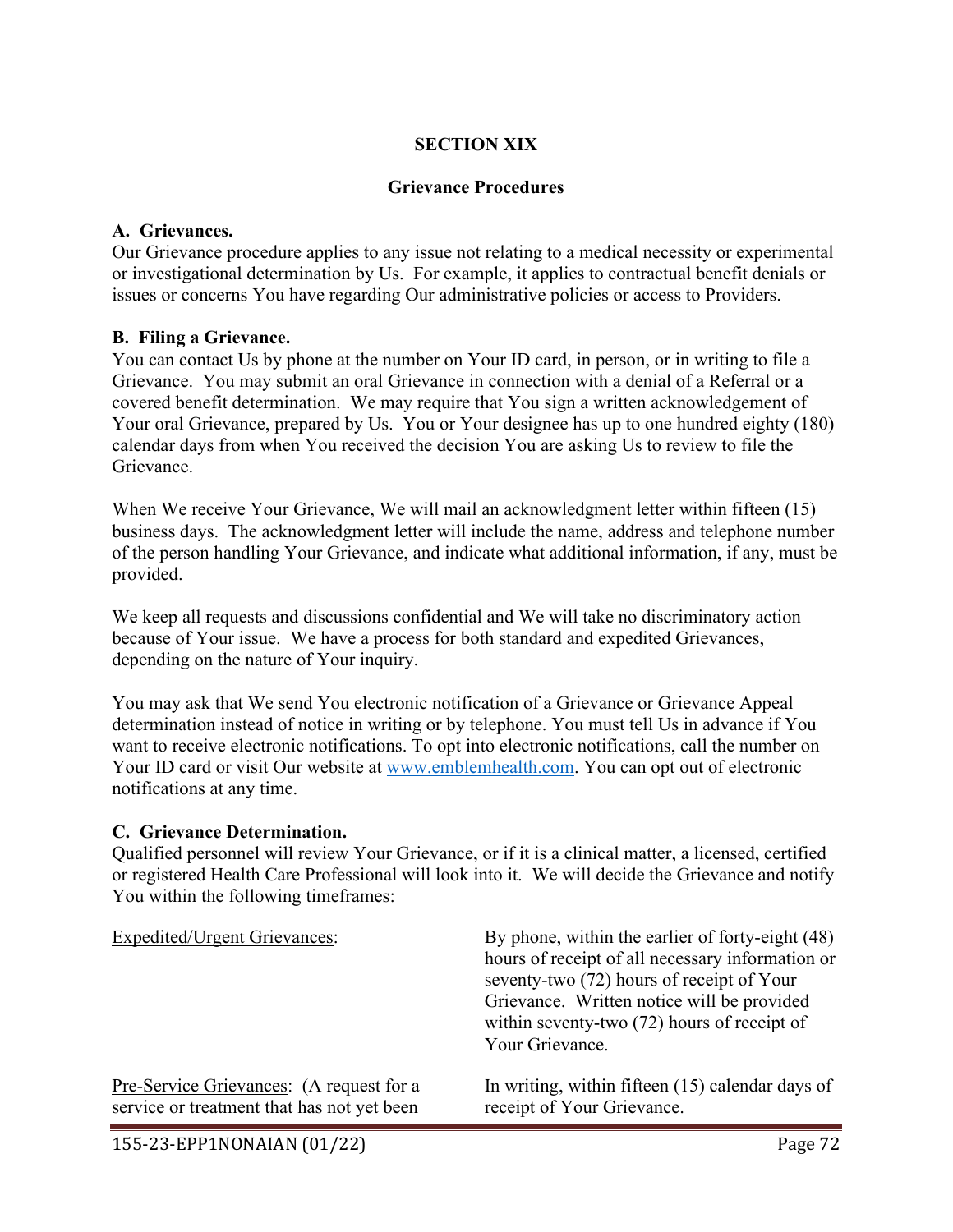### **SECTION XIX**

### **Grievance Procedures**

### **A. Grievances.**

Our Grievance procedure applies to any issue not relating to a medical necessity or experimental or investigational determination by Us. For example, it applies to contractual benefit denials or issues or concerns You have regarding Our administrative policies or access to Providers.

### **B. Filing a Grievance.**

You can contact Us by phone at the number on Your ID card, in person, or in writing to file a Grievance. You may submit an oral Grievance in connection with a denial of a Referral or a covered benefit determination. We may require that You sign a written acknowledgement of Your oral Grievance, prepared by Us. You or Your designee has up to one hundred eighty (180) calendar days from when You received the decision You are asking Us to review to file the Grievance.

When We receive Your Grievance, We will mail an acknowledgment letter within fifteen (15) business days. The acknowledgment letter will include the name, address and telephone number of the person handling Your Grievance, and indicate what additional information, if any, must be provided.

We keep all requests and discussions confidential and We will take no discriminatory action because of Your issue. We have a process for both standard and expedited Grievances, depending on the nature of Your inquiry.

You may ask that We send You electronic notification of a Grievance or Grievance Appeal determination instead of notice in writing or by telephone. You must tell Us in advance if You want to receive electronic notifications. To opt into electronic notifications, call the number on Your ID card or visit Our website at [www.emblemhealth.com.](http://www.emblemhealth.com/) You can opt out of electronic notifications at any time.

#### **C. Grievance Determination.**

Qualified personnel will review Your Grievance, or if it is a clinical matter, a licensed, certified or registered Health Care Professional will look into it. We will decide the Grievance and notify You within the following timeframes:

| <b>Expedited/Urgent Grievances:</b>        | By phone, within the earlier of forty-eight (48)<br>hours of receipt of all necessary information or<br>seventy-two (72) hours of receipt of Your<br>Grievance. Written notice will be provided<br>within seventy-two $(72)$ hours of receipt of<br>Your Grievance. |
|--------------------------------------------|---------------------------------------------------------------------------------------------------------------------------------------------------------------------------------------------------------------------------------------------------------------------|
| Pre-Service Grievances: (A request for a   | In writing, within fifteen (15) calendar days of                                                                                                                                                                                                                    |
| service or treatment that has not yet been | receipt of Your Grievance.                                                                                                                                                                                                                                          |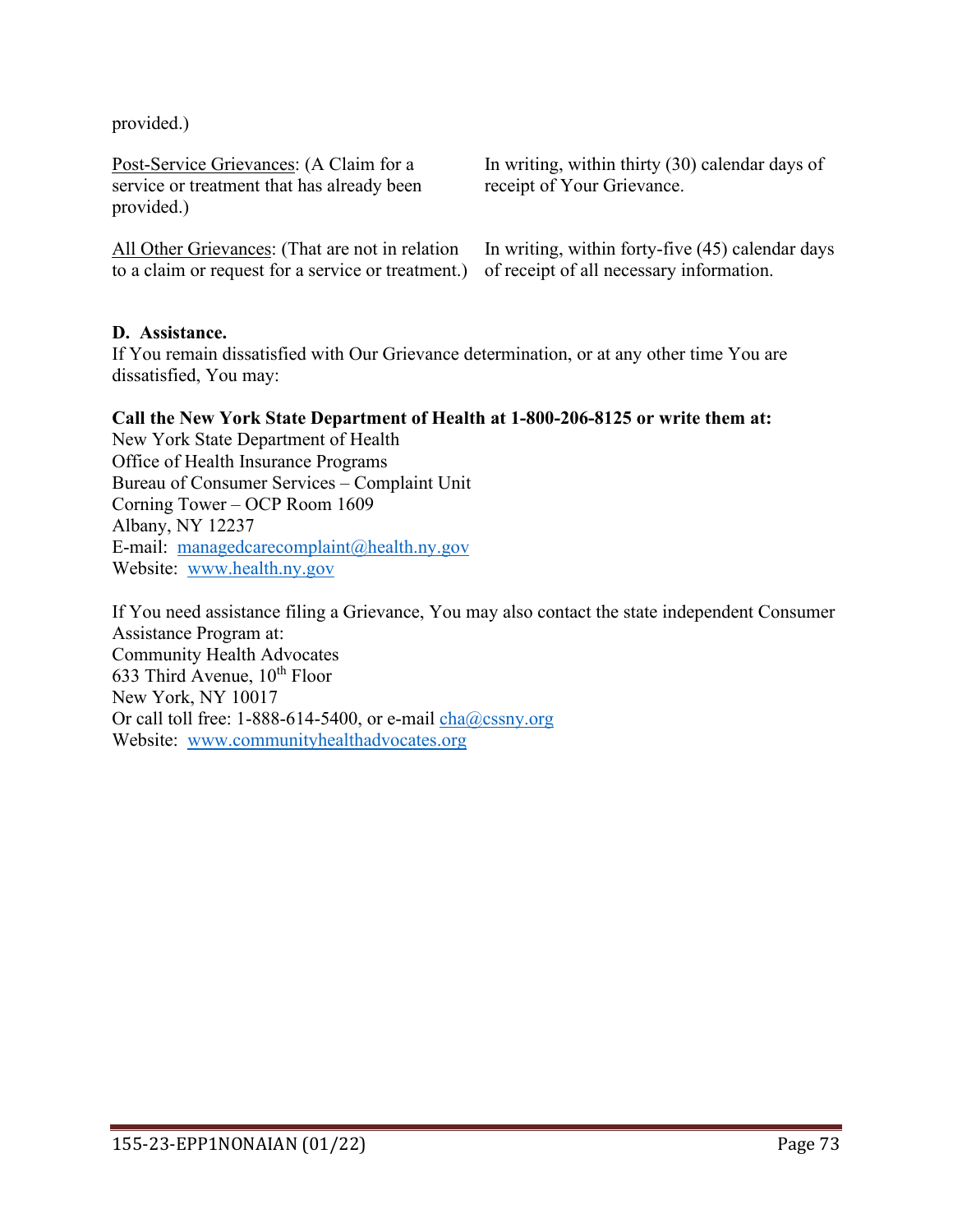provided.)

Post-Service Grievances: (A Claim for a service or treatment that has already been provided.)

All Other Grievances: (That are not in relation to a claim or request for a service or treatment.)

In writing, within thirty (30) calendar days of receipt of Your Grievance.

In writing, within forty-five (45) calendar days of receipt of all necessary information.

### **D. Assistance.**

If You remain dissatisfied with Our Grievance determination, or at any other time You are dissatisfied, You may:

### **Call the New York State Department of Health at 1-800-206-8125 or write them at:**

New York State Department of Health Office of Health Insurance Programs Bureau of Consumer Services – Complaint Unit Corning Tower – OCP Room 1609 Albany, NY 12237 E-mail: [managedcarecomplaint@health.ny.gov](mailto:managedcarecomplaint@health.ny.gov) Website: [www.health.ny.gov](http://www.health.ny.gov/) 

If You need assistance filing a Grievance, You may also contact the state independent Consumer Assistance Program at: Community Health Advocates 633 Third Avenue,  $10^{th}$  Floor New York, NY 10017 Or call toll free: 1-888-614-5400, or e-mail  $cha@cssny.org$ Website: [www.communityhealthadvocates.org](http://www.communityhealthadvocates.org/)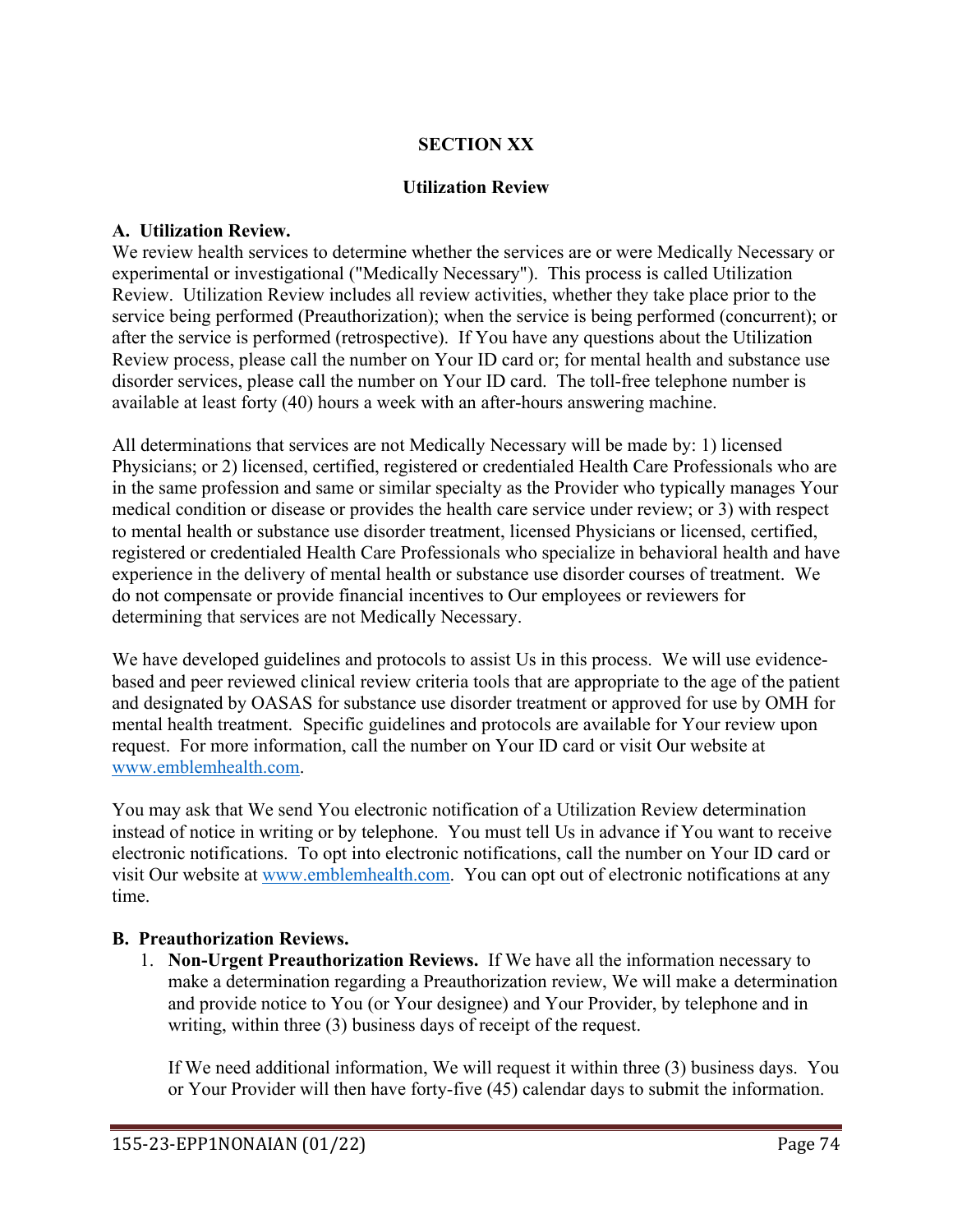## **SECTION XX**

### **Utilization Review**

### **A. Utilization Review.**

We review health services to determine whether the services are or were Medically Necessary or experimental or investigational ("Medically Necessary"). This process is called Utilization Review. Utilization Review includes all review activities, whether they take place prior to the service being performed (Preauthorization); when the service is being performed (concurrent); or after the service is performed (retrospective). If You have any questions about the Utilization Review process, please call the number on Your ID card or; for mental health and substance use disorder services, please call the number on Your ID card. The toll-free telephone number is available at least forty (40) hours a week with an after-hours answering machine.

All determinations that services are not Medically Necessary will be made by: 1) licensed Physicians; or 2) licensed, certified, registered or credentialed Health Care Professionals who are in the same profession and same or similar specialty as the Provider who typically manages Your medical condition or disease or provides the health care service under review; or 3) with respect to mental health or substance use disorder treatment, licensed Physicians or licensed, certified, registered or credentialed Health Care Professionals who specialize in behavioral health and have experience in the delivery of mental health or substance use disorder courses of treatment. We do not compensate or provide financial incentives to Our employees or reviewers for determining that services are not Medically Necessary.

We have developed guidelines and protocols to assist Us in this process. We will use evidencebased and peer reviewed clinical review criteria tools that are appropriate to the age of the patient and designated by OASAS for substance use disorder treatment or approved for use by OMH for mental health treatment. Specific guidelines and protocols are available for Your review upon request. For more information, call the number on Your ID card or visit Our website at [www.emblemhealth.com.](http://www.emblemhealth.com/)

You may ask that We send You electronic notification of a Utilization Review determination instead of notice in writing or by telephone. You must tell Us in advance if You want to receive electronic notifications. To opt into electronic notifications, call the number on Your ID card or visit Our website at [www.emblemhealth.com.](http://www.emblemhealth.com/) You can opt out of electronic notifications at any time.

### **B. Preauthorization Reviews.**

1. **Non-Urgent Preauthorization Reviews.** If We have all the information necessary to make a determination regarding a Preauthorization review, We will make a determination and provide notice to You (or Your designee) and Your Provider, by telephone and in writing, within three (3) business days of receipt of the request.

If We need additional information, We will request it within three (3) business days. You or Your Provider will then have forty-five (45) calendar days to submit the information.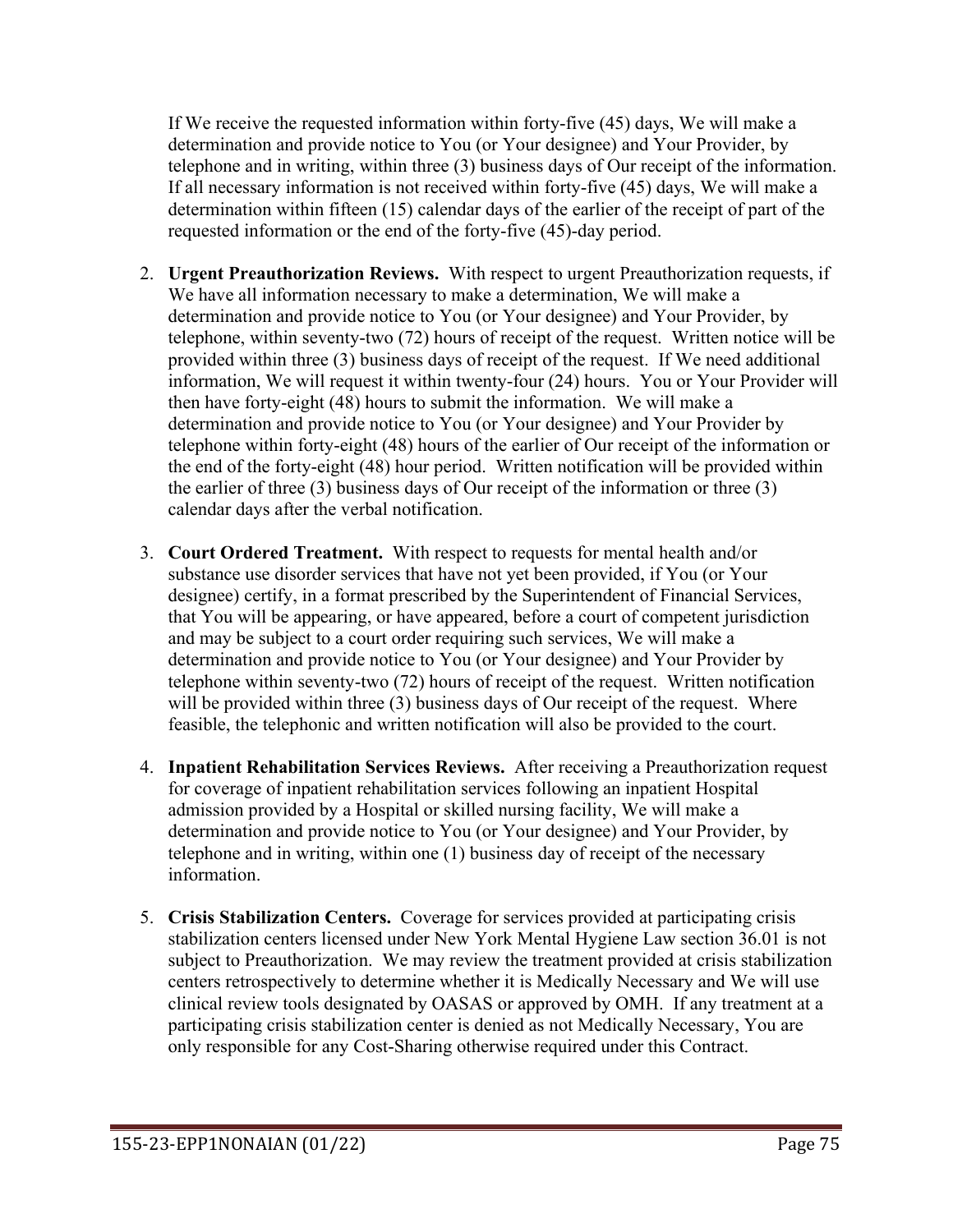If We receive the requested information within forty-five (45) days, We will make a determination and provide notice to You (or Your designee) and Your Provider, by telephone and in writing, within three (3) business days of Our receipt of the information. If all necessary information is not received within forty-five (45) days, We will make a determination within fifteen (15) calendar days of the earlier of the receipt of part of the requested information or the end of the forty-five (45)-day period.

- 2. **Urgent Preauthorization Reviews.** With respect to urgent Preauthorization requests, if We have all information necessary to make a determination, We will make a determination and provide notice to You (or Your designee) and Your Provider, by telephone, within seventy-two (72) hours of receipt of the request. Written notice will be provided within three (3) business days of receipt of the request. If We need additional information, We will request it within twenty-four (24) hours. You or Your Provider will then have forty-eight (48) hours to submit the information. We will make a determination and provide notice to You (or Your designee) and Your Provider by telephone within forty-eight (48) hours of the earlier of Our receipt of the information or the end of the forty-eight (48) hour period. Written notification will be provided within the earlier of three (3) business days of Our receipt of the information or three (3) calendar days after the verbal notification.
- 3. **Court Ordered Treatment.** With respect to requests for mental health and/or substance use disorder services that have not yet been provided, if You (or Your designee) certify, in a format prescribed by the Superintendent of Financial Services, that You will be appearing, or have appeared, before a court of competent jurisdiction and may be subject to a court order requiring such services, We will make a determination and provide notice to You (or Your designee) and Your Provider by telephone within seventy-two (72) hours of receipt of the request. Written notification will be provided within three (3) business days of Our receipt of the request. Where feasible, the telephonic and written notification will also be provided to the court.
- 4. **Inpatient Rehabilitation Services Reviews.** After receiving a Preauthorization request for coverage of inpatient rehabilitation services following an inpatient Hospital admission provided by a Hospital or skilled nursing facility, We will make a determination and provide notice to You (or Your designee) and Your Provider, by telephone and in writing, within one (1) business day of receipt of the necessary information.
- 5. **Crisis Stabilization Centers.** Coverage for services provided at participating crisis stabilization centers licensed under New York Mental Hygiene Law section 36.01 is not subject to Preauthorization. We may review the treatment provided at crisis stabilization centers retrospectively to determine whether it is Medically Necessary and We will use clinical review tools designated by OASAS or approved by OMH. If any treatment at a participating crisis stabilization center is denied as not Medically Necessary, You are only responsible for any Cost-Sharing otherwise required under this Contract.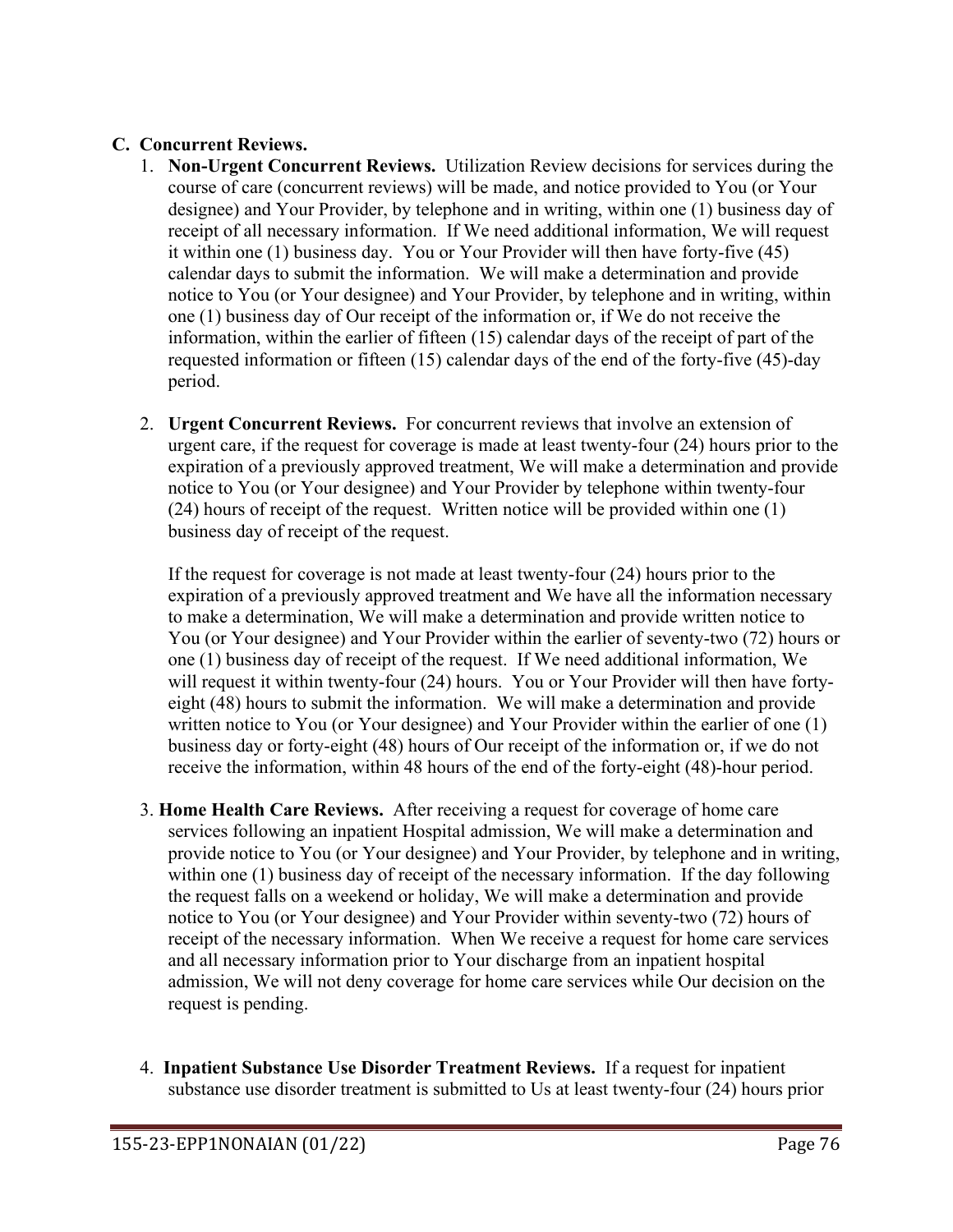# **C. Concurrent Reviews.**

- 1. **Non-Urgent Concurrent Reviews.** Utilization Review decisions for services during the course of care (concurrent reviews) will be made, and notice provided to You (or Your designee) and Your Provider, by telephone and in writing, within one (1) business day of receipt of all necessary information. If We need additional information, We will request it within one (1) business day. You or Your Provider will then have forty-five (45) calendar days to submit the information. We will make a determination and provide notice to You (or Your designee) and Your Provider, by telephone and in writing, within one (1) business day of Our receipt of the information or, if We do not receive the information, within the earlier of fifteen (15) calendar days of the receipt of part of the requested information or fifteen (15) calendar days of the end of the forty-five (45)-day period.
- 2. **Urgent Concurrent Reviews.** For concurrent reviews that involve an extension of urgent care, if the request for coverage is made at least twenty-four (24) hours prior to the expiration of a previously approved treatment, We will make a determination and provide notice to You (or Your designee) and Your Provider by telephone within twenty-four (24) hours of receipt of the request. Written notice will be provided within one (1) business day of receipt of the request.

If the request for coverage is not made at least twenty-four (24) hours prior to the expiration of a previously approved treatment and We have all the information necessary to make a determination, We will make a determination and provide written notice to You (or Your designee) and Your Provider within the earlier of seventy-two (72) hours or one (1) business day of receipt of the request. If We need additional information, We will request it within twenty-four (24) hours. You or Your Provider will then have fortyeight (48) hours to submit the information. We will make a determination and provide written notice to You (or Your designee) and Your Provider within the earlier of one (1) business day or forty-eight (48) hours of Our receipt of the information or, if we do not receive the information, within 48 hours of the end of the forty-eight (48)-hour period.

- 3. **Home Health Care Reviews.** After receiving a request for coverage of home care services following an inpatient Hospital admission, We will make a determination and provide notice to You (or Your designee) and Your Provider, by telephone and in writing, within one (1) business day of receipt of the necessary information. If the day following the request falls on a weekend or holiday, We will make a determination and provide notice to You (or Your designee) and Your Provider within seventy-two (72) hours of receipt of the necessary information. When We receive a request for home care services and all necessary information prior to Your discharge from an inpatient hospital admission, We will not deny coverage for home care services while Our decision on the request is pending.
- 4. **Inpatient Substance Use Disorder Treatment Reviews.** If a request for inpatient substance use disorder treatment is submitted to Us at least twenty-four (24) hours prior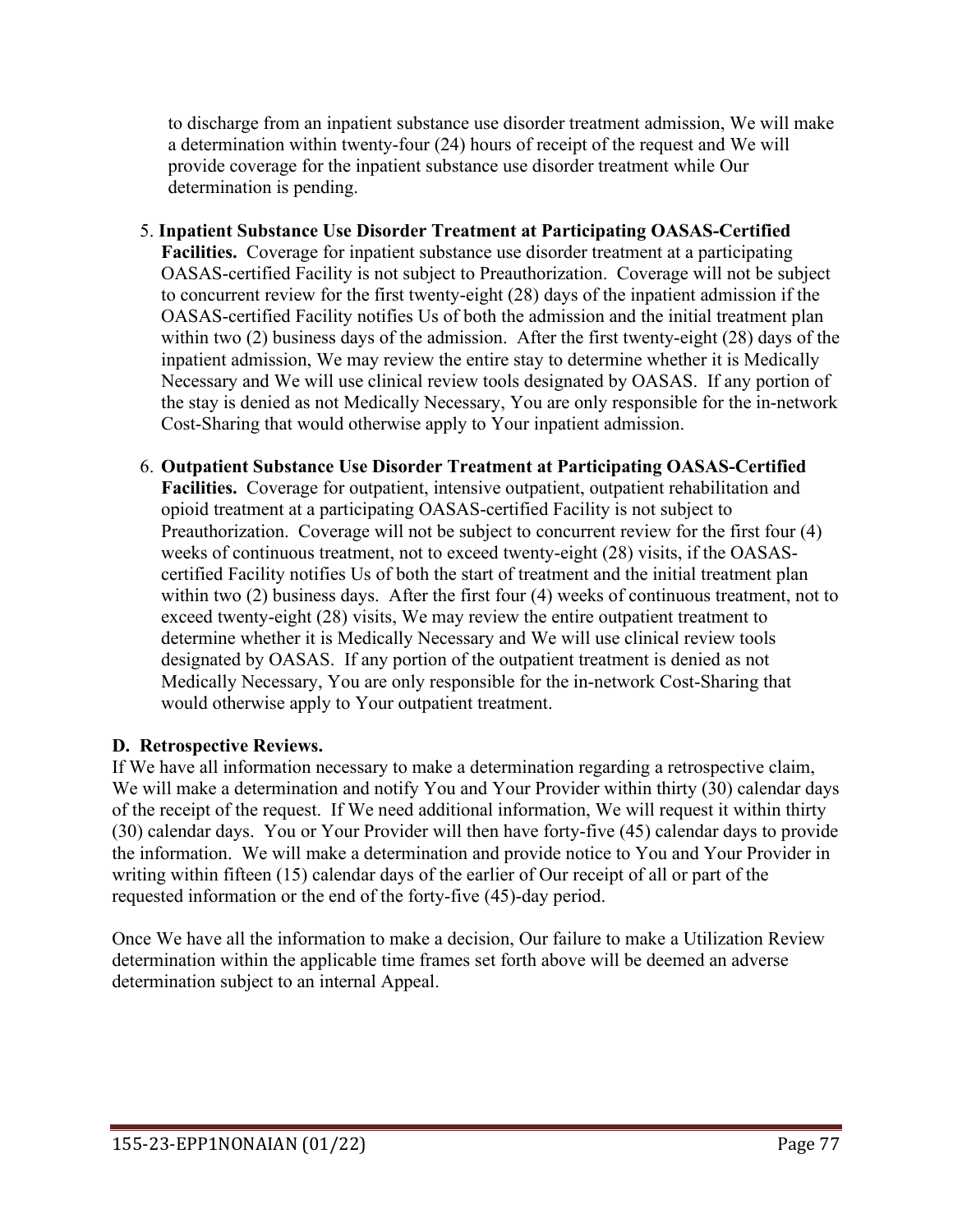to discharge from an inpatient substance use disorder treatment admission, We will make a determination within twenty-four (24) hours of receipt of the request and We will provide coverage for the inpatient substance use disorder treatment while Our determination is pending.

- 5. **Inpatient Substance Use Disorder Treatment at Participating OASAS-Certified Facilities.** Coverage for inpatient substance use disorder treatment at a participating OASAS-certified Facility is not subject to Preauthorization. Coverage will not be subject to concurrent review for the first twenty-eight (28) days of the inpatient admission if the OASAS-certified Facility notifies Us of both the admission and the initial treatment plan within two (2) business days of the admission. After the first twenty-eight (28) days of the inpatient admission, We may review the entire stay to determine whether it is Medically Necessary and We will use clinical review tools designated by OASAS. If any portion of the stay is denied as not Medically Necessary, You are only responsible for the in-network Cost-Sharing that would otherwise apply to Your inpatient admission.
- 6. **Outpatient Substance Use Disorder Treatment at Participating OASAS-Certified Facilities.** Coverage for outpatient, intensive outpatient, outpatient rehabilitation and opioid treatment at a participating OASAS-certified Facility is not subject to Preauthorization. Coverage will not be subject to concurrent review for the first four (4) weeks of continuous treatment, not to exceed twenty-eight (28) visits, if the OASAScertified Facility notifies Us of both the start of treatment and the initial treatment plan within two (2) business days. After the first four (4) weeks of continuous treatment, not to exceed twenty-eight (28) visits, We may review the entire outpatient treatment to determine whether it is Medically Necessary and We will use clinical review tools designated by OASAS. If any portion of the outpatient treatment is denied as not Medically Necessary, You are only responsible for the in-network Cost-Sharing that would otherwise apply to Your outpatient treatment.

# **D. Retrospective Reviews.**

If We have all information necessary to make a determination regarding a retrospective claim, We will make a determination and notify You and Your Provider within thirty (30) calendar days of the receipt of the request. If We need additional information, We will request it within thirty (30) calendar days. You or Your Provider will then have forty-five (45) calendar days to provide the information. We will make a determination and provide notice to You and Your Provider in writing within fifteen (15) calendar days of the earlier of Our receipt of all or part of the requested information or the end of the forty-five (45)-day period.

Once We have all the information to make a decision, Our failure to make a Utilization Review determination within the applicable time frames set forth above will be deemed an adverse determination subject to an internal Appeal.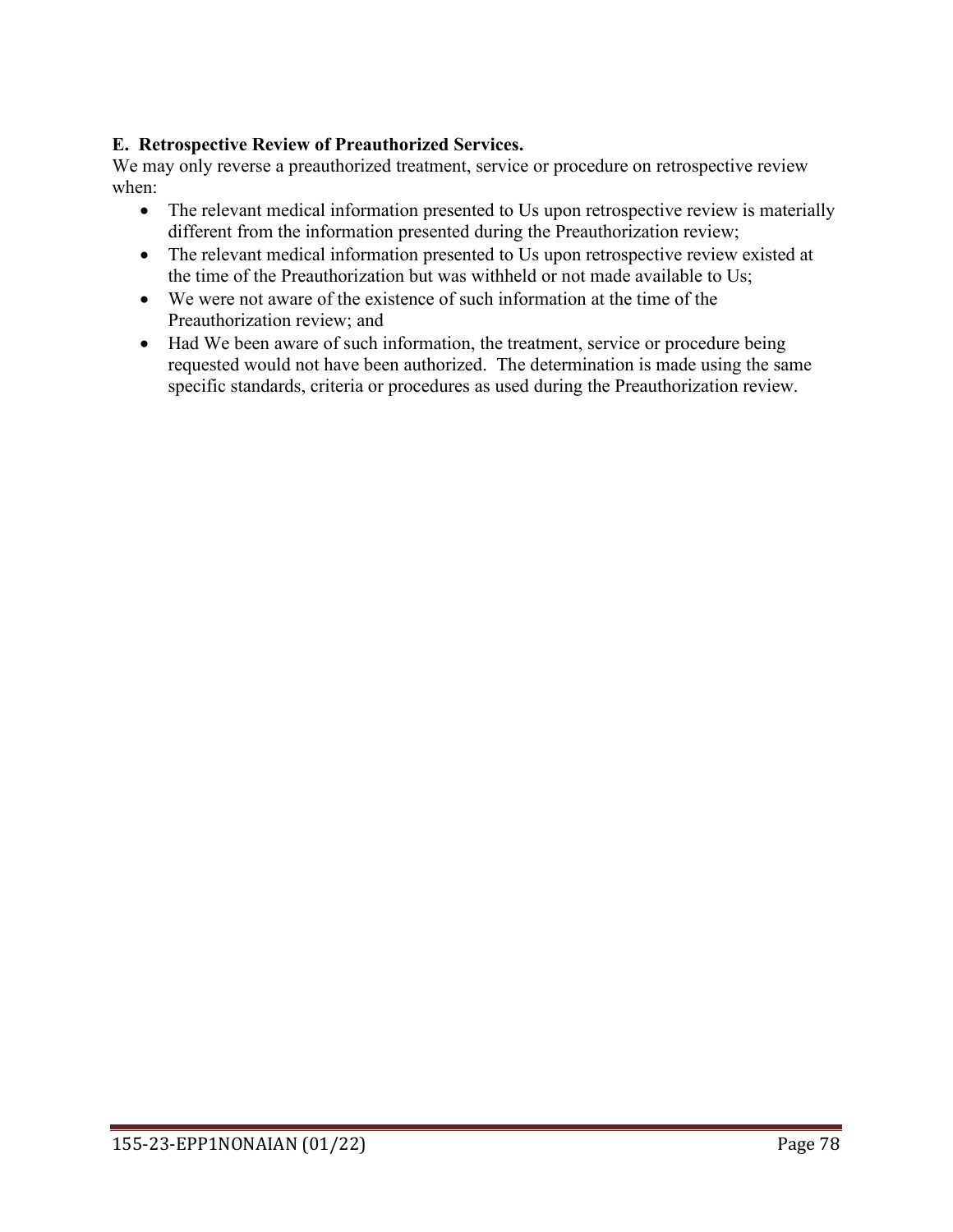# **E. Retrospective Review of Preauthorized Services.**

We may only reverse a preauthorized treatment, service or procedure on retrospective review when:

- The relevant medical information presented to Us upon retrospective review is materially different from the information presented during the Preauthorization review;
- The relevant medical information presented to Us upon retrospective review existed at the time of the Preauthorization but was withheld or not made available to Us;
- We were not aware of the existence of such information at the time of the Preauthorization review; and
- Had We been aware of such information, the treatment, service or procedure being requested would not have been authorized. The determination is made using the same specific standards, criteria or procedures as used during the Preauthorization review.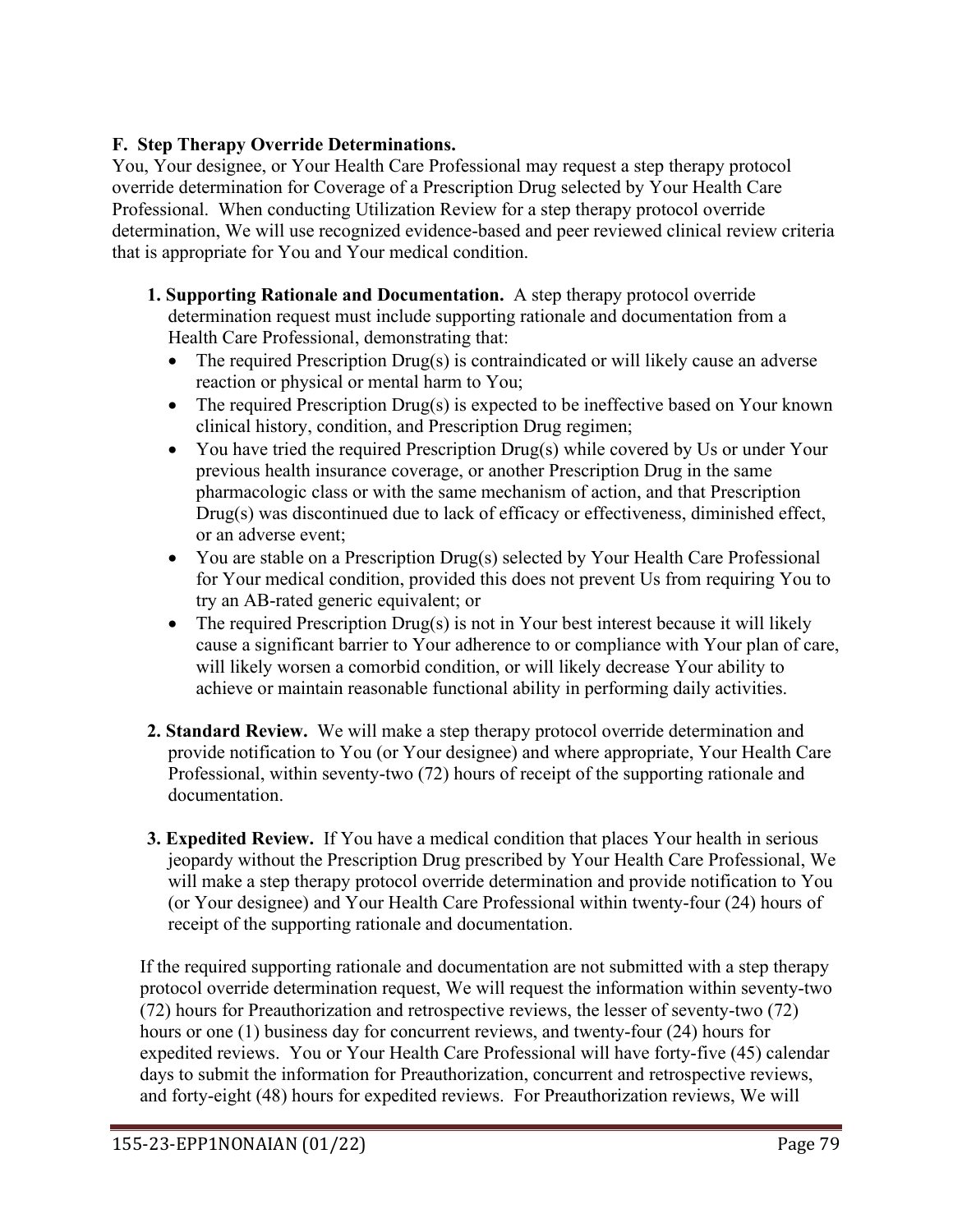# **F. Step Therapy Override Determinations.**

You, Your designee, or Your Health Care Professional may request a step therapy protocol override determination for Coverage of a Prescription Drug selected by Your Health Care Professional. When conducting Utilization Review for a step therapy protocol override determination, We will use recognized evidence-based and peer reviewed clinical review criteria that is appropriate for You and Your medical condition.

- **1. Supporting Rationale and Documentation.** A step therapy protocol override determination request must include supporting rationale and documentation from a Health Care Professional, demonstrating that:
	- The required Prescription Drug(s) is contraindicated or will likely cause an adverse reaction or physical or mental harm to You;
	- The required Prescription Drug(s) is expected to be ineffective based on Your known clinical history, condition, and Prescription Drug regimen;
	- You have tried the required Prescription Drug(s) while covered by Us or under Your previous health insurance coverage, or another Prescription Drug in the same pharmacologic class or with the same mechanism of action, and that Prescription Drug(s) was discontinued due to lack of efficacy or effectiveness, diminished effect, or an adverse event;
	- You are stable on a Prescription Drug(s) selected by Your Health Care Professional for Your medical condition, provided this does not prevent Us from requiring You to try an AB-rated generic equivalent; or
	- The required Prescription Drug(s) is not in Your best interest because it will likely cause a significant barrier to Your adherence to or compliance with Your plan of care, will likely worsen a comorbid condition, or will likely decrease Your ability to achieve or maintain reasonable functional ability in performing daily activities.
- **2. Standard Review.** We will make a step therapy protocol override determination and provide notification to You (or Your designee) and where appropriate, Your Health Care Professional, within seventy-two (72) hours of receipt of the supporting rationale and documentation.
- **3. Expedited Review.** If You have a medical condition that places Your health in serious jeopardy without the Prescription Drug prescribed by Your Health Care Professional, We will make a step therapy protocol override determination and provide notification to You (or Your designee) and Your Health Care Professional within twenty-four (24) hours of receipt of the supporting rationale and documentation.

If the required supporting rationale and documentation are not submitted with a step therapy protocol override determination request, We will request the information within seventy-two (72) hours for Preauthorization and retrospective reviews, the lesser of seventy-two (72) hours or one (1) business day for concurrent reviews, and twenty-four (24) hours for expedited reviews. You or Your Health Care Professional will have forty-five (45) calendar days to submit the information for Preauthorization, concurrent and retrospective reviews, and forty-eight (48) hours for expedited reviews. For Preauthorization reviews, We will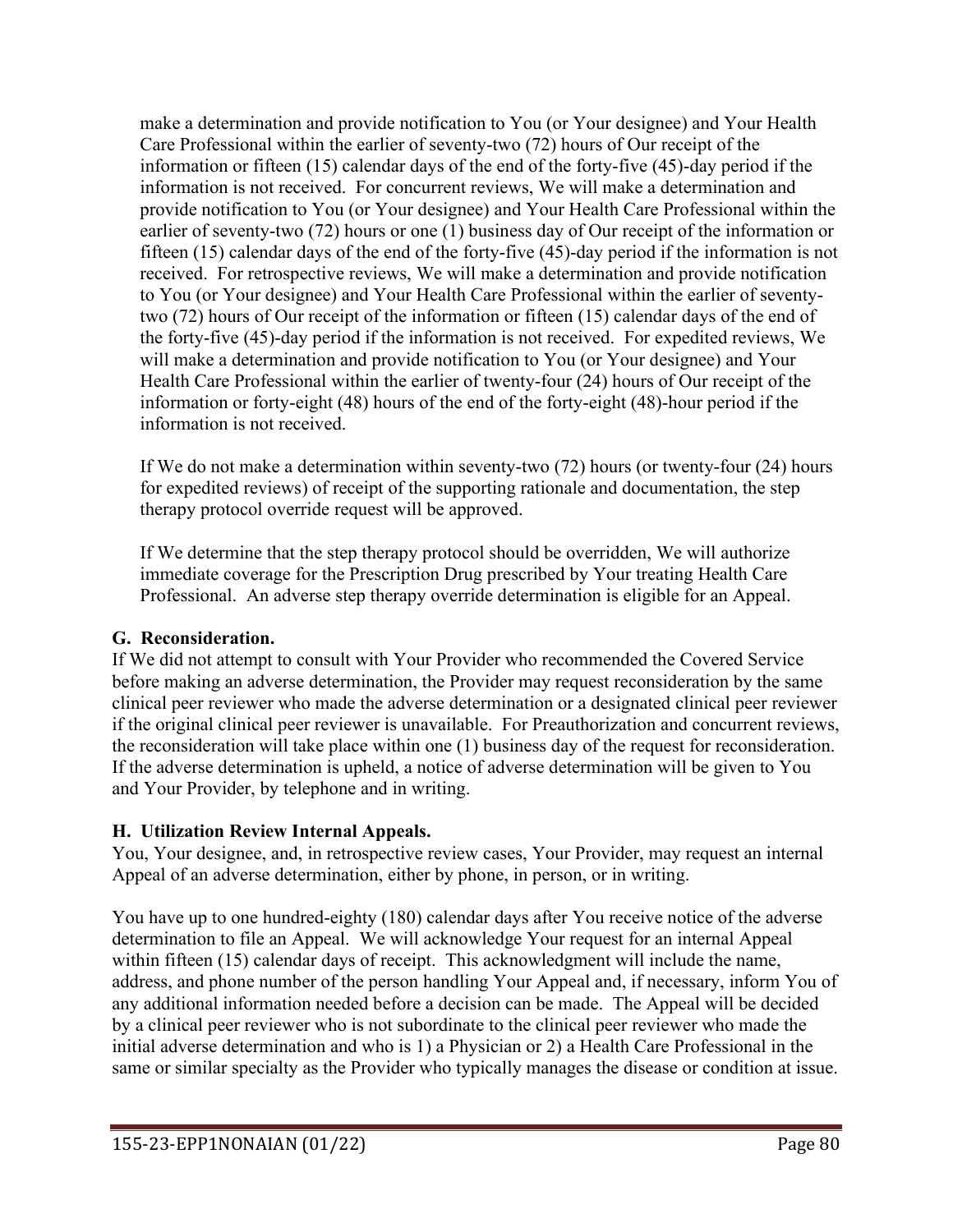make a determination and provide notification to You (or Your designee) and Your Health Care Professional within the earlier of seventy-two (72) hours of Our receipt of the information or fifteen (15) calendar days of the end of the forty-five (45)-day period if the information is not received. For concurrent reviews, We will make a determination and provide notification to You (or Your designee) and Your Health Care Professional within the earlier of seventy-two (72) hours or one (1) business day of Our receipt of the information or fifteen (15) calendar days of the end of the forty-five (45)-day period if the information is not received. For retrospective reviews, We will make a determination and provide notification to You (or Your designee) and Your Health Care Professional within the earlier of seventytwo (72) hours of Our receipt of the information or fifteen (15) calendar days of the end of the forty-five (45)-day period if the information is not received. For expedited reviews, We will make a determination and provide notification to You (or Your designee) and Your Health Care Professional within the earlier of twenty-four (24) hours of Our receipt of the information or forty-eight (48) hours of the end of the forty-eight (48)-hour period if the information is not received.

If We do not make a determination within seventy-two (72) hours (or twenty-four (24) hours for expedited reviews) of receipt of the supporting rationale and documentation, the step therapy protocol override request will be approved.

If We determine that the step therapy protocol should be overridden, We will authorize immediate coverage for the Prescription Drug prescribed by Your treating Health Care Professional. An adverse step therapy override determination is eligible for an Appeal.

# **G. Reconsideration.**

If We did not attempt to consult with Your Provider who recommended the Covered Service before making an adverse determination, the Provider may request reconsideration by the same clinical peer reviewer who made the adverse determination or a designated clinical peer reviewer if the original clinical peer reviewer is unavailable. For Preauthorization and concurrent reviews, the reconsideration will take place within one (1) business day of the request for reconsideration. If the adverse determination is upheld, a notice of adverse determination will be given to You and Your Provider, by telephone and in writing.

# **H. Utilization Review Internal Appeals.**

You, Your designee, and, in retrospective review cases, Your Provider, may request an internal Appeal of an adverse determination, either by phone, in person, or in writing.

You have up to one hundred-eighty (180) calendar days after You receive notice of the adverse determination to file an Appeal. We will acknowledge Your request for an internal Appeal within fifteen (15) calendar days of receipt. This acknowledgment will include the name, address, and phone number of the person handling Your Appeal and, if necessary, inform You of any additional information needed before a decision can be made. The Appeal will be decided by a clinical peer reviewer who is not subordinate to the clinical peer reviewer who made the initial adverse determination and who is 1) a Physician or 2) a Health Care Professional in the same or similar specialty as the Provider who typically manages the disease or condition at issue.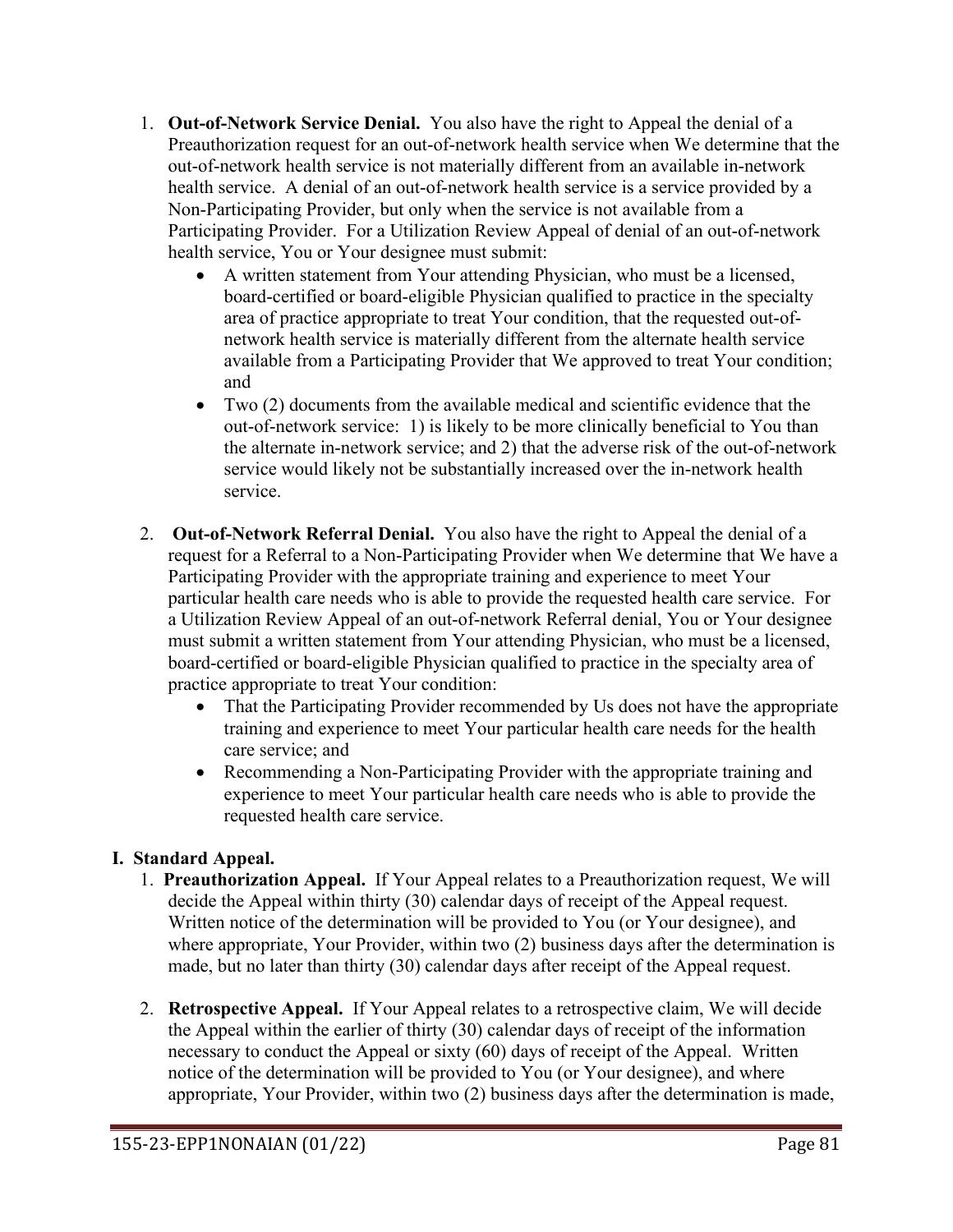- 1. **Out-of-Network Service Denial.** You also have the right to Appeal the denial of a Preauthorization request for an out-of-network health service when We determine that the out-of-network health service is not materially different from an available in-network health service. A denial of an out-of-network health service is a service provided by a Non-Participating Provider, but only when the service is not available from a Participating Provider. For a Utilization Review Appeal of denial of an out-of-network health service, You or Your designee must submit:
	- A written statement from Your attending Physician, who must be a licensed, board-certified or board-eligible Physician qualified to practice in the specialty area of practice appropriate to treat Your condition, that the requested out-ofnetwork health service is materially different from the alternate health service available from a Participating Provider that We approved to treat Your condition; and
	- Two (2) documents from the available medical and scientific evidence that the out-of-network service: 1) is likely to be more clinically beneficial to You than the alternate in-network service; and 2) that the adverse risk of the out-of-network service would likely not be substantially increased over the in-network health service.
- 2. **Out-of-Network Referral Denial.** You also have the right to Appeal the denial of a request for a Referral to a Non-Participating Provider when We determine that We have a Participating Provider with the appropriate training and experience to meet Your particular health care needs who is able to provide the requested health care service. For a Utilization Review Appeal of an out-of-network Referral denial, You or Your designee must submit a written statement from Your attending Physician, who must be a licensed, board-certified or board-eligible Physician qualified to practice in the specialty area of practice appropriate to treat Your condition:
	- That the Participating Provider recommended by Us does not have the appropriate training and experience to meet Your particular health care needs for the health care service; and
	- Recommending a Non-Participating Provider with the appropriate training and experience to meet Your particular health care needs who is able to provide the requested health care service.

# **I. Standard Appeal.**

- 1. **Preauthorization Appeal.** If Your Appeal relates to a Preauthorization request, We will decide the Appeal within thirty (30) calendar days of receipt of the Appeal request. Written notice of the determination will be provided to You (or Your designee), and where appropriate, Your Provider, within two (2) business days after the determination is made, but no later than thirty (30) calendar days after receipt of the Appeal request.
- 2. **Retrospective Appeal.** If Your Appeal relates to a retrospective claim, We will decide the Appeal within the earlier of thirty (30) calendar days of receipt of the information necessary to conduct the Appeal or sixty (60) days of receipt of the Appeal. Written notice of the determination will be provided to You (or Your designee), and where appropriate, Your Provider, within two (2) business days after the determination is made,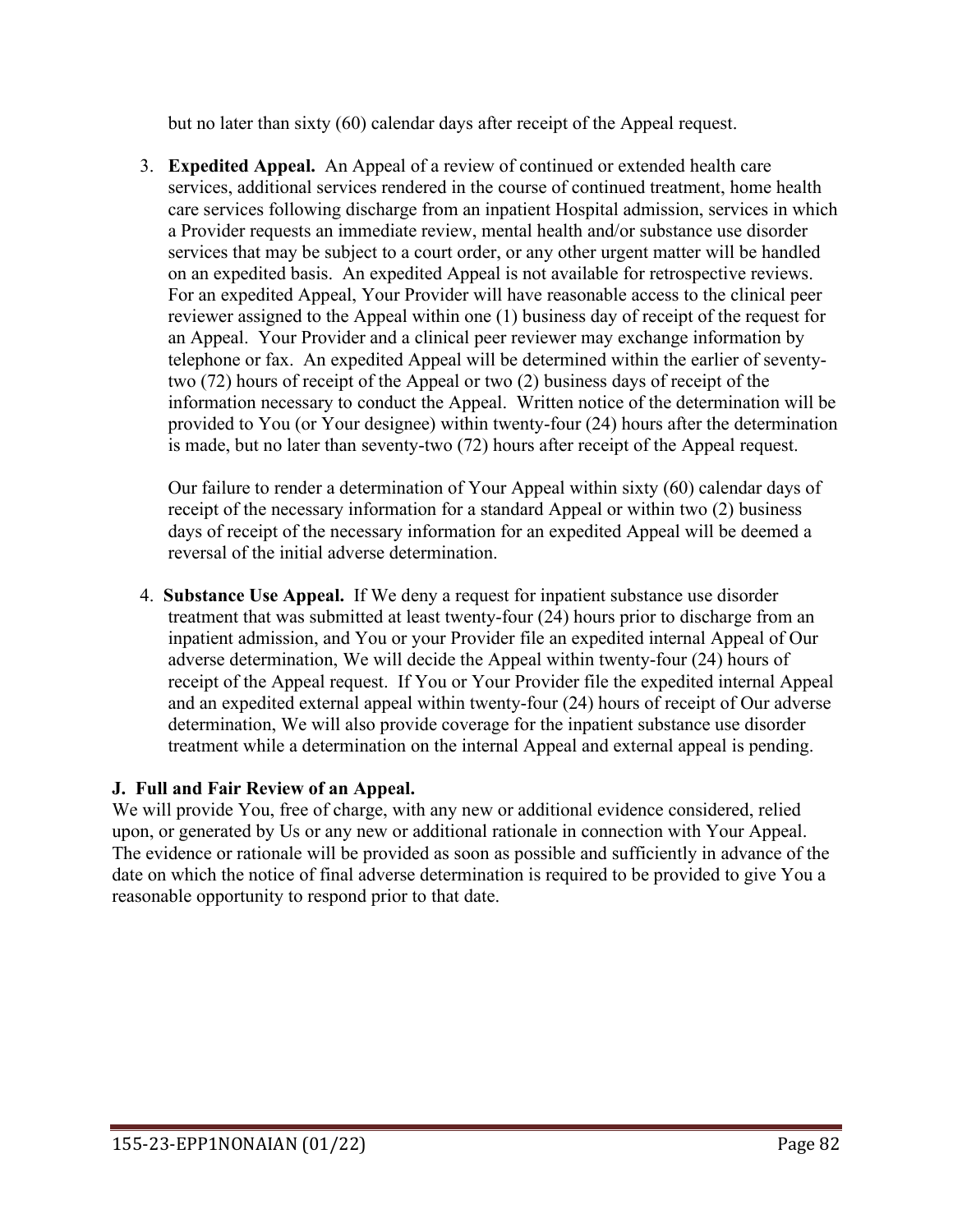but no later than sixty (60) calendar days after receipt of the Appeal request.

3. **Expedited Appeal.** An Appeal of a review of continued or extended health care services, additional services rendered in the course of continued treatment, home health care services following discharge from an inpatient Hospital admission, services in which a Provider requests an immediate review, mental health and/or substance use disorder services that may be subject to a court order, or any other urgent matter will be handled on an expedited basis. An expedited Appeal is not available for retrospective reviews. For an expedited Appeal, Your Provider will have reasonable access to the clinical peer reviewer assigned to the Appeal within one (1) business day of receipt of the request for an Appeal. Your Provider and a clinical peer reviewer may exchange information by telephone or fax. An expedited Appeal will be determined within the earlier of seventytwo (72) hours of receipt of the Appeal or two (2) business days of receipt of the information necessary to conduct the Appeal. Written notice of the determination will be provided to You (or Your designee) within twenty-four (24) hours after the determination is made, but no later than seventy-two (72) hours after receipt of the Appeal request.

Our failure to render a determination of Your Appeal within sixty (60) calendar days of receipt of the necessary information for a standard Appeal or within two (2) business days of receipt of the necessary information for an expedited Appeal will be deemed a reversal of the initial adverse determination.

4. **Substance Use Appeal.** If We deny a request for inpatient substance use disorder treatment that was submitted at least twenty-four (24) hours prior to discharge from an inpatient admission, and You or your Provider file an expedited internal Appeal of Our adverse determination, We will decide the Appeal within twenty-four (24) hours of receipt of the Appeal request. If You or Your Provider file the expedited internal Appeal and an expedited external appeal within twenty-four (24) hours of receipt of Our adverse determination, We will also provide coverage for the inpatient substance use disorder treatment while a determination on the internal Appeal and external appeal is pending.

# **J. Full and Fair Review of an Appeal.**

We will provide You, free of charge, with any new or additional evidence considered, relied upon, or generated by Us or any new or additional rationale in connection with Your Appeal. The evidence or rationale will be provided as soon as possible and sufficiently in advance of the date on which the notice of final adverse determination is required to be provided to give You a reasonable opportunity to respond prior to that date.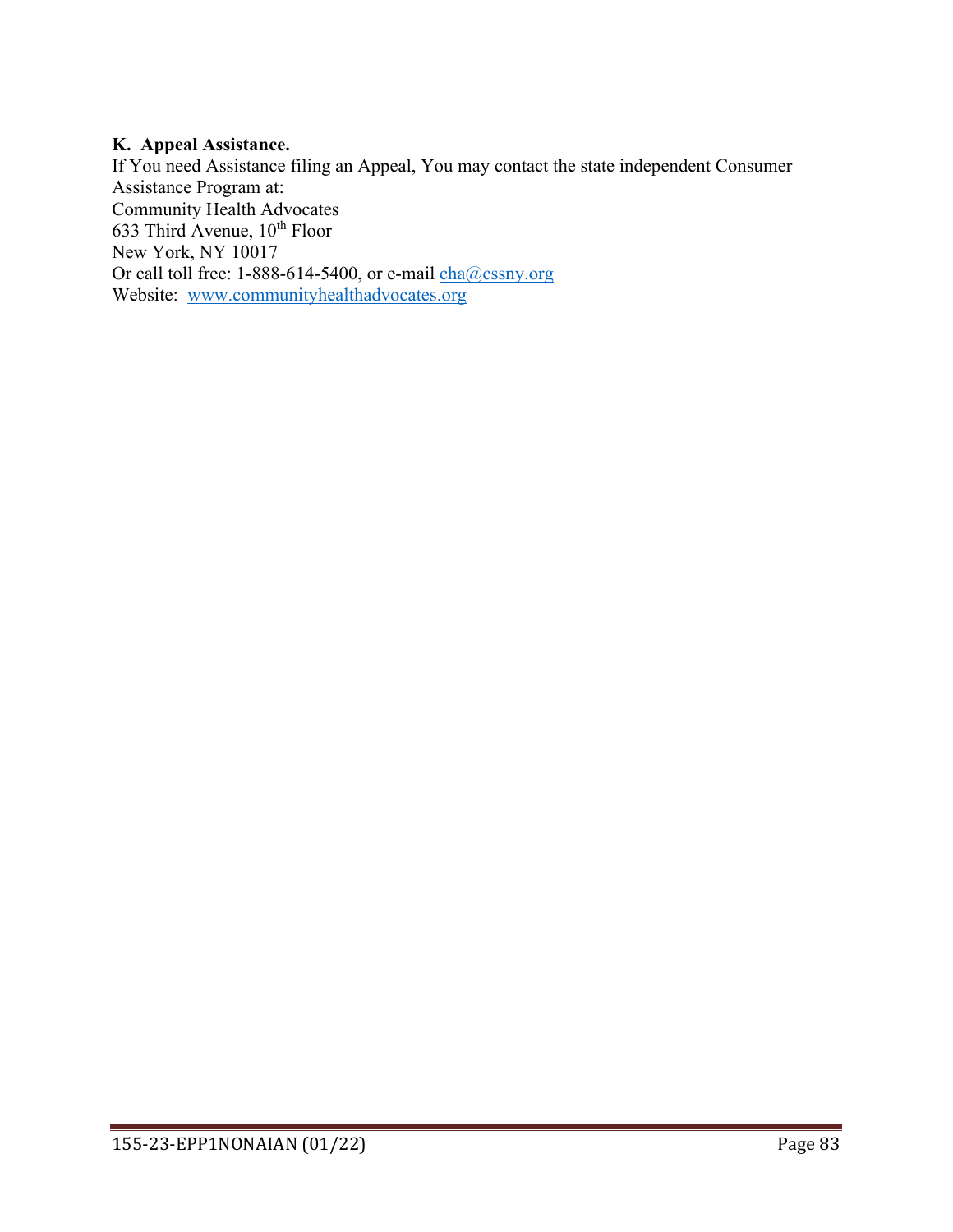### **K. Appeal Assistance.**

If You need Assistance filing an Appeal, You may contact the state independent Consumer Assistance Program at: Community Health Advocates 633 Third Avenue,  $10^{th}$  Floor New York, NY 10017 Or call toll free: 1-888-614-5400, or e-mail [cha@cssny.org](mailto:cha@cssny.org) Website: [www.communityhealthadvocates.org](http://www.communityhealthadvocates.org/)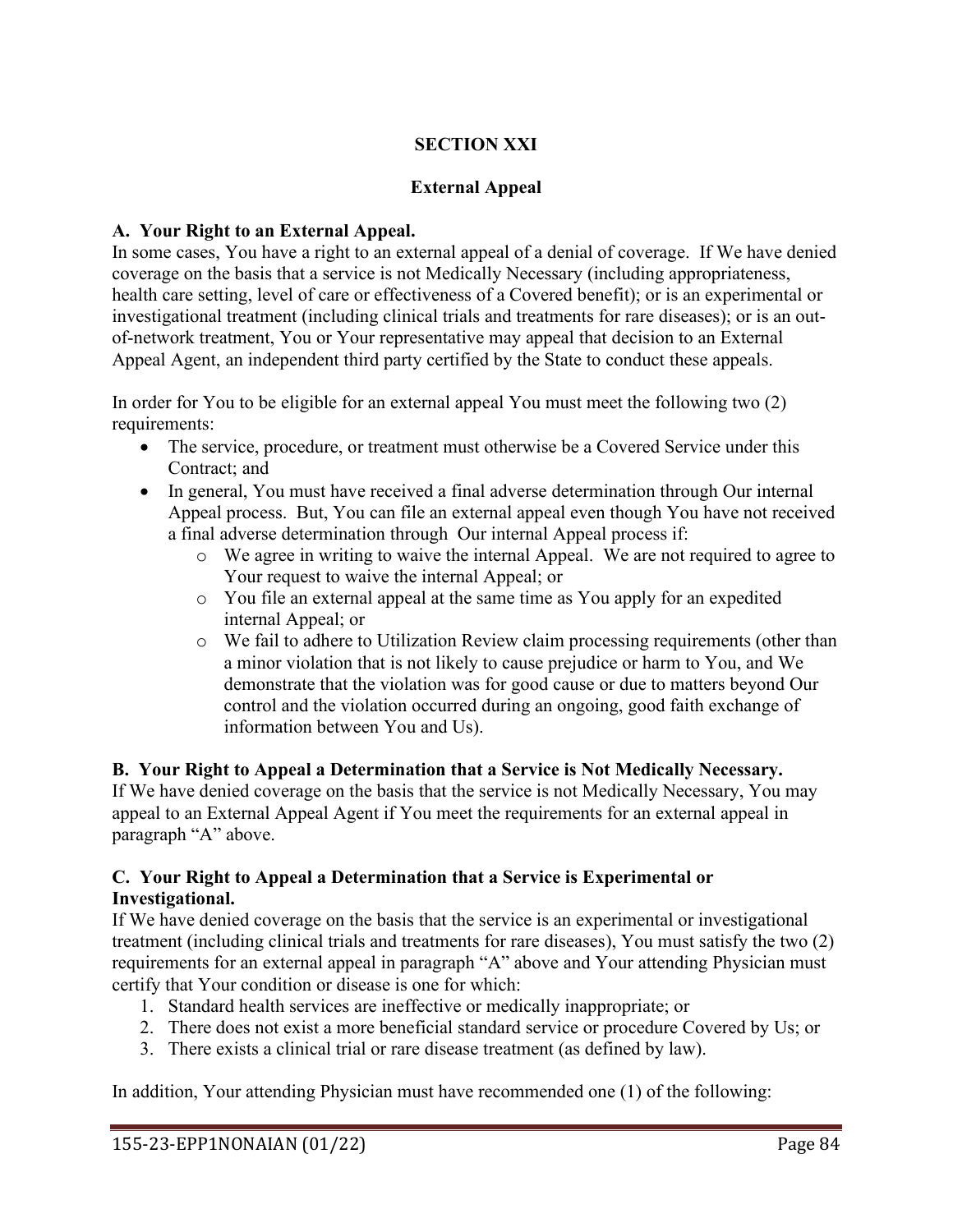# **SECTION XXI**

# **External Appeal**

## **A. Your Right to an External Appeal.**

In some cases, You have a right to an external appeal of a denial of coverage. If We have denied coverage on the basis that a service is not Medically Necessary (including appropriateness, health care setting, level of care or effectiveness of a Covered benefit); or is an experimental or investigational treatment (including clinical trials and treatments for rare diseases); or is an outof-network treatment, You or Your representative may appeal that decision to an External Appeal Agent, an independent third party certified by the State to conduct these appeals.

In order for You to be eligible for an external appeal You must meet the following two (2) requirements:

- The service, procedure, or treatment must otherwise be a Covered Service under this Contract; and
- In general, You must have received a final adverse determination through Our internal Appeal process. But, You can file an external appeal even though You have not received a final adverse determination through Our internal Appeal process if:
	- o We agree in writing to waive the internal Appeal. We are not required to agree to Your request to waive the internal Appeal; or
	- o You file an external appeal at the same time as You apply for an expedited internal Appeal; or
	- o We fail to adhere to Utilization Review claim processing requirements (other than a minor violation that is not likely to cause prejudice or harm to You, and We demonstrate that the violation was for good cause or due to matters beyond Our control and the violation occurred during an ongoing, good faith exchange of information between You and Us).

**B. Your Right to Appeal a Determination that a Service is Not Medically Necessary.** If We have denied coverage on the basis that the service is not Medically Necessary, You may appeal to an External Appeal Agent if You meet the requirements for an external appeal in paragraph "A" above.

## **C. Your Right to Appeal a Determination that a Service is Experimental or Investigational.**

If We have denied coverage on the basis that the service is an experimental or investigational treatment (including clinical trials and treatments for rare diseases), You must satisfy the two (2) requirements for an external appeal in paragraph "A" above and Your attending Physician must certify that Your condition or disease is one for which:

- 1. Standard health services are ineffective or medically inappropriate; or
- 2. There does not exist a more beneficial standard service or procedure Covered by Us; or
- 3. There exists a clinical trial or rare disease treatment (as defined by law).

In addition, Your attending Physician must have recommended one (1) of the following: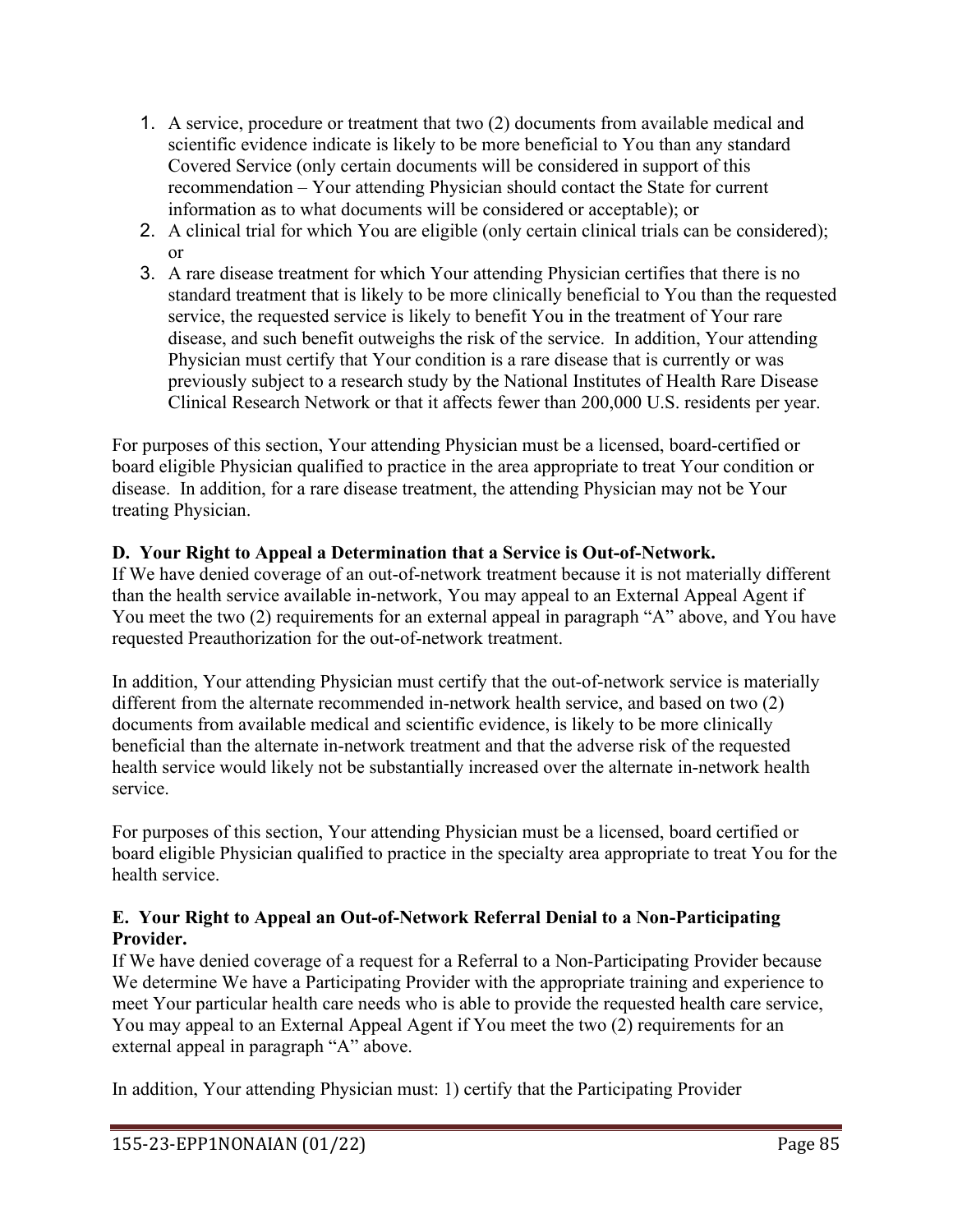- 1. A service, procedure or treatment that two (2) documents from available medical and scientific evidence indicate is likely to be more beneficial to You than any standard Covered Service (only certain documents will be considered in support of this recommendation – Your attending Physician should contact the State for current information as to what documents will be considered or acceptable); or
- 2. A clinical trial for which You are eligible (only certain clinical trials can be considered); or
- 3. A rare disease treatment for which Your attending Physician certifies that there is no standard treatment that is likely to be more clinically beneficial to You than the requested service, the requested service is likely to benefit You in the treatment of Your rare disease, and such benefit outweighs the risk of the service. In addition, Your attending Physician must certify that Your condition is a rare disease that is currently or was previously subject to a research study by the National Institutes of Health Rare Disease Clinical Research Network or that it affects fewer than 200,000 U.S. residents per year.

For purposes of this section, Your attending Physician must be a licensed, board-certified or board eligible Physician qualified to practice in the area appropriate to treat Your condition or disease. In addition, for a rare disease treatment, the attending Physician may not be Your treating Physician.

# **D. Your Right to Appeal a Determination that a Service is Out-of-Network.**

If We have denied coverage of an out-of-network treatment because it is not materially different than the health service available in-network, You may appeal to an External Appeal Agent if You meet the two (2) requirements for an external appeal in paragraph "A" above, and You have requested Preauthorization for the out-of-network treatment.

In addition, Your attending Physician must certify that the out-of-network service is materially different from the alternate recommended in-network health service, and based on two (2) documents from available medical and scientific evidence, is likely to be more clinically beneficial than the alternate in-network treatment and that the adverse risk of the requested health service would likely not be substantially increased over the alternate in-network health service.

For purposes of this section, Your attending Physician must be a licensed, board certified or board eligible Physician qualified to practice in the specialty area appropriate to treat You for the health service.

## **E. Your Right to Appeal an Out-of-Network Referral Denial to a Non-Participating Provider.**

If We have denied coverage of a request for a Referral to a Non-Participating Provider because We determine We have a Participating Provider with the appropriate training and experience to meet Your particular health care needs who is able to provide the requested health care service, You may appeal to an External Appeal Agent if You meet the two (2) requirements for an external appeal in paragraph "A" above.

In addition, Your attending Physician must: 1) certify that the Participating Provider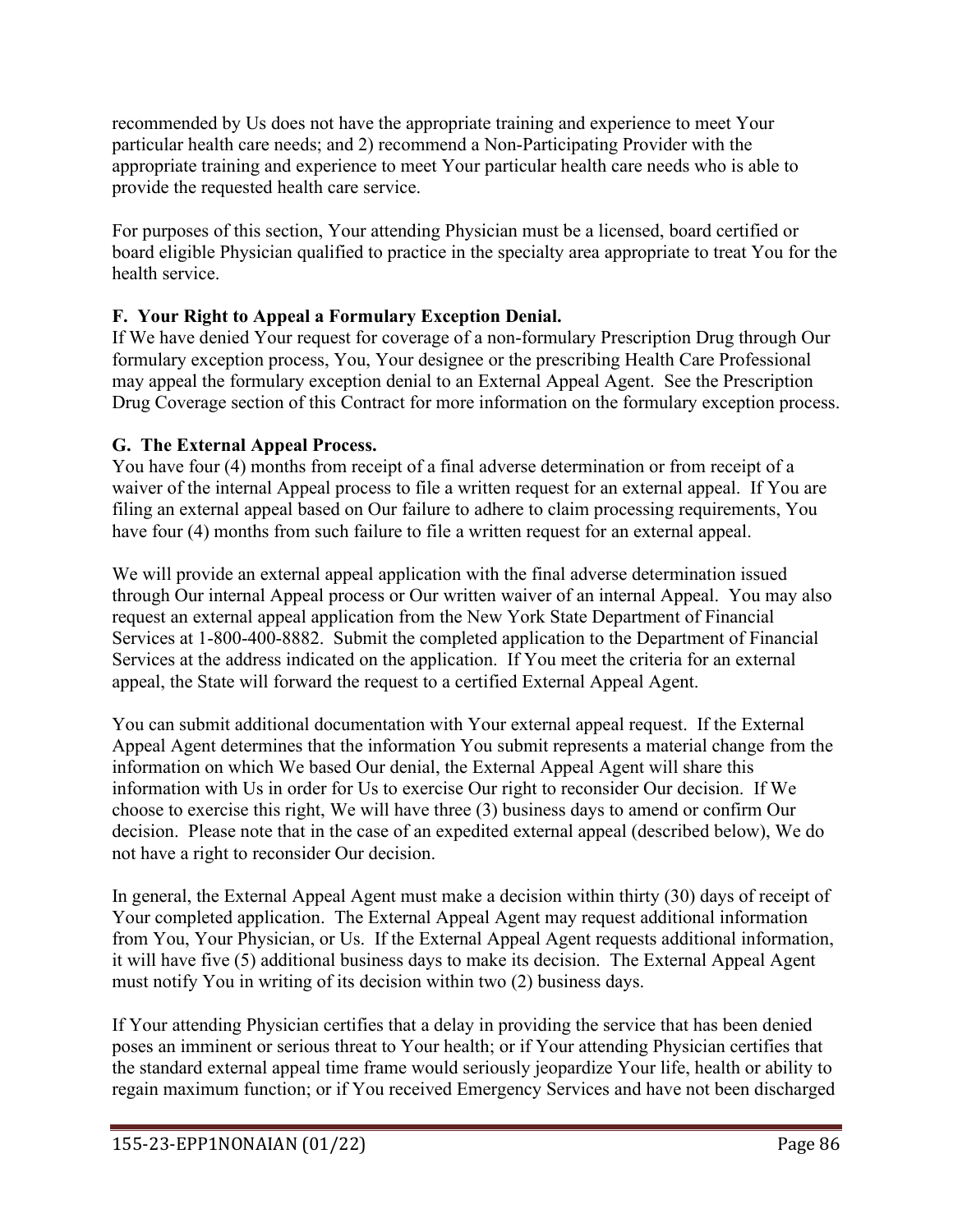recommended by Us does not have the appropriate training and experience to meet Your particular health care needs; and 2) recommend a Non-Participating Provider with the appropriate training and experience to meet Your particular health care needs who is able to provide the requested health care service.

For purposes of this section, Your attending Physician must be a licensed, board certified or board eligible Physician qualified to practice in the specialty area appropriate to treat You for the health service.

# **F. Your Right to Appeal a Formulary Exception Denial.**

If We have denied Your request for coverage of a non-formulary Prescription Drug through Our formulary exception process, You, Your designee or the prescribing Health Care Professional may appeal the formulary exception denial to an External Appeal Agent. See the Prescription Drug Coverage section of this Contract for more information on the formulary exception process.

# **G. The External Appeal Process.**

You have four (4) months from receipt of a final adverse determination or from receipt of a waiver of the internal Appeal process to file a written request for an external appeal. If You are filing an external appeal based on Our failure to adhere to claim processing requirements, You have four (4) months from such failure to file a written request for an external appeal.

We will provide an external appeal application with the final adverse determination issued through Our internal Appeal process or Our written waiver of an internal Appeal. You may also request an external appeal application from the New York State Department of Financial Services at 1-800-400-8882. Submit the completed application to the Department of Financial Services at the address indicated on the application. If You meet the criteria for an external appeal, the State will forward the request to a certified External Appeal Agent.

You can submit additional documentation with Your external appeal request. If the External Appeal Agent determines that the information You submit represents a material change from the information on which We based Our denial, the External Appeal Agent will share this information with Us in order for Us to exercise Our right to reconsider Our decision. If We choose to exercise this right, We will have three (3) business days to amend or confirm Our decision. Please note that in the case of an expedited external appeal (described below), We do not have a right to reconsider Our decision.

In general, the External Appeal Agent must make a decision within thirty (30) days of receipt of Your completed application. The External Appeal Agent may request additional information from You, Your Physician, or Us. If the External Appeal Agent requests additional information, it will have five (5) additional business days to make its decision. The External Appeal Agent must notify You in writing of its decision within two (2) business days.

If Your attending Physician certifies that a delay in providing the service that has been denied poses an imminent or serious threat to Your health; or if Your attending Physician certifies that the standard external appeal time frame would seriously jeopardize Your life, health or ability to regain maximum function; or if You received Emergency Services and have not been discharged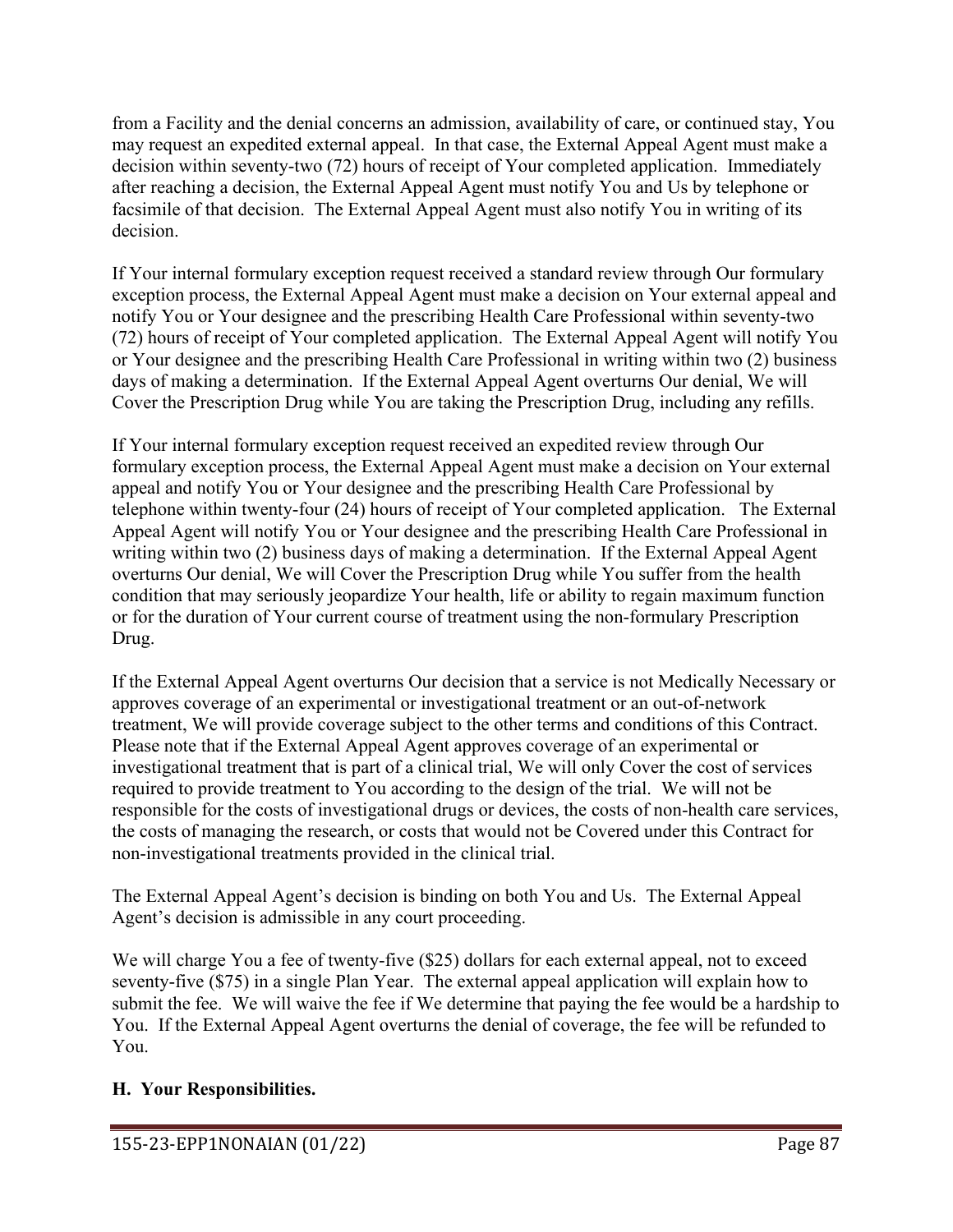from a Facility and the denial concerns an admission, availability of care, or continued stay, You may request an expedited external appeal. In that case, the External Appeal Agent must make a decision within seventy-two (72) hours of receipt of Your completed application. Immediately after reaching a decision, the External Appeal Agent must notify You and Us by telephone or facsimile of that decision. The External Appeal Agent must also notify You in writing of its decision.

If Your internal formulary exception request received a standard review through Our formulary exception process, the External Appeal Agent must make a decision on Your external appeal and notify You or Your designee and the prescribing Health Care Professional within seventy-two (72) hours of receipt of Your completed application. The External Appeal Agent will notify You or Your designee and the prescribing Health Care Professional in writing within two (2) business days of making a determination. If the External Appeal Agent overturns Our denial, We will Cover the Prescription Drug while You are taking the Prescription Drug, including any refills.

If Your internal formulary exception request received an expedited review through Our formulary exception process, the External Appeal Agent must make a decision on Your external appeal and notify You or Your designee and the prescribing Health Care Professional by telephone within twenty-four (24) hours of receipt of Your completed application. The External Appeal Agent will notify You or Your designee and the prescribing Health Care Professional in writing within two (2) business days of making a determination. If the External Appeal Agent overturns Our denial, We will Cover the Prescription Drug while You suffer from the health condition that may seriously jeopardize Your health, life or ability to regain maximum function or for the duration of Your current course of treatment using the non-formulary Prescription Drug.

If the External Appeal Agent overturns Our decision that a service is not Medically Necessary or approves coverage of an experimental or investigational treatment or an out-of-network treatment, We will provide coverage subject to the other terms and conditions of this Contract. Please note that if the External Appeal Agent approves coverage of an experimental or investigational treatment that is part of a clinical trial, We will only Cover the cost of services required to provide treatment to You according to the design of the trial. We will not be responsible for the costs of investigational drugs or devices, the costs of non-health care services, the costs of managing the research, or costs that would not be Covered under this Contract for non-investigational treatments provided in the clinical trial.

The External Appeal Agent's decision is binding on both You and Us. The External Appeal Agent's decision is admissible in any court proceeding.

We will charge You a fee of twenty-five (\$25) dollars for each external appeal, not to exceed seventy-five (\$75) in a single Plan Year. The external appeal application will explain how to submit the fee. We will waive the fee if We determine that paying the fee would be a hardship to You. If the External Appeal Agent overturns the denial of coverage, the fee will be refunded to You.

# **H. Your Responsibilities.**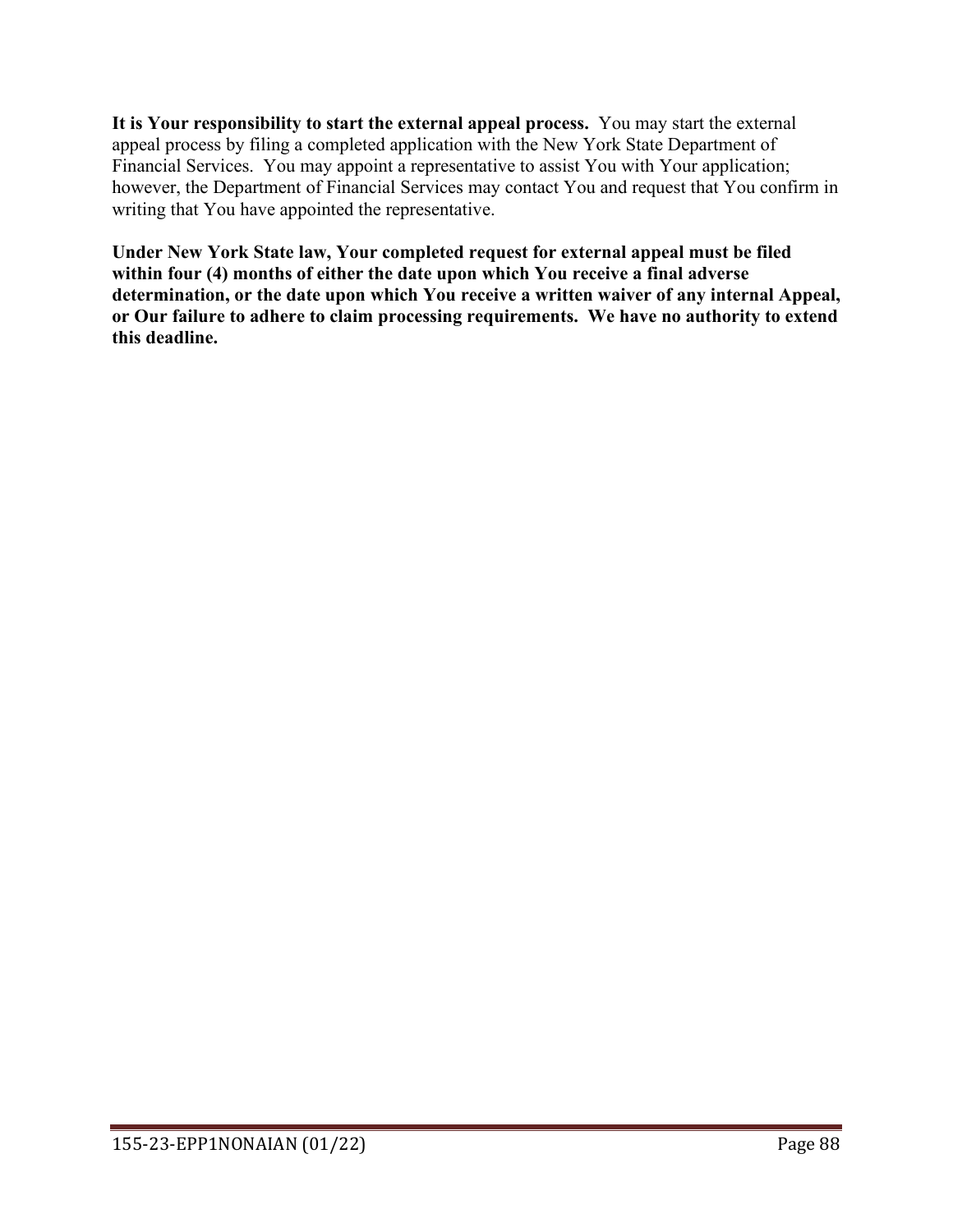**It is Your responsibility to start the external appeal process.** You may start the external appeal process by filing a completed application with the New York State Department of Financial Services. You may appoint a representative to assist You with Your application; however, the Department of Financial Services may contact You and request that You confirm in writing that You have appointed the representative.

**Under New York State law, Your completed request for external appeal must be filed within four (4) months of either the date upon which You receive a final adverse determination, or the date upon which You receive a written waiver of any internal Appeal, or Our failure to adhere to claim processing requirements. We have no authority to extend this deadline.**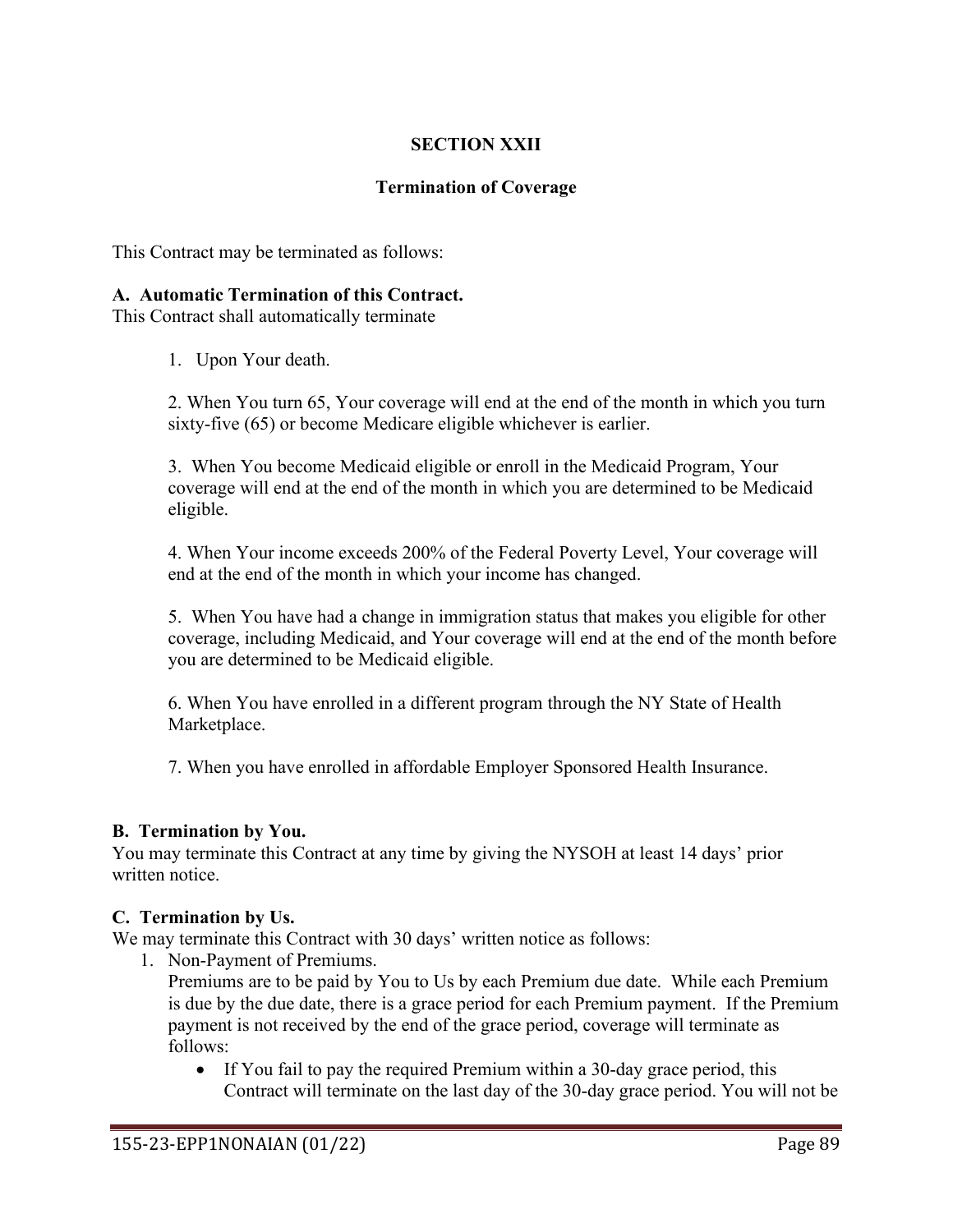## **SECTION XXII**

### **Termination of Coverage**

This Contract may be terminated as follows:

#### **A. Automatic Termination of this Contract.**

This Contract shall automatically terminate

1. Upon Your death.

2. When You turn 65, Your coverage will end at the end of the month in which you turn sixty-five (65) or become Medicare eligible whichever is earlier.

3. When You become Medicaid eligible or enroll in the Medicaid Program, Your coverage will end at the end of the month in which you are determined to be Medicaid eligible.

4. When Your income exceeds 200% of the Federal Poverty Level, Your coverage will end at the end of the month in which your income has changed.

5. When You have had a change in immigration status that makes you eligible for other coverage, including Medicaid, and Your coverage will end at the end of the month before you are determined to be Medicaid eligible.

6. When You have enrolled in a different program through the NY State of Health Marketplace.

7. When you have enrolled in affordable Employer Sponsored Health Insurance.

#### **B. Termination by You.**

You may terminate this Contract at any time by giving the NYSOH at least 14 days' prior written notice.

#### **C. Termination by Us.**

We may terminate this Contract with 30 days' written notice as follows:

1. Non-Payment of Premiums.

Premiums are to be paid by You to Us by each Premium due date. While each Premium is due by the due date, there is a grace period for each Premium payment. If the Premium payment is not received by the end of the grace period, coverage will terminate as follows:

• If You fail to pay the required Premium within a 30-day grace period, this Contract will terminate on the last day of the 30-day grace period. You will not be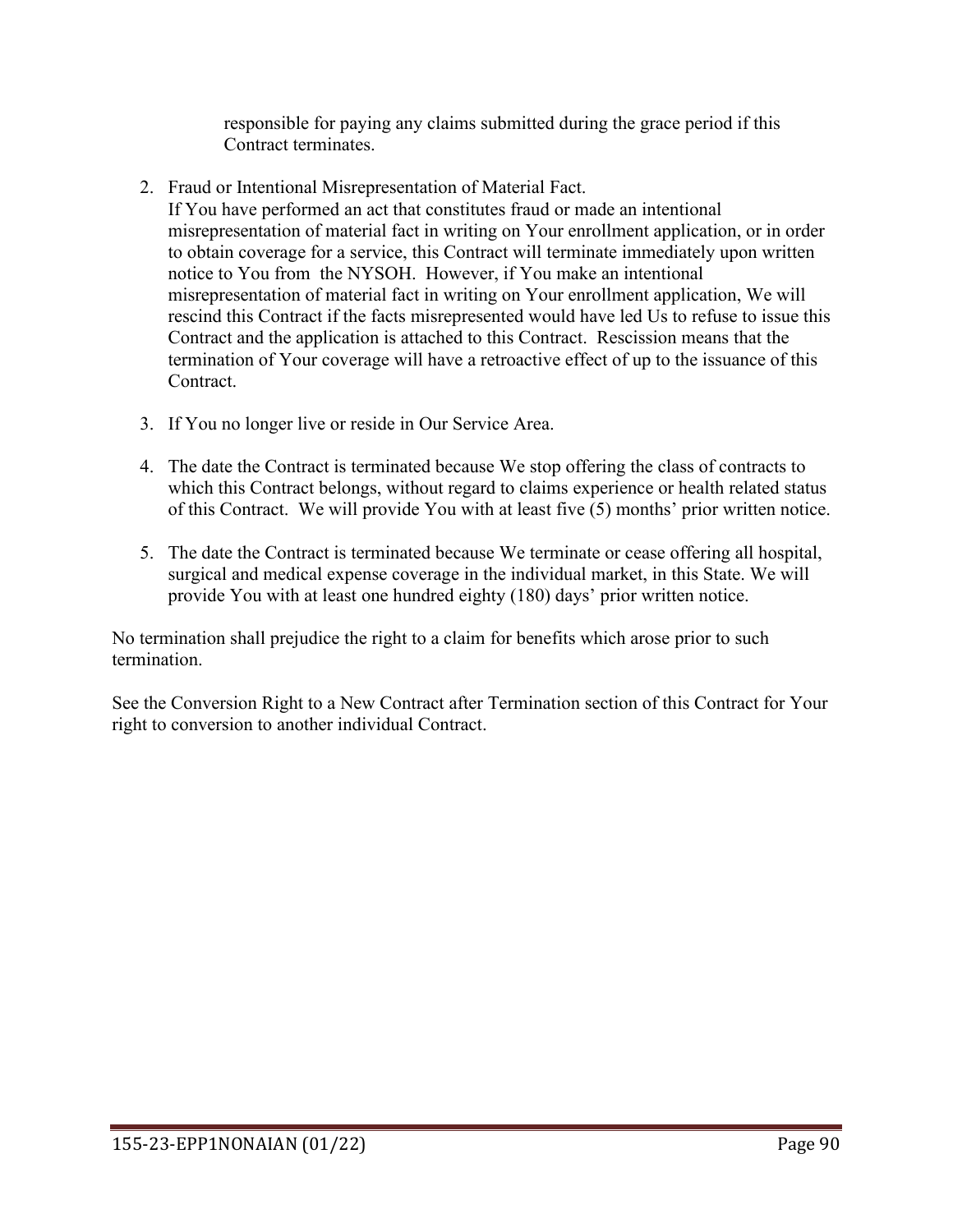responsible for paying any claims submitted during the grace period if this Contract terminates.

2. Fraud or Intentional Misrepresentation of Material Fact.

If You have performed an act that constitutes fraud or made an intentional misrepresentation of material fact in writing on Your enrollment application, or in order to obtain coverage for a service, this Contract will terminate immediately upon written notice to You from the NYSOH. However, if You make an intentional misrepresentation of material fact in writing on Your enrollment application, We will rescind this Contract if the facts misrepresented would have led Us to refuse to issue this Contract and the application is attached to this Contract. Rescission means that the termination of Your coverage will have a retroactive effect of up to the issuance of this Contract.

- 3. If You no longer live or reside in Our Service Area.
- 4. The date the Contract is terminated because We stop offering the class of contracts to which this Contract belongs, without regard to claims experience or health related status of this Contract. We will provide You with at least five (5) months' prior written notice.
- 5. The date the Contract is terminated because We terminate or cease offering all hospital, surgical and medical expense coverage in the individual market, in this State. We will provide You with at least one hundred eighty (180) days' prior written notice.

No termination shall prejudice the right to a claim for benefits which arose prior to such termination.

See the Conversion Right to a New Contract after Termination section of this Contract for Your right to conversion to another individual Contract.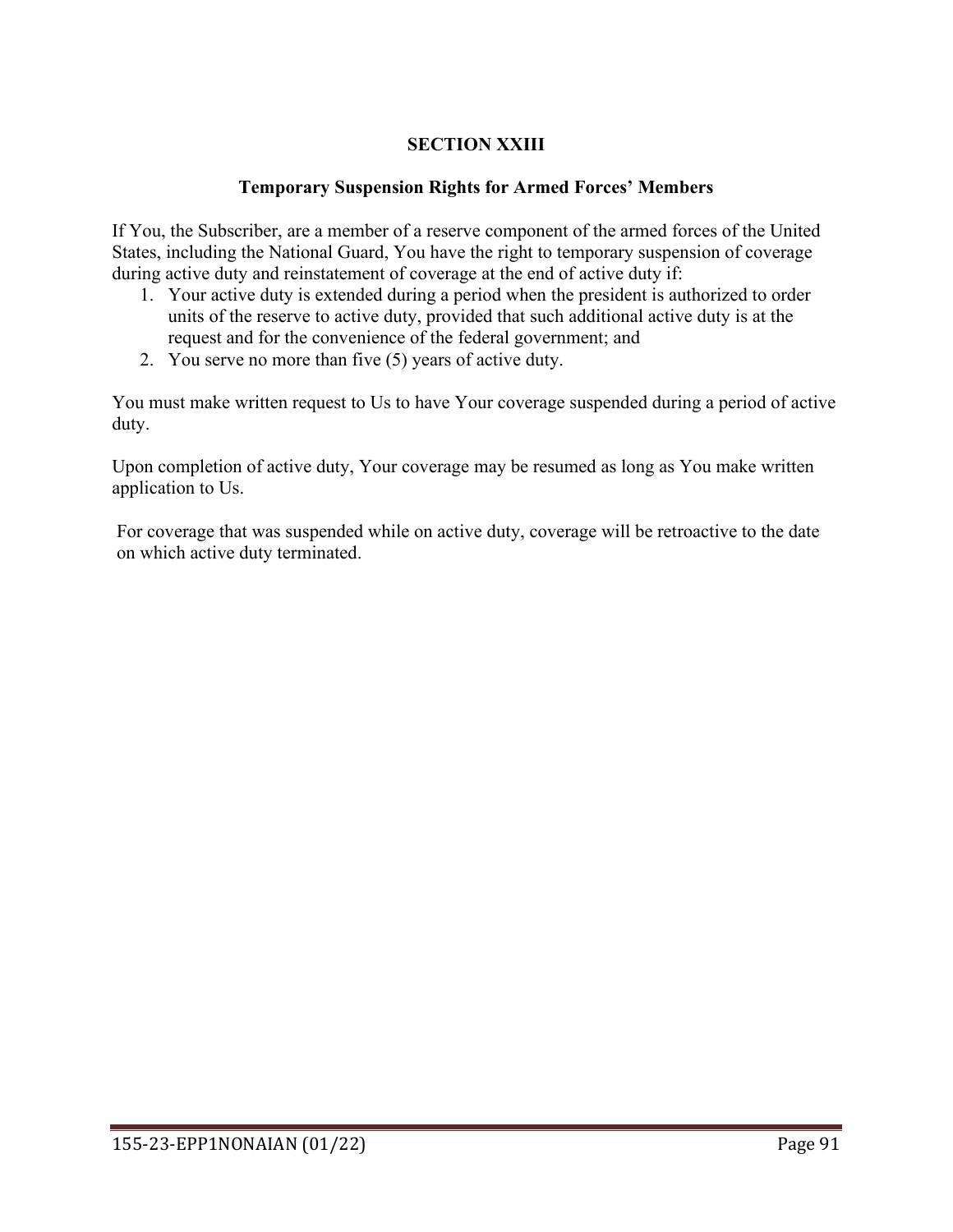# **SECTION XXIII**

### **Temporary Suspension Rights for Armed Forces' Members**

If You, the Subscriber, are a member of a reserve component of the armed forces of the United States, including the National Guard, You have the right to temporary suspension of coverage during active duty and reinstatement of coverage at the end of active duty if:

- 1. Your active duty is extended during a period when the president is authorized to order units of the reserve to active duty, provided that such additional active duty is at the request and for the convenience of the federal government; and
- 2. You serve no more than five (5) years of active duty.

You must make written request to Us to have Your coverage suspended during a period of active duty.

Upon completion of active duty, Your coverage may be resumed as long as You make written application to Us.

For coverage that was suspended while on active duty, coverage will be retroactive to the date on which active duty terminated.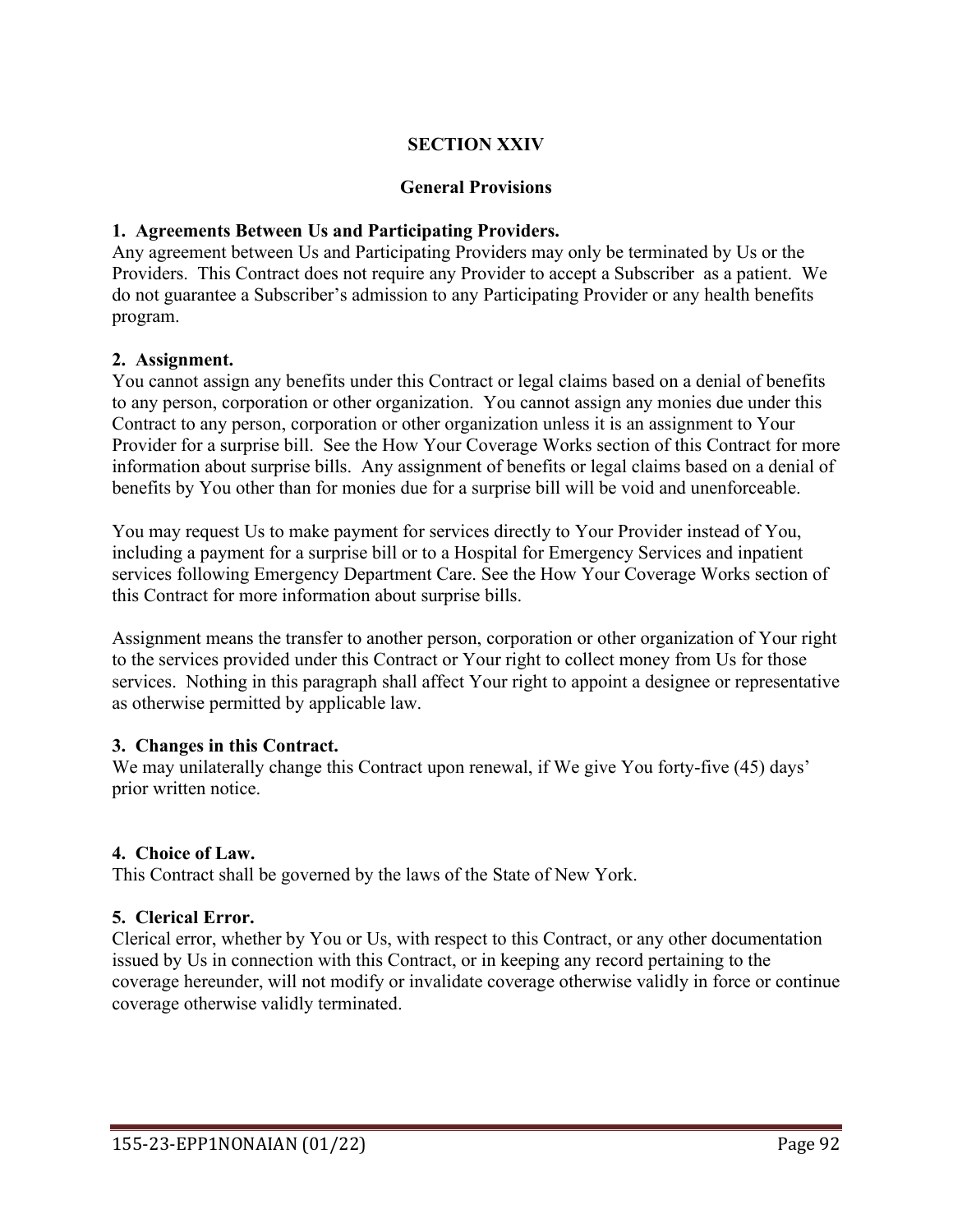## **SECTION XXIV**

### **General Provisions**

### **1. Agreements Between Us and Participating Providers.**

Any agreement between Us and Participating Providers may only be terminated by Us or the Providers. This Contract does not require any Provider to accept a Subscriber as a patient. We do not guarantee a Subscriber's admission to any Participating Provider or any health benefits program.

### **2. Assignment.**

You cannot assign any benefits under this Contract or legal claims based on a denial of benefits to any person, corporation or other organization. You cannot assign any monies due under this Contract to any person, corporation or other organization unless it is an assignment to Your Provider for a surprise bill. See the How Your Coverage Works section of this Contract for more information about surprise bills. Any assignment of benefits or legal claims based on a denial of benefits by You other than for monies due for a surprise bill will be void and unenforceable.

You may request Us to make payment for services directly to Your Provider instead of You, including a payment for a surprise bill or to a Hospital for Emergency Services and inpatient services following Emergency Department Care. See the How Your Coverage Works section of this Contract for more information about surprise bills.

Assignment means the transfer to another person, corporation or other organization of Your right to the services provided under this Contract or Your right to collect money from Us for those services. Nothing in this paragraph shall affect Your right to appoint a designee or representative as otherwise permitted by applicable law.

#### **3. Changes in this Contract.**

We may unilaterally change this Contract upon renewal, if We give You forty-five (45) days' prior written notice.

#### **4. Choice of Law.**

This Contract shall be governed by the laws of the State of New York.

#### **5. Clerical Error.**

Clerical error, whether by You or Us, with respect to this Contract, or any other documentation issued by Us in connection with this Contract, or in keeping any record pertaining to the coverage hereunder, will not modify or invalidate coverage otherwise validly in force or continue coverage otherwise validly terminated.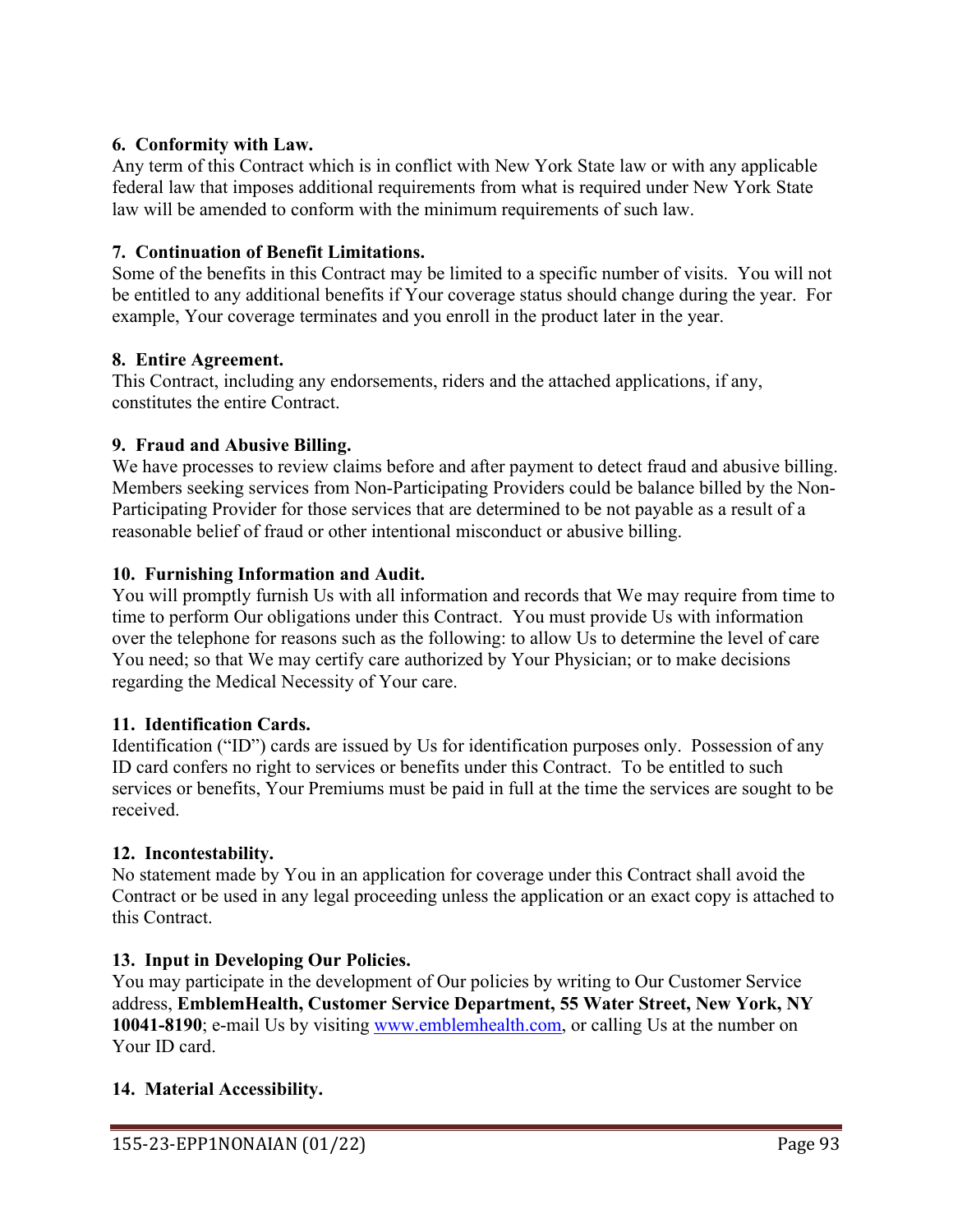## **6. Conformity with Law.**

Any term of this Contract which is in conflict with New York State law or with any applicable federal law that imposes additional requirements from what is required under New York State law will be amended to conform with the minimum requirements of such law.

## **7. Continuation of Benefit Limitations.**

Some of the benefits in this Contract may be limited to a specific number of visits. You will not be entitled to any additional benefits if Your coverage status should change during the year. For example, Your coverage terminates and you enroll in the product later in the year.

## **8. Entire Agreement.**

This Contract, including any endorsements, riders and the attached applications, if any, constitutes the entire Contract.

## **9. Fraud and Abusive Billing.**

We have processes to review claims before and after payment to detect fraud and abusive billing. Members seeking services from Non-Participating Providers could be balance billed by the Non-Participating Provider for those services that are determined to be not payable as a result of a reasonable belief of fraud or other intentional misconduct or abusive billing.

## **10. Furnishing Information and Audit.**

You will promptly furnish Us with all information and records that We may require from time to time to perform Our obligations under this Contract. You must provide Us with information over the telephone for reasons such as the following: to allow Us to determine the level of care You need; so that We may certify care authorized by Your Physician; or to make decisions regarding the Medical Necessity of Your care.

### **11. Identification Cards.**

Identification ("ID") cards are issued by Us for identification purposes only. Possession of any ID card confers no right to services or benefits under this Contract. To be entitled to such services or benefits, Your Premiums must be paid in full at the time the services are sought to be received.

### **12. Incontestability.**

No statement made by You in an application for coverage under this Contract shall avoid the Contract or be used in any legal proceeding unless the application or an exact copy is attached to this Contract.

# **13. Input in Developing Our Policies.**

You may participate in the development of Our policies by writing to Our Customer Service address, **EmblemHealth, Customer Service Department, 55 Water Street, New York, NY 10041-8190**; e-mail Us by visiting [www.emblemhealth.com,](http://www.emblemhealth.com/) or calling Us at the number on Your ID card.

### **14. Material Accessibility.**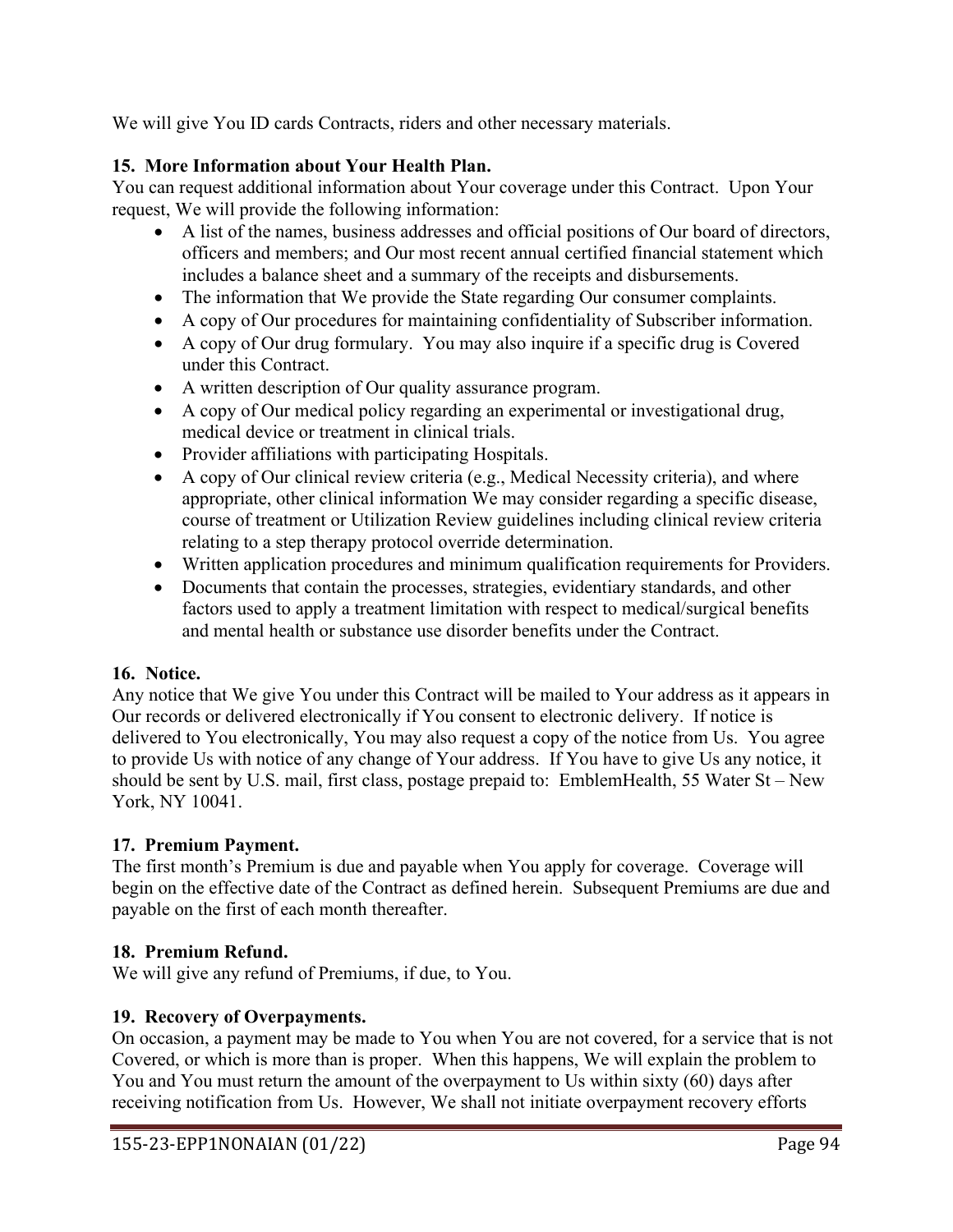We will give You ID cards Contracts, riders and other necessary materials.

## **15. More Information about Your Health Plan.**

You can request additional information about Your coverage under this Contract. Upon Your request, We will provide the following information:

- A list of the names, business addresses and official positions of Our board of directors, officers and members; and Our most recent annual certified financial statement which includes a balance sheet and a summary of the receipts and disbursements.
- The information that We provide the State regarding Our consumer complaints.
- A copy of Our procedures for maintaining confidentiality of Subscriber information.
- A copy of Our drug formulary. You may also inquire if a specific drug is Covered under this Contract.
- A written description of Our quality assurance program.
- A copy of Our medical policy regarding an experimental or investigational drug, medical device or treatment in clinical trials.
- Provider affiliations with participating Hospitals.
- A copy of Our clinical review criteria (e.g., Medical Necessity criteria), and where appropriate, other clinical information We may consider regarding a specific disease, course of treatment or Utilization Review guidelines including clinical review criteria relating to a step therapy protocol override determination.
- Written application procedures and minimum qualification requirements for Providers.
- Documents that contain the processes, strategies, evidentiary standards, and other factors used to apply a treatment limitation with respect to medical/surgical benefits and mental health or substance use disorder benefits under the Contract.

### **16. Notice.**

Any notice that We give You under this Contract will be mailed to Your address as it appears in Our records or delivered electronically if You consent to electronic delivery. If notice is delivered to You electronically, You may also request a copy of the notice from Us. You agree to provide Us with notice of any change of Your address. If You have to give Us any notice, it should be sent by U.S. mail, first class, postage prepaid to: EmblemHealth, 55 Water St – New York, NY 10041.

# **17. Premium Payment.**

The first month's Premium is due and payable when You apply for coverage. Coverage will begin on the effective date of the Contract as defined herein. Subsequent Premiums are due and payable on the first of each month thereafter.

# **18. Premium Refund.**

We will give any refund of Premiums, if due, to You.

### **19. Recovery of Overpayments.**

On occasion, a payment may be made to You when You are not covered, for a service that is not Covered, or which is more than is proper. When this happens, We will explain the problem to You and You must return the amount of the overpayment to Us within sixty (60) days after receiving notification from Us. However, We shall not initiate overpayment recovery efforts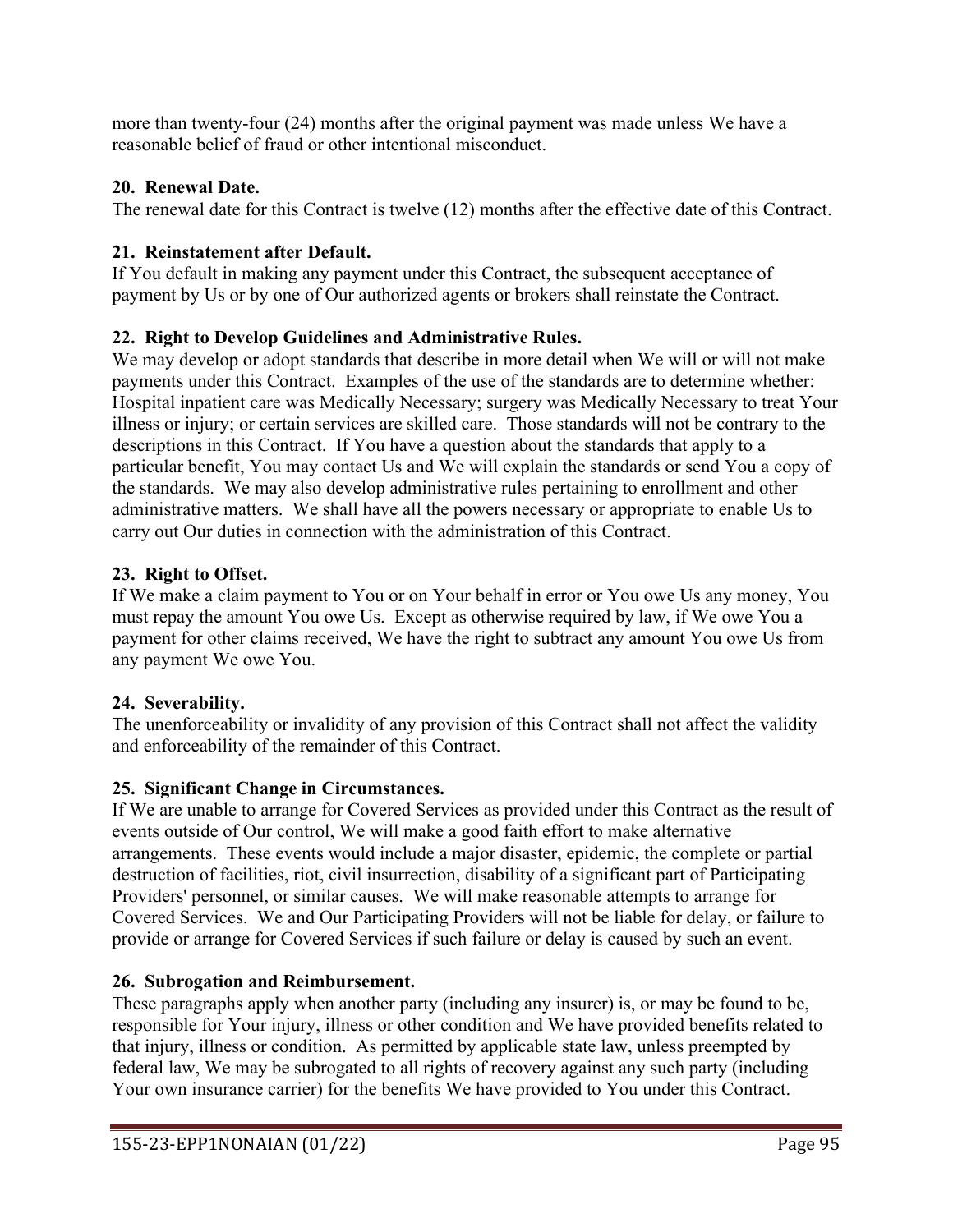more than twenty-four (24) months after the original payment was made unless We have a reasonable belief of fraud or other intentional misconduct.

# **20. Renewal Date.**

The renewal date for this Contract is twelve (12) months after the effective date of this Contract.

# **21. Reinstatement after Default.**

If You default in making any payment under this Contract, the subsequent acceptance of payment by Us or by one of Our authorized agents or brokers shall reinstate the Contract.

# **22. Right to Develop Guidelines and Administrative Rules.**

We may develop or adopt standards that describe in more detail when We will or will not make payments under this Contract. Examples of the use of the standards are to determine whether: Hospital inpatient care was Medically Necessary; surgery was Medically Necessary to treat Your illness or injury; or certain services are skilled care. Those standards will not be contrary to the descriptions in this Contract. If You have a question about the standards that apply to a particular benefit, You may contact Us and We will explain the standards or send You a copy of the standards. We may also develop administrative rules pertaining to enrollment and other administrative matters. We shall have all the powers necessary or appropriate to enable Us to carry out Our duties in connection with the administration of this Contract.

# **23. Right to Offset.**

If We make a claim payment to You or on Your behalf in error or You owe Us any money, You must repay the amount You owe Us. Except as otherwise required by law, if We owe You a payment for other claims received, We have the right to subtract any amount You owe Us from any payment We owe You.

# **24. Severability.**

The unenforceability or invalidity of any provision of this Contract shall not affect the validity and enforceability of the remainder of this Contract.

# **25. Significant Change in Circumstances.**

If We are unable to arrange for Covered Services as provided under this Contract as the result of events outside of Our control, We will make a good faith effort to make alternative arrangements. These events would include a major disaster, epidemic, the complete or partial destruction of facilities, riot, civil insurrection, disability of a significant part of Participating Providers' personnel, or similar causes. We will make reasonable attempts to arrange for Covered Services. We and Our Participating Providers will not be liable for delay, or failure to provide or arrange for Covered Services if such failure or delay is caused by such an event.

# **26. Subrogation and Reimbursement.**

These paragraphs apply when another party (including any insurer) is, or may be found to be, responsible for Your injury, illness or other condition and We have provided benefits related to that injury, illness or condition. As permitted by applicable state law, unless preempted by federal law, We may be subrogated to all rights of recovery against any such party (including Your own insurance carrier) for the benefits We have provided to You under this Contract.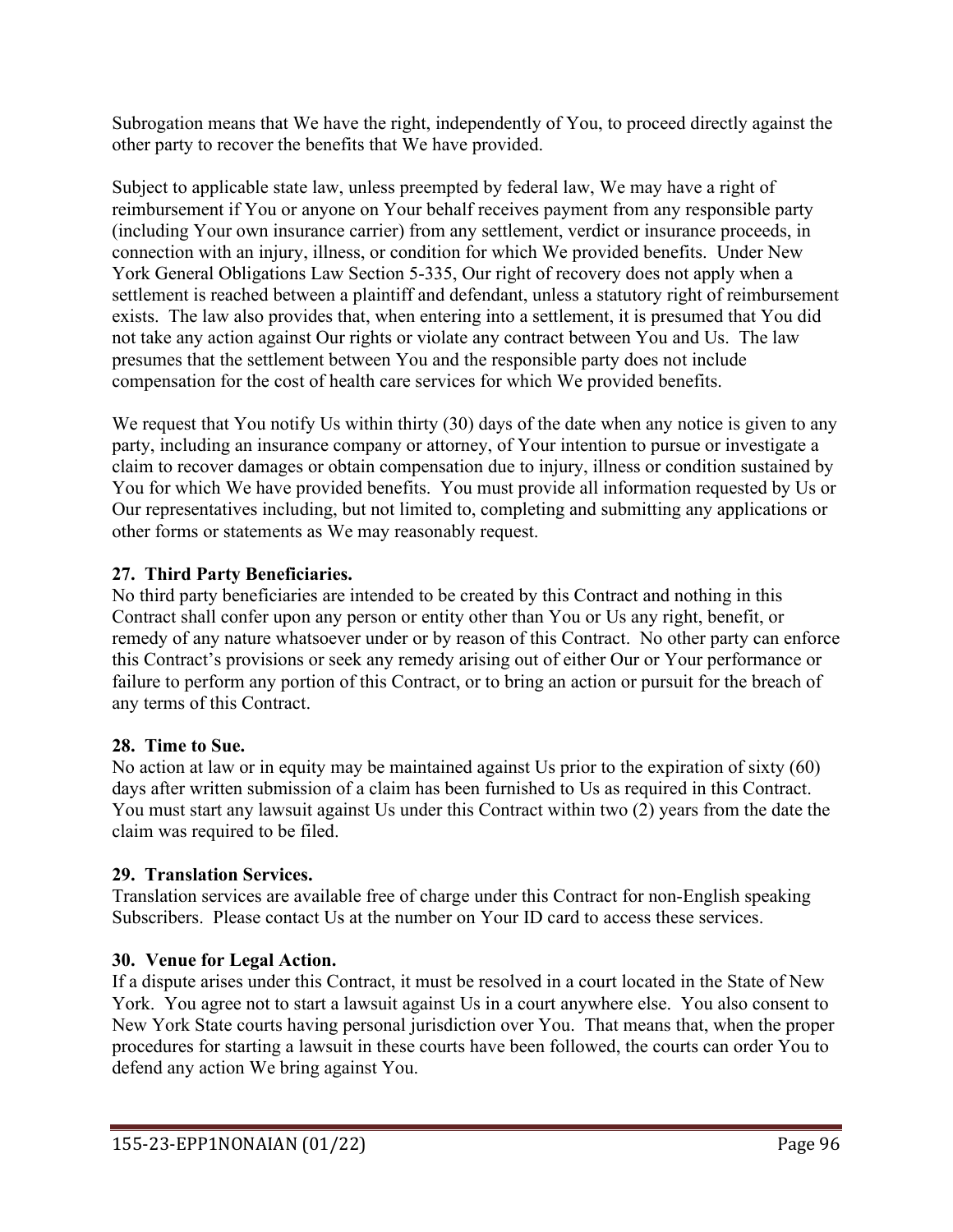Subrogation means that We have the right, independently of You, to proceed directly against the other party to recover the benefits that We have provided.

Subject to applicable state law, unless preempted by federal law, We may have a right of reimbursement if You or anyone on Your behalf receives payment from any responsible party (including Your own insurance carrier) from any settlement, verdict or insurance proceeds, in connection with an injury, illness, or condition for which We provided benefits. Under New York General Obligations Law Section 5-335, Our right of recovery does not apply when a settlement is reached between a plaintiff and defendant, unless a statutory right of reimbursement exists. The law also provides that, when entering into a settlement, it is presumed that You did not take any action against Our rights or violate any contract between You and Us. The law presumes that the settlement between You and the responsible party does not include compensation for the cost of health care services for which We provided benefits.

We request that You notify Us within thirty (30) days of the date when any notice is given to any party, including an insurance company or attorney, of Your intention to pursue or investigate a claim to recover damages or obtain compensation due to injury, illness or condition sustained by You for which We have provided benefits. You must provide all information requested by Us or Our representatives including, but not limited to, completing and submitting any applications or other forms or statements as We may reasonably request.

# **27. Third Party Beneficiaries.**

No third party beneficiaries are intended to be created by this Contract and nothing in this Contract shall confer upon any person or entity other than You or Us any right, benefit, or remedy of any nature whatsoever under or by reason of this Contract. No other party can enforce this Contract's provisions or seek any remedy arising out of either Our or Your performance or failure to perform any portion of this Contract, or to bring an action or pursuit for the breach of any terms of this Contract.

# **28. Time to Sue.**

No action at law or in equity may be maintained against Us prior to the expiration of sixty (60) days after written submission of a claim has been furnished to Us as required in this Contract. You must start any lawsuit against Us under this Contract within two (2) years from the date the claim was required to be filed.

# **29. Translation Services.**

Translation services are available free of charge under this Contract for non-English speaking Subscribers. Please contact Us at the number on Your ID card to access these services.

# **30. Venue for Legal Action.**

If a dispute arises under this Contract, it must be resolved in a court located in the State of New York. You agree not to start a lawsuit against Us in a court anywhere else. You also consent to New York State courts having personal jurisdiction over You. That means that, when the proper procedures for starting a lawsuit in these courts have been followed, the courts can order You to defend any action We bring against You.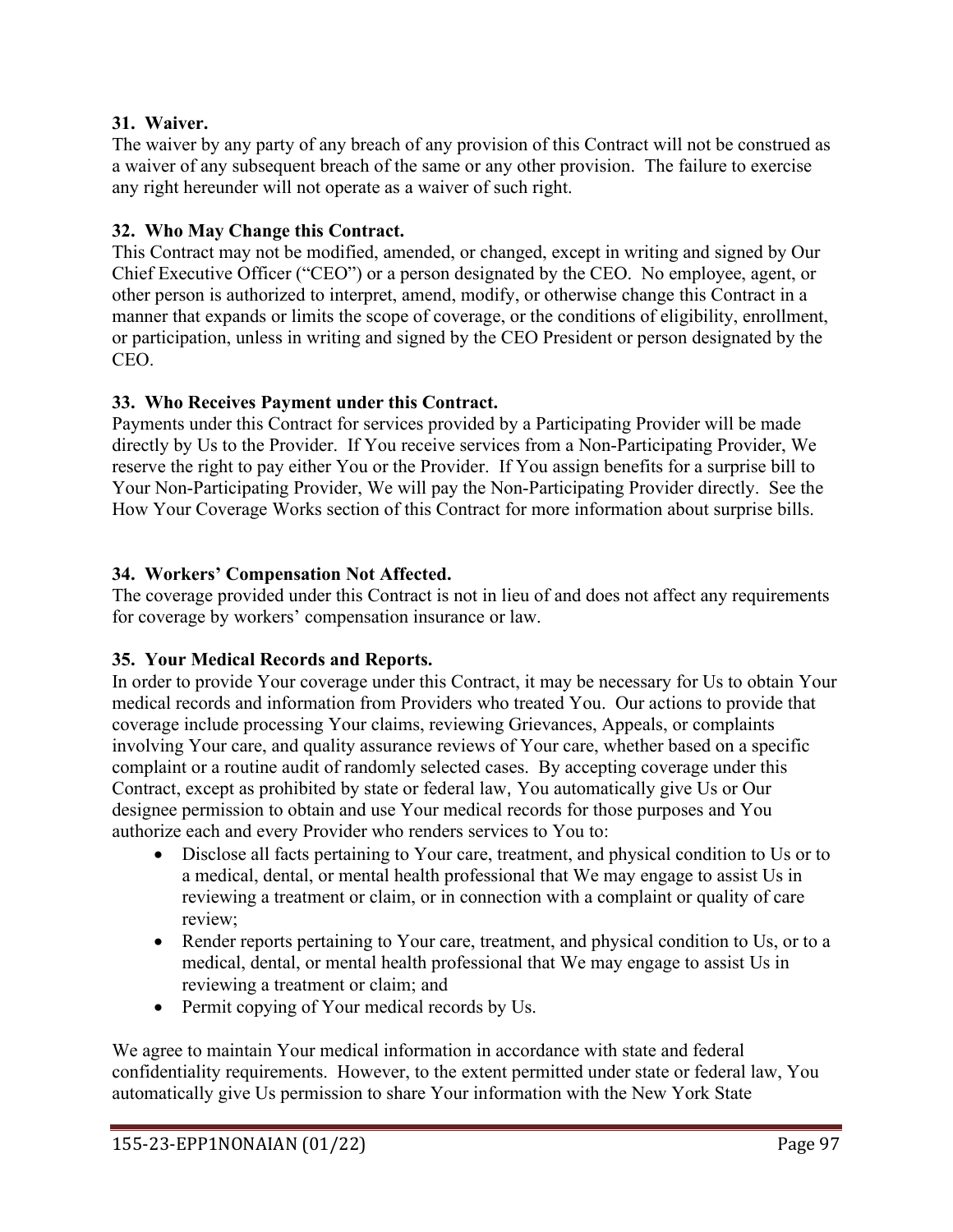### **31. Waiver.**

The waiver by any party of any breach of any provision of this Contract will not be construed as a waiver of any subsequent breach of the same or any other provision. The failure to exercise any right hereunder will not operate as a waiver of such right.

## **32. Who May Change this Contract.**

This Contract may not be modified, amended, or changed, except in writing and signed by Our Chief Executive Officer ("CEO") or a person designated by the CEO. No employee, agent, or other person is authorized to interpret, amend, modify, or otherwise change this Contract in a manner that expands or limits the scope of coverage, or the conditions of eligibility, enrollment, or participation, unless in writing and signed by the CEO President or person designated by the CEO.

## **33. Who Receives Payment under this Contract.**

Payments under this Contract for services provided by a Participating Provider will be made directly by Us to the Provider. If You receive services from a Non-Participating Provider, We reserve the right to pay either You or the Provider. If You assign benefits for a surprise bill to Your Non-Participating Provider, We will pay the Non-Participating Provider directly. See the How Your Coverage Works section of this Contract for more information about surprise bills.

## **34. Workers' Compensation Not Affected.**

The coverage provided under this Contract is not in lieu of and does not affect any requirements for coverage by workers' compensation insurance or law.

# **35. Your Medical Records and Reports.**

In order to provide Your coverage under this Contract, it may be necessary for Us to obtain Your medical records and information from Providers who treated You. Our actions to provide that coverage include processing Your claims, reviewing Grievances, Appeals, or complaints involving Your care, and quality assurance reviews of Your care, whether based on a specific complaint or a routine audit of randomly selected cases. By accepting coverage under this Contract, except as prohibited by state or federal law, You automatically give Us or Our designee permission to obtain and use Your medical records for those purposes and You authorize each and every Provider who renders services to You to:

- Disclose all facts pertaining to Your care, treatment, and physical condition to Us or to a medical, dental, or mental health professional that We may engage to assist Us in reviewing a treatment or claim, or in connection with a complaint or quality of care review;
- Render reports pertaining to Your care, treatment, and physical condition to Us, or to a medical, dental, or mental health professional that We may engage to assist Us in reviewing a treatment or claim; and
- Permit copying of Your medical records by Us.

We agree to maintain Your medical information in accordance with state and federal confidentiality requirements. However, to the extent permitted under state or federal law, You automatically give Us permission to share Your information with the New York State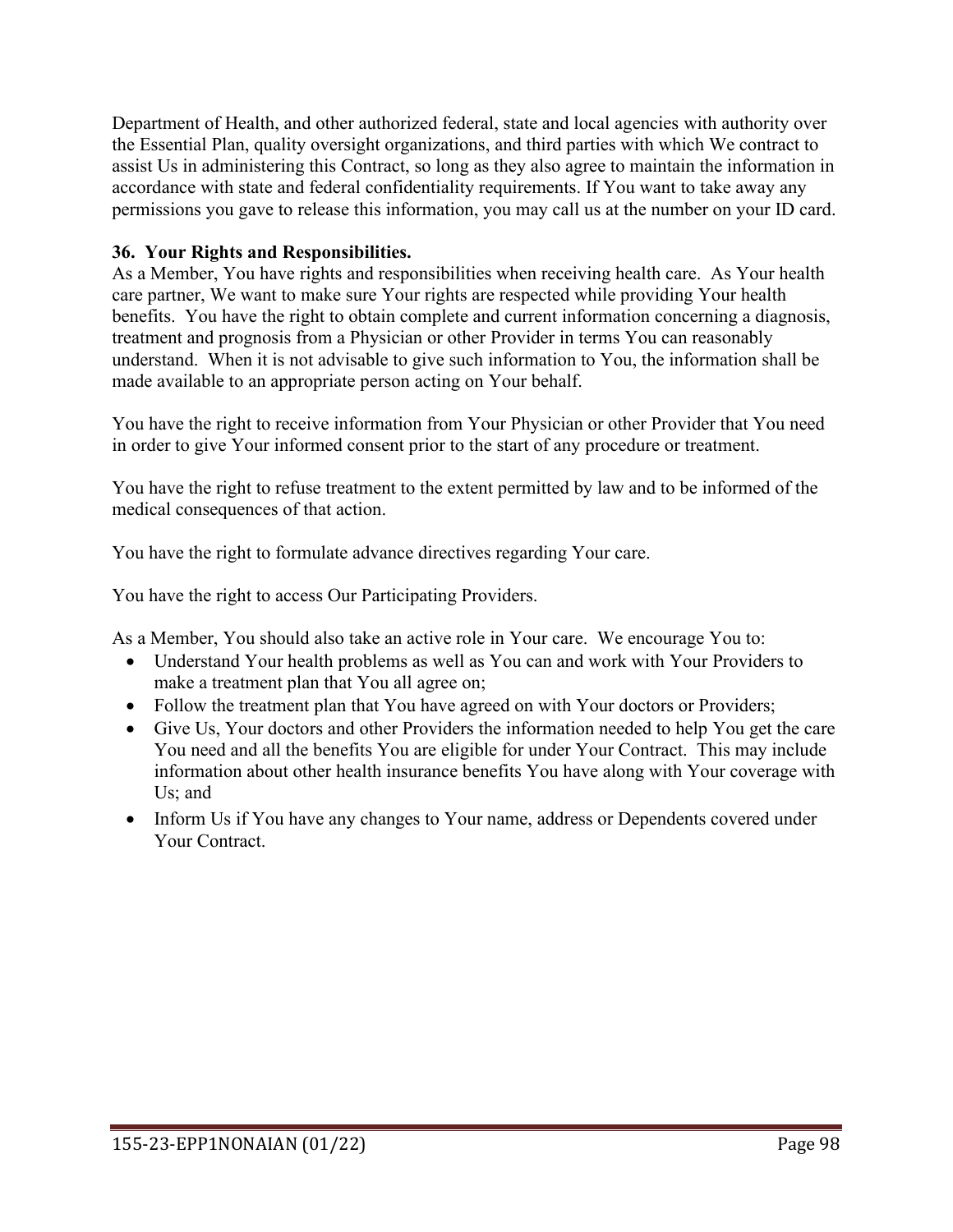Department of Health, and other authorized federal, state and local agencies with authority over the Essential Plan, quality oversight organizations, and third parties with which We contract to assist Us in administering this Contract, so long as they also agree to maintain the information in accordance with state and federal confidentiality requirements. If You want to take away any permissions you gave to release this information, you may call us at the number on your ID card.

## **36. Your Rights and Responsibilities.**

As a Member, You have rights and responsibilities when receiving health care. As Your health care partner, We want to make sure Your rights are respected while providing Your health benefits. You have the right to obtain complete and current information concerning a diagnosis, treatment and prognosis from a Physician or other Provider in terms You can reasonably understand. When it is not advisable to give such information to You, the information shall be made available to an appropriate person acting on Your behalf.

You have the right to receive information from Your Physician or other Provider that You need in order to give Your informed consent prior to the start of any procedure or treatment.

You have the right to refuse treatment to the extent permitted by law and to be informed of the medical consequences of that action.

You have the right to formulate advance directives regarding Your care.

You have the right to access Our Participating Providers.

As a Member, You should also take an active role in Your care. We encourage You to:

- Understand Your health problems as well as You can and work with Your Providers to make a treatment plan that You all agree on;
- Follow the treatment plan that You have agreed on with Your doctors or Providers;
- Give Us, Your doctors and other Providers the information needed to help You get the care You need and all the benefits You are eligible for under Your Contract. This may include information about other health insurance benefits You have along with Your coverage with Us; and
- Inform Us if You have any changes to Your name, address or Dependents covered under Your Contract.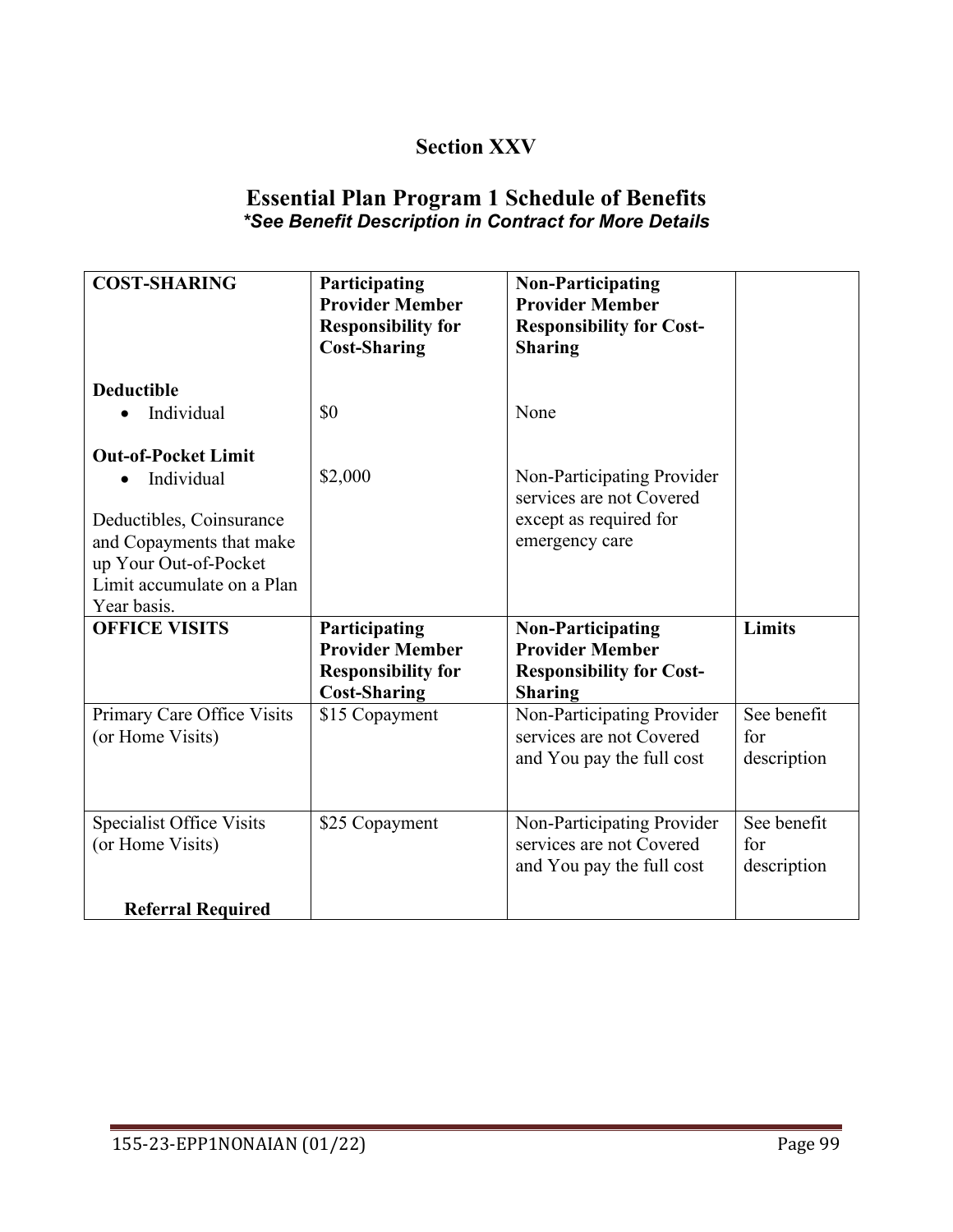# **Section XXV**

# **Essential Plan Program 1 Schedule of Benefits** *\*See Benefit Description in Contract for More Details*

| <b>COST-SHARING</b>                                                                                                                                                                 | Participating<br><b>Provider Member</b><br><b>Responsibility for</b><br><b>Cost-Sharing</b> | <b>Non-Participating</b><br><b>Provider Member</b><br><b>Responsibility for Cost-</b><br><b>Sharing</b> |                                   |
|-------------------------------------------------------------------------------------------------------------------------------------------------------------------------------------|---------------------------------------------------------------------------------------------|---------------------------------------------------------------------------------------------------------|-----------------------------------|
| <b>Deductible</b><br>Individual                                                                                                                                                     | \$0                                                                                         | None                                                                                                    |                                   |
| <b>Out-of-Pocket Limit</b><br>Individual<br>$\bullet$<br>Deductibles, Coinsurance<br>and Copayments that make<br>up Your Out-of-Pocket<br>Limit accumulate on a Plan<br>Year basis. | \$2,000                                                                                     | Non-Participating Provider<br>services are not Covered<br>except as required for<br>emergency care      |                                   |
| <b>OFFICE VISITS</b>                                                                                                                                                                | Participating<br><b>Provider Member</b><br><b>Responsibility for</b><br><b>Cost-Sharing</b> | <b>Non-Participating</b><br><b>Provider Member</b><br><b>Responsibility for Cost-</b><br><b>Sharing</b> | Limits                            |
| Primary Care Office Visits<br>(or Home Visits)                                                                                                                                      | \$15 Copayment                                                                              | Non-Participating Provider<br>services are not Covered<br>and You pay the full cost                     | See benefit<br>for<br>description |
| <b>Specialist Office Visits</b><br>(or Home Visits)<br><b>Referral Required</b>                                                                                                     | \$25 Copayment                                                                              | Non-Participating Provider<br>services are not Covered<br>and You pay the full cost                     | See benefit<br>for<br>description |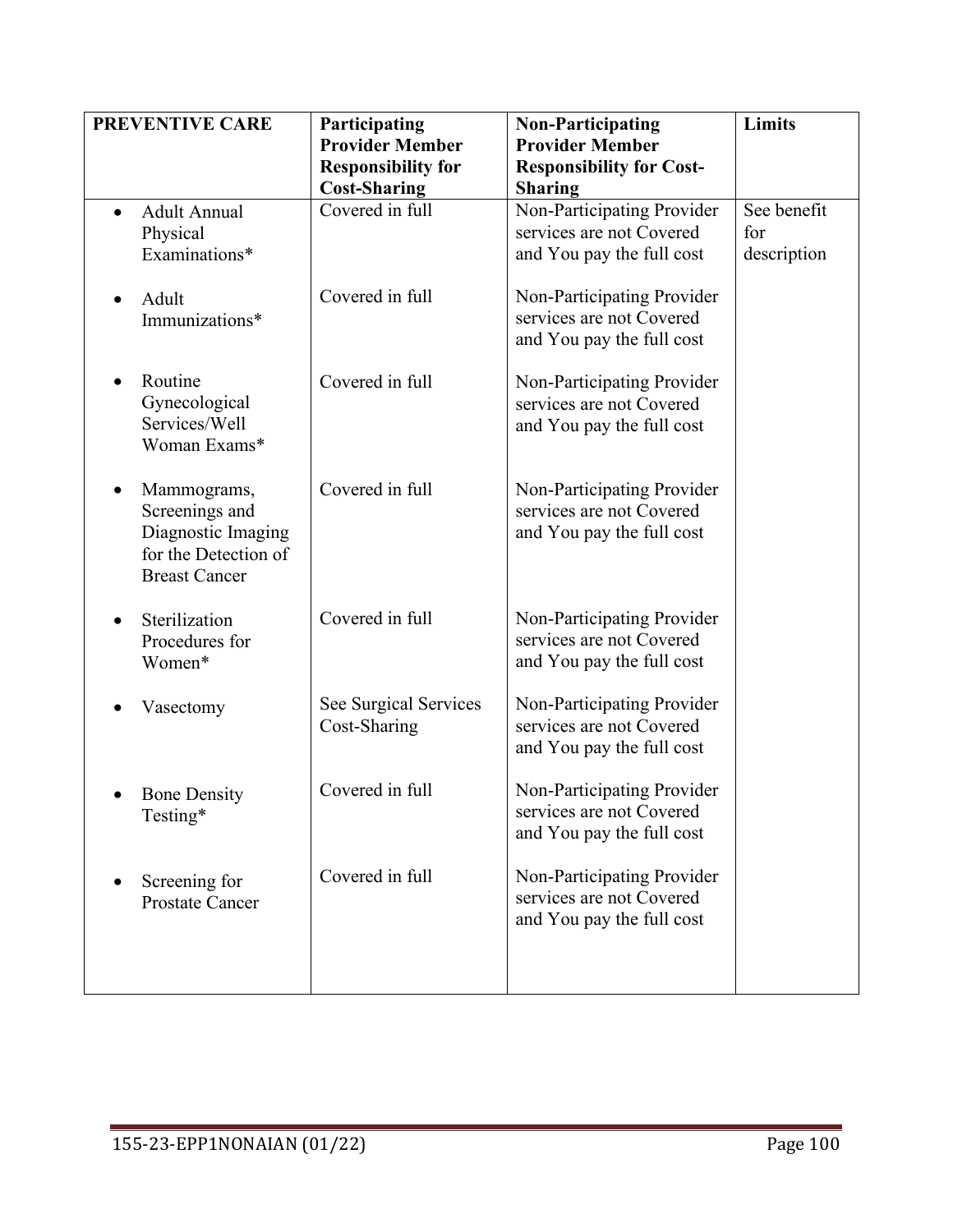| <b>PREVENTIVE CARE</b>                                                                              | Participating<br><b>Provider Member</b><br><b>Responsibility for</b><br><b>Cost-Sharing</b> | <b>Non-Participating</b><br><b>Provider Member</b><br><b>Responsibility for Cost-</b><br><b>Sharing</b> | Limits                            |
|-----------------------------------------------------------------------------------------------------|---------------------------------------------------------------------------------------------|---------------------------------------------------------------------------------------------------------|-----------------------------------|
| <b>Adult Annual</b><br>Physical<br>Examinations*                                                    | Covered in full                                                                             | Non-Participating Provider<br>services are not Covered<br>and You pay the full cost                     | See benefit<br>for<br>description |
| Adult<br>Immunizations*                                                                             | Covered in full                                                                             | Non-Participating Provider<br>services are not Covered<br>and You pay the full cost                     |                                   |
| Routine<br>Gynecological<br>Services/Well<br>Woman Exams*                                           | Covered in full                                                                             | Non-Participating Provider<br>services are not Covered<br>and You pay the full cost                     |                                   |
| Mammograms,<br>Screenings and<br>Diagnostic Imaging<br>for the Detection of<br><b>Breast Cancer</b> | Covered in full                                                                             | Non-Participating Provider<br>services are not Covered<br>and You pay the full cost                     |                                   |
| Sterilization<br>Procedures for<br>Women*                                                           | Covered in full                                                                             | Non-Participating Provider<br>services are not Covered<br>and You pay the full cost                     |                                   |
| Vasectomy                                                                                           | See Surgical Services<br>Cost-Sharing                                                       | Non-Participating Provider<br>services are not Covered<br>and You pay the full cost                     |                                   |
| <b>Bone Density</b><br>Testing*                                                                     | Covered in full                                                                             | Non-Participating Provider<br>services are not Covered<br>and You pay the full cost                     |                                   |
| Screening for<br><b>Prostate Cancer</b>                                                             | Covered in full                                                                             | Non-Participating Provider<br>services are not Covered<br>and You pay the full cost                     |                                   |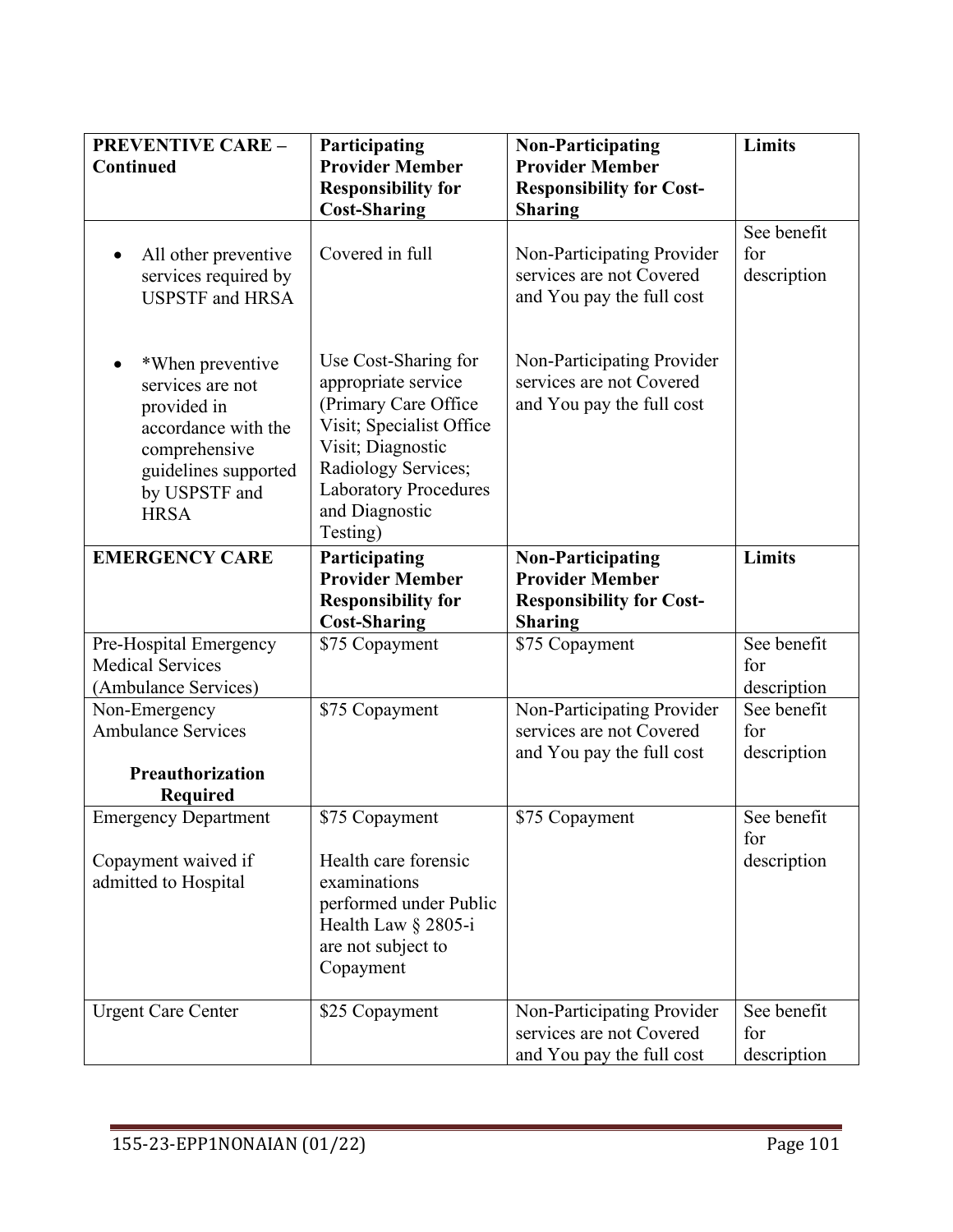| <b>PREVENTIVE CARE -</b><br><b>Continued</b>                                                                                                        | Participating<br><b>Provider Member</b><br><b>Responsibility for</b><br><b>Cost-Sharing</b>                                                                                                               | <b>Non-Participating</b><br><b>Provider Member</b><br><b>Responsibility for Cost-</b><br><b>Sharing</b> | Limits                            |
|-----------------------------------------------------------------------------------------------------------------------------------------------------|-----------------------------------------------------------------------------------------------------------------------------------------------------------------------------------------------------------|---------------------------------------------------------------------------------------------------------|-----------------------------------|
| All other preventive<br>$\bullet$<br>services required by<br><b>USPSTF</b> and HRSA                                                                 | Covered in full                                                                                                                                                                                           | Non-Participating Provider<br>services are not Covered<br>and You pay the full cost                     | See benefit<br>for<br>description |
| *When preventive<br>services are not<br>provided in<br>accordance with the<br>comprehensive<br>guidelines supported<br>by USPSTF and<br><b>HRSA</b> | Use Cost-Sharing for<br>appropriate service<br>(Primary Care Office<br>Visit; Specialist Office<br>Visit; Diagnostic<br>Radiology Services;<br><b>Laboratory Procedures</b><br>and Diagnostic<br>Testing) | Non-Participating Provider<br>services are not Covered<br>and You pay the full cost                     |                                   |
| <b>EMERGENCY CARE</b>                                                                                                                               | Participating<br><b>Provider Member</b><br><b>Responsibility for</b><br><b>Cost-Sharing</b>                                                                                                               | <b>Non-Participating</b><br><b>Provider Member</b><br><b>Responsibility for Cost-</b><br><b>Sharing</b> | Limits                            |
| Pre-Hospital Emergency<br><b>Medical Services</b><br>(Ambulance Services)                                                                           | \$75 Copayment                                                                                                                                                                                            | \$75 Copayment                                                                                          | See benefit<br>for<br>description |
| Non-Emergency<br><b>Ambulance Services</b><br>Preauthorization<br>Required                                                                          | \$75 Copayment                                                                                                                                                                                            | Non-Participating Provider<br>services are not Covered<br>and You pay the full cost                     | See benefit<br>for<br>description |
| <b>Emergency Department</b><br>Copayment waived if<br>admitted to Hospital                                                                          | \$75 Copayment<br>Health care forensic<br>examinations<br>performed under Public<br>Health Law § 2805-i<br>are not subject to<br>Copayment                                                                | \$75 Copayment                                                                                          | See benefit<br>for<br>description |
| <b>Urgent Care Center</b>                                                                                                                           | \$25 Copayment                                                                                                                                                                                            | Non-Participating Provider<br>services are not Covered<br>and You pay the full cost                     | See benefit<br>for<br>description |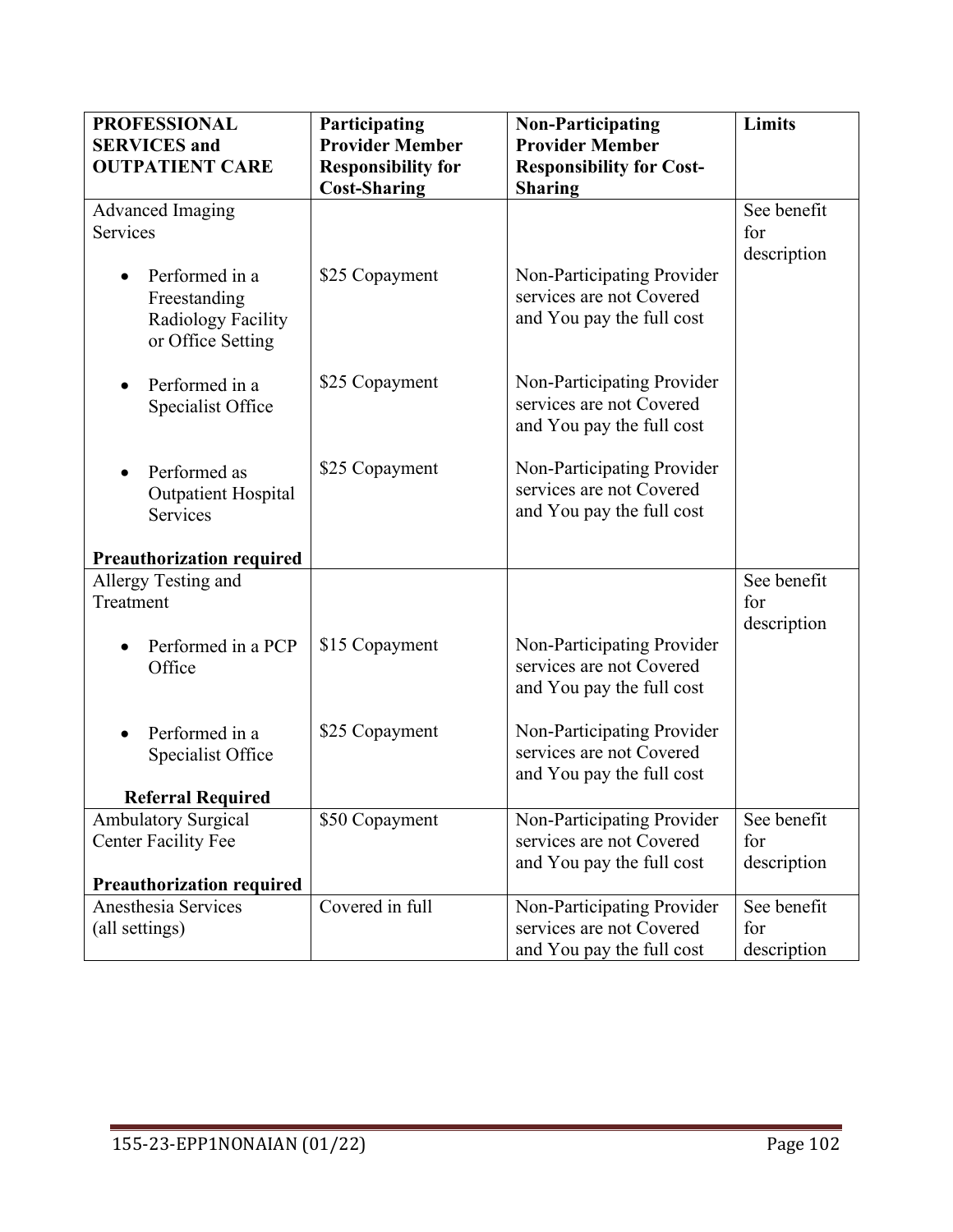| <b>PROFESSIONAL</b>              | Participating             | <b>Non-Participating</b>                               | <b>Limits</b> |
|----------------------------------|---------------------------|--------------------------------------------------------|---------------|
| <b>SERVICES</b> and              | <b>Provider Member</b>    | <b>Provider Member</b>                                 |               |
| <b>OUTPATIENT CARE</b>           | <b>Responsibility for</b> | <b>Responsibility for Cost-</b>                        |               |
|                                  | <b>Cost-Sharing</b>       | <b>Sharing</b>                                         |               |
| Advanced Imaging                 |                           |                                                        | See benefit   |
| Services                         |                           |                                                        | for           |
| Performed in a                   | \$25 Copayment            | Non-Participating Provider                             | description   |
| Freestanding                     |                           | services are not Covered                               |               |
| Radiology Facility               |                           | and You pay the full cost                              |               |
| or Office Setting                |                           |                                                        |               |
|                                  |                           |                                                        |               |
| Performed in a                   | \$25 Copayment            | Non-Participating Provider                             |               |
| Specialist Office                |                           | services are not Covered                               |               |
|                                  |                           | and You pay the full cost                              |               |
| Performed as                     | \$25 Copayment            | Non-Participating Provider                             |               |
| <b>Outpatient Hospital</b>       |                           | services are not Covered                               |               |
| Services                         |                           | and You pay the full cost                              |               |
|                                  |                           |                                                        |               |
| <b>Preauthorization required</b> |                           |                                                        |               |
| Allergy Testing and              |                           |                                                        | See benefit   |
| Treatment                        |                           |                                                        | for           |
|                                  |                           |                                                        | description   |
| Performed in a PCP               | \$15 Copayment            | Non-Participating Provider<br>services are not Covered |               |
| Office                           |                           | and You pay the full cost                              |               |
|                                  |                           |                                                        |               |
| Performed in a                   | \$25 Copayment            | Non-Participating Provider                             |               |
| Specialist Office                |                           | services are not Covered                               |               |
|                                  |                           | and You pay the full cost                              |               |
| <b>Referral Required</b>         |                           |                                                        |               |
| <b>Ambulatory Surgical</b>       | \$50 Copayment            | Non-Participating Provider                             | See benefit   |
| <b>Center Facility Fee</b>       |                           | services are not Covered                               | for           |
| <b>Preauthorization required</b> |                           | and You pay the full cost                              | description   |
| Anesthesia Services              | Covered in full           | Non-Participating Provider                             | See benefit   |
| (all settings)                   |                           | services are not Covered                               | for           |
|                                  |                           | and You pay the full cost                              | description   |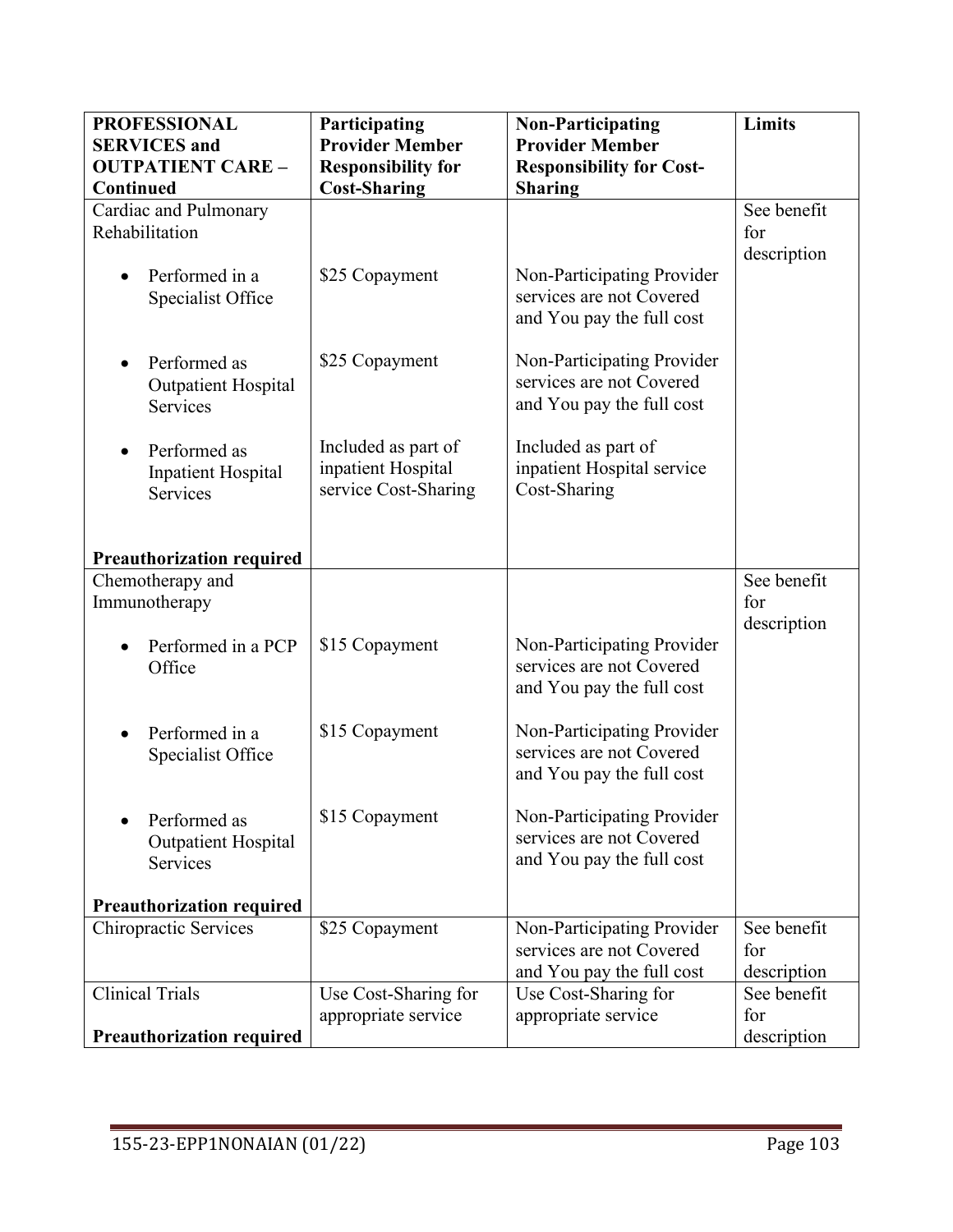| <b>PROFESSIONAL</b>                   | Participating             | <b>Non-Participating</b>                               | Limits      |
|---------------------------------------|---------------------------|--------------------------------------------------------|-------------|
| <b>SERVICES</b> and                   | <b>Provider Member</b>    | <b>Provider Member</b>                                 |             |
| <b>OUTPATIENT CARE -</b>              | <b>Responsibility for</b> | <b>Responsibility for Cost-</b>                        |             |
| <b>Continued</b>                      | <b>Cost-Sharing</b>       | <b>Sharing</b>                                         |             |
| Cardiac and Pulmonary                 |                           |                                                        | See benefit |
| Rehabilitation                        |                           |                                                        | for         |
|                                       |                           |                                                        | description |
| Performed in a                        | \$25 Copayment            | Non-Participating Provider                             |             |
| Specialist Office                     |                           | services are not Covered                               |             |
|                                       |                           | and You pay the full cost                              |             |
|                                       |                           |                                                        |             |
| Performed as                          | \$25 Copayment            | Non-Participating Provider                             |             |
| <b>Outpatient Hospital</b>            |                           | services are not Covered                               |             |
| Services                              |                           | and You pay the full cost                              |             |
|                                       | Included as part of       | Included as part of                                    |             |
| Performed as<br>$\bullet$             | inpatient Hospital        | inpatient Hospital service                             |             |
| <b>Inpatient Hospital</b><br>Services | service Cost-Sharing      | Cost-Sharing                                           |             |
|                                       |                           |                                                        |             |
|                                       |                           |                                                        |             |
| <b>Preauthorization required</b>      |                           |                                                        |             |
| Chemotherapy and                      |                           |                                                        | See benefit |
| Immunotherapy                         |                           |                                                        | for         |
|                                       |                           |                                                        | description |
| Performed in a PCP                    | \$15 Copayment            | Non-Participating Provider                             |             |
| Office                                |                           | services are not Covered                               |             |
|                                       |                           | and You pay the full cost                              |             |
|                                       |                           |                                                        |             |
| Performed in a                        | \$15 Copayment            | Non-Participating Provider<br>services are not Covered |             |
| Specialist Office                     |                           | and You pay the full cost                              |             |
|                                       |                           |                                                        |             |
| Performed as                          | \$15 Copayment            | Non-Participating Provider                             |             |
| <b>Outpatient Hospital</b>            |                           | services are not Covered                               |             |
| Services                              |                           | and You pay the full cost                              |             |
|                                       |                           |                                                        |             |
| <b>Preauthorization required</b>      |                           |                                                        |             |
| Chiropractic Services                 | \$25 Copayment            | Non-Participating Provider                             | See benefit |
|                                       |                           | services are not Covered                               | for         |
|                                       |                           | and You pay the full cost                              | description |
| <b>Clinical Trials</b>                | Use Cost-Sharing for      | Use Cost-Sharing for                                   | See benefit |
|                                       | appropriate service       | appropriate service                                    | for         |
| <b>Preauthorization required</b>      |                           |                                                        | description |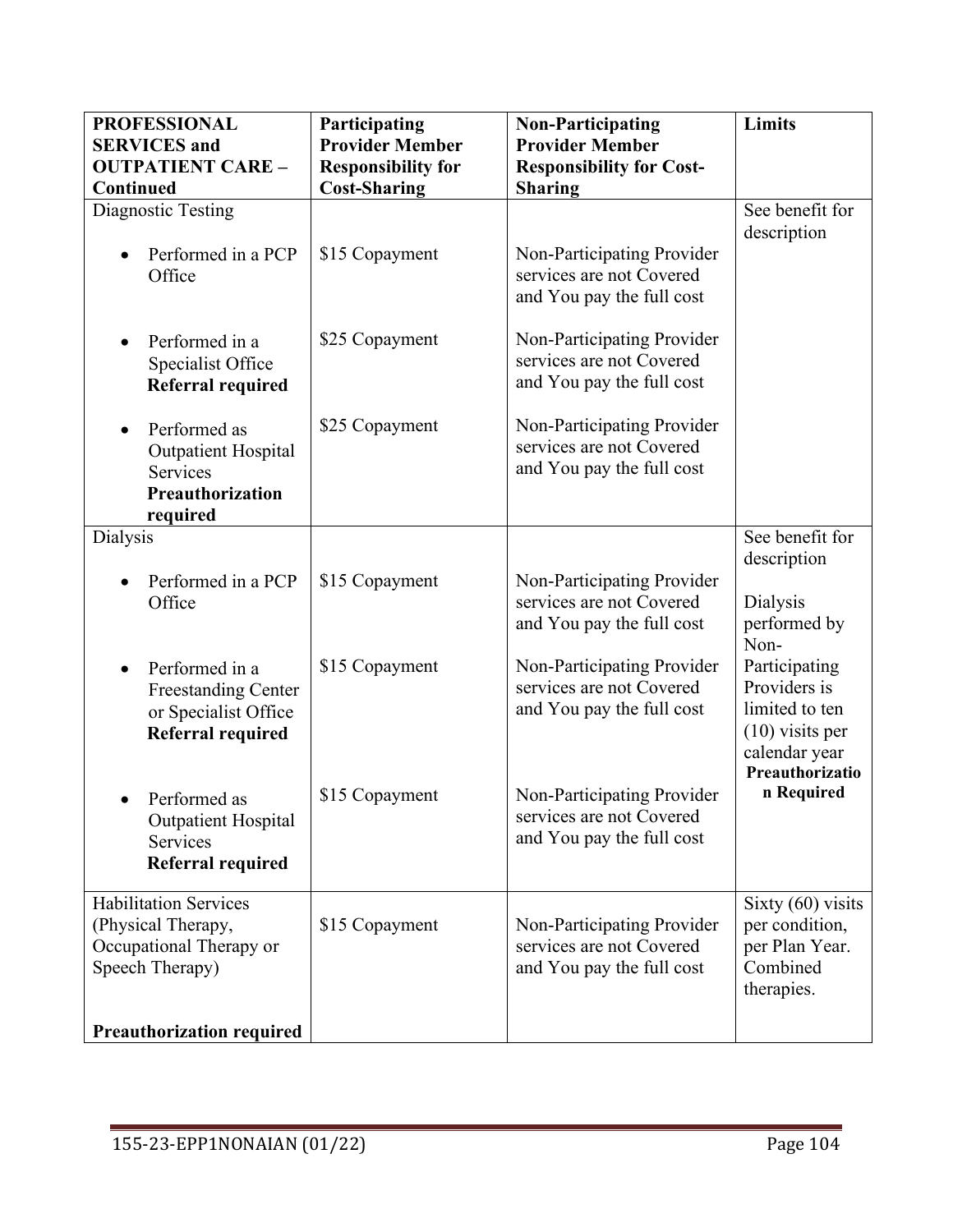| <b>PROFESSIONAL</b><br><b>SERVICES</b> and                                                       | Participating<br><b>Provider Member</b>          | <b>Non-Participating</b><br><b>Provider Member</b>                                  | Limits                                                                            |
|--------------------------------------------------------------------------------------------------|--------------------------------------------------|-------------------------------------------------------------------------------------|-----------------------------------------------------------------------------------|
| <b>OUTPATIENT CARE -</b><br>Continued                                                            | <b>Responsibility for</b><br><b>Cost-Sharing</b> | <b>Responsibility for Cost-</b><br><b>Sharing</b>                                   |                                                                                   |
| Diagnostic Testing<br>Performed in a PCP                                                         | \$15 Copayment                                   | Non-Participating Provider                                                          | See benefit for<br>description                                                    |
| Office                                                                                           |                                                  | services are not Covered<br>and You pay the full cost                               |                                                                                   |
| Performed in a<br>Specialist Office<br><b>Referral required</b>                                  | \$25 Copayment                                   | Non-Participating Provider<br>services are not Covered<br>and You pay the full cost |                                                                                   |
| Performed as<br><b>Outpatient Hospital</b><br><b>Services</b>                                    | \$25 Copayment                                   | Non-Participating Provider<br>services are not Covered<br>and You pay the full cost |                                                                                   |
| <b>Preauthorization</b><br>required                                                              |                                                  |                                                                                     |                                                                                   |
| Dialysis                                                                                         |                                                  |                                                                                     | See benefit for<br>description                                                    |
| Performed in a PCP<br>Office                                                                     | \$15 Copayment                                   | Non-Participating Provider<br>services are not Covered<br>and You pay the full cost | Dialysis<br>performed by<br>Non-                                                  |
| Performed in a<br><b>Freestanding Center</b><br>or Specialist Office<br><b>Referral required</b> | \$15 Copayment                                   | Non-Participating Provider<br>services are not Covered<br>and You pay the full cost | Participating<br>Providers is<br>limited to ten<br>$(10)$ visits per              |
| Performed as<br><b>Outpatient Hospital</b><br><b>Services</b><br><b>Referral required</b>        | \$15 Copayment                                   | Non-Participating Provider<br>services are not Covered<br>and You pay the full cost | calendar year<br>Preauthorizatio<br>n Required                                    |
| <b>Habilitation Services</b><br>(Physical Therapy,<br>Occupational Therapy or<br>Speech Therapy) | \$15 Copayment                                   | Non-Participating Provider<br>services are not Covered<br>and You pay the full cost | Sixty $(60)$ visits<br>per condition,<br>per Plan Year.<br>Combined<br>therapies. |
| <b>Preauthorization required</b>                                                                 |                                                  |                                                                                     |                                                                                   |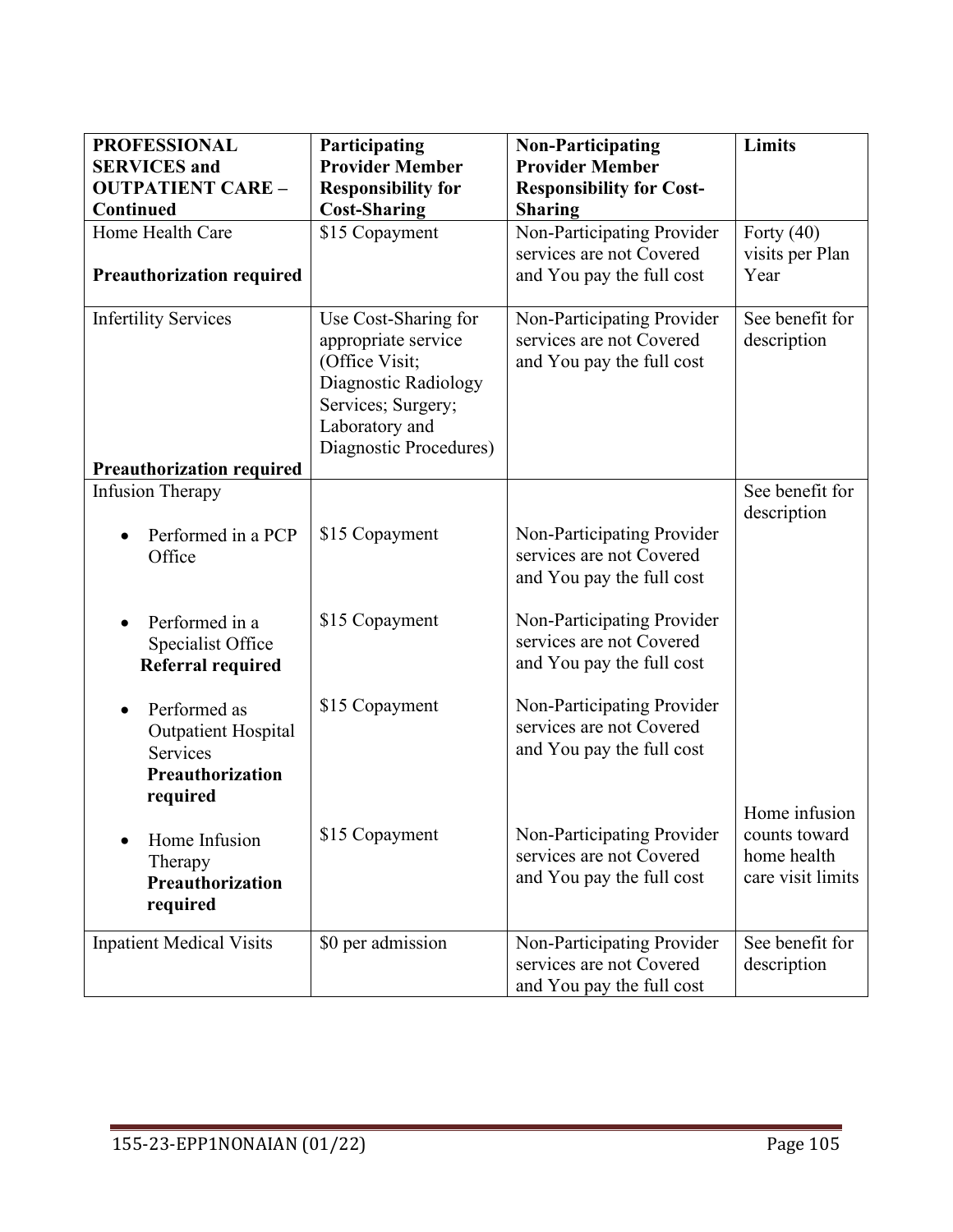| <b>PROFESSIONAL</b><br><b>SERVICES</b> and                                        | Participating<br><b>Provider Member</b>                                                                                                                 | <b>Non-Participating</b><br><b>Provider Member</b>                                  | Limits                                                             |
|-----------------------------------------------------------------------------------|---------------------------------------------------------------------------------------------------------------------------------------------------------|-------------------------------------------------------------------------------------|--------------------------------------------------------------------|
| <b>OUTPATIENT CARE -</b><br><b>Continued</b>                                      | <b>Responsibility for</b><br><b>Cost-Sharing</b>                                                                                                        | <b>Responsibility for Cost-</b><br><b>Sharing</b>                                   |                                                                    |
| Home Health Care<br><b>Preauthorization required</b>                              | \$15 Copayment                                                                                                                                          | Non-Participating Provider<br>services are not Covered<br>and You pay the full cost | Forty $(40)$<br>visits per Plan<br>Year                            |
| <b>Infertility Services</b><br><b>Preauthorization required</b>                   | Use Cost-Sharing for<br>appropriate service<br>(Office Visit;<br>Diagnostic Radiology<br>Services; Surgery;<br>Laboratory and<br>Diagnostic Procedures) | Non-Participating Provider<br>services are not Covered<br>and You pay the full cost | See benefit for<br>description                                     |
| <b>Infusion Therapy</b>                                                           |                                                                                                                                                         |                                                                                     | See benefit for                                                    |
| Performed in a PCP<br>Office                                                      | \$15 Copayment                                                                                                                                          | Non-Participating Provider<br>services are not Covered<br>and You pay the full cost | description                                                        |
| Performed in a<br>Specialist Office<br><b>Referral required</b>                   | \$15 Copayment                                                                                                                                          | Non-Participating Provider<br>services are not Covered<br>and You pay the full cost |                                                                    |
| Performed as<br><b>Outpatient Hospital</b><br><b>Services</b><br>Preauthorization | \$15 Copayment                                                                                                                                          | Non-Participating Provider<br>services are not Covered<br>and You pay the full cost |                                                                    |
| required<br>Home Infusion<br>Therapy<br>Preauthorization<br>required              | \$15 Copayment                                                                                                                                          | Non-Participating Provider<br>services are not Covered<br>and You pay the full cost | Home infusion<br>counts toward<br>home health<br>care visit limits |
| <b>Inpatient Medical Visits</b>                                                   | \$0 per admission                                                                                                                                       | Non-Participating Provider<br>services are not Covered<br>and You pay the full cost | See benefit for<br>description                                     |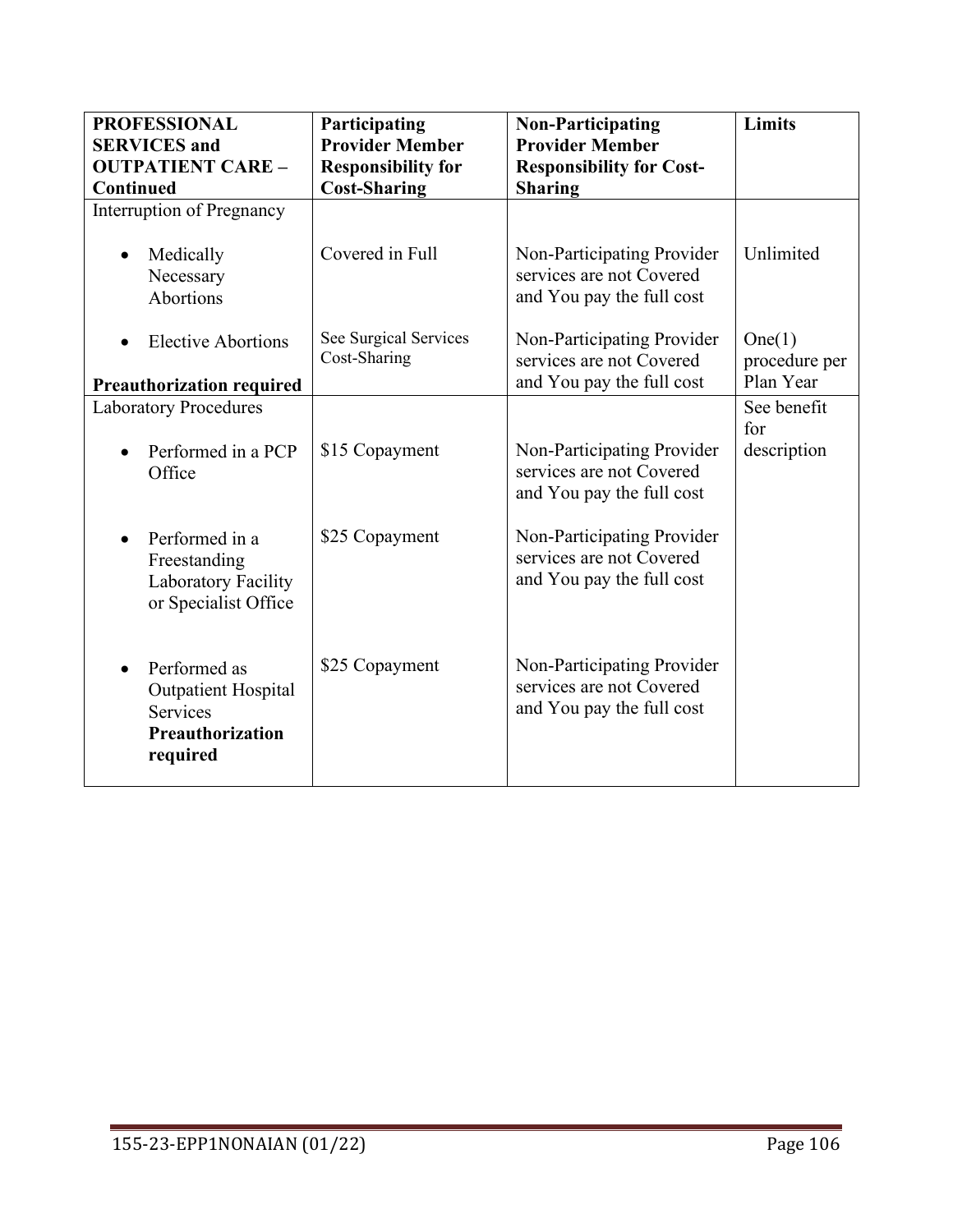| <b>PROFESSIONAL</b>                                                                    | Participating                         | <b>Non-Participating</b>                                                            | Limits                               |
|----------------------------------------------------------------------------------------|---------------------------------------|-------------------------------------------------------------------------------------|--------------------------------------|
| <b>SERVICES</b> and                                                                    | <b>Provider Member</b>                | <b>Provider Member</b>                                                              |                                      |
| <b>OUTPATIENT CARE -</b>                                                               | <b>Responsibility for</b>             | <b>Responsibility for Cost-</b>                                                     |                                      |
| Continued                                                                              | <b>Cost-Sharing</b>                   | <b>Sharing</b>                                                                      |                                      |
| Interruption of Pregnancy                                                              |                                       |                                                                                     |                                      |
| Medically<br>Necessary<br>Abortions                                                    | Covered in Full                       | Non-Participating Provider<br>services are not Covered<br>and You pay the full cost | Unlimited                            |
| <b>Elective Abortions</b>                                                              | See Surgical Services<br>Cost-Sharing | Non-Participating Provider<br>services are not Covered                              | One(1)<br>procedure per<br>Plan Year |
| <b>Preauthorization required</b>                                                       |                                       | and You pay the full cost                                                           |                                      |
| <b>Laboratory Procedures</b>                                                           |                                       |                                                                                     | See benefit                          |
| Performed in a PCP<br>Office                                                           | \$15 Copayment                        | Non-Participating Provider<br>services are not Covered<br>and You pay the full cost | for<br>description                   |
| Performed in a<br>Freestanding<br>Laboratory Facility<br>or Specialist Office          | \$25 Copayment                        | Non-Participating Provider<br>services are not Covered<br>and You pay the full cost |                                      |
| Performed as<br><b>Outpatient Hospital</b><br>Services<br>Preauthorization<br>required | \$25 Copayment                        | Non-Participating Provider<br>services are not Covered<br>and You pay the full cost |                                      |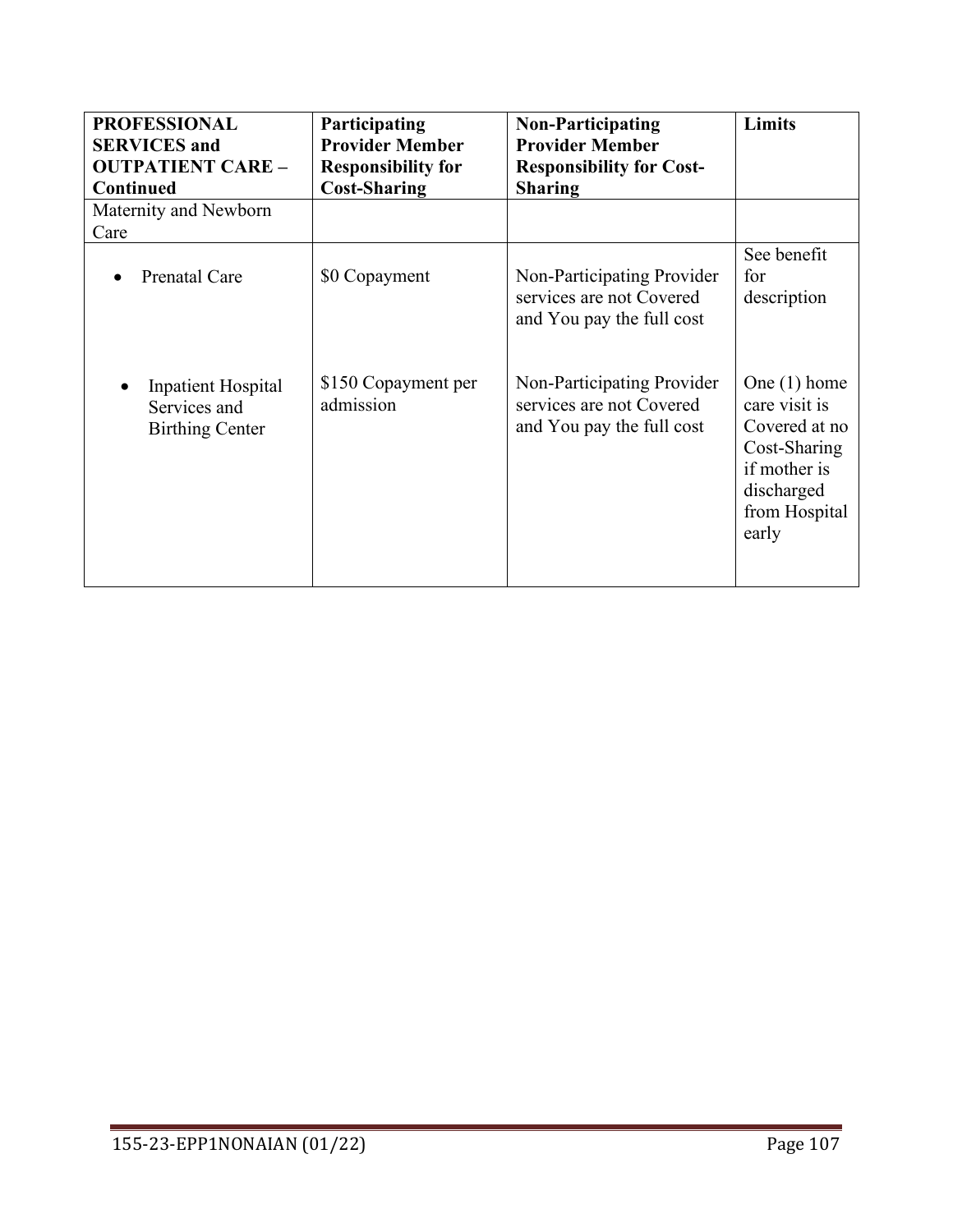| <b>PROFESSIONAL</b><br><b>SERVICES</b> and<br><b>OUTPATIENT CARE -</b><br><b>Continued</b> | Participating<br><b>Provider Member</b><br><b>Responsibility for</b><br><b>Cost-Sharing</b> | <b>Non-Participating</b><br><b>Provider Member</b><br><b>Responsibility for Cost-</b><br><b>Sharing</b> | Limits                                                                                                                   |
|--------------------------------------------------------------------------------------------|---------------------------------------------------------------------------------------------|---------------------------------------------------------------------------------------------------------|--------------------------------------------------------------------------------------------------------------------------|
| Maternity and Newborn<br>Care                                                              |                                                                                             |                                                                                                         |                                                                                                                          |
| <b>Prenatal Care</b>                                                                       | \$0 Copayment                                                                               | Non-Participating Provider<br>services are not Covered<br>and You pay the full cost                     | See benefit<br>for<br>description                                                                                        |
| <b>Inpatient Hospital</b><br>Services and<br><b>Birthing Center</b>                        | \$150 Copayment per<br>admission                                                            | Non-Participating Provider<br>services are not Covered<br>and You pay the full cost                     | One $(1)$ home<br>care visit is<br>Covered at no<br>Cost-Sharing<br>if mother is<br>discharged<br>from Hospital<br>early |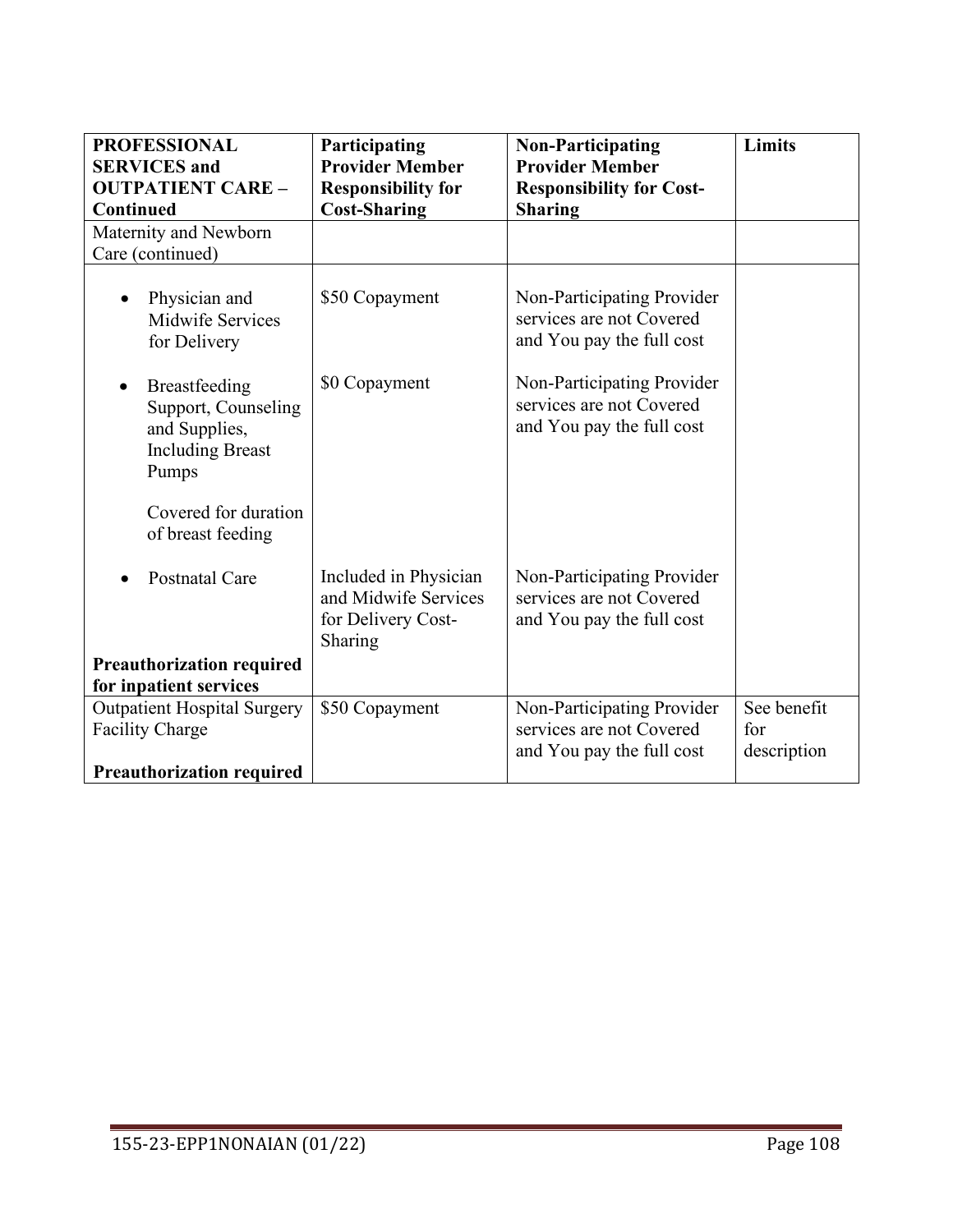| <b>PROFESSIONAL</b><br><b>SERVICES</b> and                                                | Participating<br><b>Provider Member</b>                                        | <b>Non-Participating</b><br><b>Provider Member</b>                                  | Limits                            |
|-------------------------------------------------------------------------------------------|--------------------------------------------------------------------------------|-------------------------------------------------------------------------------------|-----------------------------------|
| <b>OUTPATIENT CARE -</b>                                                                  | <b>Responsibility for</b>                                                      | <b>Responsibility for Cost-</b>                                                     |                                   |
| <b>Continued</b>                                                                          | <b>Cost-Sharing</b>                                                            | <b>Sharing</b>                                                                      |                                   |
| Maternity and Newborn<br>Care (continued)                                                 |                                                                                |                                                                                     |                                   |
| Physician and<br>Midwife Services<br>for Delivery                                         | \$50 Copayment                                                                 | Non-Participating Provider<br>services are not Covered<br>and You pay the full cost |                                   |
| Breastfeeding<br>Support, Counseling<br>and Supplies,<br><b>Including Breast</b><br>Pumps | \$0 Copayment                                                                  | Non-Participating Provider<br>services are not Covered<br>and You pay the full cost |                                   |
| Covered for duration<br>of breast feeding                                                 |                                                                                |                                                                                     |                                   |
| <b>Postnatal Care</b>                                                                     | Included in Physician<br>and Midwife Services<br>for Delivery Cost-<br>Sharing | Non-Participating Provider<br>services are not Covered<br>and You pay the full cost |                                   |
| <b>Preauthorization required</b>                                                          |                                                                                |                                                                                     |                                   |
| for inpatient services                                                                    |                                                                                |                                                                                     |                                   |
| <b>Outpatient Hospital Surgery</b><br><b>Facility Charge</b>                              | \$50 Copayment                                                                 | Non-Participating Provider<br>services are not Covered<br>and You pay the full cost | See benefit<br>for<br>description |
| <b>Preauthorization required</b>                                                          |                                                                                |                                                                                     |                                   |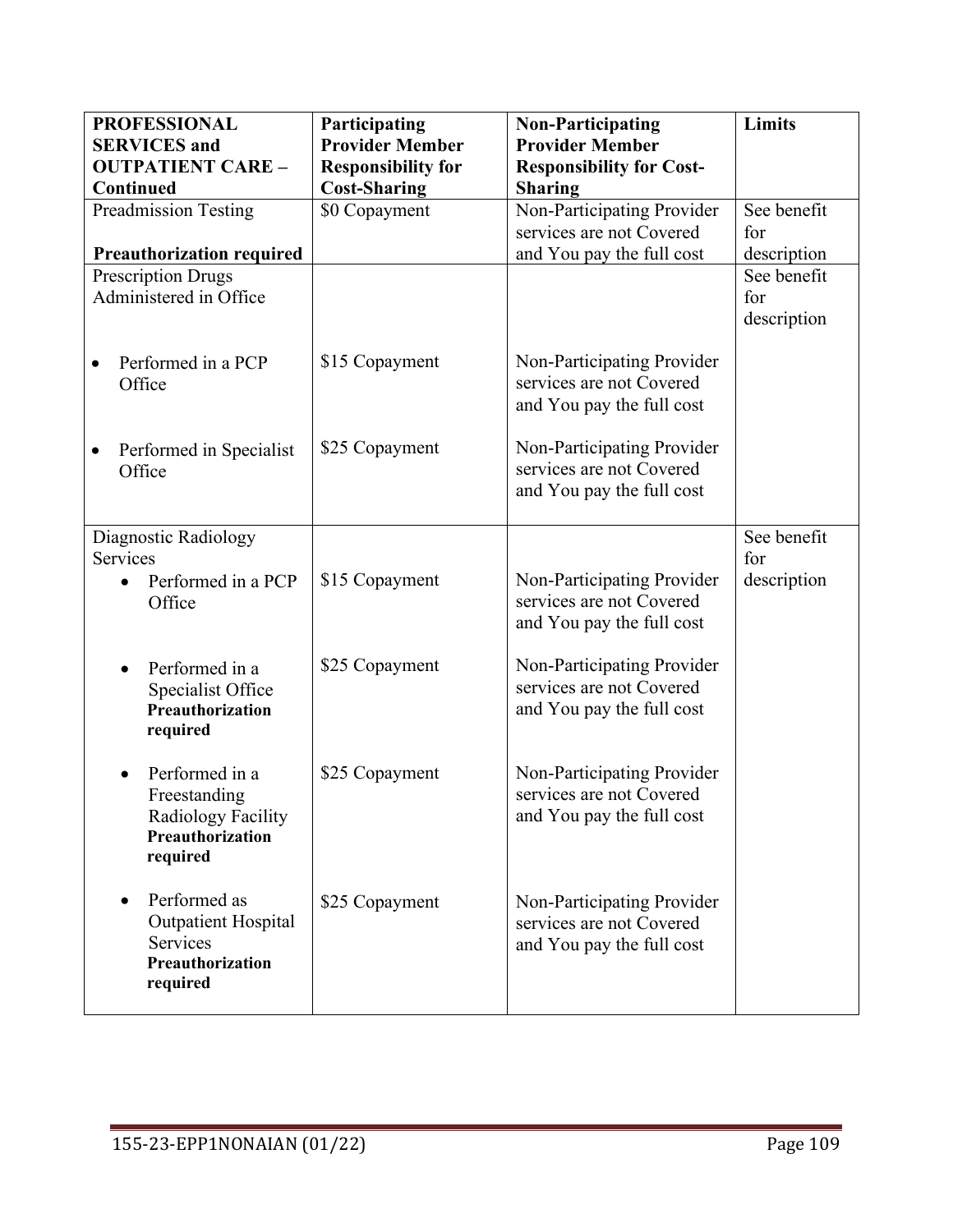| <b>PROFESSIONAL</b>              | Participating             | <b>Non-Participating</b>        | Limits      |
|----------------------------------|---------------------------|---------------------------------|-------------|
| <b>SERVICES</b> and              | <b>Provider Member</b>    | <b>Provider Member</b>          |             |
| <b>OUTPATIENT CARE -</b>         | <b>Responsibility for</b> | <b>Responsibility for Cost-</b> |             |
| Continued                        | <b>Cost-Sharing</b>       | <b>Sharing</b>                  |             |
| <b>Preadmission Testing</b>      | \$0 Copayment             | Non-Participating Provider      | See benefit |
|                                  |                           | services are not Covered        | for         |
| <b>Preauthorization required</b> |                           | and You pay the full cost       | description |
| <b>Prescription Drugs</b>        |                           |                                 | See benefit |
| Administered in Office           |                           |                                 | for         |
|                                  |                           |                                 | description |
|                                  |                           |                                 |             |
| Performed in a PCP               | \$15 Copayment            | Non-Participating Provider      |             |
| Office                           |                           | services are not Covered        |             |
|                                  |                           | and You pay the full cost       |             |
|                                  |                           |                                 |             |
| Performed in Specialist          | \$25 Copayment            | Non-Participating Provider      |             |
| Office                           |                           | services are not Covered        |             |
|                                  |                           | and You pay the full cost       |             |
|                                  |                           |                                 |             |
| Diagnostic Radiology             |                           |                                 | See benefit |
| Services                         |                           |                                 | for         |
| Performed in a PCP               | \$15 Copayment            | Non-Participating Provider      | description |
| Office                           |                           | services are not Covered        |             |
|                                  |                           | and You pay the full cost       |             |
|                                  |                           |                                 |             |
| Performed in a                   | \$25 Copayment            | Non-Participating Provider      |             |
| Specialist Office                |                           | services are not Covered        |             |
| Preauthorization                 |                           | and You pay the full cost       |             |
| required                         |                           |                                 |             |
|                                  |                           |                                 |             |
| Performed in a                   | \$25 Copayment            | Non-Participating Provider      |             |
| Freestanding                     |                           | services are not Covered        |             |
| Radiology Facility               |                           | and You pay the full cost       |             |
| Preauthorization                 |                           |                                 |             |
| required                         |                           |                                 |             |
|                                  |                           |                                 |             |
| Performed as                     | \$25 Copayment            | Non-Participating Provider      |             |
| Outpatient Hospital              |                           | services are not Covered        |             |
| Services                         |                           | and You pay the full cost       |             |
| Preauthorization                 |                           |                                 |             |
| required                         |                           |                                 |             |
|                                  |                           |                                 |             |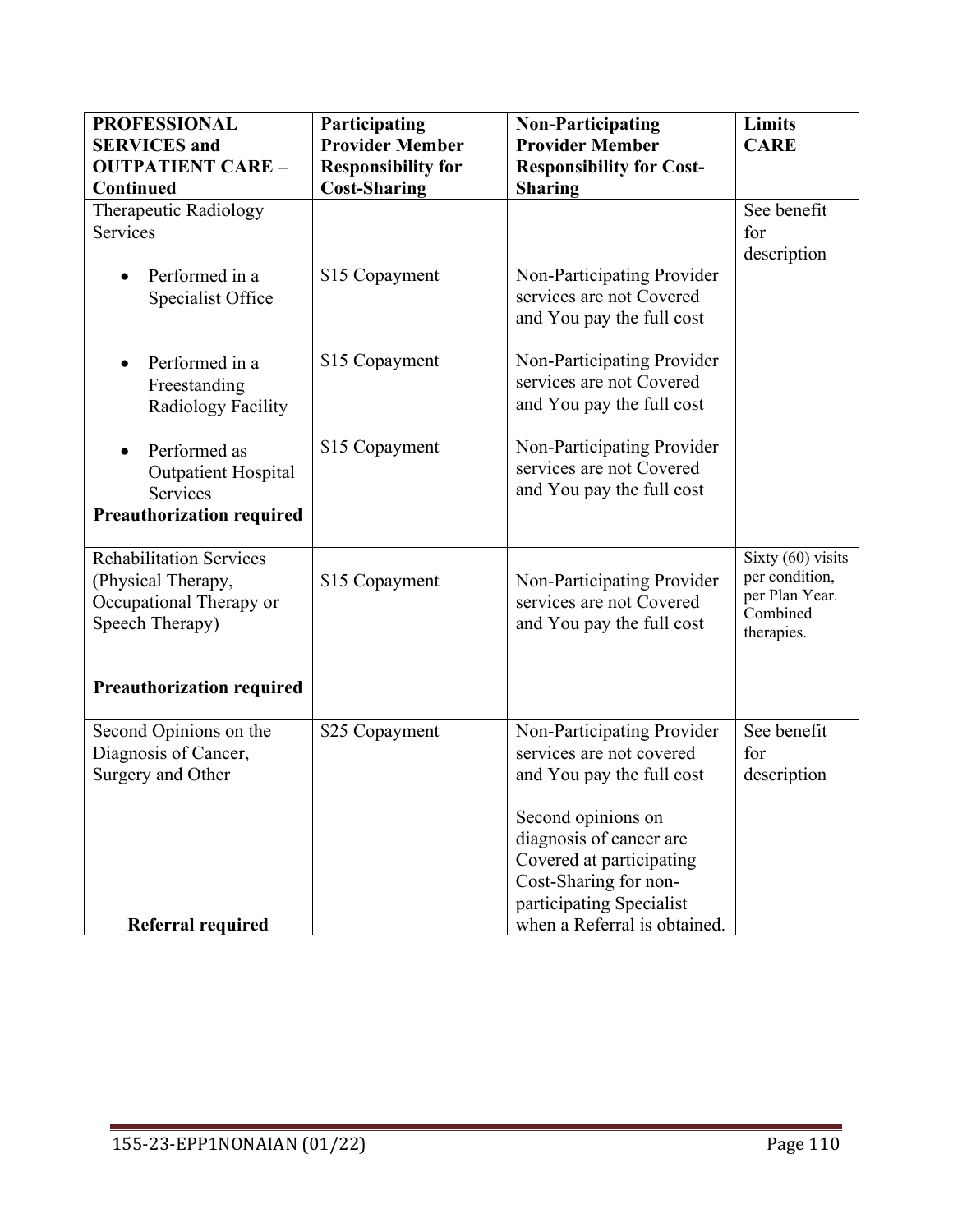| <b>PROFESSIONAL</b><br><b>SERVICES</b> and                                                         | Participating<br><b>Provider Member</b> | <b>Non-Participating</b><br><b>Provider Member</b>                                                 | <b>Limits</b><br><b>CARE</b>                                                      |
|----------------------------------------------------------------------------------------------------|-----------------------------------------|----------------------------------------------------------------------------------------------------|-----------------------------------------------------------------------------------|
| <b>OUTPATIENT CARE -</b>                                                                           | <b>Responsibility for</b>               | <b>Responsibility for Cost-</b>                                                                    |                                                                                   |
| Continued                                                                                          | <b>Cost-Sharing</b>                     | <b>Sharing</b>                                                                                     |                                                                                   |
| Therapeutic Radiology<br><b>Services</b>                                                           |                                         |                                                                                                    | See benefit<br>for<br>description                                                 |
| Performed in a<br>Specialist Office                                                                | \$15 Copayment                          | Non-Participating Provider<br>services are not Covered<br>and You pay the full cost                |                                                                                   |
| Performed in a<br>Freestanding<br>Radiology Facility                                               | \$15 Copayment                          | Non-Participating Provider<br>services are not Covered<br>and You pay the full cost                |                                                                                   |
| Performed as<br>$\bullet$<br><b>Outpatient Hospital</b><br><b>Services</b>                         | \$15 Copayment                          | Non-Participating Provider<br>services are not Covered<br>and You pay the full cost                |                                                                                   |
| <b>Preauthorization required</b>                                                                   |                                         |                                                                                                    |                                                                                   |
| <b>Rehabilitation Services</b><br>(Physical Therapy,<br>Occupational Therapy or<br>Speech Therapy) | \$15 Copayment                          | Non-Participating Provider<br>services are not Covered<br>and You pay the full cost                | Sixty $(60)$ visits<br>per condition,<br>per Plan Year.<br>Combined<br>therapies. |
| <b>Preauthorization required</b>                                                                   |                                         |                                                                                                    |                                                                                   |
| Second Opinions on the<br>Diagnosis of Cancer,<br>Surgery and Other                                | \$25 Copayment                          | Non-Participating Provider<br>services are not covered<br>and You pay the full cost                | See benefit<br>for<br>description                                                 |
|                                                                                                    |                                         | Second opinions on<br>diagnosis of cancer are<br>Covered at participating<br>Cost-Sharing for non- |                                                                                   |
| Referral required                                                                                  |                                         | participating Specialist<br>when a Referral is obtained.                                           |                                                                                   |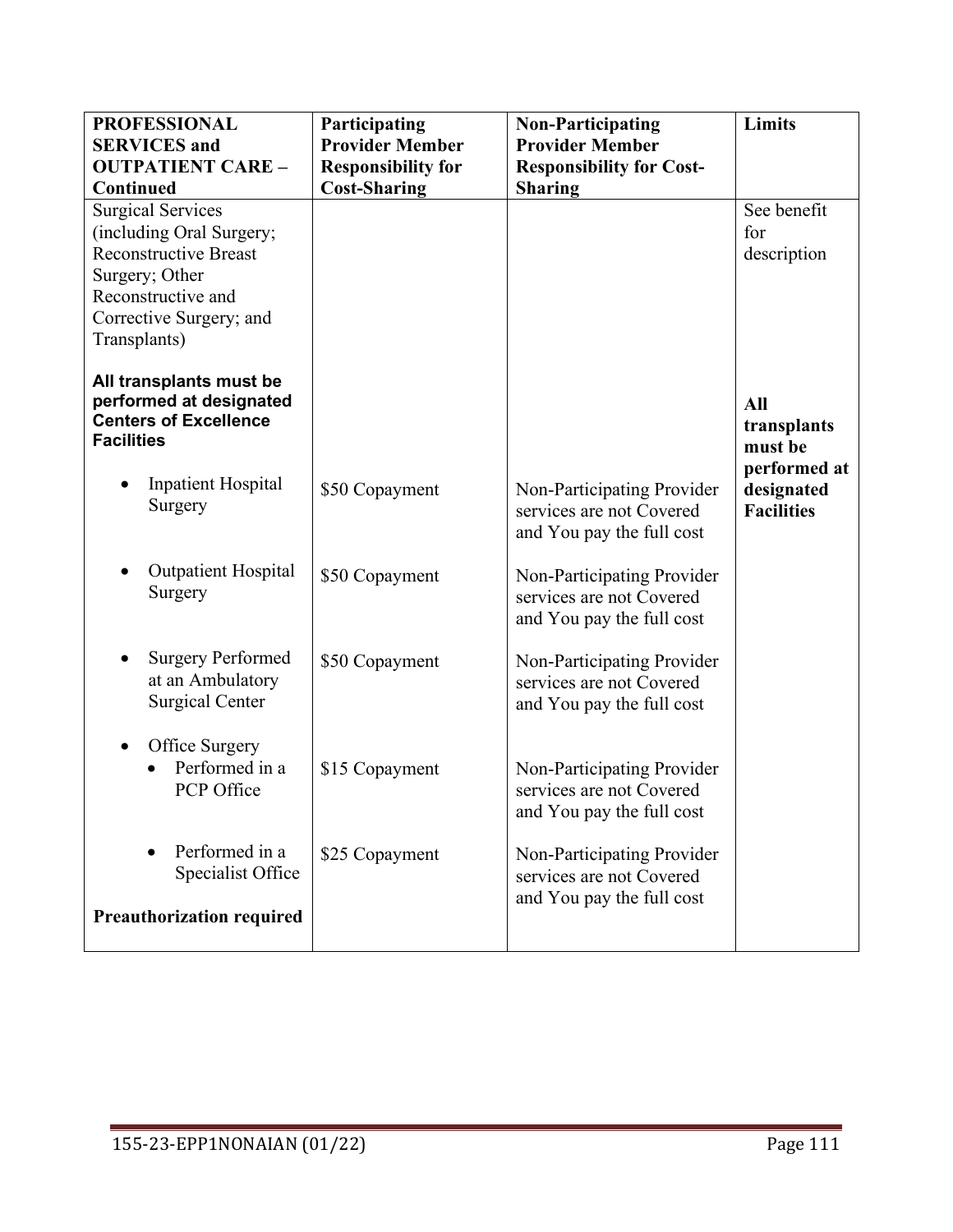| <b>PROFESSIONAL</b>              | Participating             | <b>Non-Participating</b>                               | <b>Limits</b>     |
|----------------------------------|---------------------------|--------------------------------------------------------|-------------------|
| <b>SERVICES</b> and              | <b>Provider Member</b>    | <b>Provider Member</b>                                 |                   |
| <b>OUTPATIENT CARE -</b>         | <b>Responsibility for</b> | <b>Responsibility for Cost-</b>                        |                   |
| Continued                        | <b>Cost-Sharing</b>       | <b>Sharing</b>                                         |                   |
| <b>Surgical Services</b>         |                           |                                                        | See benefit       |
| (including Oral Surgery;         |                           |                                                        | for               |
| <b>Reconstructive Breast</b>     |                           |                                                        | description       |
| Surgery; Other                   |                           |                                                        |                   |
| Reconstructive and               |                           |                                                        |                   |
| Corrective Surgery; and          |                           |                                                        |                   |
| Transplants)                     |                           |                                                        |                   |
| All transplants must be          |                           |                                                        |                   |
| performed at designated          |                           |                                                        | All               |
| <b>Centers of Excellence</b>     |                           |                                                        | transplants       |
| <b>Facilities</b>                |                           |                                                        | must be           |
|                                  |                           |                                                        | performed at      |
| <b>Inpatient Hospital</b>        | \$50 Copayment            | Non-Participating Provider                             | designated        |
| Surgery                          |                           | services are not Covered                               | <b>Facilities</b> |
|                                  |                           | and You pay the full cost                              |                   |
|                                  |                           |                                                        |                   |
| <b>Outpatient Hospital</b>       | \$50 Copayment            | Non-Participating Provider                             |                   |
| Surgery                          |                           | services are not Covered                               |                   |
|                                  |                           | and You pay the full cost                              |                   |
|                                  |                           |                                                        |                   |
| <b>Surgery Performed</b>         | \$50 Copayment            | Non-Participating Provider                             |                   |
| at an Ambulatory                 |                           | services are not Covered                               |                   |
| <b>Surgical Center</b>           |                           | and You pay the full cost                              |                   |
|                                  |                           |                                                        |                   |
| Office Surgery                   |                           |                                                        |                   |
| Performed in a                   | \$15 Copayment            | Non-Participating Provider                             |                   |
| PCP Office                       |                           | services are not Covered                               |                   |
|                                  |                           | and You pay the full cost                              |                   |
| Performed in a                   |                           |                                                        |                   |
| Specialist Office                | \$25 Copayment            | Non-Participating Provider<br>services are not Covered |                   |
|                                  |                           | and You pay the full cost                              |                   |
| <b>Preauthorization required</b> |                           |                                                        |                   |
|                                  |                           |                                                        |                   |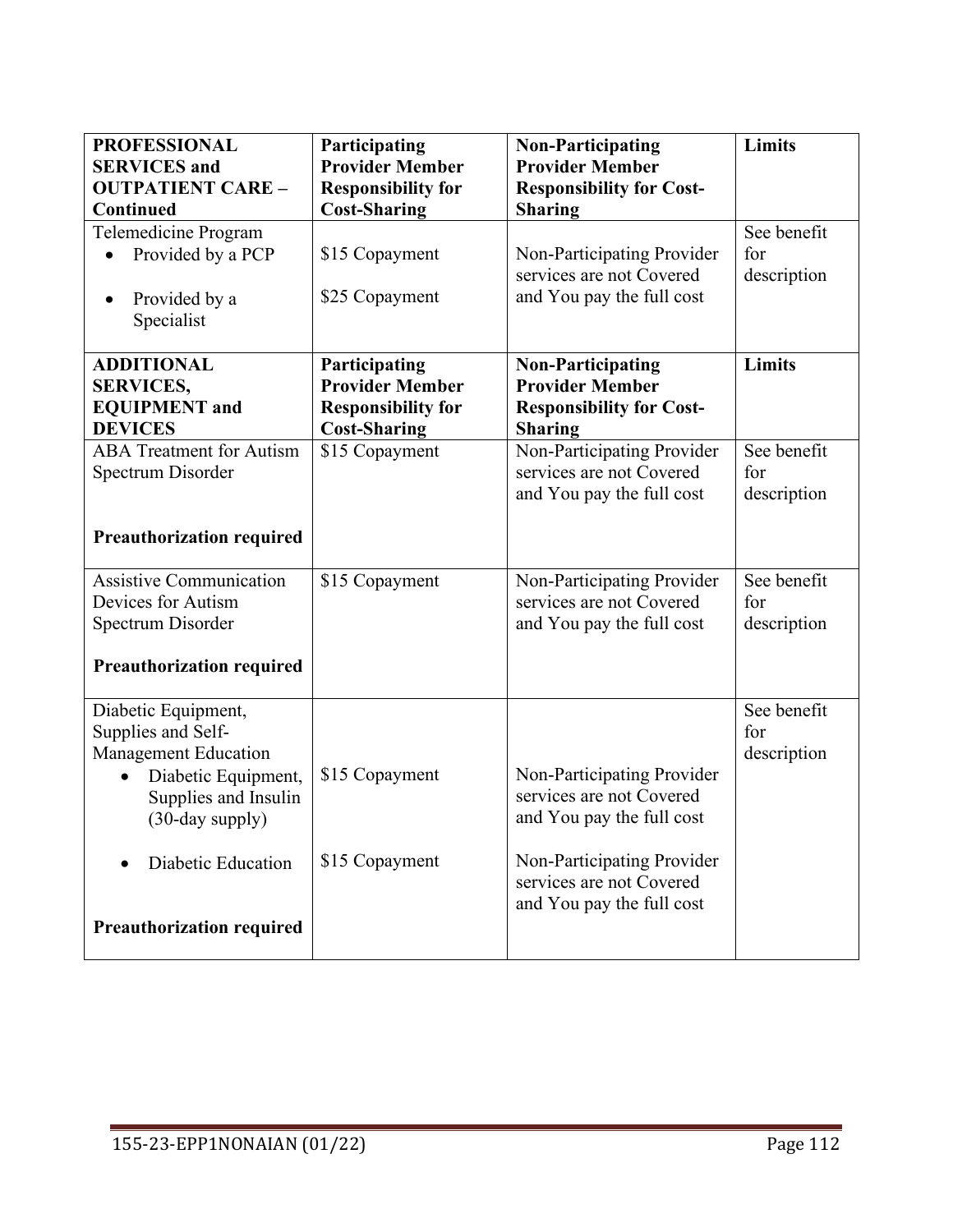| <b>PROFESSIONAL</b><br><b>SERVICES</b> and<br><b>OUTPATIENT CARE -</b>                                                              | Participating<br><b>Provider Member</b><br><b>Responsibility for</b>                        | <b>Non-Participating</b><br><b>Provider Member</b><br><b>Responsibility for Cost-</b>            | Limits                            |
|-------------------------------------------------------------------------------------------------------------------------------------|---------------------------------------------------------------------------------------------|--------------------------------------------------------------------------------------------------|-----------------------------------|
| Continued                                                                                                                           | <b>Cost-Sharing</b>                                                                         | <b>Sharing</b>                                                                                   |                                   |
| Telemedicine Program<br>Provided by a PCP<br>Provided by a<br>$\bullet$<br>Specialist                                               | \$15 Copayment<br>\$25 Copayment                                                            | Non-Participating Provider<br>services are not Covered<br>and You pay the full cost              | See benefit<br>for<br>description |
| <b>ADDITIONAL</b><br><b>SERVICES,</b><br><b>EQUIPMENT</b> and<br><b>DEVICES</b>                                                     | Participating<br><b>Provider Member</b><br><b>Responsibility for</b><br><b>Cost-Sharing</b> | <b>Non-Participating</b><br><b>Provider Member</b><br><b>Responsibility for Cost-</b><br>Sharing | Limits                            |
| <b>ABA Treatment for Autism</b><br>Spectrum Disorder                                                                                | \$15 Copayment                                                                              | Non-Participating Provider<br>services are not Covered<br>and You pay the full cost              | See benefit<br>for<br>description |
| <b>Preauthorization required</b>                                                                                                    |                                                                                             |                                                                                                  |                                   |
| <b>Assistive Communication</b><br>Devices for Autism<br>Spectrum Disorder                                                           | \$15 Copayment                                                                              | Non-Participating Provider<br>services are not Covered<br>and You pay the full cost              | See benefit<br>for<br>description |
| <b>Preauthorization required</b>                                                                                                    |                                                                                             |                                                                                                  |                                   |
| Diabetic Equipment,<br>Supplies and Self-<br>Management Education<br>Diabetic Equipment,<br>Supplies and Insulin<br>(30-day supply) | \$15 Copayment                                                                              | Non-Participating Provider<br>services are not Covered<br>and You pay the full cost              | See benefit<br>for<br>description |
| Diabetic Education                                                                                                                  | \$15 Copayment                                                                              | Non-Participating Provider<br>services are not Covered<br>and You pay the full cost              |                                   |
| <b>Preauthorization required</b>                                                                                                    |                                                                                             |                                                                                                  |                                   |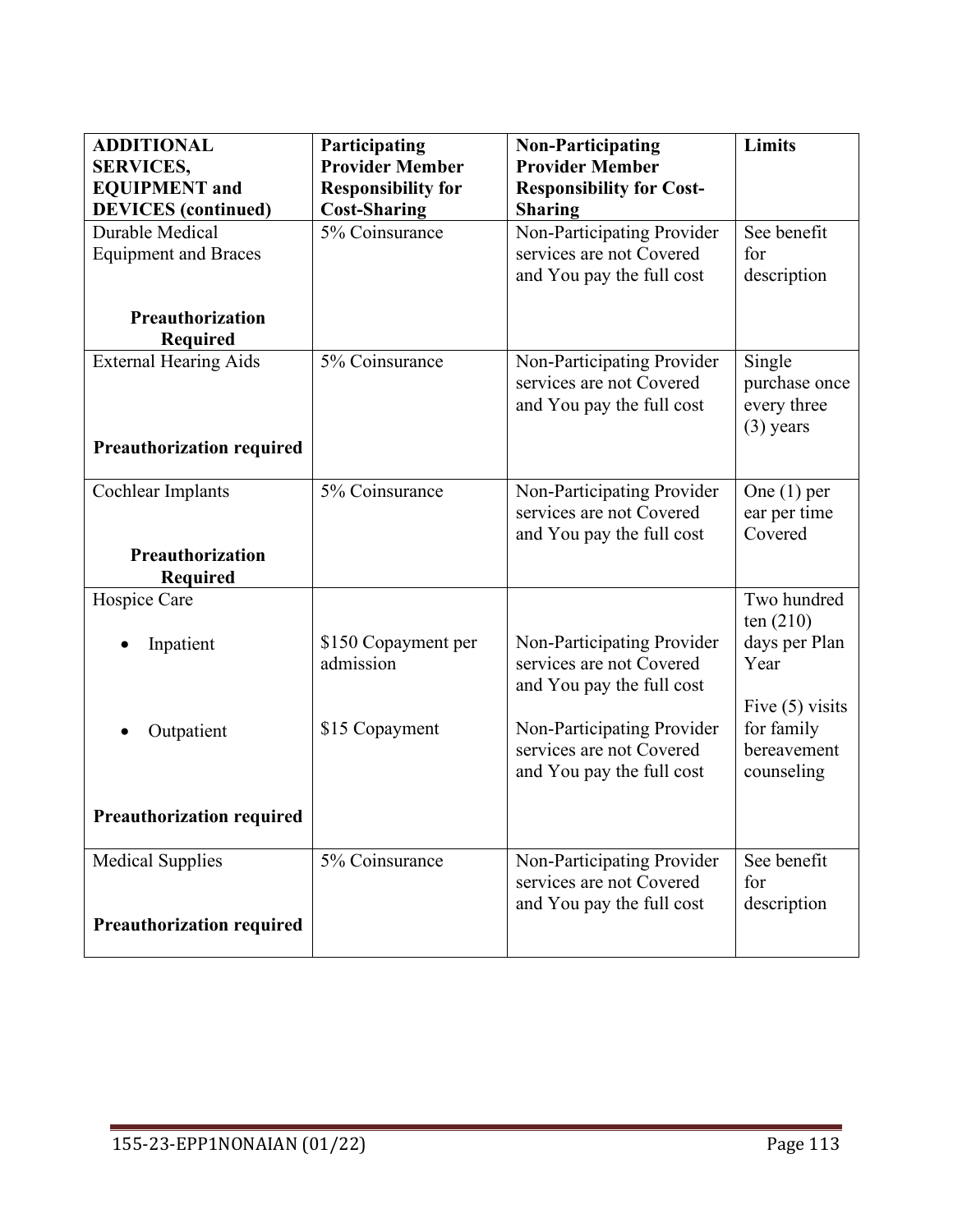| <b>ADDITIONAL</b><br><b>SERVICES,</b>      | Participating<br><b>Provider Member</b> | <b>Non-Participating</b><br><b>Provider Member</b>     | Limits                     |
|--------------------------------------------|-----------------------------------------|--------------------------------------------------------|----------------------------|
| <b>EQUIPMENT</b> and                       | <b>Responsibility for</b>               | <b>Responsibility for Cost-</b>                        |                            |
| <b>DEVICES</b> (continued)                 | <b>Cost-Sharing</b>                     | <b>Sharing</b>                                         |                            |
| Durable Medical                            | 5% Coinsurance                          | Non-Participating Provider                             | See benefit                |
| <b>Equipment and Braces</b>                |                                         | services are not Covered                               | for                        |
|                                            |                                         | and You pay the full cost                              | description                |
| Preauthorization<br><b>Required</b>        |                                         |                                                        |                            |
| <b>External Hearing Aids</b>               | 5% Coinsurance                          | Non-Participating Provider                             | Single                     |
|                                            |                                         | services are not Covered                               | purchase once              |
|                                            |                                         | and You pay the full cost                              | every three<br>$(3)$ years |
| <b>Preauthorization required</b>           |                                         |                                                        |                            |
|                                            |                                         |                                                        |                            |
| Cochlear Implants                          | $\overline{5\%}$ Coinsurance            | Non-Participating Provider                             | One $(1)$ per              |
|                                            |                                         | services are not Covered                               | ear per time               |
|                                            |                                         | and You pay the full cost                              | Covered                    |
| <b>Preauthorization</b><br><b>Required</b> |                                         |                                                        |                            |
| Hospice Care                               |                                         |                                                        | Two hundred                |
|                                            |                                         |                                                        | ten $(210)$                |
| Inpatient                                  | \$150 Copayment per<br>admission        | Non-Participating Provider<br>services are not Covered | days per Plan<br>Year      |
|                                            |                                         | and You pay the full cost                              |                            |
|                                            |                                         |                                                        | Five $(5)$ visits          |
| Outpatient                                 | \$15 Copayment                          | Non-Participating Provider                             | for family                 |
|                                            |                                         | services are not Covered                               | bereavement                |
|                                            |                                         | and You pay the full cost                              | counseling                 |
|                                            |                                         |                                                        |                            |
| <b>Preauthorization required</b>           |                                         |                                                        |                            |
| <b>Medical Supplies</b>                    | 5% Coinsurance                          | Non-Participating Provider                             | See benefit                |
|                                            |                                         | services are not Covered                               | for                        |
| <b>Preauthorization required</b>           |                                         | and You pay the full cost                              | description                |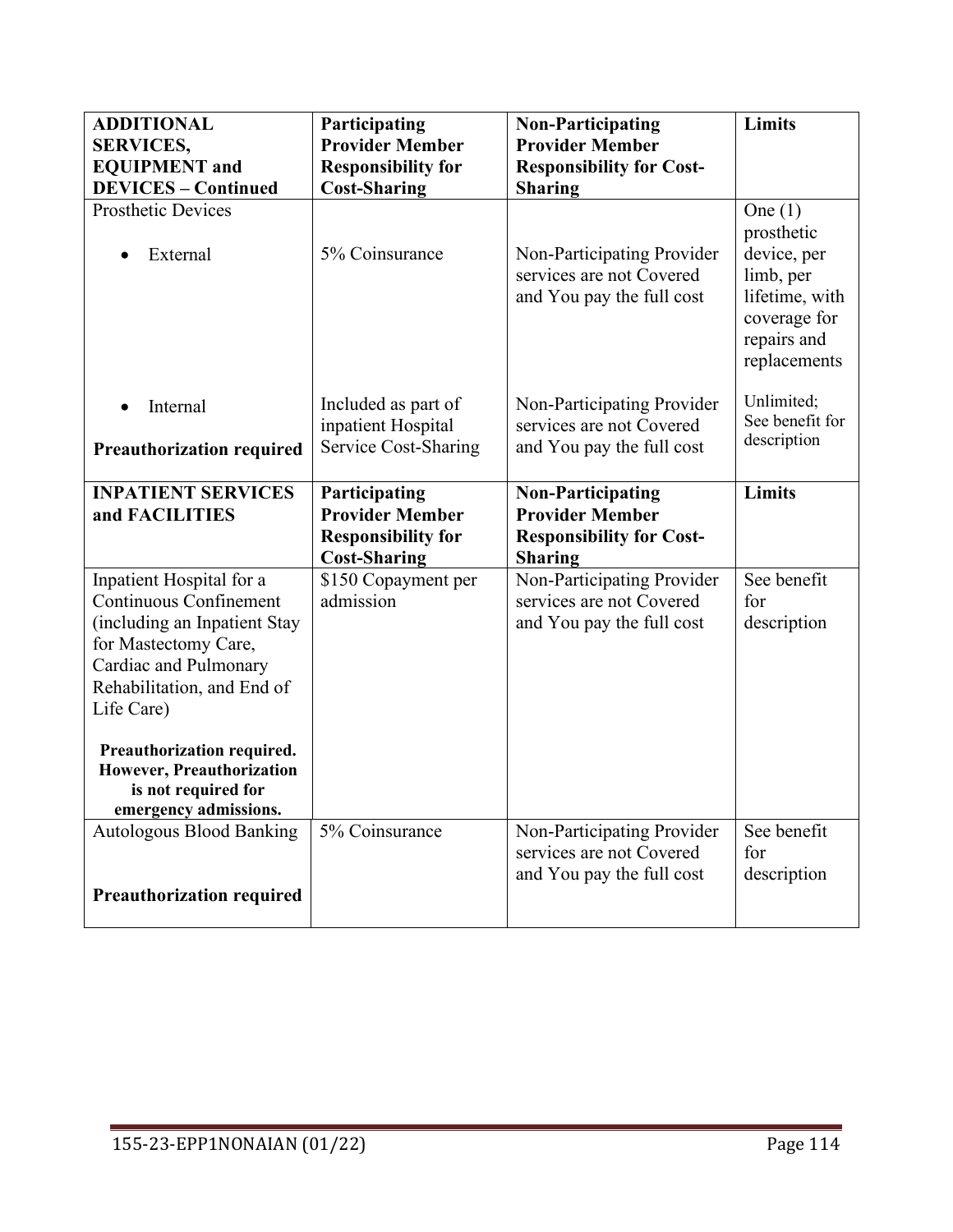| <b>ADDITIONAL</b><br><b>SERVICES,</b>                                                                                                                                                  | Participating<br><b>Provider Member</b>                                                     | <b>Non-Participating</b><br><b>Provider Member</b>                                                      | Limits                                                                                                               |
|----------------------------------------------------------------------------------------------------------------------------------------------------------------------------------------|---------------------------------------------------------------------------------------------|---------------------------------------------------------------------------------------------------------|----------------------------------------------------------------------------------------------------------------------|
| <b>EQUIPMENT</b> and                                                                                                                                                                   | <b>Responsibility for</b>                                                                   | <b>Responsibility for Cost-</b>                                                                         |                                                                                                                      |
| <b>DEVICES - Continued</b>                                                                                                                                                             | <b>Cost-Sharing</b>                                                                         | <b>Sharing</b>                                                                                          |                                                                                                                      |
| <b>Prosthetic Devices</b><br>External                                                                                                                                                  | 5% Coinsurance                                                                              | Non-Participating Provider<br>services are not Covered<br>and You pay the full cost                     | One $(1)$<br>prosthetic<br>device, per<br>limb, per<br>lifetime, with<br>coverage for<br>repairs and<br>replacements |
| Internal                                                                                                                                                                               | Included as part of<br>inpatient Hospital                                                   | Non-Participating Provider<br>services are not Covered                                                  | Unlimited;<br>See benefit for                                                                                        |
| <b>Preauthorization required</b>                                                                                                                                                       | Service Cost-Sharing                                                                        | and You pay the full cost                                                                               | description                                                                                                          |
| <b>INPATIENT SERVICES</b><br>and FACILITIES                                                                                                                                            | Participating<br><b>Provider Member</b><br><b>Responsibility for</b><br><b>Cost-Sharing</b> | <b>Non-Participating</b><br><b>Provider Member</b><br><b>Responsibility for Cost-</b><br><b>Sharing</b> | <b>Limits</b>                                                                                                        |
| Inpatient Hospital for a<br><b>Continuous Confinement</b><br>(including an Inpatient Stay<br>for Mastectomy Care,<br>Cardiac and Pulmonary<br>Rehabilitation, and End of<br>Life Care) | \$150 Copayment per<br>admission                                                            | Non-Participating Provider<br>services are not Covered<br>and You pay the full cost                     | See benefit<br>for<br>description                                                                                    |
| Preauthorization required.<br>However, Preauthorization<br>is not required for<br>emergency admissions.                                                                                |                                                                                             |                                                                                                         |                                                                                                                      |
| <b>Autologous Blood Banking</b>                                                                                                                                                        | 5% Coinsurance                                                                              | Non-Participating Provider<br>services are not Covered<br>and You pay the full cost                     | See benefit<br>for<br>description                                                                                    |
| <b>Preauthorization required</b>                                                                                                                                                       |                                                                                             |                                                                                                         |                                                                                                                      |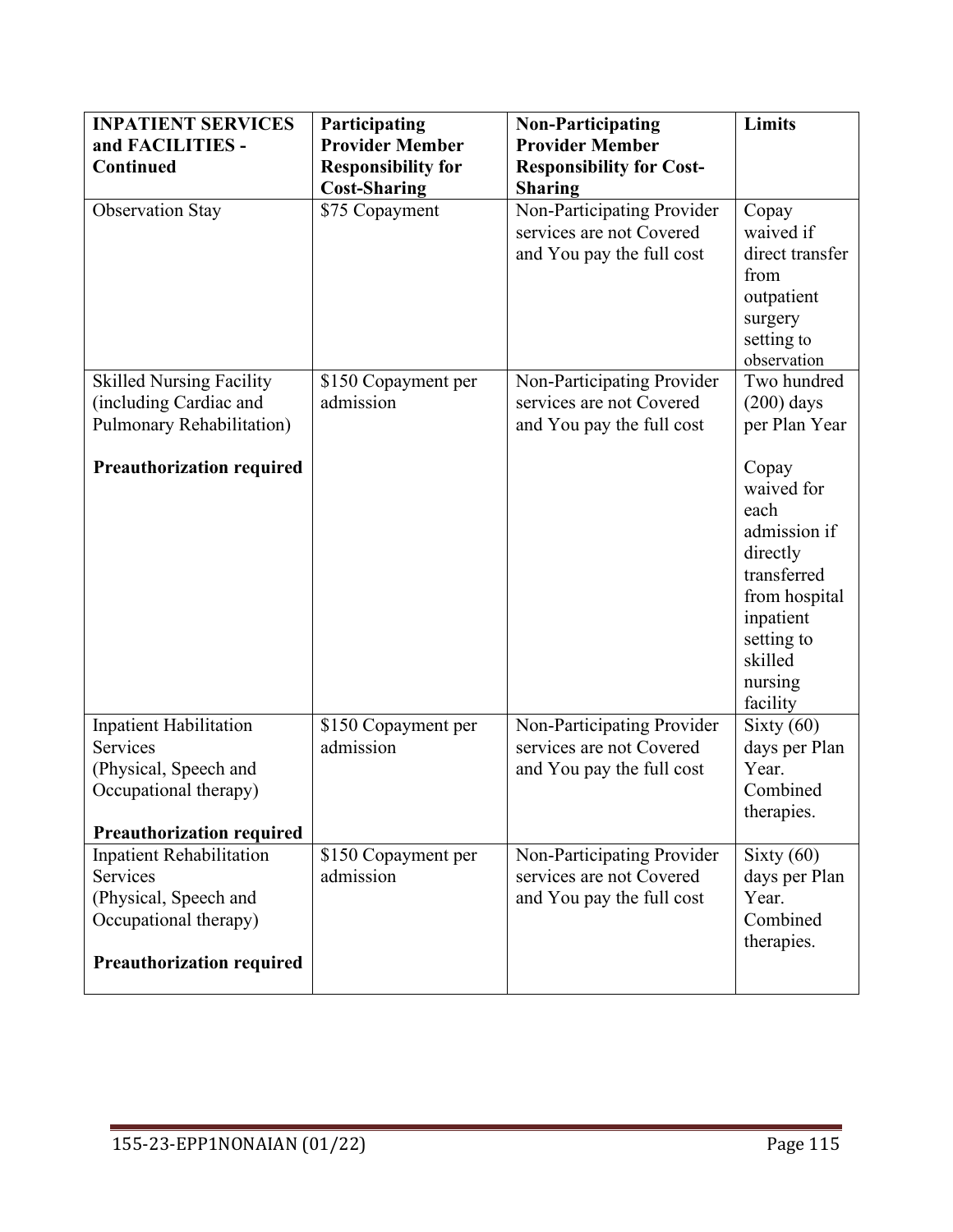| <b>INPATIENT SERVICES</b>        | Participating             | <b>Non-Participating</b>        | Limits          |
|----------------------------------|---------------------------|---------------------------------|-----------------|
| and FACILITIES -                 | <b>Provider Member</b>    | <b>Provider Member</b>          |                 |
| <b>Continued</b>                 | <b>Responsibility for</b> | <b>Responsibility for Cost-</b> |                 |
|                                  | <b>Cost-Sharing</b>       | <b>Sharing</b>                  |                 |
| <b>Observation Stay</b>          | \$75 Copayment            | Non-Participating Provider      | Copay           |
|                                  |                           | services are not Covered        | waived if       |
|                                  |                           | and You pay the full cost       | direct transfer |
|                                  |                           |                                 | from            |
|                                  |                           |                                 | outpatient      |
|                                  |                           |                                 | surgery         |
|                                  |                           |                                 | setting to      |
|                                  |                           |                                 | observation     |
| <b>Skilled Nursing Facility</b>  | \$150 Copayment per       | Non-Participating Provider      | Two hundred     |
| (including Cardiac and           | admission                 | services are not Covered        | $(200)$ days    |
| Pulmonary Rehabilitation)        |                           | and You pay the full cost       | per Plan Year   |
| <b>Preauthorization required</b> |                           |                                 | Copay           |
|                                  |                           |                                 | waived for      |
|                                  |                           |                                 | each            |
|                                  |                           |                                 | admission if    |
|                                  |                           |                                 | directly        |
|                                  |                           |                                 | transferred     |
|                                  |                           |                                 | from hospital   |
|                                  |                           |                                 | inpatient       |
|                                  |                           |                                 | setting to      |
|                                  |                           |                                 | skilled         |
|                                  |                           |                                 | nursing         |
|                                  |                           |                                 | facility        |
| <b>Inpatient Habilitation</b>    | \$150 Copayment per       | Non-Participating Provider      | Sixty $(60)$    |
| <b>Services</b>                  | admission                 | services are not Covered        | days per Plan   |
| (Physical, Speech and            |                           | and You pay the full cost       | Year.           |
| Occupational therapy)            |                           |                                 | Combined        |
|                                  |                           |                                 | therapies.      |
| <b>Preauthorization required</b> |                           |                                 |                 |
| <b>Inpatient Rehabilitation</b>  | \$150 Copayment per       | Non-Participating Provider      | Sixty $(60)$    |
| Services                         | admission                 | services are not Covered        | days per Plan   |
| (Physical, Speech and            |                           | and You pay the full cost       | Year.           |
| Occupational therapy)            |                           |                                 | Combined        |
|                                  |                           |                                 | therapies.      |
| <b>Preauthorization required</b> |                           |                                 |                 |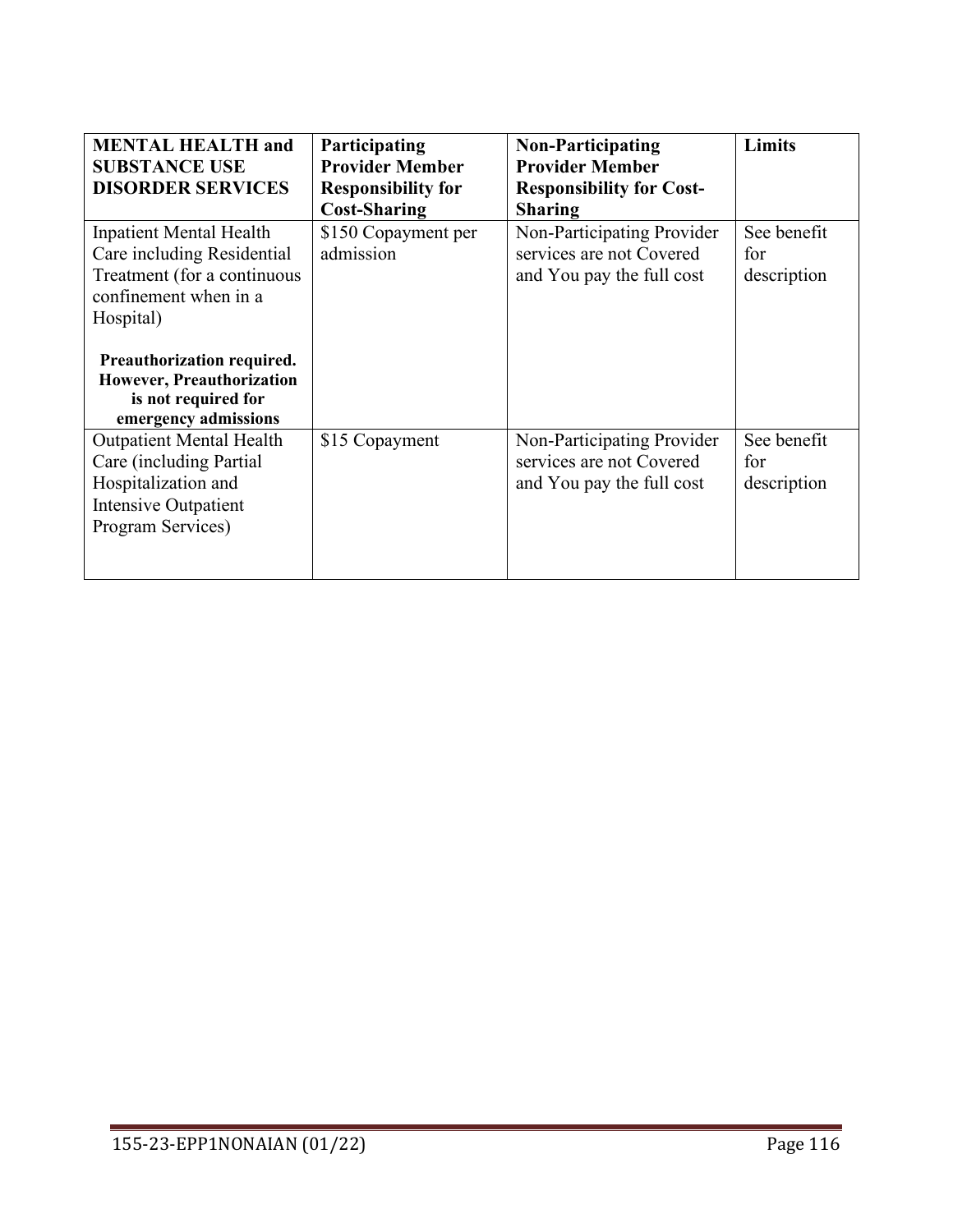| <b>MENTAL HEALTH and</b><br><b>SUBSTANCE USE</b>                                                                                  | <b>Participating</b><br><b>Provider Member</b>   | <b>Non-Participating</b><br><b>Provider Member</b>                                  | Limits                            |
|-----------------------------------------------------------------------------------------------------------------------------------|--------------------------------------------------|-------------------------------------------------------------------------------------|-----------------------------------|
| <b>DISORDER SERVICES</b>                                                                                                          | <b>Responsibility for</b><br><b>Cost-Sharing</b> | <b>Responsibility for Cost-</b><br><b>Sharing</b>                                   |                                   |
| <b>Inpatient Mental Health</b><br>Care including Residential<br>Treatment (for a continuous<br>confinement when in a<br>Hospital) | \$150 Copayment per<br>admission                 | Non-Participating Provider<br>services are not Covered<br>and You pay the full cost | See benefit<br>for<br>description |
| Preauthorization required.<br>However, Preauthorization<br>is not required for<br>emergency admissions                            |                                                  |                                                                                     |                                   |
| <b>Outpatient Mental Health</b><br>Care (including Partial<br>Hospitalization and<br>Intensive Outpatient<br>Program Services)    | \$15 Copayment                                   | Non-Participating Provider<br>services are not Covered<br>and You pay the full cost | See benefit<br>for<br>description |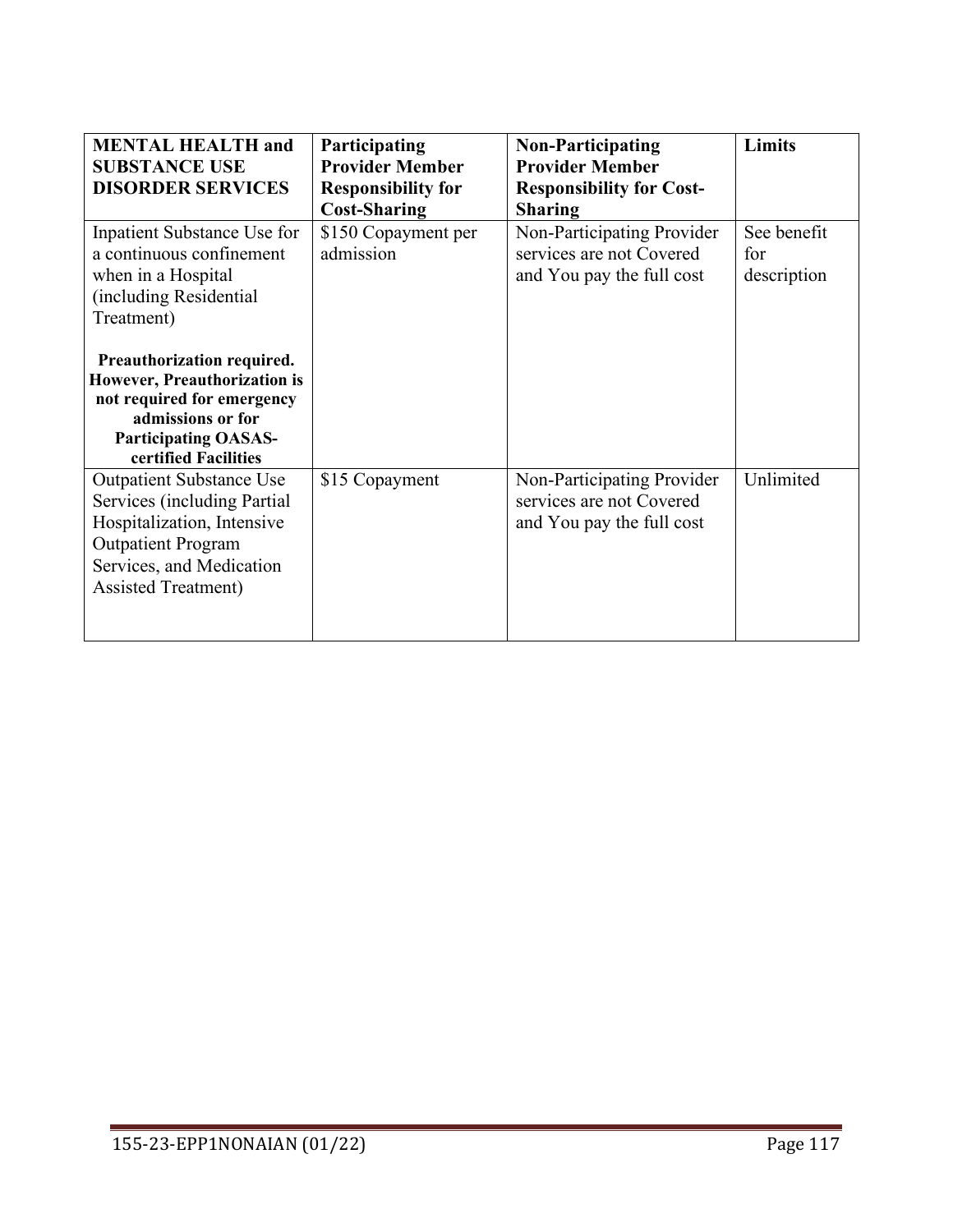| <b>MENTAL HEALTH and</b><br><b>SUBSTANCE USE</b><br><b>DISORDER SERVICES</b>                                                                                                         | Participating<br><b>Provider Member</b><br><b>Responsibility for</b><br><b>Cost-Sharing</b> | <b>Non-Participating</b><br><b>Provider Member</b><br><b>Responsibility for Cost-</b><br><b>Sharing</b> | <b>Limits</b>                     |
|--------------------------------------------------------------------------------------------------------------------------------------------------------------------------------------|---------------------------------------------------------------------------------------------|---------------------------------------------------------------------------------------------------------|-----------------------------------|
| Inpatient Substance Use for<br>a continuous confinement<br>when in a Hospital<br>(including Residential<br>Treatment)                                                                | \$150 Copayment per<br>admission                                                            | Non-Participating Provider<br>services are not Covered<br>and You pay the full cost                     | See benefit<br>for<br>description |
| Preauthorization required.<br>However, Preauthorization is<br>not required for emergency<br>admissions or for<br><b>Participating OASAS-</b><br>certified Facilities                 |                                                                                             |                                                                                                         |                                   |
| <b>Outpatient Substance Use</b><br>Services (including Partial<br>Hospitalization, Intensive<br><b>Outpatient Program</b><br>Services, and Medication<br><b>Assisted Treatment</b> ) | \$15 Copayment                                                                              | Non-Participating Provider<br>services are not Covered<br>and You pay the full cost                     | Unlimited                         |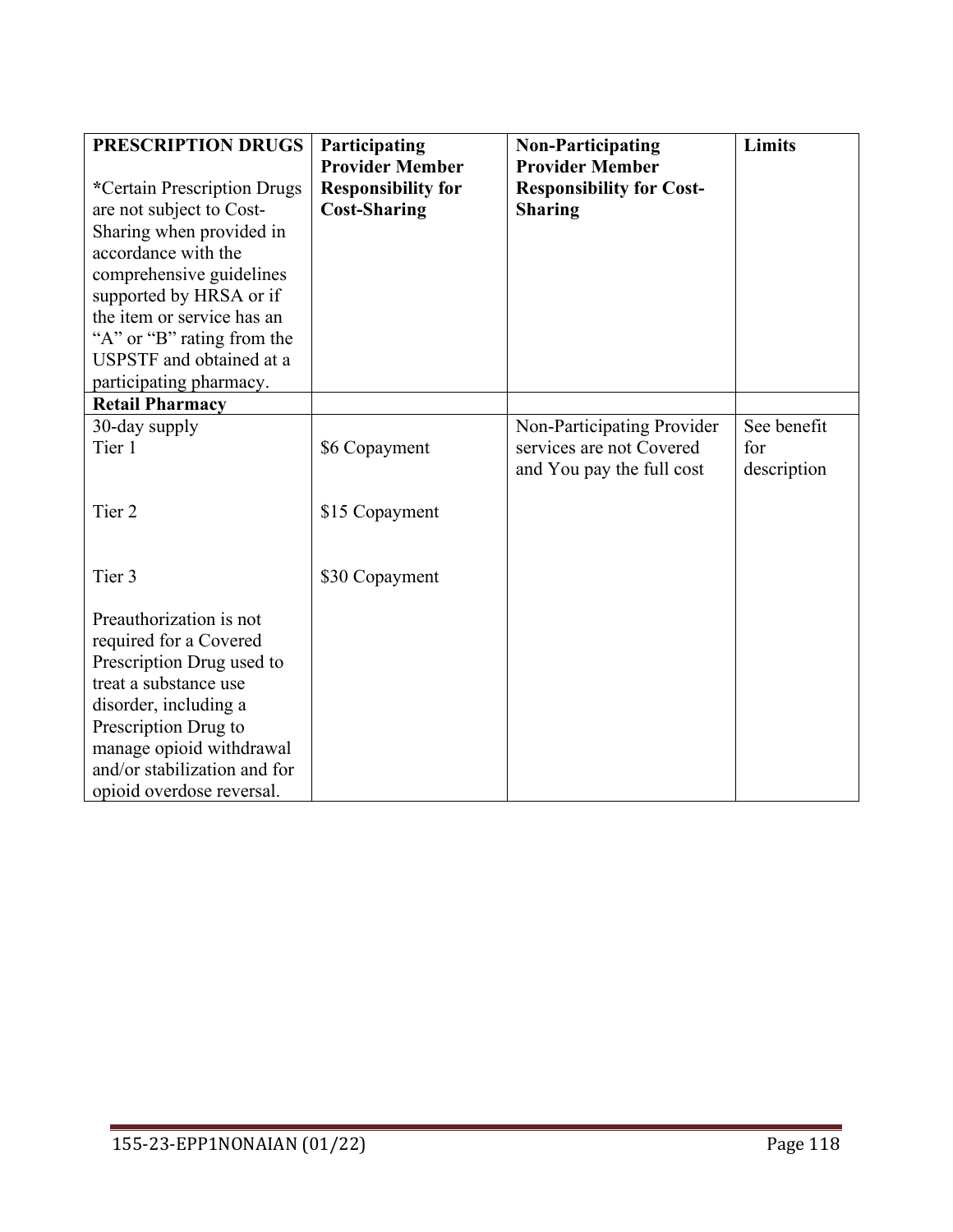| PRESCRIPTION DRUGS           | Participating             | <b>Non-Participating</b>        | Limits      |
|------------------------------|---------------------------|---------------------------------|-------------|
|                              | <b>Provider Member</b>    | <b>Provider Member</b>          |             |
| *Certain Prescription Drugs  | <b>Responsibility for</b> | <b>Responsibility for Cost-</b> |             |
| are not subject to Cost-     | <b>Cost-Sharing</b>       | <b>Sharing</b>                  |             |
| Sharing when provided in     |                           |                                 |             |
| accordance with the          |                           |                                 |             |
| comprehensive guidelines     |                           |                                 |             |
| supported by HRSA or if      |                           |                                 |             |
| the item or service has an   |                           |                                 |             |
| "A" or "B" rating from the   |                           |                                 |             |
| USPSTF and obtained at a     |                           |                                 |             |
| participating pharmacy.      |                           |                                 |             |
| <b>Retail Pharmacy</b>       |                           |                                 |             |
| 30-day supply                |                           | Non-Participating Provider      | See benefit |
| Tier 1                       | \$6 Copayment             | services are not Covered        | for         |
|                              |                           | and You pay the full cost       | description |
| Tier <sub>2</sub>            |                           |                                 |             |
|                              | \$15 Copayment            |                                 |             |
|                              |                           |                                 |             |
| Tier 3                       |                           |                                 |             |
|                              | \$30 Copayment            |                                 |             |
| Preauthorization is not      |                           |                                 |             |
| required for a Covered       |                           |                                 |             |
| Prescription Drug used to    |                           |                                 |             |
| treat a substance use        |                           |                                 |             |
| disorder, including a        |                           |                                 |             |
| Prescription Drug to         |                           |                                 |             |
| manage opioid withdrawal     |                           |                                 |             |
| and/or stabilization and for |                           |                                 |             |
| opioid overdose reversal.    |                           |                                 |             |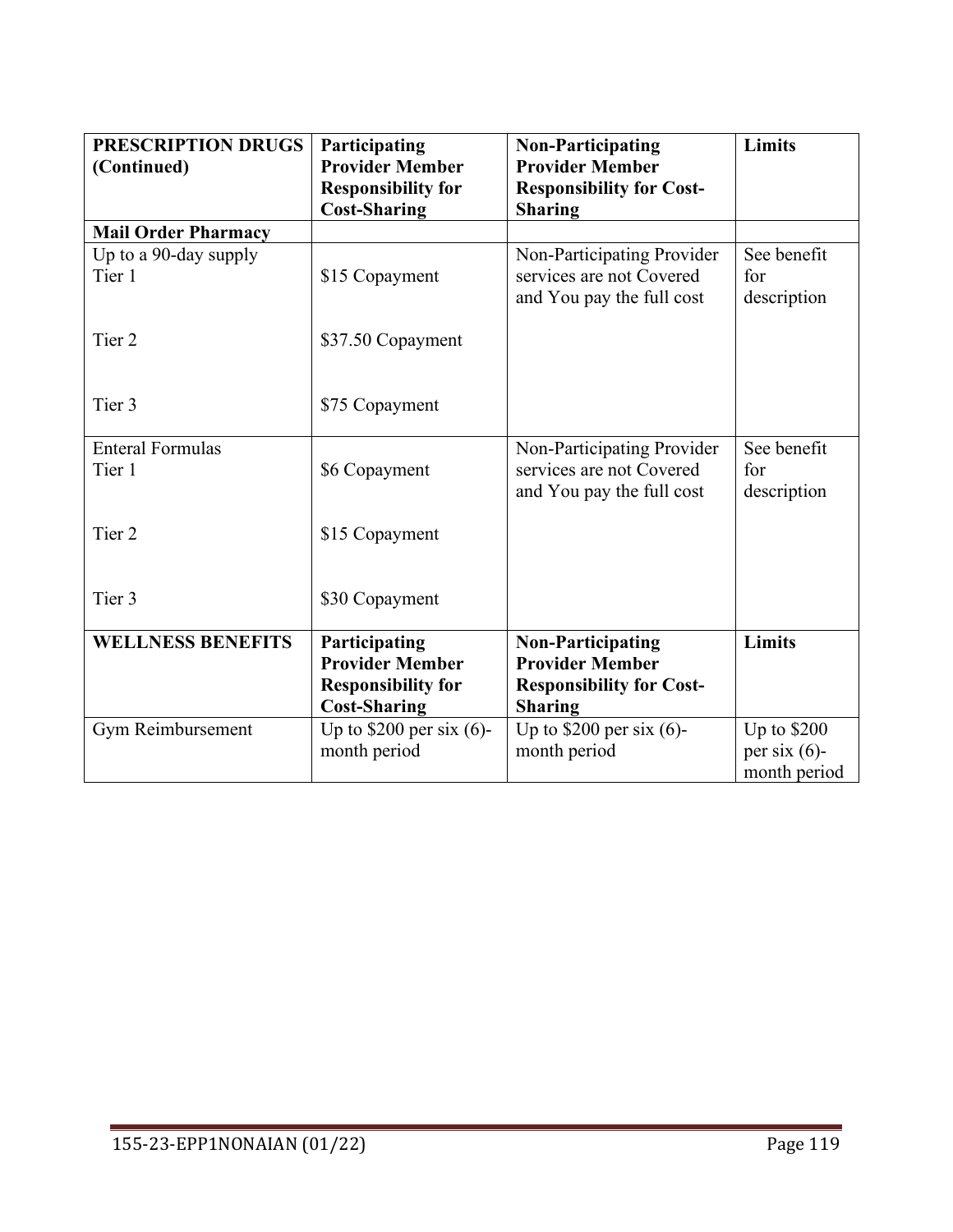| PRESCRIPTION DRUGS<br>(Continued) | Participating<br><b>Provider Member</b>                                                     | <b>Non-Participating</b><br><b>Provider Member</b>                                                      | Limits                            |
|-----------------------------------|---------------------------------------------------------------------------------------------|---------------------------------------------------------------------------------------------------------|-----------------------------------|
|                                   | <b>Responsibility for</b><br><b>Cost-Sharing</b>                                            | <b>Responsibility for Cost-</b><br><b>Sharing</b>                                                       |                                   |
| <b>Mail Order Pharmacy</b>        |                                                                                             |                                                                                                         |                                   |
| Up to a 90-day supply             |                                                                                             | Non-Participating Provider                                                                              | See benefit                       |
| Tier 1                            | \$15 Copayment                                                                              | services are not Covered<br>and You pay the full cost                                                   | for<br>description                |
| Tier <sub>2</sub>                 | \$37.50 Copayment                                                                           |                                                                                                         |                                   |
| Tier 3                            | \$75 Copayment                                                                              |                                                                                                         |                                   |
| <b>Enteral Formulas</b><br>Tier 1 | \$6 Copayment                                                                               | Non-Participating Provider<br>services are not Covered<br>and You pay the full cost                     | See benefit<br>for<br>description |
| Tier <sub>2</sub>                 | \$15 Copayment                                                                              |                                                                                                         |                                   |
| Tier 3                            | \$30 Copayment                                                                              |                                                                                                         |                                   |
| <b>WELLNESS BENEFITS</b>          | Participating<br><b>Provider Member</b><br><b>Responsibility for</b><br><b>Cost-Sharing</b> | <b>Non-Participating</b><br><b>Provider Member</b><br><b>Responsibility for Cost-</b><br><b>Sharing</b> | <b>Limits</b>                     |
| Gym Reimbursement                 | Up to $$200$ per six (6)-<br>month period                                                   | Up to $$200$ per six (6)-<br>month period                                                               | Up to \$200<br>per six $(6)$ -    |
|                                   |                                                                                             |                                                                                                         | month period                      |